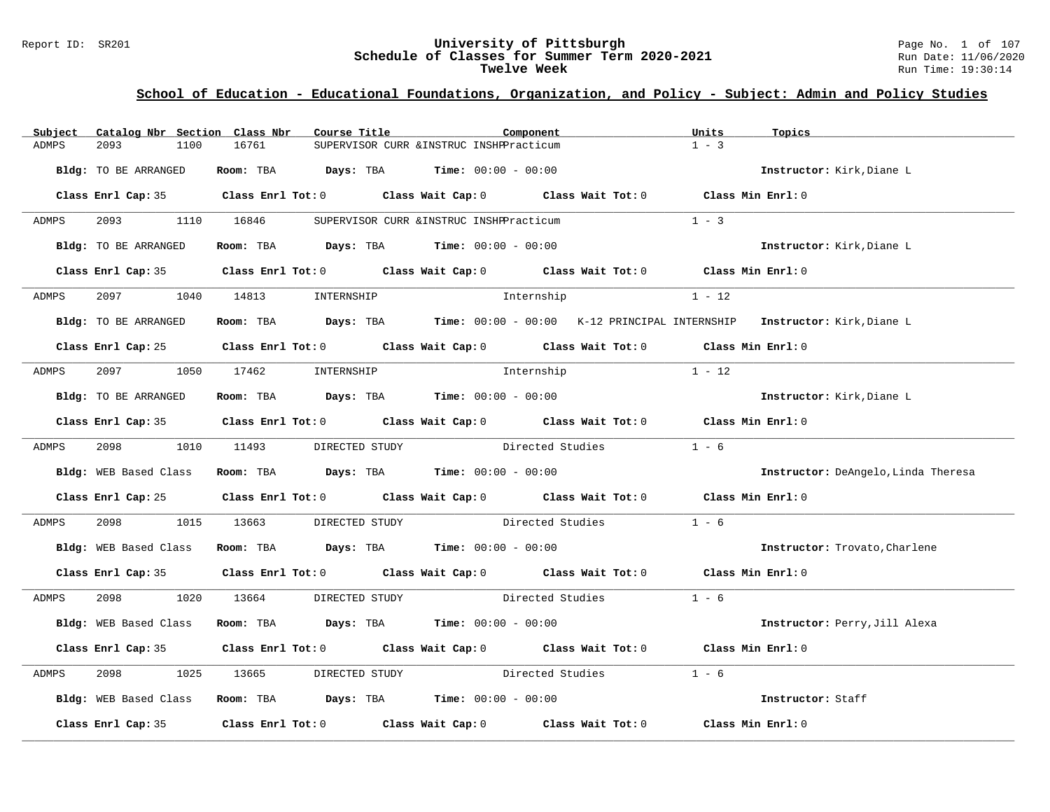# Report ID: SR201 **University of Pittsburgh University of Pittsburgh** Page No. 1 of 107<br>**Schedule of Classes for Summer Term 2020-2021** Run Date: 11/06/2020 Schedule of Classes for Summer Term 2020-2021<br>Twelve Week

| Subject      | Catalog Nbr Section Class Nbr | Course Title                                                                                | Component                                |            | Units             | Topics                              |
|--------------|-------------------------------|---------------------------------------------------------------------------------------------|------------------------------------------|------------|-------------------|-------------------------------------|
| <b>ADMPS</b> | 2093<br>1100                  | 16761                                                                                       | SUPERVISOR CURR & INSTRUC INSHPPracticum |            | $1 - 3$           |                                     |
|              | Bldg: TO BE ARRANGED          | Room: TBA $Days:$ TBA $Time: 00:00 - 00:00$                                                 |                                          |            |                   | Instructor: Kirk, Diane L           |
|              |                               | Class Enrl Cap: 35 Class Enrl Tot: 0 Class Wait Cap: 0 Class Wait Tot: 0                    |                                          |            | Class Min Enrl: 0 |                                     |
| ADMPS        | 2093 1110 16846               |                                                                                             | SUPERVISOR CURR & INSTRUC INSHPPracticum |            | $1 - 3$           |                                     |
|              | Bldg: TO BE ARRANGED          | Room: TBA $\rule{1em}{0.15mm}$ Days: TBA Time: $00:00 - 00:00$                              |                                          |            |                   | Instructor: Kirk, Diane L           |
|              |                               | Class Enrl Cap: 35 Class Enrl Tot: 0 Class Wait Cap: 0 Class Wait Tot: 0 Class Min Enrl: 0  |                                          |            |                   |                                     |
|              |                               | ADMPS 2097 1040 14813 INTERNSHIP                                                            |                                          | Internship | $1 - 12$          |                                     |
|              | Bldg: TO BE ARRANGED          | Room: TBA Days: TBA Time: 00:00 - 00:00 K-12 PRINCIPAL INTERNSHIP Instructor: Kirk, Diane L |                                          |            |                   |                                     |
|              |                               | Class Enrl Cap: 25 Class Enrl Tot: 0 Class Wait Cap: 0 Class Wait Tot: 0 Class Min Enrl: 0  |                                          |            |                   |                                     |
| ADMPS        | 2097                          | 1050 17462                                                                                  | INTERNSHIP Internship                    |            | $1 - 12$          |                                     |
|              | Bldg: TO BE ARRANGED          | Room: TBA $Days: TBA$ Time: $00:00 - 00:00$                                                 |                                          |            |                   | Instructor: Kirk, Diane L           |
|              |                               | Class Enrl Cap: 35 Class Enrl Tot: 0 Class Wait Cap: 0 Class Wait Tot: 0 Class Min Enrl: 0  |                                          |            |                   |                                     |
| ADMPS        |                               | 2098 1010 11493 DIRECTED STUDY Directed Studies 1 - 6                                       |                                          |            |                   |                                     |
|              |                               | Bldg: WEB Based Class Room: TBA Days: TBA Time: 00:00 - 00:00                               |                                          |            |                   | Instructor: DeAngelo, Linda Theresa |
|              |                               | Class Enrl Cap: 25 Class Enrl Tot: 0 Class Wait Cap: 0 Class Wait Tot: 0 Class Min Enrl: 0  |                                          |            |                   |                                     |
| ADMPS        | 2098 70                       | 1015 13663                                                                                  | DIRECTED STUDY Directed Studies          |            | $1 - 6$           |                                     |
|              |                               | Bldg: WEB Based Class Room: TBA Days: TBA Time: 00:00 - 00:00                               |                                          |            |                   | Instructor: Trovato, Charlene       |
|              |                               | Class Enrl Cap: 35 Class Enrl Tot: 0 Class Wait Cap: 0 Class Wait Tot: 0 Class Min Enrl: 0  |                                          |            |                   |                                     |
| ADMPS        |                               | 2098 1020 13664 DIRECTED STUDY Directed Studies 1 - 6                                       |                                          |            |                   |                                     |
|              | Bldg: WEB Based Class         | Room: TBA $\rule{1em}{0.15mm}$ Days: TBA Time: $00:00 - 00:00$                              |                                          |            |                   | Instructor: Perry, Jill Alexa       |
|              |                               | Class Enrl Cap: 35 Class Enrl Tot: 0 Class Wait Cap: 0 Class Wait Tot: 0 Class Min Enrl: 0  |                                          |            |                   |                                     |
| ADMPS        | 2098 70                       | 1025 13665 DIRECTED STUDY Directed Studies                                                  |                                          |            | $1 - 6$           |                                     |
|              |                               | Bldg: WEB Based Class Room: TBA Days: TBA Time: 00:00 - 00:00                               |                                          |            |                   | Instructor: Staff                   |
|              |                               | Class Enrl Cap: 35 Class Enrl Tot: 0 Class Wait Cap: 0 Class Wait Tot: 0 Class Min Enrl: 0  |                                          |            |                   |                                     |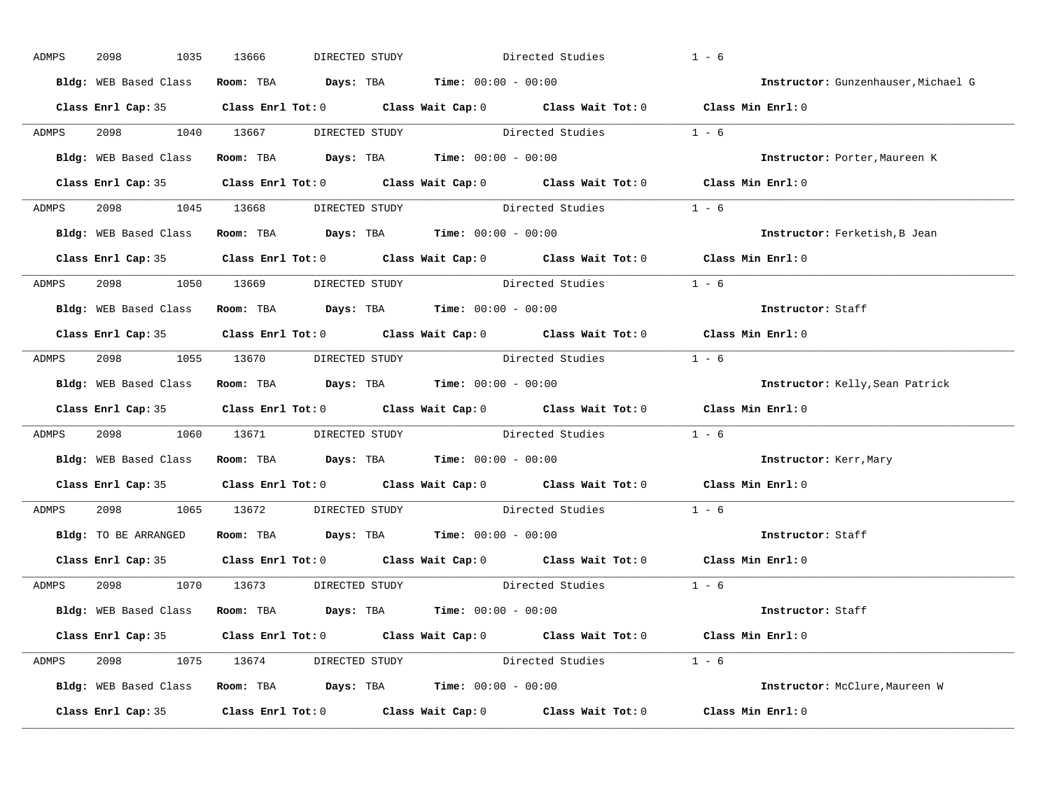| ADMPS        | 2098<br>1035          | 13666<br>DIRECTED STUDY                                       | Directed Studies                                                                           | $1 - 6$                             |
|--------------|-----------------------|---------------------------------------------------------------|--------------------------------------------------------------------------------------------|-------------------------------------|
|              | Bldg: WEB Based Class | Room: TBA $Days:$ TBA $Time: 00:00 - 00:00$                   |                                                                                            | Instructor: Gunzenhauser, Michael G |
|              |                       |                                                               | Class Enrl Cap: 35 Class Enrl Tot: 0 Class Wait Cap: 0 Class Wait Tot: 0 Class Min Enrl: 0 |                                     |
| ADMPS        |                       |                                                               | 2098 1040 13667 DIRECTED STUDY Directed Studies 1 - 6                                      |                                     |
|              |                       | Bldg: WEB Based Class Room: TBA Days: TBA Time: 00:00 - 00:00 |                                                                                            | Instructor: Porter, Maureen K       |
|              |                       |                                                               | Class Enrl Cap: 35 Class Enrl Tot: 0 Class Wait Cap: 0 Class Wait Tot: 0 Class Min Enrl: 0 |                                     |
| ADMPS        |                       |                                                               | 2098 1045 13668 DIRECTED STUDY Directed Studies 1 - 6                                      |                                     |
|              |                       | Bldg: WEB Based Class Room: TBA Days: TBA Time: 00:00 - 00:00 |                                                                                            | Instructor: Ferketish, B Jean       |
|              |                       |                                                               | Class Enrl Cap: 35 Class Enrl Tot: 0 Class Wait Cap: 0 Class Wait Tot: 0 Class Min Enrl: 0 |                                     |
| <b>ADMPS</b> |                       | 2098 1050 13669 DIRECTED STUDY                                | Directed Studies 1 - 6                                                                     |                                     |
|              |                       | Bldg: WEB Based Class Room: TBA Days: TBA Time: 00:00 - 00:00 |                                                                                            | Instructor: Staff                   |
|              |                       |                                                               | Class Enrl Cap: 35 Class Enrl Tot: 0 Class Wait Cap: 0 Class Wait Tot: 0 Class Min Enrl: 0 |                                     |
| ADMPS        |                       |                                                               | 2098 1055 13670 DIRECTED STUDY Directed Studies 1 - 6                                      |                                     |
|              |                       | Bldg: WEB Based Class Room: TBA Days: TBA Time: 00:00 - 00:00 |                                                                                            | Instructor: Kelly, Sean Patrick     |
|              |                       |                                                               | Class Enrl Cap: 35 Class Enrl Tot: 0 Class Wait Cap: 0 Class Wait Tot: 0 Class Min Enrl: 0 |                                     |
| ADMPS        |                       |                                                               | 2098 1060 13671 DIRECTED STUDY Directed Studies 1 - 6                                      |                                     |
|              |                       | Bldg: WEB Based Class Room: TBA Days: TBA Time: 00:00 - 00:00 |                                                                                            | <b>Instructor:</b> Kerr,Mary        |
|              |                       |                                                               | Class Enrl Cap: 35 Class Enrl Tot: 0 Class Wait Cap: 0 Class Wait Tot: 0 Class Min Enrl: 0 |                                     |
| ADMPS        |                       |                                                               | 2098 1065 13672 DIRECTED STUDY Directed Studies 1 - 6                                      |                                     |
|              |                       | Bldg: TO BE ARRANGED Room: TBA Days: TBA Time: 00:00 - 00:00  |                                                                                            | Instructor: Staff                   |
|              |                       |                                                               | Class Enrl Cap: 35 Class Enrl Tot: 0 Class Wait Cap: 0 Class Wait Tot: 0 Class Min Enrl: 0 |                                     |
| ADMPS        |                       | 2098 1070 13673 DIRECTED STUDY                                | Directed Studies 1 - 6                                                                     |                                     |
|              |                       | Bldg: WEB Based Class Room: TBA Days: TBA Time: 00:00 - 00:00 |                                                                                            | Instructor: Staff                   |
|              |                       |                                                               | Class Enrl Cap: 35 Class Enrl Tot: 0 Class Wait Cap: 0 Class Wait Tot: 0 Class Min Enrl: 0 |                                     |
|              |                       |                                                               | ADMPS 2098 1075 13674 DIRECTED STUDY Directed Studies 1 - 6                                |                                     |
|              |                       | Bldg: WEB Based Class Room: TBA Days: TBA Time: 00:00 - 00:00 |                                                                                            | Instructor: McClure, Maureen W      |
|              |                       |                                                               | Class Enrl Cap: 35 Class Enrl Tot: 0 Class Wait Cap: 0 Class Wait Tot: 0 Class Min Enrl: 0 |                                     |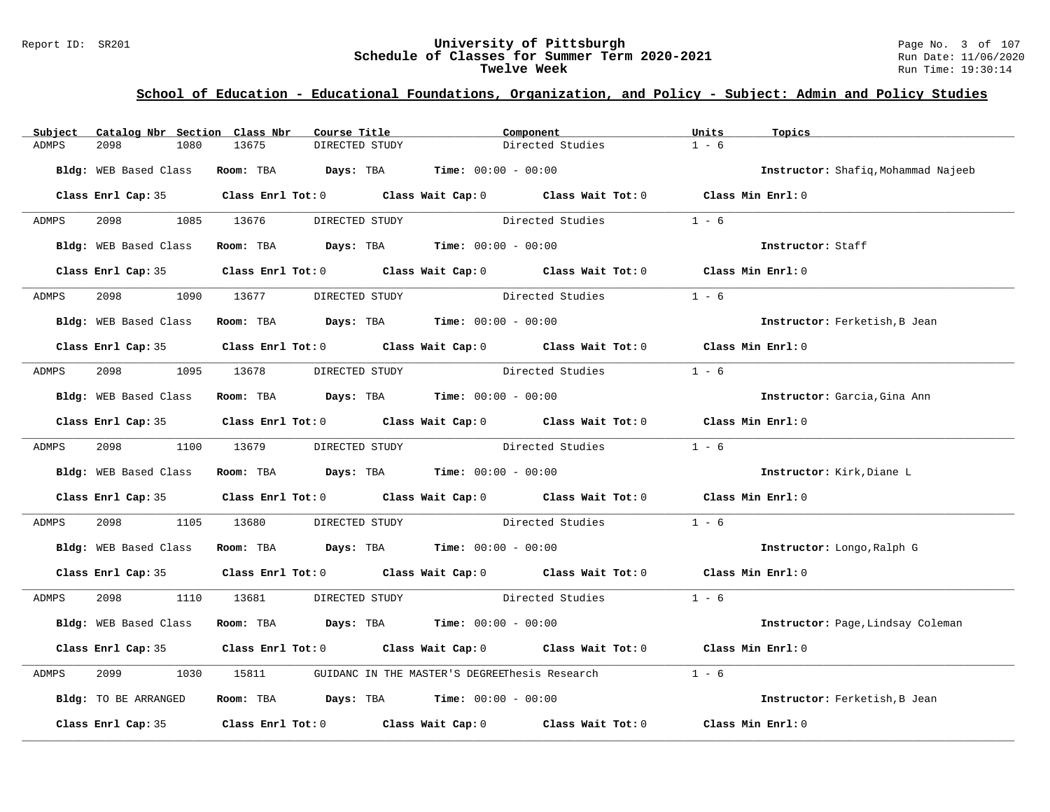#### Report ID: SR201 **University of Pittsburgh** Page No. 3 of 107 **Schedule of Classes for Summer Term 2020-2021** Run Date: 11/06/2020 **Twelve Week** Run Time: 19:30:14

| Subject | Catalog Nbr Section Class Nbr |                                                                | Course Title   | Component |                                                                                                     | Units             | Topics                              |
|---------|-------------------------------|----------------------------------------------------------------|----------------|-----------|-----------------------------------------------------------------------------------------------------|-------------------|-------------------------------------|
| ADMPS   | 2098<br>1080                  | 13675                                                          | DIRECTED STUDY |           | Directed Studies                                                                                    | $1 - 6$           |                                     |
|         | Bldg: WEB Based Class         | <b>Room:</b> TBA $Days: TBA$ <b>Time:</b> $00:00 - 00:00$      |                |           |                                                                                                     |                   | Instructor: Shafiq, Mohammad Najeeb |
|         |                               |                                                                |                |           | Class Enrl Cap: 35 Class Enrl Tot: 0 Class Wait Cap: 0 Class Wait Tot: 0 Class Min Enrl: 0          |                   |                                     |
| ADMPS   | 2098 1085 13676               |                                                                | DIRECTED STUDY |           | Directed Studies                                                                                    | $1 - 6$           |                                     |
|         | <b>Bldg:</b> WEB Based Class  | Room: TBA Days: TBA Time: $00:00 - 00:00$                      |                |           |                                                                                                     |                   | Instructor: Staff                   |
|         |                               |                                                                |                |           | Class Enrl Cap: 35 Class Enrl Tot: 0 Class Wait Cap: 0 Class Wait Tot: 0 Class Min Enrl: 0          |                   |                                     |
| ADMPS   |                               | 2098 1090 13677 DIRECTED STUDY                                 |                |           | Directed Studies                                                                                    | $1 - 6$           |                                     |
|         | Bldg: WEB Based Class         | Room: TBA $Days:$ TBA $Time: 00:00 - 00:00$                    |                |           |                                                                                                     |                   | Instructor: Ferketish, B Jean       |
|         |                               |                                                                |                |           | Class Enrl Cap: 35 Class Enrl Tot: 0 Class Wait Cap: 0 Class Wait Tot: 0 Class Min Enrl: 0          |                   |                                     |
| ADMPS   | 2098                          | 1095 13678                                                     |                |           | DIRECTED STUDY Directed Studies                                                                     | $1 - 6$           |                                     |
|         | Bldg: WEB Based Class         | Room: TBA $\rule{1em}{0.15mm}$ Days: TBA Time: $00:00 - 00:00$ |                |           |                                                                                                     |                   | Instructor: Garcia, Gina Ann        |
|         |                               |                                                                |                |           | Class Enrl Cap: 35 Class Enrl Tot: 0 Class Wait Cap: 0 Class Wait Tot: 0 Class Min Enrl: 0          |                   |                                     |
| ADMPS   | 2098 1100 13679               |                                                                |                |           | DIRECTED STUDY Directed Studies                                                                     | $1 - 6$           |                                     |
|         |                               | Bldg: WEB Based Class Room: TBA Days: TBA Time: 00:00 - 00:00  |                |           |                                                                                                     |                   | Instructor: Kirk, Diane L           |
|         |                               |                                                                |                |           | Class Enrl Cap: 35 Class Enrl Tot: 0 Class Wait Cap: 0 Class Wait Tot: 0 Class Min Enrl: 0          |                   |                                     |
| ADMPS   | 2098<br>1105                  | 13680                                                          |                |           | DIRECTED STUDY Directed Studies                                                                     | $1 - 6$           |                                     |
|         |                               | Bldg: WEB Based Class Room: TBA Days: TBA Time: 00:00 - 00:00  |                |           |                                                                                                     |                   | Instructor: Longo, Ralph G          |
|         |                               |                                                                |                |           | Class Enrl Cap: 35 Class Enrl Tot: 0 Class Wait Cap: 0 Class Wait Tot: 0 Class Min Enrl: 0          |                   |                                     |
| ADMPS   |                               |                                                                |                |           | 2098 1110 13681 DIRECTED STUDY Directed Studies                                                     | $1 - 6$           |                                     |
|         |                               | Bldg: WEB Based Class Room: TBA Days: TBA Time: 00:00 - 00:00  |                |           |                                                                                                     |                   | Instructor: Page, Lindsay Coleman   |
|         |                               |                                                                |                |           | Class Enrl Cap: 35 Class Enrl Tot: 0 Class Wait Cap: 0 Class Wait Tot: 0 Class Min Enrl: 0          |                   |                                     |
| ADMPS   | 2099<br>1030                  |                                                                |                |           |                                                                                                     | $1 - 6$           |                                     |
|         | Bldg: TO BE ARRANGED          | Room: TBA $Days:$ TBA $Time: 00:00 - 00:00$                    |                |           |                                                                                                     |                   | Instructor: Ferketish, B Jean       |
|         |                               |                                                                |                |           | Class Enrl Cap: 35 $\qquad$ Class Enrl Tot: 0 $\qquad$ Class Wait Cap: 0 $\qquad$ Class Wait Tot: 0 | Class Min Enrl: 0 |                                     |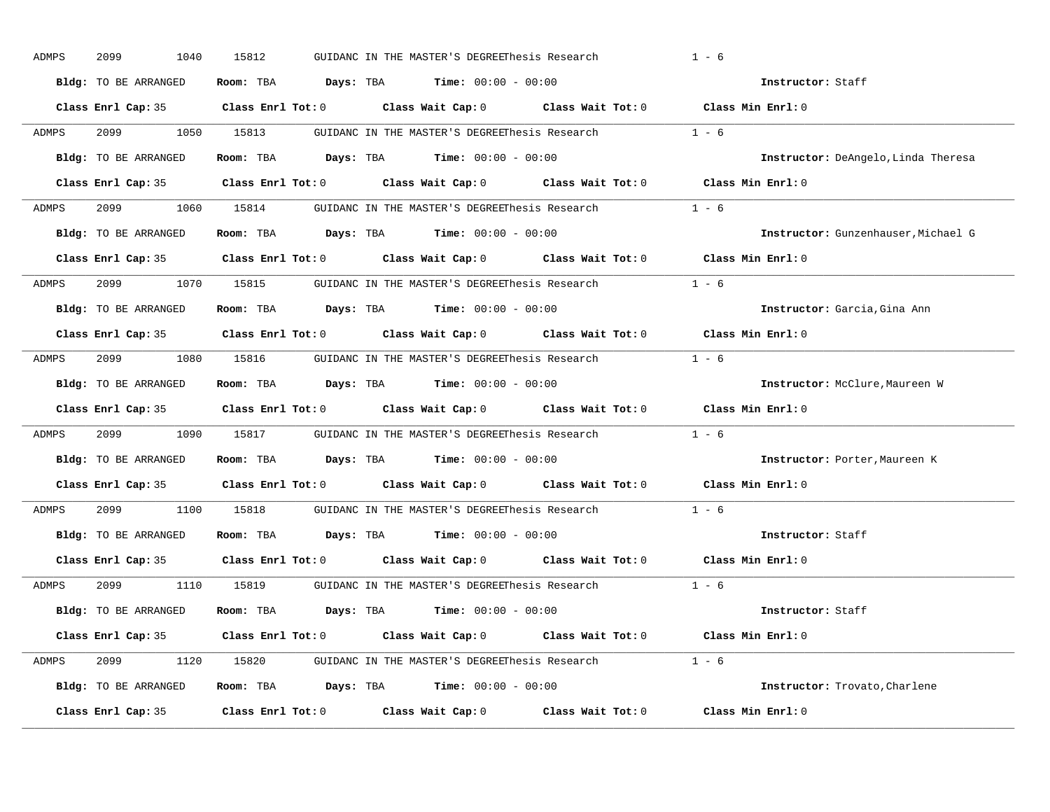| ADMPS        | 2099<br>1040         | 15812 | GUIDANC IN THE MASTER'S DEGREEThesis Research                                                       |         | $1 - 6$                             |
|--------------|----------------------|-------|-----------------------------------------------------------------------------------------------------|---------|-------------------------------------|
|              | Bldg: TO BE ARRANGED |       | Room: TBA $Days:$ TBA $Time: 00:00 - 00:00$                                                         |         | Instructor: Staff                   |
|              |                      |       | Class Enrl Cap: 35 Class Enrl Tot: 0 Class Wait Cap: 0 Class Wait Tot: 0 Class Min Enrl: 0          |         |                                     |
| ADMPS        |                      |       | 2099 1050 15813 GUIDANC IN THE MASTER'S DEGREEThesis Research 1 - 6                                 |         |                                     |
|              | Bldg: TO BE ARRANGED |       | Room: TBA $Days:$ TBA $Time: 00:00 - 00:00$                                                         |         | Instructor: DeAngelo, Linda Theresa |
|              |                      |       | Class Enrl Cap: 35 Class Enrl Tot: 0 Class Wait Cap: 0 Class Wait Tot: 0 Class Min Enrl: 0          |         |                                     |
| <b>ADMPS</b> |                      |       | 2099 1060 15814 GUIDANC IN THE MASTER'S DEGREEThesis Research 1 - 6                                 |         |                                     |
|              |                      |       | Bldg: TO BE ARRANGED Room: TBA Days: TBA Time: 00:00 - 00:00                                        |         | Instructor: Gunzenhauser, Michael G |
|              |                      |       | Class Enrl Cap: 35 Class Enrl Tot: 0 Class Wait Cap: 0 Class Wait Tot: 0 Class Min Enrl: 0          |         |                                     |
| <b>ADMPS</b> |                      |       | 2099 1070 15815 GUIDANC IN THE MASTER'S DEGREEThesis Research                                       | $1 - 6$ |                                     |
|              | Bldg: TO BE ARRANGED |       | Room: TBA $Days:$ TBA $Time: 00:00 - 00:00$                                                         |         | Instructor: Garcia, Gina Ann        |
|              |                      |       | Class Enrl Cap: 35 Class Enrl Tot: 0 Class Wait Cap: 0 Class Wait Tot: 0 Class Min Enrl: 0          |         |                                     |
| ADMPS        |                      |       | 2099 1080 15816 GUIDANC IN THE MASTER'S DEGREEThesis Research                                       |         | $1 - 6$                             |
|              | Bldg: TO BE ARRANGED |       | Room: TBA $Days:$ TBA Time: $00:00 - 00:00$                                                         |         | Instructor: McClure, Maureen W      |
|              |                      |       | Class Enrl Cap: 35 Class Enrl Tot: 0 Class Wait Cap: 0 Class Wait Tot: 0 Class Min Enrl: 0          |         |                                     |
| ADMPS        |                      |       | 2099 1090 15817 GUIDANC IN THE MASTER'S DEGREEThesis Research 1 - 6                                 |         |                                     |
|              | Bldg: TO BE ARRANGED |       | Room: TBA $Days:$ TBA $Time: 00:00 - 00:00$                                                         |         | Instructor: Porter, Maureen K       |
|              |                      |       | Class Enrl Cap: 35 Class Enrl Tot: 0 Class Wait Cap: 0 Class Wait Tot: 0                            |         | Class Min Enrl: 0                   |
| ADMPS        |                      |       | 2099 1100 15818 GUIDANC IN THE MASTER'S DEGREEThesis Research                                       |         | $1 - 6$                             |
|              |                      |       |                                                                                                     |         |                                     |
|              | Bldg: TO BE ARRANGED |       | Room: TBA $\rule{1em}{0.15mm}$ Days: TBA Time: $00:00 - 00:00$                                      |         | Instructor: Staff                   |
|              |                      |       | Class Enrl Cap: 35 $\qquad$ Class Enrl Tot: 0 $\qquad$ Class Wait Cap: 0 $\qquad$ Class Wait Tot: 0 |         | Class Min Enrl: 0                   |
| ADMPS        |                      |       | 2099 1110 15819 GUIDANC IN THE MASTER'S DEGREEThesis Research                                       | $1 - 6$ |                                     |
|              | Bldg: TO BE ARRANGED |       | Room: TBA $\rule{1em}{0.15mm}$ Days: TBA Time: $00:00 - 00:00$                                      |         | Instructor: Staff                   |
|              |                      |       | Class Enrl Cap: 35 Class Enrl Tot: 0 Class Wait Cap: 0 Class Wait Tot: 0 Class Min Enrl: 0          |         |                                     |
| ADMPS        |                      |       | 2099 1120 15820 GUIDANC IN THE MASTER'S DEGREEThesis Research 1 - 6                                 |         |                                     |
|              |                      |       | Bldg: TO BE ARRANGED Room: TBA Days: TBA Time: 00:00 - 00:00                                        |         | Instructor: Trovato, Charlene       |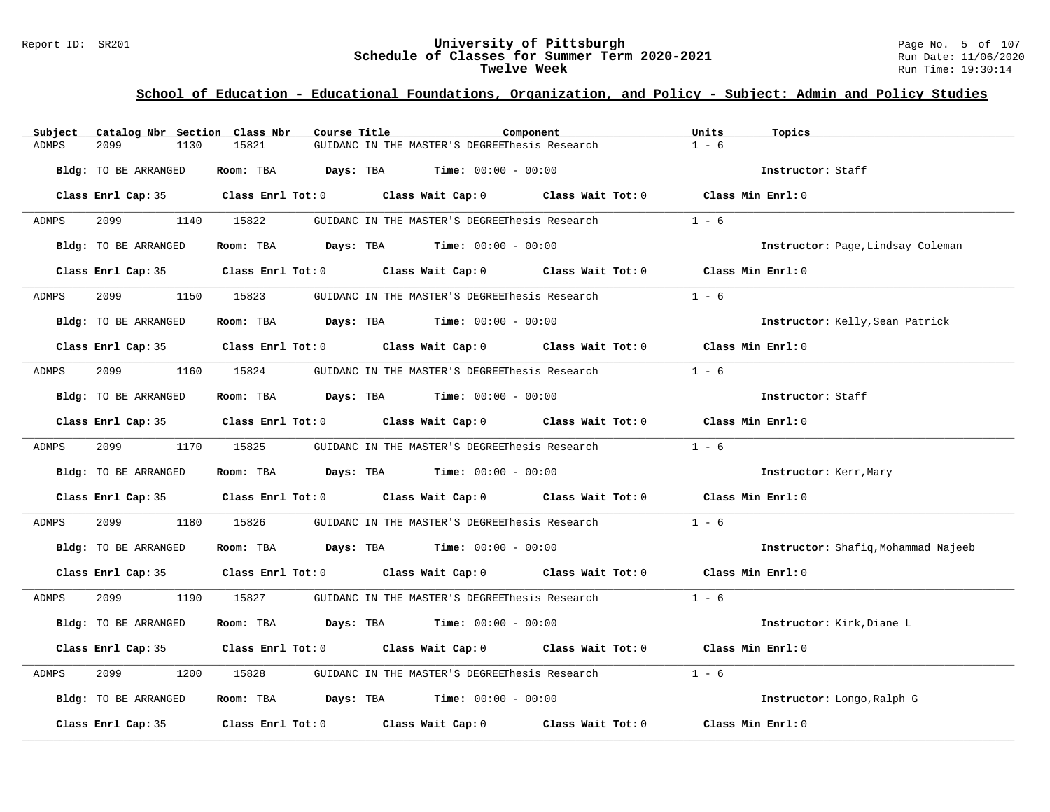#### Report ID: SR201 **University of Pittsburgh** Page No. 5 of 107 **Schedule of Classes for Summer Term 2020-2021** Run Date: 11/06/2020 **Twelve Week** Run Time: 19:30:14

| Subject      | Catalog Nbr Section Class Nbr | Course Title | Component                                                                                  | Units<br>Topics                     |
|--------------|-------------------------------|--------------|--------------------------------------------------------------------------------------------|-------------------------------------|
| <b>ADMPS</b> | 2099<br>1130                  | 15821        | GUIDANC IN THE MASTER'S DEGREEThesis Research                                              | $1 - 6$                             |
|              | Bldg: TO BE ARRANGED          |              | Room: TBA $Days:$ TBA $Time: 00:00 - 00:00$                                                | Instructor: Staff                   |
|              |                               |              | Class Enrl Cap: 35 Class Enrl Tot: 0 Class Wait Cap: 0 Class Wait Tot: 0                   | Class Min Enrl: 0                   |
| ADMPS        | 2099                          | 1140 15822   | GUIDANC IN THE MASTER'S DEGREEThesis Research                                              | $1 - 6$                             |
|              | Bldg: TO BE ARRANGED          |              | Room: TBA $Days:$ TBA $Time: 00:00 - 00:00$                                                | Instructor: Page, Lindsay Coleman   |
|              |                               |              | Class Enrl Cap: 35 Class Enrl Tot: 0 Class Wait Cap: 0 Class Wait Tot: 0 Class Min Enrl: 0 |                                     |
| ADMPS        | 2099 70                       | 1150 15823   | GUIDANC IN THE MASTER'S DEGREEThesis Research                                              | $1 - 6$                             |
|              | Bldg: TO BE ARRANGED          |              | Room: TBA $Days:$ TBA $Time:$ $00:00 - 00:00$                                              | Instructor: Kelly, Sean Patrick     |
|              |                               |              | Class Enrl Cap: 35 Class Enrl Tot: 0 Class Wait Cap: 0 Class Wait Tot: 0 Class Min Enrl: 0 |                                     |
| ADMPS        | 2099<br>1160                  | 15824        | GUIDANC IN THE MASTER'S DEGREEThesis Research                                              | $1 - 6$                             |
|              | Bldg: TO BE ARRANGED          |              | Room: TBA $Days:$ TBA Time: $00:00 - 00:00$                                                | Instructor: Staff                   |
|              |                               |              | Class Enrl Cap: 35 Class Enrl Tot: 0 Class Wait Cap: 0 Class Wait Tot: 0 Class Min Enrl: 0 |                                     |
| ADMPS        | 2099 1170 15825               |              | GUIDANC IN THE MASTER'S DEGREEThesis Research $1 - 6$                                      |                                     |
|              | Bldg: TO BE ARRANGED          |              | Room: TBA $Days: TBA$ Time: $00:00 - 00:00$                                                | Instructor: Kerr, Mary              |
|              |                               |              | Class Enrl Cap: 35 Class Enrl Tot: 0 Class Wait Cap: 0 Class Wait Tot: 0 Class Min Enrl: 0 |                                     |
| ADMPS        | 2099<br>1180                  | 15826        | GUIDANC IN THE MASTER'S DEGREEThesis Research                                              | $1 - 6$                             |
|              | Bldg: TO BE ARRANGED          |              | Room: TBA $Days:$ TBA $Time: 00:00 - 00:00$                                                | Instructor: Shafiq, Mohammad Najeeb |
|              |                               |              | Class Enrl Cap: 35 Class Enrl Tot: 0 Class Wait Cap: 0 Class Wait Tot: 0 Class Min Enrl: 0 |                                     |
| ADMPS        |                               |              | 2099 1990 15827 GUIDANC IN THE MASTER'S DEGREEThesis Research 1 - 6                        |                                     |
|              | Bldg: TO BE ARRANGED          |              | Room: TBA $Days: TBA$ Time: $00:00 - 00:00$                                                | Instructor: Kirk, Diane L           |
|              |                               |              | Class Enrl Cap: 35 Class Enrl Tot: 0 Class Wait Cap: 0 Class Wait Tot: 0 Class Min Enrl: 0 |                                     |
| ADMPS        | 2099<br>1200                  |              | 15828 GUIDANC IN THE MASTER'S DEGREEThesis Research                                        | $1 - 6$                             |
|              | Bldg: TO BE ARRANGED          |              | Room: TBA $Days:$ TBA $Time: 00:00 - 00:00$                                                | Instructor: Longo, Ralph G          |
|              | Class Enrl Cap: 35            |              | Class Enrl Tot: 0 Class Wait Cap: 0 Class Wait Tot: 0                                      | Class Min Enrl: 0                   |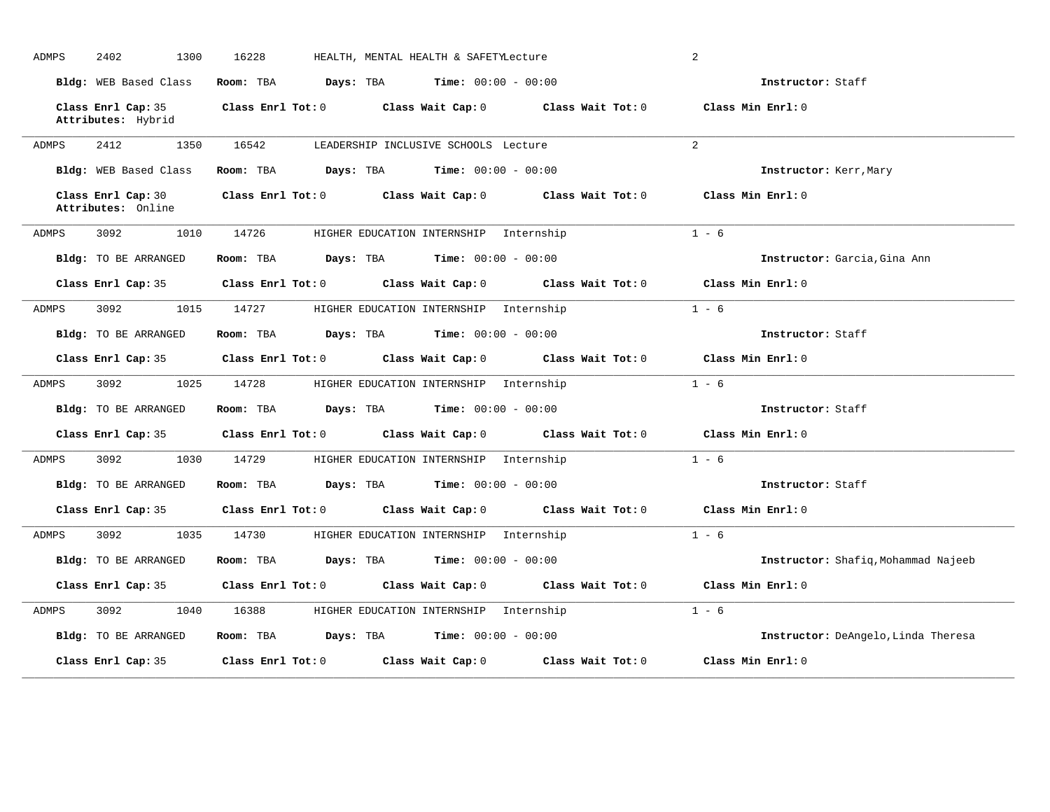| <b>ADMPS</b> | 2402<br>1300                             | 16228                                                      | HEALTH, MENTAL HEALTH & SAFETYLecture                                                              | 2                                   |
|--------------|------------------------------------------|------------------------------------------------------------|----------------------------------------------------------------------------------------------------|-------------------------------------|
|              | Bldg: WEB Based Class                    | Room: TBA<br><b>Days:</b> TBA <b>Time:</b> $00:00 - 00:00$ |                                                                                                    | Instructor: Staff                   |
|              | Class Enrl Cap: 35<br>Attributes: Hybrid |                                                            | Class Enrl Tot: $0$ Class Wait Cap: $0$ Class Wait Tot: $0$ Class Min Enrl: $0$                    |                                     |
| <b>ADMPS</b> | 2412<br>1350                             | 16542                                                      | LEADERSHIP INCLUSIVE SCHOOLS Lecture                                                               | 2                                   |
|              | Bldg: WEB Based Class                    | Room: TBA $Days:$ TBA $Time: 00:00 - 00:00$                |                                                                                                    | Instructor: Kerr, Mary              |
|              | Class Enrl Cap: 30<br>Attributes: Online |                                                            | Class Enrl Tot: 0 Class Wait Cap: 0 Class Wait Tot: 0                                              | Class Min $Enr1:0$                  |
| ADMPS        | 3092<br>1010                             | 14726                                                      | HIGHER EDUCATION INTERNSHIP Internship                                                             | $1 - 6$                             |
|              | Bldg: TO BE ARRANGED                     | Room: TBA $Days:$ TBA $Time: 00:00 - 00:00$                |                                                                                                    | Instructor: Garcia, Gina Ann        |
|              | Class Enrl Cap: 35                       | Class Enrl Tot: 0 Class Wait Cap: 0                        | Class Wait Tot: 0                                                                                  | Class Min Enrl: 0                   |
| ADMPS        | 1015<br>3092                             | 14727                                                      | HIGHER EDUCATION INTERNSHIP Internship                                                             | $1 - 6$                             |
|              | Bldg: TO BE ARRANGED                     | Room: TBA $Days:$ TBA $Time: 00:00 - 00:00$                |                                                                                                    | Instructor: Staff                   |
|              | Class Enrl Cap: 35                       |                                                            | Class Enrl Tot: 0 Class Wait Cap: 0 Class Wait Tot: 0 Class Min Enrl: 0                            |                                     |
| ADMPS        | 3092<br>1025                             | 14728                                                      | HIGHER EDUCATION INTERNSHIP Internship                                                             | $1 - 6$                             |
|              | Bldg: TO BE ARRANGED                     | <b>Days:</b> TBA <b>Time:</b> $00:00 - 00:00$<br>Room: TBA |                                                                                                    | Instructor: Staff                   |
|              | Class Enrl Cap: 35                       | Class Enrl Tot: 0 Class Wait Cap: 0                        | Class Wait Tot: 0                                                                                  | Class Min Enrl: 0                   |
| ADMPS        | 3092<br>1030                             | 14729                                                      | HIGHER EDUCATION INTERNSHIP Internship                                                             | $1 - 6$                             |
|              | Bldg: TO BE ARRANGED                     | Room: TBA $Days:$ TBA $Time: 00:00 - 00:00$                |                                                                                                    | Instructor: Staff                   |
|              | Class Enrl Cap: 35                       |                                                            | Class Enrl Tot: 0 $\qquad$ Class Wait Cap: 0 $\qquad$ Class Wait Tot: 0 $\qquad$ Class Min Enrl: 0 |                                     |
| ADMPS        | 3092<br>1035                             | 14730                                                      | HIGHER EDUCATION INTERNSHIP Internship                                                             | $1 - 6$                             |
|              | Bldg: TO BE ARRANGED                     | <b>Days:</b> TBA <b>Time:</b> $00:00 - 00:00$<br>Room: TBA |                                                                                                    | Instructor: Shafiq, Mohammad Najeeb |
|              | Class Enrl Cap: 35                       | Class Enrl Tot: 0 Class Wait Cap: 0                        | Class Wait Tot: 0                                                                                  | Class Min Enrl: 0                   |
| ADMPS        | 3092<br>1040                             | 16388                                                      | HIGHER EDUCATION INTERNSHIP Internship                                                             | $1 - 6$                             |
|              | Bldg: TO BE ARRANGED                     | Room: TBA $Days:$ TBA $Time: 00:00 - 00:00$                |                                                                                                    | Instructor: DeAngelo, Linda Theresa |
|              | Class Enrl Cap: 35                       | $Class$ $Enr1$ $Tot: 0$                                    | Class Wait Cap: 0<br>Class Wait Tot: 0                                                             | Class Min Enrl: 0                   |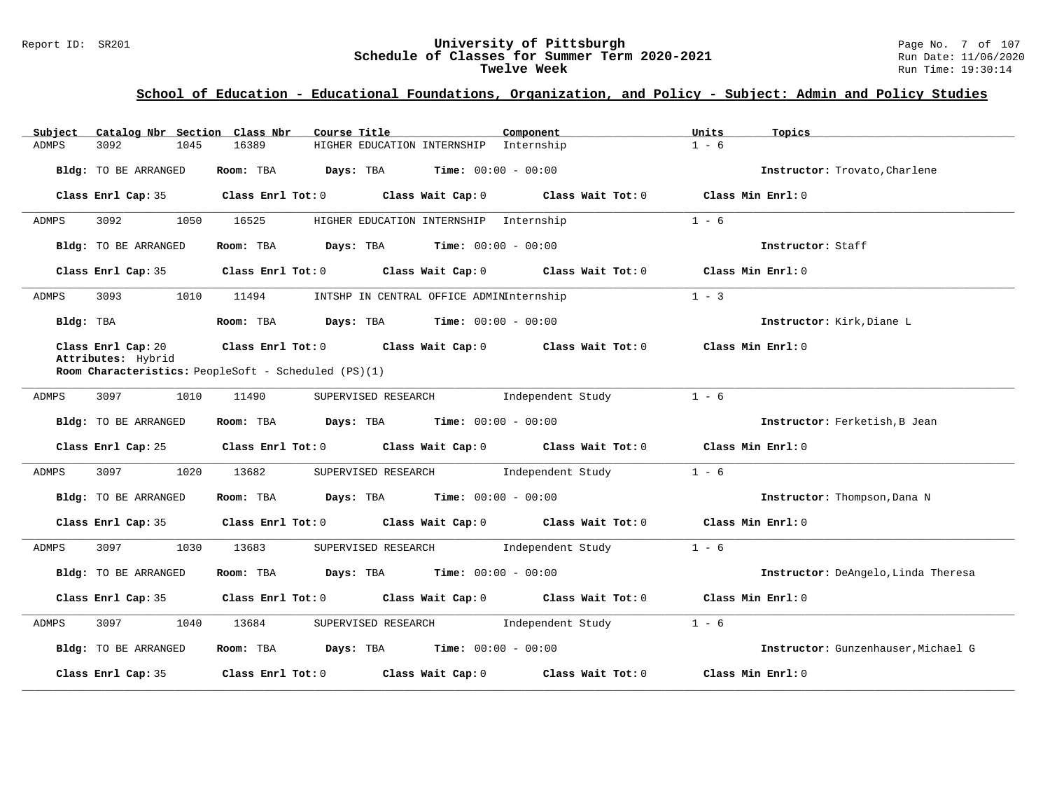# Report ID: SR201 **University of Pittsburgh University of Pittsburgh** Page No. 7 of 107<br>**Schedule of Classes for Summer Term 2020-2021** Run Date: 11/06/2020 Schedule of Classes for Summer Term 2020-2021<br>Twelve Week

| Catalog Nbr Section Class Nbr<br>Subject | Course Title                                                                                       | Component                                | Units<br>Topics                     |
|------------------------------------------|----------------------------------------------------------------------------------------------------|------------------------------------------|-------------------------------------|
| 3092<br>1045<br>ADMPS                    | 16389                                                                                              | HIGHER EDUCATION INTERNSHIP Internship   | $1 - 6$                             |
| Bldg: TO BE ARRANGED                     | Room: TBA<br>Days: TBA                                                                             | <b>Time:</b> $00:00 - 00:00$             | Instructor: Trovato, Charlene       |
| Class Enrl Cap: 35                       | Class Enrl Tot: 0 Class Wait Cap: 0                                                                | Class Wait Tot: 0                        | Class Min Enrl: 0                   |
| 3092<br>1050<br>ADMPS                    | 16525                                                                                              | HIGHER EDUCATION INTERNSHIP Internship   | $1 - 6$                             |
| Bldg: TO BE ARRANGED                     | <b>Days:</b> TBA <b>Time:</b> $00:00 - 00:00$<br>Room: TBA                                         |                                          | Instructor: Staff                   |
| Class Enrl Cap: 35                       | Class Enrl Tot: 0 Class Wait Cap: 0 Class Wait Tot: 0                                              |                                          | Class Min Enrl: 0                   |
| 3093<br>1010<br>ADMPS                    | 11494                                                                                              | INTSHP IN CENTRAL OFFICE ADMINInternship | $1 - 3$                             |
| Bldg: TBA                                | Room: TBA $Days: TBA$ Time: $00:00 - 00:00$                                                        |                                          | Instructor: Kirk, Diane L           |
| Class Enrl Cap: 20<br>Attributes: Hybrid | Class Enrl Tot: 0 $\qquad$ Class Wait Cap: 0 $\qquad$ Class Wait Tot: 0 $\qquad$ Class Min Enrl: 0 |                                          |                                     |
|                                          | Room Characteristics: PeopleSoft - Scheduled (PS)(1)                                               |                                          |                                     |
| 3097<br>1010<br>ADMPS                    | 11490                                                                                              | SUPERVISED RESEARCH 1ndependent Study    | $1 - 6$                             |
| Bldg: TO BE ARRANGED                     | Room: TBA $Days:$ TBA $Time: 00:00 - 00:00$                                                        |                                          | Instructor: Ferketish, B Jean       |
|                                          | Class Enrl Cap: 25 Class Enrl Tot: 0 Class Wait Cap: 0 Class Wait Tot: 0 Class Min Enrl: 0         |                                          |                                     |
| ADMPS<br>3097<br>1020                    | 13682                                                                                              | SUPERVISED RESEARCH 1ndependent Study    | $1 - 6$                             |
| Bldg: TO BE ARRANGED                     | Room: TBA $\rule{1em}{0.15mm}$ Days: TBA $\rule{1.5mm}{0.15mm}$ Time: $00:00 - 00:00$              |                                          | Instructor: Thompson, Dana N        |
| Class Enrl Cap: 35                       | Class Enrl Tot: 0 Class Wait Cap: 0 Class Wait Tot: 0 Class Min Enrl: 0                            |                                          |                                     |
| 3097<br>ADMPS<br>1030                    | 13683                                                                                              | SUPERVISED RESEARCH 1ndependent Study    | $1 - 6$                             |
| Bldg: TO BE ARRANGED                     | Room: TBA $Days: TBA$ Time: $00:00 - 00:00$                                                        |                                          | Instructor: DeAngelo, Linda Theresa |
| Class Enrl Cap: 35                       | Class Enrl Tot: $0$ Class Wait Cap: $0$ Class Wait Tot: $0$ Class Min Enrl: $0$                    |                                          |                                     |
| 3097<br>ADMPS<br>1040                    | 13684                                                                                              | SUPERVISED RESEARCH 1ndependent Study    | $1 - 6$                             |
| Bldg: TO BE ARRANGED                     | Room: TBA $\rule{1em}{0.15mm}$ Days: TBA Time: $00:00 - 00:00$                                     |                                          | Instructor: Gunzenhauser, Michael G |
| Class Enrl Cap: 35                       | Class Enrl Tot: 0 Class Wait Cap: 0                                                                | Class Wait Tot: 0                        | Class Min Enrl: 0                   |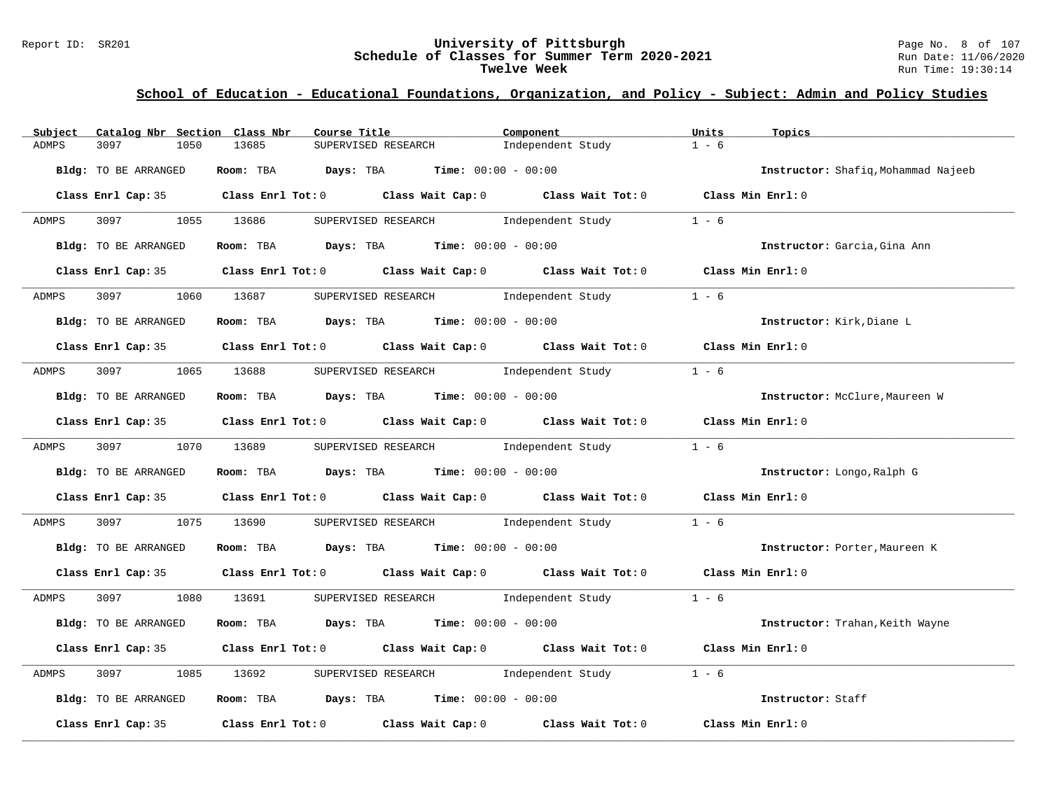#### Report ID: SR201 **University of Pittsburgh** Page No. 8 of 107 **Schedule of Classes for Summer Term 2020-2021** Run Date: 11/06/2020 **Twelve Week** Run Time: 19:30:14

| Subject | Catalog Nbr Section Class Nbr | Course Title <b>Source Search</b>                                                                  | Component         | Units<br>Topics                     |
|---------|-------------------------------|----------------------------------------------------------------------------------------------------|-------------------|-------------------------------------|
| ADMPS   | 3097<br>1050                  | 13685<br>SUPERVISED RESEARCH                                                                       | Independent Study | $1 - 6$                             |
|         | Bldg: TO BE ARRANGED          | Room: TBA $Days:$ TBA $Time: 00:00 - 00:00$                                                        |                   | Instructor: Shafiq, Mohammad Najeeb |
|         |                               | Class Enrl Cap: 35 Class Enrl Tot: 0 Class Wait Cap: 0 Class Wait Tot: 0 Class Min Enrl: 0         |                   |                                     |
| ADMPS   | 3097 1055 13686               | SUPERVISED RESEARCH Modern Independent Study                                                       |                   | $1 - 6$                             |
|         | Bldg: TO BE ARRANGED          | Room: TBA Days: TBA Time: $00:00 - 00:00$                                                          |                   | Instructor: Garcia, Gina Ann        |
|         |                               | Class Enrl Cap: 35 Class Enrl Tot: 0 Class Wait Cap: 0 Class Wait Tot: 0 Class Min Enrl: 0         |                   |                                     |
|         |                               | ADMPS 3097 1060 13687 SUPERVISED RESEARCH Independent Study 1 - 6                                  |                   |                                     |
|         | Bldg: TO BE ARRANGED          | Room: TBA $Days:$ TBA $Time:$ 00:00 - 00:00                                                        |                   | Instructor: Kirk, Diane L           |
|         |                               | Class Enrl Cap: 35 Class Enrl Tot: 0 Class Wait Cap: 0 Class Wait Tot: 0 Class Min Enrl: 0         |                   |                                     |
| ADMPS   | 3097 1065 13688               | SUPERVISED RESEARCH Modern Independent Study 1 - 6                                                 |                   |                                     |
|         | Bldg: TO BE ARRANGED          | Room: TBA $\rule{1em}{0.15mm}$ Days: TBA Time: $00:00 - 00:00$                                     |                   | Instructor: McClure, Maureen W      |
|         |                               | Class Enrl Cap: 35 Class Enrl Tot: 0 Class Wait Cap: 0 Class Wait Tot: 0 Class Min Enrl: 0         |                   |                                     |
| ADMPS   | 3097 1070 13689               | SUPERVISED RESEARCH 1ndependent Study 1 - 6                                                        |                   |                                     |
|         | Bldg: TO BE ARRANGED          | Room: TBA $Days:$ TBA $Time: 00:00 - 00:00$                                                        |                   | Instructor: Longo, Ralph G          |
|         |                               | Class Enrl Cap: 35 Class Enrl Tot: 0 Class Wait Cap: 0 Class Wait Tot: 0 Class Min Enrl: 0         |                   |                                     |
| ADMPS   | 3097                          | 1075 13690 SUPERVISED RESEARCH 1ndependent Study 1 - 6                                             |                   |                                     |
|         | Bldg: TO BE ARRANGED          | Room: TBA $\rule{1em}{0.15mm}$ Days: TBA $\rule{1.5mm}{0.15mm}$ Time: $00:00 - 00:00$              |                   | Instructor: Porter, Maureen K       |
|         |                               | Class Enrl Cap: 35 Class Enrl Tot: 0 Class Wait Cap: 0 Class Wait Tot: 0 Class Min Enrl: 0         |                   |                                     |
| ADMPS   |                               | 3097 1080 13691 SUPERVISED RESEARCH Independent Study 1 - 6                                        |                   |                                     |
|         | Bldg: TO BE ARRANGED          | Room: TBA $Days:$ TBA $Time: 00:00 - 00:00$                                                        |                   | Instructor: Trahan, Keith Wayne     |
|         |                               | Class Enrl Cap: 35 Class Enrl Tot: 0 Class Wait Cap: 0 Class Wait Tot: 0 Class Min Enrl: 0         |                   |                                     |
| ADMPS   | 3097 300                      | 1085 13692 SUPERVISED RESEARCH 1ndependent Study                                                   |                   | $1 - 6$                             |
|         | Bldg: TO BE ARRANGED          | Room: TBA $\rule{1em}{0.15mm}$ Days: TBA $\rule{1.15mm}]{0.15mm}$ Time: $00:00 - 00:00$            |                   | Instructor: Staff                   |
|         | Class Enrl Cap: 35            | Class Enrl Tot: 0 $\qquad$ Class Wait Cap: 0 $\qquad$ Class Wait Tot: 0 $\qquad$ Class Min Enrl: 0 |                   |                                     |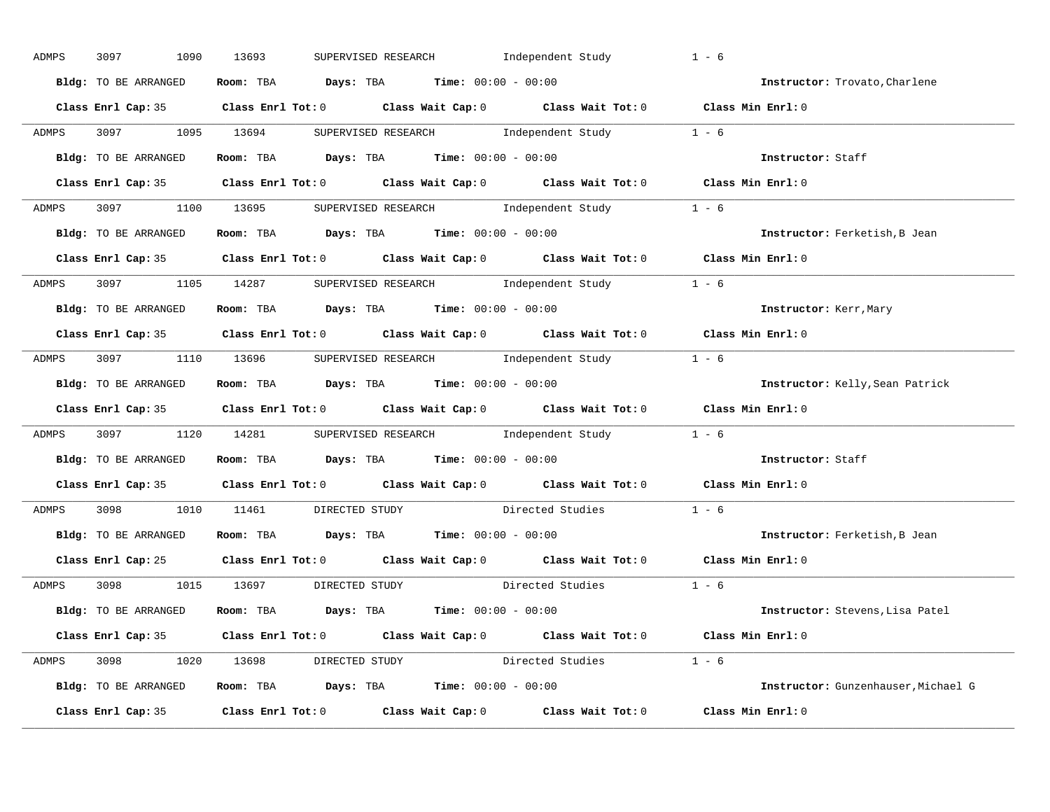| ADMPS | 3097<br>1090         | Independent Study<br>13693<br>SUPERVISED RESEARCH                                          |                        | $1 - 6$                             |
|-------|----------------------|--------------------------------------------------------------------------------------------|------------------------|-------------------------------------|
|       | Bldg: TO BE ARRANGED | Room: TBA $Days:$ TBA $Time: 00:00 - 00:00$                                                |                        | Instructor: Trovato, Charlene       |
|       |                      | Class Enrl Cap: 35 Class Enrl Tot: 0 Class Wait Cap: 0 Class Wait Tot: 0 Class Min Enrl: 0 |                        |                                     |
| ADMPS |                      | 3097 1095 13694 SUPERVISED RESEARCH Independent Study 1 - 6                                |                        |                                     |
|       |                      | Bldg: TO BE ARRANGED Room: TBA Days: TBA Time: 00:00 - 00:00                               |                        | Instructor: Staff                   |
|       |                      | Class Enrl Cap: 35 Class Enrl Tot: 0 Class Wait Cap: 0 Class Wait Tot: 0 Class Min Enrl: 0 |                        |                                     |
| ADMPS |                      | 3097 1100 13695 SUPERVISED RESEARCH Independent Study 1 - 6                                |                        |                                     |
|       |                      | Bldg: TO BE ARRANGED ROOM: TBA Days: TBA Time: 00:00 - 00:00                               |                        | Instructor: Ferketish, B Jean       |
|       |                      | Class Enrl Cap: 35 Class Enrl Tot: 0 Class Wait Cap: 0 Class Wait Tot: 0 Class Min Enrl: 0 |                        |                                     |
|       |                      | ADMPS 3097 1105 14287 SUPERVISED RESEARCH Independent Study 1 - 6                          |                        |                                     |
|       | Bldg: TO BE ARRANGED | Room: TBA $Days:$ TBA $Time: 00:00 - 00:00$                                                |                        | Instructor: Kerr, Mary              |
|       |                      | Class Enrl Cap: 35 Class Enrl Tot: 0 Class Wait Cap: 0 Class Wait Tot: 0 Class Min Enrl: 0 |                        |                                     |
| ADMPS |                      | 3097 1110 13696 SUPERVISED RESEARCH Independent Study                                      |                        | $1 - 6$                             |
|       | Bldg: TO BE ARRANGED | Room: TBA Days: TBA Time: $00:00 - 00:00$                                                  |                        | Instructor: Kelly, Sean Patrick     |
|       |                      | Class Enrl Cap: 35 Class Enrl Tot: 0 Class Wait Cap: 0 Class Wait Tot: 0 Class Min Enrl: 0 |                        |                                     |
| ADMPS |                      | 3097 1120 14281 SUPERVISED RESEARCH Independent Study 1 - 6                                |                        |                                     |
|       | Bldg: TO BE ARRANGED | Room: TBA Days: TBA Time: $00:00 - 00:00$                                                  |                        | Instructor: Staff                   |
|       |                      |                                                                                            |                        |                                     |
|       |                      | Class Enrl Cap: 35 Class Enrl Tot: 0 Class Wait Cap: 0 Class Wait Tot: 0 Class Min Enrl: 0 |                        |                                     |
| ADMPS |                      | 3098 1010 11461 DIRECTED STUDY Directed Studies                                            |                        | $1 - 6$                             |
|       | Bldg: TO BE ARRANGED | Room: TBA $Days:$ TBA $Time:$ 00:00 - 00:00                                                |                        | Instructor: Ferketish, B Jean       |
|       | Class Enrl Cap: 25   | Class Enrl Tot: $0$ Class Wait Cap: $0$ Class Wait Tot: $0$ Class Min Enrl: $0$            |                        |                                     |
| ADMPS |                      | 3098 1015 13697 DIRECTED STUDY                                                             | Directed Studies 1 - 6 |                                     |
|       |                      | Bldg: TO BE ARRANGED Room: TBA Days: TBA Time: 00:00 - 00:00                               |                        | Instructor: Stevens, Lisa Patel     |
|       |                      | Class Enrl Cap: 35 Class Enrl Tot: 0 Class Wait Cap: 0 Class Wait Tot: 0 Class Min Enrl: 0 |                        |                                     |
|       |                      | ADMPS 3098 1020 13698 DIRECTED STUDY Directed Studies 1 - 6                                |                        |                                     |
|       |                      | Bldg: TO BE ARRANGED Room: TBA Days: TBA Time: 00:00 - 00:00                               |                        | Instructor: Gunzenhauser, Michael G |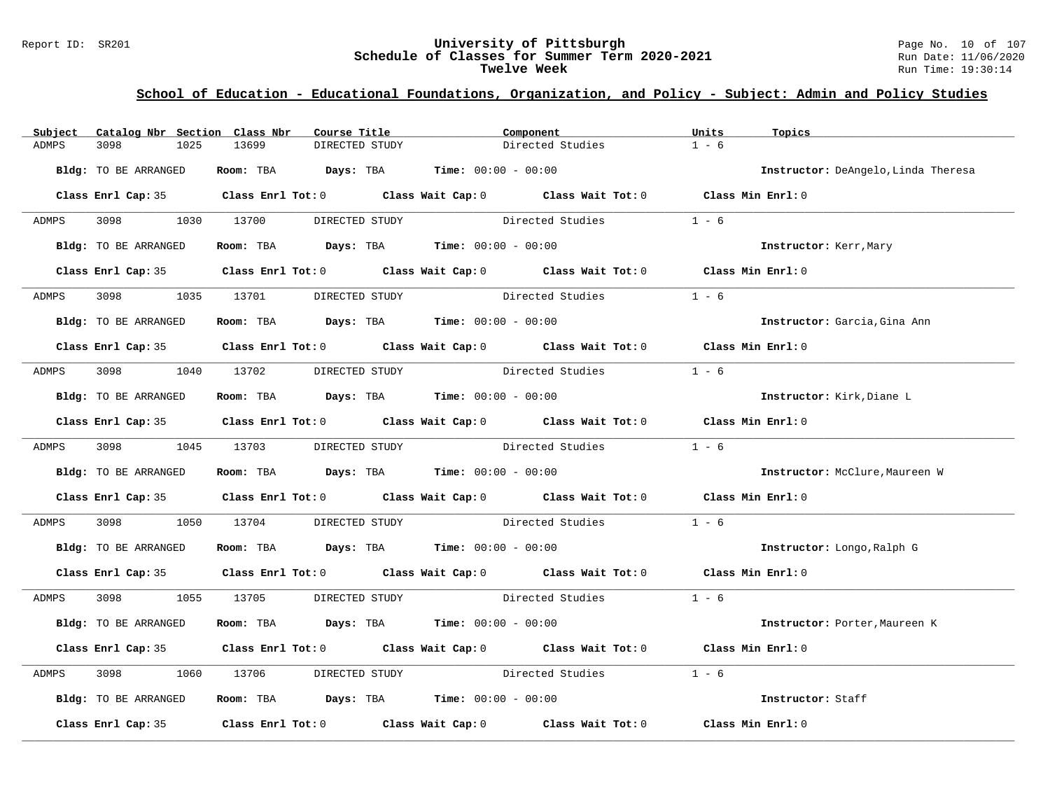#### Report ID: SR201 **University of Pittsburgh** Page No. 10 of 107 **Schedule of Classes for Summer Term 2020-2021** Run Date: 11/06/2020 **Twelve Week** Run Time: 19:30:14

| Subject                              | Catalog Nbr Section Class Nbr | Course Title                                                                            | Component                                                                                  | Units   | Topics                              |
|--------------------------------------|-------------------------------|-----------------------------------------------------------------------------------------|--------------------------------------------------------------------------------------------|---------|-------------------------------------|
| 3098<br>ADMPS                        | 1025<br>13699                 | DIRECTED STUDY                                                                          | Directed Studies                                                                           | $1 - 6$ |                                     |
| Bldg: TO BE ARRANGED                 |                               | Room: TBA $Days:$ TBA $Time: 00:00 - 00:00$                                             |                                                                                            |         | Instructor: DeAngelo, Linda Theresa |
|                                      |                               |                                                                                         | Class Enrl Cap: 35 Class Enrl Tot: 0 Class Wait Cap: 0 Class Wait Tot: 0 Class Min Enrl: 0 |         |                                     |
| 3098 300<br>ADMPS                    | 1030 13700                    | DIRECTED STUDY                                                                          | Directed Studies                                                                           | $1 - 6$ |                                     |
| Bldg: TO BE ARRANGED                 |                               | Room: TBA $\rule{1em}{0.15mm}$ Days: TBA $\rule{1.15mm}]{0.15mm}$ Time: $00:00 - 00:00$ |                                                                                            |         | Instructor: Kerr, Mary              |
|                                      |                               |                                                                                         | Class Enrl Cap: 35 Class Enrl Tot: 0 Class Wait Cap: 0 Class Wait Tot: 0 Class Min Enrl: 0 |         |                                     |
| 3098 300<br>ADMPS                    |                               | 1035 13701 DIRECTED STUDY                                                               | Directed Studies                                                                           | $1 - 6$ |                                     |
| Bldg: TO BE ARRANGED                 |                               | Room: TBA $Days:$ TBA $Time: 00:00 - 00:00$                                             |                                                                                            |         | Instructor: Garcia, Gina Ann        |
|                                      |                               |                                                                                         | Class Enrl Cap: 35 Class Enrl Tot: 0 Class Wait Cap: 0 Class Wait Tot: 0 Class Min Enrl: 0 |         |                                     |
| ADMPS                                |                               | 3098 1040 13702 DIRECTED STUDY Directed Studies                                         |                                                                                            | $1 - 6$ |                                     |
| Bldg: TO BE ARRANGED                 |                               | Room: TBA $\rule{1em}{0.15mm}$ Days: TBA $\rule{1.5mm}{0.15mm}$ Time: $00:00 - 00:00$   |                                                                                            |         | Instructor: Kirk, Diane L           |
|                                      |                               |                                                                                         | Class Enrl Cap: 35 Class Enrl Tot: 0 Class Wait Cap: 0 Class Wait Tot: 0 Class Min Enrl: 0 |         |                                     |
| ADMPS 3098 1045 13703                |                               | DIRECTED STUDY                                                                          | Directed Studies 1 - 6                                                                     |         |                                     |
| Bldg: TO BE ARRANGED                 |                               | Room: TBA $Days:$ TBA Time: $00:00 - 00:00$                                             |                                                                                            |         | Instructor: McClure, Maureen W      |
|                                      |                               |                                                                                         | Class Enrl Cap: 35 Class Enrl Tot: 0 Class Wait Cap: 0 Class Wait Tot: 0 Class Min Enrl: 0 |         |                                     |
| ADMPS<br>3098 300                    | 1050 13704                    |                                                                                         | DIRECTED STUDY Directed Studies                                                            | $1 - 6$ |                                     |
| Bldg: TO BE ARRANGED                 |                               | Room: TBA $\rule{1em}{0.15mm}$ Days: TBA Time: $00:00 - 00:00$                          |                                                                                            |         | Instructor: Longo, Ralph G          |
|                                      |                               |                                                                                         | Class Enrl Cap: 35 Class Enrl Tot: 0 Class Wait Cap: 0 Class Wait Tot: 0 Class Min Enrl: 0 |         |                                     |
| ADMPS 3098 1055 13705 DIRECTED STUDY |                               |                                                                                         | Directed Studies 1 - 6                                                                     |         |                                     |
| Bldg: TO BE ARRANGED                 |                               | Room: TBA $Days:$ TBA $Time: 00:00 - 00:00$                                             |                                                                                            |         | Instructor: Porter, Maureen K       |
|                                      |                               |                                                                                         | Class Enrl Cap: 35 Class Enrl Tot: 0 Class Wait Cap: 0 Class Wait Tot: 0 Class Min Enrl: 0 |         |                                     |
| ADMPS<br>3098                        | 1060 13706                    |                                                                                         | DIRECTED STUDY Directed Studies                                                            | $1 - 6$ |                                     |
| Bldg: TO BE ARRANGED                 |                               | Room: TBA $Days: TBA$ Time: $00:00 - 00:00$                                             |                                                                                            |         | Instructor: Staff                   |
|                                      |                               |                                                                                         | Class Enrl Cap: 35 Class Enrl Tot: 0 Class Wait Cap: 0 Class Wait Tot: 0 Class Min Enrl: 0 |         |                                     |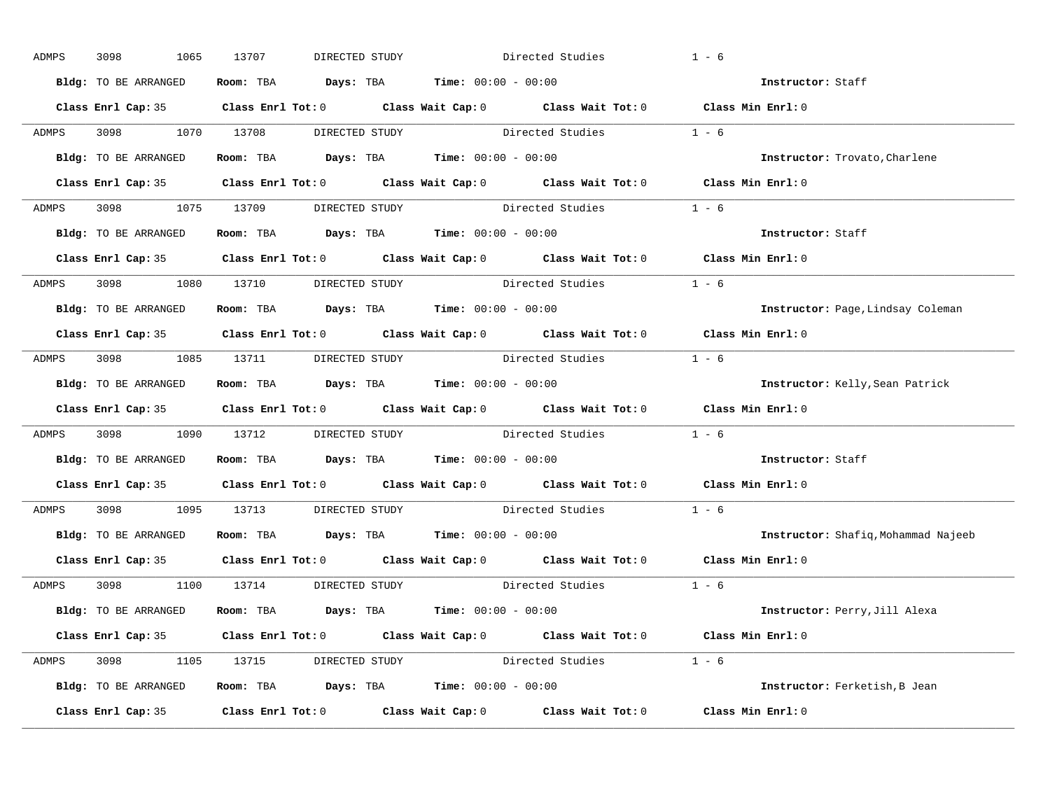| ADMPS | 3098<br>1065         | 13707<br>DIRECTED STUDY                                                                    | Directed Studies                                                                                    | $1 - 6$                             |
|-------|----------------------|--------------------------------------------------------------------------------------------|-----------------------------------------------------------------------------------------------------|-------------------------------------|
|       | Bldg: TO BE ARRANGED | Room: TBA $Days:$ TBA $Time: 00:00 - 00:00$                                                |                                                                                                     | Instructor: Staff                   |
|       |                      |                                                                                            | Class Enrl Cap: 35 Class Enrl Tot: 0 Class Wait Cap: 0 Class Wait Tot: 0 Class Min Enrl: 0          |                                     |
|       |                      |                                                                                            | ADMPS 3098 1070 13708 DIRECTED STUDY Directed Studies 1 - 6                                         |                                     |
|       | Bldg: TO BE ARRANGED | Room: TBA $Days:$ TBA Time: $00:00 - 00:00$                                                |                                                                                                     | Instructor: Trovato, Charlene       |
|       |                      |                                                                                            | Class Enrl Cap: 35 Class Enrl Tot: 0 Class Wait Cap: 0 Class Wait Tot: 0 Class Min Enrl: 0          |                                     |
|       |                      |                                                                                            | ADMPS 3098 1075 13709 DIRECTED STUDY Directed Studies 1 - 6                                         |                                     |
|       |                      | <b>Bldg:</b> TO BE ARRANGED <b>Room:</b> TBA <b>Days:</b> TBA <b>Time:</b> $00:00 - 00:00$ |                                                                                                     | Instructor: Staff                   |
|       |                      |                                                                                            | Class Enrl Cap: 35 Class Enrl Tot: 0 Class Wait Cap: 0 Class Wait Tot: 0 Class Min Enrl: 0          |                                     |
|       |                      | ADMPS 3098 1080 13710 DIRECTED STUDY                                                       | Directed Studies                                                                                    | $1 - 6$                             |
|       | Bldg: TO BE ARRANGED | Room: TBA $Days:$ TBA Time: $00:00 - 00:00$                                                |                                                                                                     | Instructor: Page, Lindsay Coleman   |
|       |                      |                                                                                            | Class Enrl Cap: 35 Class Enrl Tot: 0 Class Wait Cap: 0 Class Wait Tot: 0 Class Min Enrl: 0          |                                     |
|       |                      |                                                                                            | ADMPS 3098 1085 13711 DIRECTED STUDY Directed Studies 1 - 6                                         |                                     |
|       | Bldg: TO BE ARRANGED | Room: TBA $Days:$ TBA $Time:$ $00:00 - 00:00$                                              |                                                                                                     | Instructor: Kelly, Sean Patrick     |
|       |                      |                                                                                            | Class Enrl Cap: 35 Class Enrl Tot: 0 Class Wait Cap: 0 Class Wait Tot: 0 Class Min Enrl: 0          |                                     |
| ADMPS |                      |                                                                                            | 3098 1090 13712 DIRECTED STUDY Directed Studies 1 - 6                                               |                                     |
|       | Bldg: TO BE ARRANGED | Room: TBA $Days$ : TBA Time: $00:00 - 00:00$                                               |                                                                                                     | Instructor: Staff                   |
|       |                      |                                                                                            | Class Enrl Cap: 35 $\qquad$ Class Enrl Tot: 0 $\qquad$ Class Wait Cap: 0 $\qquad$ Class Wait Tot: 0 | Class Min Enrl: 0                   |
| ADMPS |                      |                                                                                            | 3098 1095 13713 DIRECTED STUDY Directed Studies                                                     | $1 - 6$                             |
|       |                      | Bldg: TO BE ARRANGED Room: TBA Days: TBA Time: 00:00 - 00:00                               |                                                                                                     | Instructor: Shafiq, Mohammad Najeeb |
|       |                      |                                                                                            | Class Enrl Cap: 35 Class Enrl Tot: 0 Class Wait Cap: 0 Class Wait Tot: 0                            | Class Min Enrl: 0                   |
|       |                      | ADMPS 3098 1100 13714 DIRECTED STUDY                                                       | Directed Studies 1 - 6                                                                              |                                     |
|       | Bldg: TO BE ARRANGED | Room: TBA $Days:$ TBA $Time: 00:00 - 00:00$                                                |                                                                                                     | Instructor: Perry, Jill Alexa       |
|       |                      |                                                                                            | Class Enrl Cap: 35 Class Enrl Tot: 0 Class Wait Cap: 0 Class Wait Tot: 0 Class Min Enrl: 0          |                                     |
|       |                      |                                                                                            | ADMPS 3098 1105 13715 DIRECTED STUDY Directed Studies 1 - 6                                         |                                     |
|       |                      | Bldg: TO BE ARRANGED Room: TBA Days: TBA Time: 00:00 - 00:00                               |                                                                                                     | Instructor: Ferketish, B Jean       |
|       |                      |                                                                                            | Class Enrl Cap: 35 Class Enrl Tot: 0 Class Wait Cap: 0 Class Wait Tot: 0 Class Min Enrl: 0          |                                     |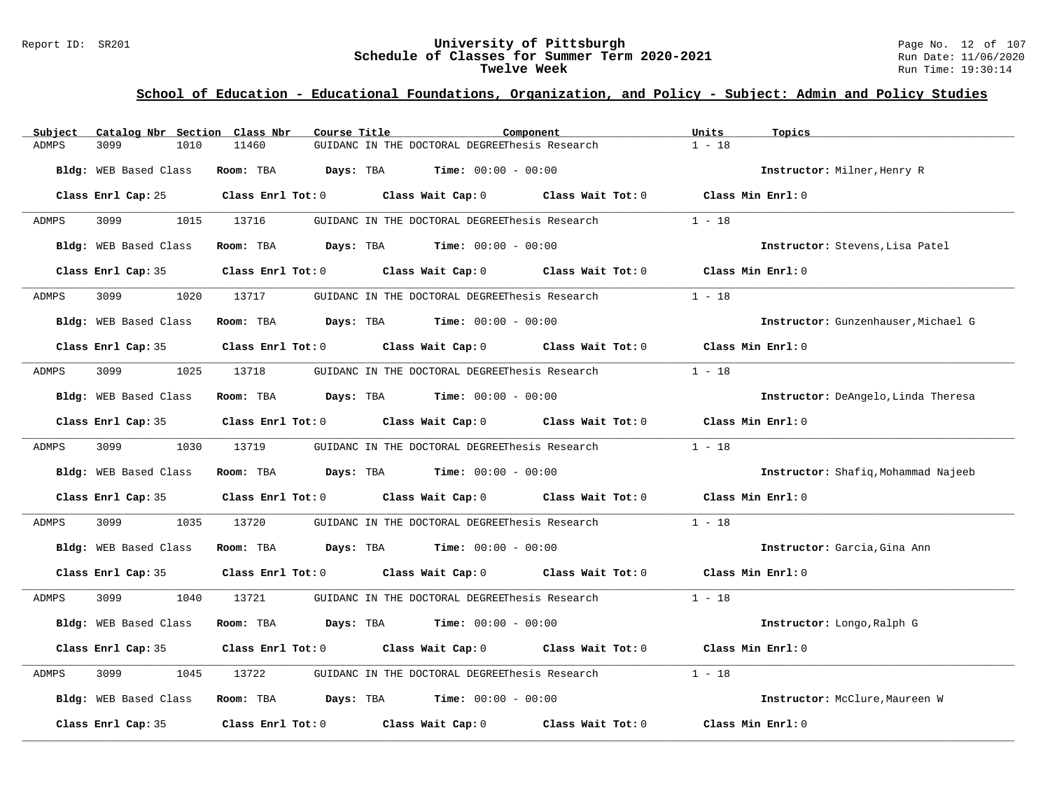#### Report ID: SR201 **University of Pittsburgh** Page No. 12 of 107 **Schedule of Classes for Summer Term 2020-2021** Run Date: 11/06/2020 **Twelve Week** Run Time: 19:30:14

| Subject      | Catalog Nbr Section Class Nbr | Course Title |                                                                                                     | Component         | Units<br>Topics                     |
|--------------|-------------------------------|--------------|-----------------------------------------------------------------------------------------------------|-------------------|-------------------------------------|
| <b>ADMPS</b> | 3099<br>1010                  | 11460        | GUIDANC IN THE DOCTORAL DEGREEThesis Research                                                       |                   | $1 - 18$                            |
|              | Bldg: WEB Based Class         | Room: TBA    | <b>Days:</b> TBA <b>Time:</b> $00:00 - 00:00$                                                       |                   | Instructor: Milner, Henry R         |
|              |                               |              | Class Enrl Cap: 25 Class Enrl Tot: 0 Class Wait Cap: 0 Class Wait Tot: 0                            |                   | Class Min Enrl: 0                   |
| ADMPS        | 3099<br>1015                  | 13716        | GUIDANC IN THE DOCTORAL DEGREEThesis Research                                                       |                   | $1 - 18$                            |
|              | Bldg: WEB Based Class         |              | Room: TBA $Days:$ TBA $Time: 00:00 - 00:00$                                                         |                   | Instructor: Stevens, Lisa Patel     |
|              | Class Enrl Cap: 35            |              | Class Enrl Tot: 0 Class Wait Cap: 0 Class Wait Tot: 0                                               |                   | Class Min Enrl: 0                   |
| ADMPS        | 3099 700                      | 1020 13717   | GUIDANC IN THE DOCTORAL DEGREEThesis Research                                                       |                   | $1 - 18$                            |
|              | Bldg: WEB Based Class         |              | Room: TBA $Days:$ TBA $Time: 00:00 - 00:00$                                                         |                   | Instructor: Gunzenhauser, Michael G |
|              |                               |              | Class Enrl Cap: 35 $\qquad$ Class Enrl Tot: 0 $\qquad$ Class Wait Cap: 0 $\qquad$ Class Wait Tot: 0 |                   | Class Min Enrl: 0                   |
| ADMPS        | 3099<br>1025                  | 13718        | GUIDANC IN THE DOCTORAL DEGREEThesis Research                                                       |                   | $1 - 18$                            |
|              | Bldg: WEB Based Class         |              | Room: TBA $Days:$ TBA $Time: 00:00 - 00:00$                                                         |                   | Instructor: DeAngelo, Linda Theresa |
|              | Class Enrl Cap: 35            |              | Class Enrl Tot: 0 Class Wait Cap: 0 Class Wait Tot: 0 Class Min Enrl: 0                             |                   |                                     |
| ADMPS        | 3099 700                      | 1030 13719   | GUIDANC IN THE DOCTORAL DEGREEThesis Research                                                       |                   | $1 - 18$                            |
|              | Bldg: WEB Based Class         |              | <b>Room:</b> TBA <b>Days:</b> TBA <b>Time:</b> 00:00 - 00:00                                        |                   | Instructor: Shafiq, Mohammad Najeeb |
|              | Class Enrl Cap: 35            |              | Class Enrl Tot: 0 Class Wait Cap: 0 Class Wait Tot: 0 Class Min Enrl: 0                             |                   |                                     |
| ADMPS        | 3099<br>1035                  | 13720        | GUIDANC IN THE DOCTORAL DEGREEThesis Research                                                       |                   | $1 - 18$                            |
|              | Bldg: WEB Based Class         |              | Room: TBA $Days:$ TBA $Time: 00:00 - 00:00$                                                         |                   | Instructor: Garcia, Gina Ann        |
|              | Class Enrl Cap: 35            |              | Class Enrl Tot: 0 $\qquad$ Class Wait Cap: 0 $\qquad$ Class Wait Tot: 0 $\qquad$ Class Min Enrl: 0  |                   |                                     |
| ADMPS        | 3099 700<br>1040              | 13721        | GUIDANC IN THE DOCTORAL DEGREEThesis Research                                                       |                   | $1 - 18$                            |
|              | <b>Bldg:</b> WEB Based Class  | Room: TBA    | <b>Days:</b> TBA <b>Time:</b> $00:00 - 00:00$                                                       |                   | Instructor: Longo, Ralph G          |
|              | Class Enrl Cap: 35            |              | Class Enrl Tot: $0$ Class Wait Cap: $0$ Class Wait Tot: $0$                                         |                   | Class Min Enrl: 0                   |
| ADMPS        | 3099<br>1045                  | 13722        | GUIDANC IN THE DOCTORAL DEGREEThesis Research                                                       |                   | $1 - 18$                            |
|              | Bldg: WEB Based Class         |              | Room: TBA $Days:$ TBA $Time: 00:00 - 00:00$                                                         |                   | Instructor: McClure, Maureen W      |
|              | Class Enrl Cap: 35            |              | Class Enrl Tot: 0 Class Wait Cap: 0                                                                 | Class Wait Tot: 0 | Class Min Enrl: 0                   |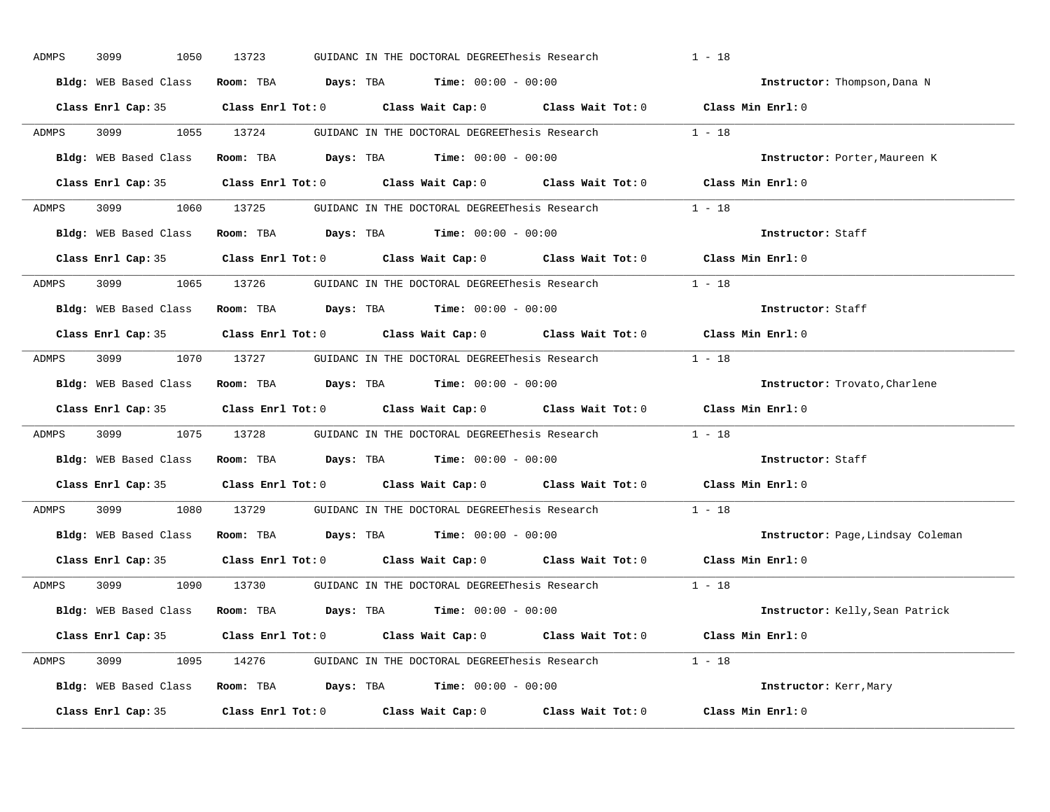| ADMPS        | 3099<br>1050          | 13723 | GUIDANC IN THE DOCTORAL DEGREEThesis Research                                                       | $1 - 18$                          |
|--------------|-----------------------|-------|-----------------------------------------------------------------------------------------------------|-----------------------------------|
|              | Bldg: WEB Based Class |       | Room: TBA $Days: TBA$ Time: $00:00 - 00:00$                                                         | Instructor: Thompson, Dana N      |
|              |                       |       | Class Enrl Cap: 35 Class Enrl Tot: 0 Class Wait Cap: 0 Class Wait Tot: 0 Class Min Enrl: 0          |                                   |
| ADMPS        |                       |       | 3099 1055 13724 GUIDANC IN THE DOCTORAL DEGREEThesis Research 1 - 18                                |                                   |
|              | Bldg: WEB Based Class |       | Room: TBA Days: TBA Time: $00:00 - 00:00$                                                           | Instructor: Porter, Maureen K     |
|              | Class Enrl Cap: 35    |       | Class Enrl Tot: 0 Class Wait Cap: 0 Class Wait Tot: 0 Class Min Enrl: 0                             |                                   |
|              |                       |       | ADMPS 3099 1060 13725 GUIDANC IN THE DOCTORAL DEGREEThesis Research 1 - 18                          |                                   |
|              |                       |       | Bldg: WEB Based Class Room: TBA Days: TBA Time: 00:00 - 00:00                                       | Instructor: Staff                 |
|              |                       |       | Class Enrl Cap: 35 Class Enrl Tot: 0 Class Wait Cap: 0 Class Wait Tot: 0 Class Min Enrl: 0          |                                   |
| <b>ADMPS</b> |                       |       | 3099 1065 13726 GUIDANC IN THE DOCTORAL DEGREEThesis Research 1 - 18                                |                                   |
|              | Bldg: WEB Based Class |       | Room: TBA $\rule{1em}{0.15mm}$ Days: TBA $\rule{1.15mm}]{0.15mm}$ Time: $0.000 - 0.0000$            | Instructor: Staff                 |
|              |                       |       | Class Enrl Cap: 35 Class Enrl Tot: 0 Class Wait Cap: 0 Class Wait Tot: 0 Class Min Enrl: 0          |                                   |
| ADMPS        |                       |       | 3099 1070 13727 GUIDANC IN THE DOCTORAL DEGREEThesis Research 1 - 18                                |                                   |
|              | Bldg: WEB Based Class |       | Room: TBA $\rule{1em}{0.15mm}$ Days: TBA Time: $00:00 - 00:00$                                      | Instructor: Trovato, Charlene     |
|              |                       |       | Class Enrl Cap: 35 Class Enrl Tot: 0 Class Wait Cap: 0 Class Wait Tot: 0 Class Min Enrl: 0          |                                   |
| ADMPS        |                       |       | 3099 1075 13728 GUIDANC IN THE DOCTORAL DEGREEThesis Research 1 - 18                                |                                   |
|              |                       |       | Bldg: WEB Based Class Room: TBA Days: TBA Time: 00:00 - 00:00                                       | Instructor: Staff                 |
|              |                       |       | Class Enrl Cap: 35 $\qquad$ Class Enrl Tot: 0 $\qquad$ Class Wait Cap: 0 $\qquad$ Class Wait Tot: 0 | $Class$ Min $Enrl: 0$             |
| ADMPS        | 3099 300              |       | 1080 13729 GUIDANC IN THE DOCTORAL DEGREEThesis Research                                            | $1 - 18$                          |
|              |                       |       | Bldg: WEB Based Class Room: TBA Days: TBA Time: 00:00 - 00:00                                       | Instructor: Page, Lindsay Coleman |
|              |                       |       | Class Enrl Cap: 35 Class Enrl Tot: 0 Class Wait Cap: 0 Class Wait Tot: 0 Class Min Enrl: 0          |                                   |
| ADMPS        |                       |       | 3099 1090 13730 GUIDANC IN THE DOCTORAL DEGREEThesis Research                                       | $1 - 18$                          |
|              |                       |       | Bldg: WEB Based Class Room: TBA Days: TBA Time: 00:00 - 00:00                                       | Instructor: Kelly, Sean Patrick   |
|              |                       |       | Class Enrl Cap: 35 Class Enrl Tot: 0 Class Wait Cap: 0 Class Wait Tot: 0 Class Min Enrl: 0          |                                   |
|              |                       |       | ADMPS 3099 1095 14276 GUIDANC IN THE DOCTORAL DEGREEThesis Research 1 - 18                          |                                   |
|              |                       |       |                                                                                                     |                                   |
|              |                       |       | Bldg: WEB Based Class Room: TBA Days: TBA Time: 00:00 - 00:00                                       | Instructor: Kerr, Mary            |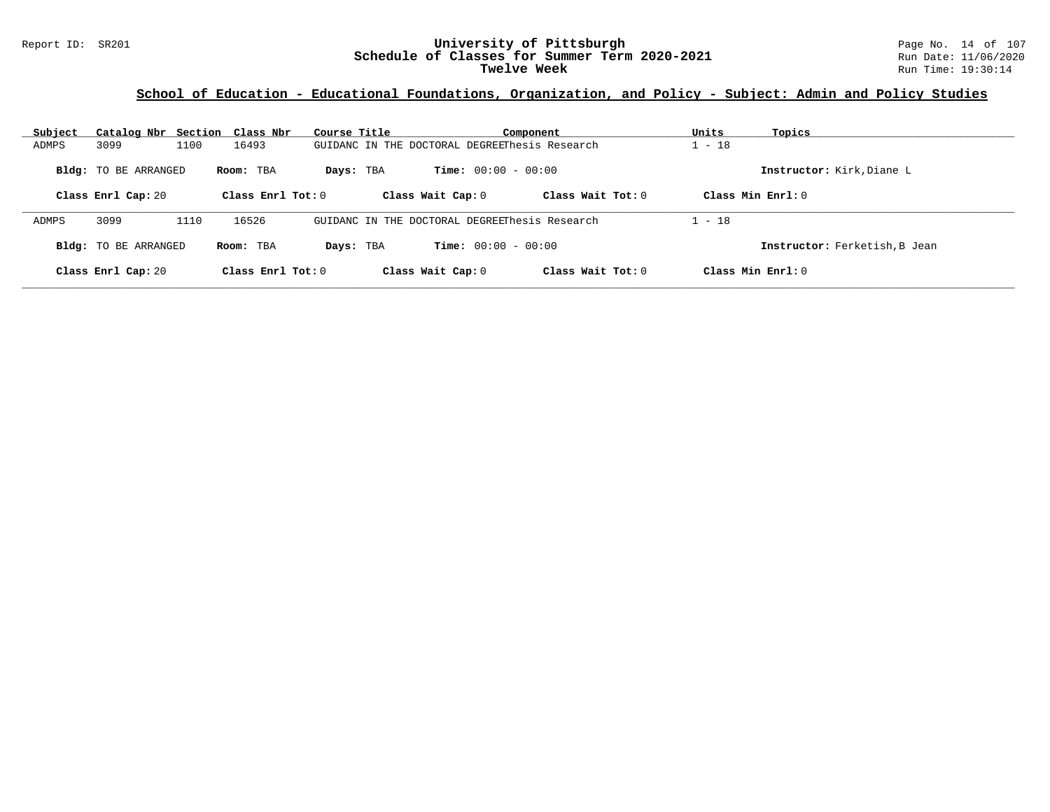### Report ID: SR201 **University of Pittsburgh** Page No. 14 of 107 **Schedule of Classes for Summer Term 2020-2021** Run Date: 11/06/2020 **Twelve Week** Run Time: 19:30:14

| Subject | Catalog Nbr Section Class Nbr |      |                     | Course Title |                   |                                               | Component           | Units                | Topics                        |
|---------|-------------------------------|------|---------------------|--------------|-------------------|-----------------------------------------------|---------------------|----------------------|-------------------------------|
| ADMPS   | 3099                          | 1100 | 16493               |              |                   | GUIDANC IN THE DOCTORAL DEGREEThesis Research |                     | $-18$                |                               |
|         | <b>Bldg:</b> TO BE ARRANGED   |      | Room: TBA           | Days: TBA    |                   | <b>Time:</b> $00:00 - 00:00$                  |                     |                      | Instructor: Kirk, Diane L     |
|         | Class Enrl Cap: 20            |      | Class Enrl Tot: $0$ |              | Class Wait Cap: 0 |                                               | Class Wait $Tot: 0$ | $Class Min Ernst: 0$ |                               |
| ADMPS   | 3099                          | 1110 | 16526               |              |                   | GUIDANC IN THE DOCTORAL DEGREEThesis Research |                     | $1 - 18$             |                               |
|         | <b>Bldg:</b> TO BE ARRANGED   |      | Room: TBA           | Days: TBA    |                   | <b>Time:</b> $00:00 - 00:00$                  |                     |                      | Instructor: Ferketish, B Jean |
|         | Class Enrl Cap: 20            |      | Class Enrl Tot: $0$ |              | Class Wait Cap: 0 |                                               | Class Wait $Tot: 0$ | $Class Min Ernst: 0$ |                               |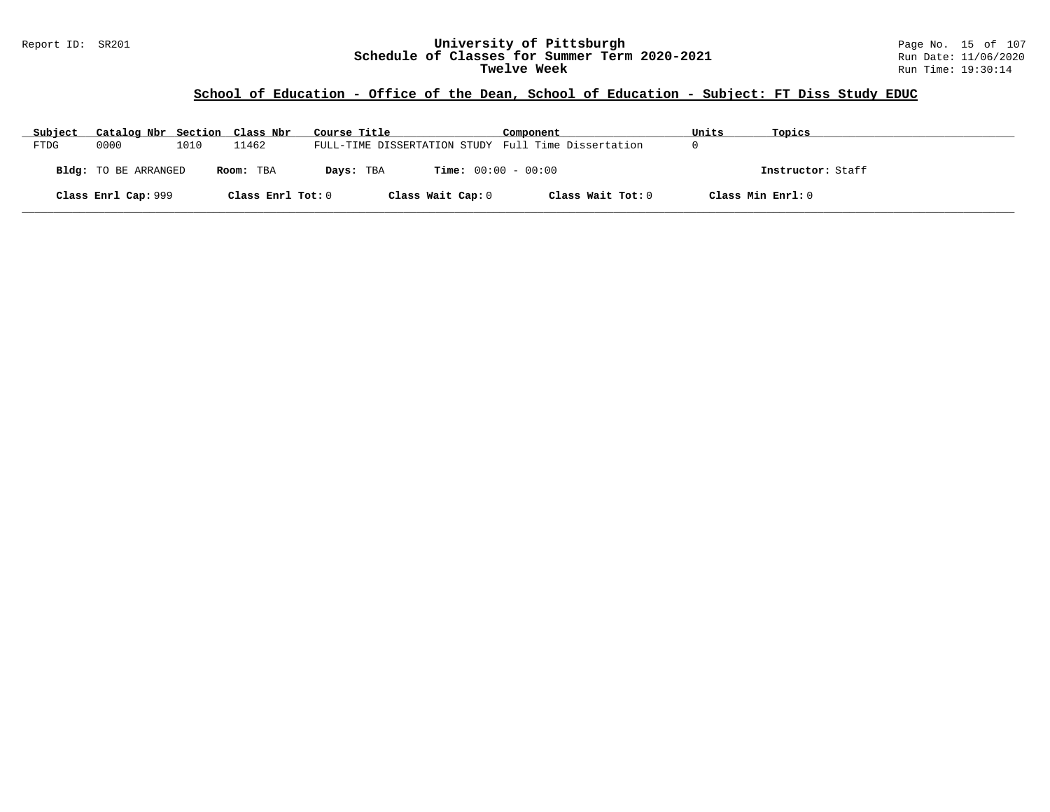### Report ID: SR201 **University of Pittsburgh** Page No. 15 of 107 **Schedule of Classes for Summer Term 2020-2021** Run Date: 11/06/2020 **Twelve Week** Run Time: 19:30:14

# **School of Education - Office of the Dean, School of Education - Subject: FT Diss Study EDUC**

| Subject | Catalog Nbr Section Class Nbr |      |                   | Course Title                                        | Component         | Units             | Topics            |
|---------|-------------------------------|------|-------------------|-----------------------------------------------------|-------------------|-------------------|-------------------|
| FTDG    | 0000                          | 1010 | 11462             | FULL-TIME DISSERTATION STUDY Full Time Dissertation |                   |                   |                   |
|         | Bldg: TO BE ARRANGED          |      | Room: TBA         | <b>Time:</b> $00:00 - 00:00$<br>Days: TBA           |                   |                   | Instructor: Staff |
|         | Class Enrl Cap: 999           |      | Class Enrl Tot: 0 | Class Wait Cap: 0                                   | Class Wait Tot: 0 | Class Min Enrl: 0 |                   |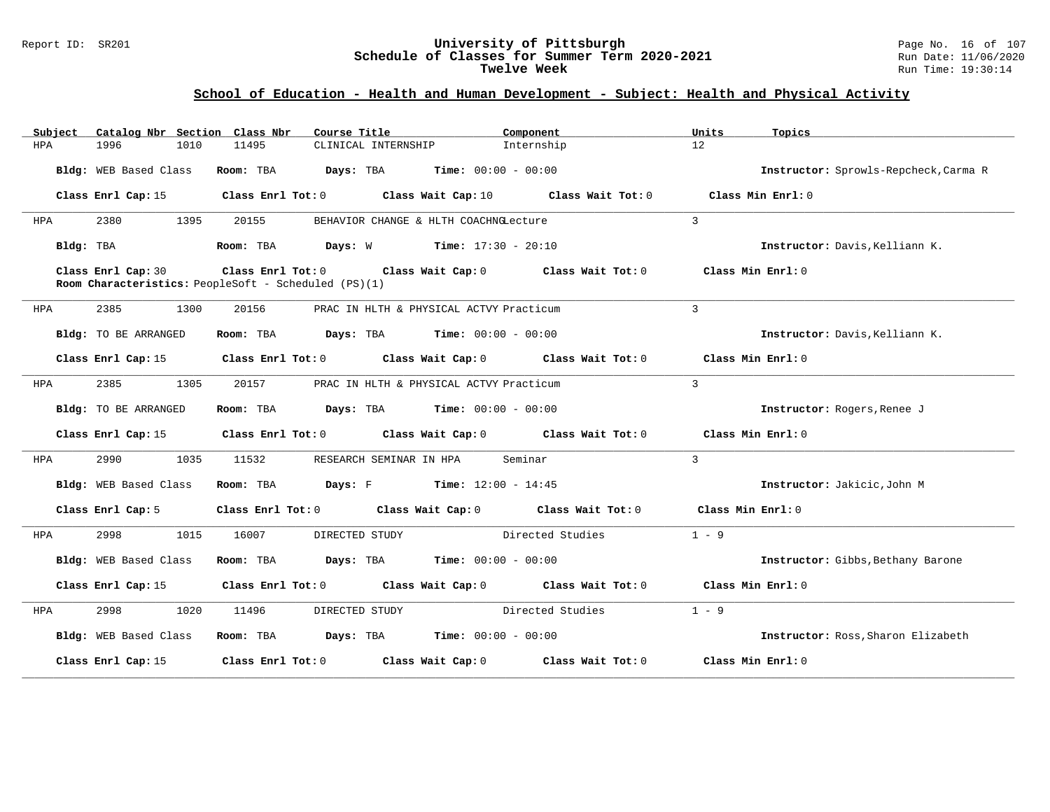#### Report ID: SR201 **University of Pittsburgh** Page No. 16 of 107 **Schedule of Classes for Summer Term 2020-2021** Run Date: 11/06/2020 **Twelve Week** Run Time: 19:30:14

# **School of Education - Health and Human Development - Subject: Health and Physical Activity**

| Subject    | Catalog Nbr Section Class Nbr | Course Title                                                                                                        | Component                                                                       | Units<br>Topics                       |
|------------|-------------------------------|---------------------------------------------------------------------------------------------------------------------|---------------------------------------------------------------------------------|---------------------------------------|
| <b>HPA</b> | 1996<br>1010                  | 11495<br>CLINICAL INTERNSHIP                                                                                        | Internship                                                                      | 12                                    |
|            | Bldg: WEB Based Class         | <b>Days:</b> TBA <b>Time:</b> $00:00 - 00:00$<br>Room: TBA                                                          |                                                                                 | Instructor: Sprowls-Repcheck, Carma R |
|            | Class Enrl Cap: 15            | Class Enrl Tot: 0 Class Wait Cap: 10                                                                                | Class Wait Tot: 0                                                               | Class Min Enrl: 0                     |
| HPA        | 2380<br>1395                  | 20155                                                                                                               | BEHAVIOR CHANGE & HLTH COACHNGLecture                                           | $\mathbf{3}$                          |
|            | Bldg: TBA                     | Room: TBA<br><b>Days:</b> W <b>Time:</b> $17:30 - 20:10$                                                            |                                                                                 | Instructor: Davis, Kelliann K.        |
|            | Class Enrl Cap: 30            | Class Enrl Tot: $0$ Class Wait Cap: $0$ Class Wait Tot: $0$<br>Room Characteristics: PeopleSoft - Scheduled (PS)(1) |                                                                                 | Class Min Enrl: 0                     |
| HPA        | 2385<br>1300                  | 20156                                                                                                               | PRAC IN HLTH & PHYSICAL ACTVY Practicum                                         | 3                                     |
|            | <b>Bldg:</b> TO BE ARRANGED   | $\texttt{Days:}$ TBA Time: $00:00 - 00:00$<br>Room: TBA                                                             |                                                                                 | Instructor: Davis, Kelliann K.        |
|            | Class Enrl Cap: 15            |                                                                                                                     | Class Enrl Tot: $0$ Class Wait Cap: $0$ Class Wait Tot: $0$ Class Min Enrl: $0$ |                                       |
| HPA        | 2385<br>1305                  | 20157                                                                                                               | PRAC IN HLTH & PHYSICAL ACTVY Practicum                                         | $\mathbf{3}$                          |
|            | Bldg: TO BE ARRANGED          | Room: TBA<br><b>Days:</b> TBA <b>Time:</b> $00:00 - 00:00$                                                          |                                                                                 | Instructor: Rogers, Renee J           |
|            | Class Enrl Cap: 15            |                                                                                                                     | Class Enrl Tot: 0 Class Wait Cap: 0 Class Wait Tot: 0                           | Class Min Enrl: 0                     |
| HPA        | 2990<br>1035                  | 11532<br>RESEARCH SEMINAR IN HPA                                                                                    | Seminar                                                                         | $\mathbf{3}$                          |
|            | Bldg: WEB Based Class         | <b>Days:</b> F Time: $12:00 - 14:45$<br>Room: TBA                                                                   |                                                                                 | Instructor: Jakicic, John M           |
|            | Class Enrl Cap: 5             |                                                                                                                     | Class Enrl Tot: 0 Class Wait Cap: 0 Class Wait Tot: 0                           | Class Min Enrl: 0                     |
| HPA        | 2998<br>1015                  | 16007<br>DIRECTED STUDY                                                                                             | Directed Studies                                                                | $1 - 9$                               |
|            | Bldg: WEB Based Class         | $\texttt{Davis:}$ TBA $\texttt{Time:}$ 00:00 - 00:00<br>Room: TBA                                                   |                                                                                 | Instructor: Gibbs, Bethany Barone     |
|            | Class Enrl Cap: 15            |                                                                                                                     | Class Enrl Tot: 0 Class Wait Cap: 0 Class Wait Tot: 0                           | Class Min Enrl: 0                     |
| HPA        | 2998<br>1020                  | 11496<br>DIRECTED STUDY                                                                                             | Directed Studies                                                                | $1 - 9$                               |
|            | Bldg: WEB Based Class         | Room: TBA $Days:$ TBA $Time: 00:00 - 00:00$                                                                         |                                                                                 | Instructor: Ross, Sharon Elizabeth    |
|            | Class Enrl Cap: 15            | Class Enrl Tot: 0 Class Wait Cap: 0                                                                                 | Class Wait Tot: 0                                                               | Class Min Enrl: 0                     |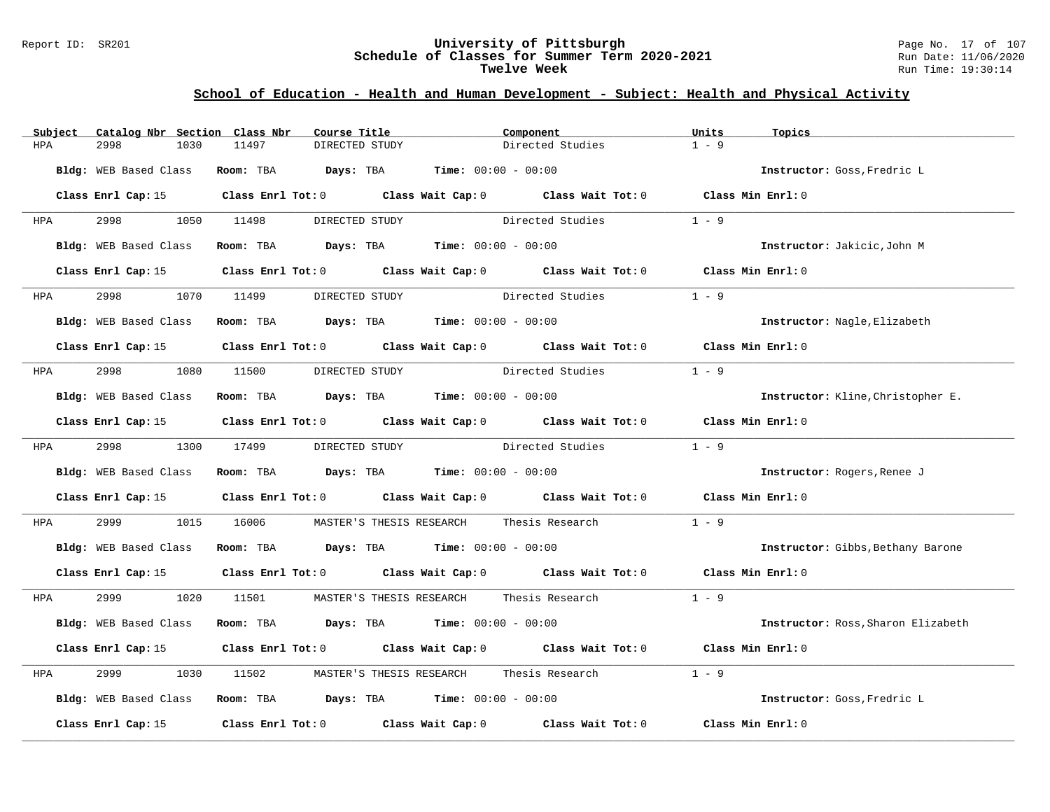#### Report ID: SR201 **University of Pittsburgh** Page No. 17 of 107 **Schedule of Classes for Summer Term 2020-2021** Run Date: 11/06/2020 **Twelve Week** Run Time: 19:30:14

# **School of Education - Health and Human Development - Subject: Health and Physical Activity**

| Subject               | Catalog Nbr Section Class Nbr | Course Title                                                                            |                  | Component                                                                                          | Units             | Topics                             |
|-----------------------|-------------------------------|-----------------------------------------------------------------------------------------|------------------|----------------------------------------------------------------------------------------------------|-------------------|------------------------------------|
| 2998<br>HPA           | 1030<br>11497                 | DIRECTED STUDY                                                                          |                  | Directed Studies                                                                                   | $1 - 9$           |                                    |
| Bldg: WEB Based Class |                               | Room: TBA $Days: TBA$ Time: $00:00 - 00:00$                                             |                  |                                                                                                    |                   | Instructor: Goss, Fredric L        |
|                       |                               |                                                                                         |                  | Class Enrl Cap: 15 Class Enrl Tot: 0 Class Wait Cap: 0 Class Wait Tot: 0 Class Min Enrl: 0         |                   |                                    |
| 2998 — 100<br>HPA     | 1050 11498                    | DIRECTED STUDY                                                                          |                  | Directed Studies                                                                                   | $1 - 9$           |                                    |
| Bldg: WEB Based Class |                               | Room: TBA $\rule{1em}{0.15mm}$ Days: TBA $\rule{1.15mm}]{0.15mm}$ Time: $00:00 - 00:00$ |                  |                                                                                                    |                   | Instructor: Jakicic, John M        |
| Class Enrl Cap: 15    |                               |                                                                                         |                  | Class Enrl Tot: 0 Class Wait Cap: 0 Class Wait Tot: 0 Class Min Enrl: 0                            |                   |                                    |
| 2998<br><b>HPA</b>    | 1070 11499                    | DIRECTED STUDY                                                                          | Directed Studies |                                                                                                    | $1 - 9$           |                                    |
| Bldg: WEB Based Class |                               | Room: TBA $Days:$ TBA $Time: 00:00 - 00:00$                                             |                  |                                                                                                    |                   | Instructor: Nagle, Elizabeth       |
|                       |                               |                                                                                         |                  | Class Enrl Cap: 15 Class Enrl Tot: 0 Class Wait Cap: 0 Class Wait Tot: 0 Class Min Enrl: 0         |                   |                                    |
| HPA                   | 2998 1080 11500               | DIRECTED STUDY Directed Studies                                                         |                  |                                                                                                    | $1 - 9$           |                                    |
| Bldg: WEB Based Class |                               | Room: TBA $Days:$ TBA $Time: 00:00 - 00:00$                                             |                  |                                                                                                    |                   | Instructor: Kline, Christopher E.  |
| Class Enrl Cap: 15    |                               |                                                                                         |                  | Class Enrl Tot: 0 $\qquad$ Class Wait Cap: 0 $\qquad$ Class Wait Tot: 0 $\qquad$ Class Min Enrl: 0 |                   |                                    |
| <b>HPA</b>            | 2998 1300 17499               | DIRECTED STUDY Directed Studies                                                         |                  |                                                                                                    | $1 - 9$           |                                    |
| Bldg: WEB Based Class |                               | Room: TBA $Days: TBA$ Time: $00:00 - 00:00$                                             |                  |                                                                                                    |                   | Instructor: Rogers, Renee J        |
|                       |                               |                                                                                         |                  | Class Enrl Cap: 15 Class Enrl Tot: 0 Class Wait Cap: 0 Class Wait Tot: 0 Class Min Enrl: 0         |                   |                                    |
| 2999<br>HPA           | 1015<br>16006                 | MASTER'S THESIS RESEARCH Thesis Research                                                |                  |                                                                                                    | $1 - 9$           |                                    |
| Bldg: WEB Based Class |                               | Room: TBA $Days$ : TBA Time: $00:00 - 00:00$                                            |                  |                                                                                                    |                   | Instructor: Gibbs, Bethany Barone  |
| Class Enrl Cap: 15    |                               |                                                                                         |                  | Class Enrl Tot: 0 Class Wait Cap: 0 Class Wait Tot: 0 Class Min Enrl: 0                            |                   |                                    |
| 2999 720<br>HPA       |                               |                                                                                         |                  | 1020 11501 MASTER'S THESIS RESEARCH Thesis Research                                                | $1 - 9$           |                                    |
| Bldg: WEB Based Class |                               | Room: TBA $Days:$ TBA $Time: 00:00 - 00:00$                                             |                  |                                                                                                    |                   | Instructor: Ross, Sharon Elizabeth |
| Class Enrl Cap: 15    |                               |                                                                                         |                  | Class Enrl Tot: 0 Class Wait Cap: 0 Class Wait Tot: 0 Class Min Enrl: 0                            |                   |                                    |
| 2999<br>HPA           | 1030<br>11502                 | MASTER'S THESIS RESEARCH Thesis Research                                                |                  |                                                                                                    | $1 - 9$           |                                    |
| Bldg: WEB Based Class |                               | Room: TBA $Days:$ TBA $Time:$ $00:00 - 00:00$                                           |                  |                                                                                                    |                   | Instructor: Goss, Fredric L        |
| Class Enrl Cap: 15    |                               |                                                                                         |                  | Class Enrl Tot: 0 Class Wait Cap: 0 Class Wait Tot: 0                                              | Class Min Enrl: 0 |                                    |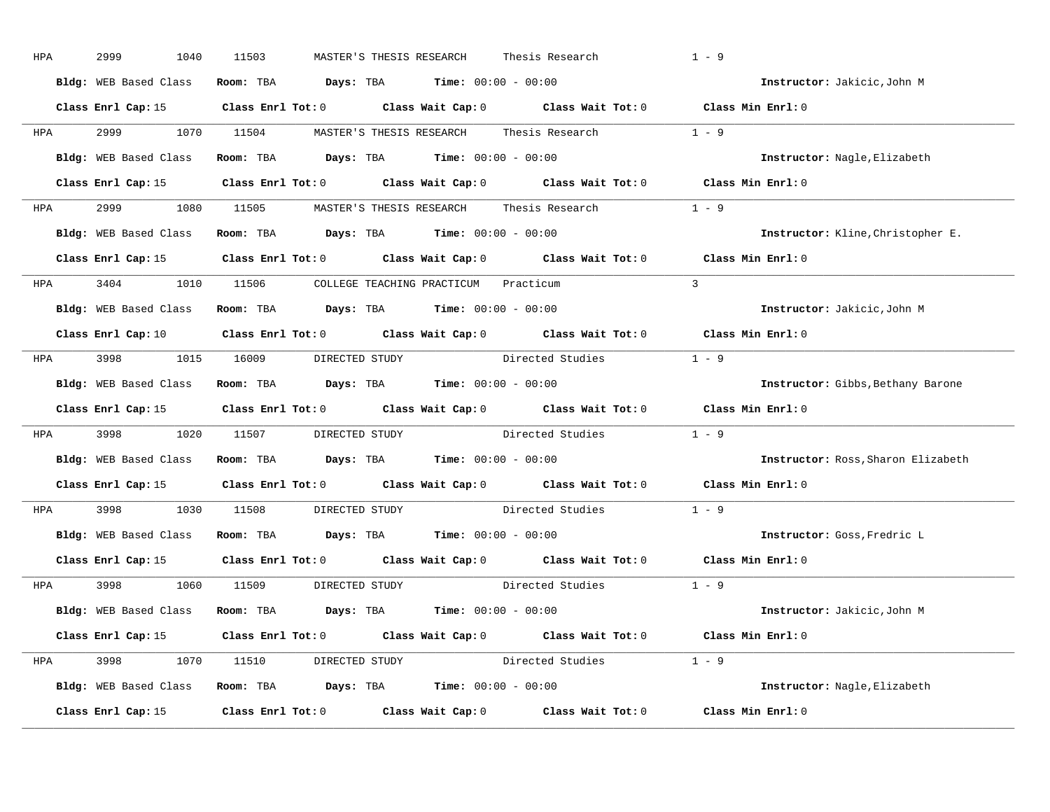| HPA        | 2999<br>1040          | 11503<br>MASTER'S THESIS RESEARCH                                                                                              | Thesis Research        | $1 - 9$                            |
|------------|-----------------------|--------------------------------------------------------------------------------------------------------------------------------|------------------------|------------------------------------|
|            | Bldg: WEB Based Class | Room: TBA $Days: TBA$ Time: $00:00 - 00:00$                                                                                    |                        | Instructor: Jakicic, John M        |
|            |                       | Class Enrl Cap: 15 Class Enrl Tot: 0 Class Wait Cap: 0 Class Wait Tot: 0 Class Min Enrl: 0                                     |                        |                                    |
| <b>HPA</b> | 2999 1070 11504       | MASTER'S THESIS RESEARCH        Thesis Research                                                                                |                        | $1 - 9$                            |
|            |                       | Bldg: WEB Based Class Room: TBA Days: TBA Time: 00:00 - 00:00                                                                  |                        | Instructor: Nagle, Elizabeth       |
|            |                       | Class Enrl Cap: 15 (Class Enrl Tot: 0 (Class Wait Cap: 0 (Class Wait Tot: 0 (Class Min Enrl: 0)                                |                        |                                    |
|            |                       | HPA 2999 1080 11505 MASTER'S THESIS RESEARCH Thesis Research 1 - 9                                                             |                        |                                    |
|            |                       | Bldg: WEB Based Class Room: TBA Days: TBA Time: 00:00 - 00:00                                                                  |                        | Instructor: Kline, Christopher E.  |
|            |                       | Class Enrl Cap: 15 Class Enrl Tot: 0 Class Wait Cap: 0 Class Wait Tot: 0 Class Min Enrl: 0                                     |                        |                                    |
|            |                       | HPA 3404 1010 11506 COLLEGE TEACHING PRACTICUM Practicum                                                                       |                        | $\mathcal{E}$                      |
|            |                       | Bldg: WEB Based Class Room: TBA Days: TBA Time: 00:00 - 00:00                                                                  |                        | Instructor: Jakicic, John M        |
|            |                       | Class Enrl Cap: 10 $\qquad$ Class Enrl Tot: 0 $\qquad$ Class Wait Cap: 0 $\qquad$ Class Wait Tot: 0 $\qquad$ Class Min Enrl: 0 |                        |                                    |
|            |                       | HPA 3998 1015 16009 DIRECTED STUDY Directed Studies 1 - 9                                                                      |                        |                                    |
|            | Bldg: WEB Based Class | Room: TBA $Days:$ TBA $Time: 00:00 - 00:00$                                                                                    |                        | Instructor: Gibbs, Bethany Barone  |
|            |                       | Class Enrl Cap: 15 (Class Enrl Tot: 0 (Class Wait Cap: 0 (Class Wait Tot: 0 (Class Min Enrl: 0)                                |                        |                                    |
| <b>HPA</b> |                       | 3998 1020 11507 DIRECTED STUDY Directed Studies 1 - 9                                                                          |                        |                                    |
|            |                       | Bldg: WEB Based Class Room: TBA Days: TBA Time: 00:00 - 00:00                                                                  |                        | Instructor: Ross, Sharon Elizabeth |
|            |                       | Class Enrl Cap: 15 $\qquad$ Class Enrl Tot: 0 $\qquad$ Class Wait Cap: 0 $\qquad$ Class Wait Tot: 0                            |                        | Class Min Enrl: 0                  |
| <b>HPA</b> | 3998 1030 11508       | DIRECTED STUDY Directed Studies                                                                                                |                        | $1 - 9$                            |
|            |                       | Bldg: WEB Based Class Room: TBA Days: TBA Time: 00:00 - 00:00                                                                  |                        | Instructor: Goss, Fredric L        |
|            |                       | Class Enrl Cap: 15 $\qquad$ Class Enrl Tot: 0 $\qquad$ Class Wait Cap: 0 $\qquad$ Class Wait Tot: 0                            |                        | Class Min Enrl: 0                  |
|            |                       | HPA 3998 1060 11509 DIRECTED STUDY                                                                                             | Directed Studies 1 - 9 |                                    |
|            |                       | Bldg: WEB Based Class Room: TBA Days: TBA Time: 00:00 - 00:00                                                                  |                        | Instructor: Jakicic,John M         |
|            |                       | Class Enrl Cap: 15 Class Enrl Tot: 0 Class Wait Cap: 0 Class Wait Tot: 0 Class Min Enrl: 0                                     |                        |                                    |
|            |                       | HPA 3998 1070 11510 DIRECTED STUDY Directed Studies 1 - 9                                                                      |                        |                                    |
|            |                       | Bldg: WEB Based Class Room: TBA Days: TBA Time: 00:00 - 00:00                                                                  |                        | Instructor: Nagle, Elizabeth       |
|            |                       | Class Enrl Cap: 15 Class Enrl Tot: 0 Class Wait Cap: 0 Class Wait Tot: 0 Class Min Enrl: 0                                     |                        |                                    |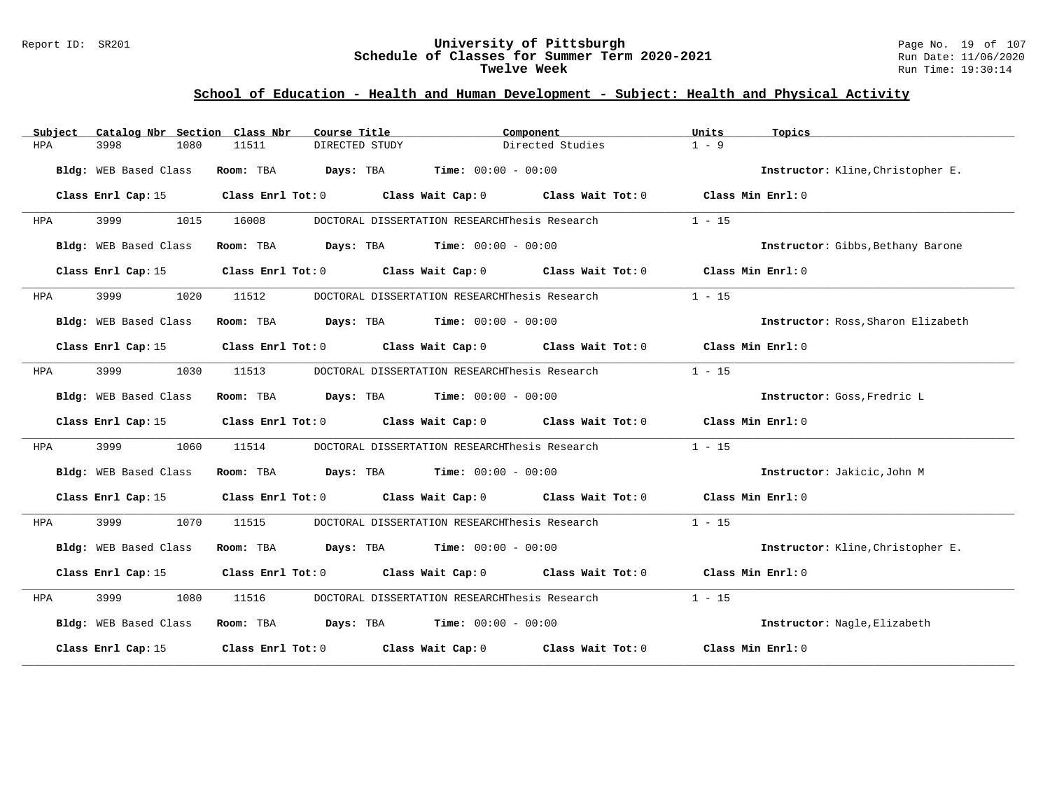#### Report ID: SR201 **University of Pittsburgh** Page No. 19 of 107 **Schedule of Classes for Summer Term 2020-2021** Run Date: 11/06/2020 **Twelve Week** Run Time: 19:30:14

# **School of Education - Health and Human Development - Subject: Health and Physical Activity**

| Subject    | Catalog Nbr Section Class Nbr | Course Title                                                            | Component                                                   |                   | Units<br>Topics                    |  |
|------------|-------------------------------|-------------------------------------------------------------------------|-------------------------------------------------------------|-------------------|------------------------------------|--|
| <b>HPA</b> | 3998<br>1080                  | 11511<br>DIRECTED STUDY                                                 |                                                             | Directed Studies  | $1 - 9$                            |  |
|            | Bldg: WEB Based Class         | Room: TBA                                                               | <b>Days:</b> TBA <b>Time:</b> $00:00 - 00:00$               |                   | Instructor: Kline, Christopher E.  |  |
|            | Class Enrl Cap: 15            | Class Enrl Tot: 0                                                       | Class Wait Cap: $0$ Class Wait Tot: $0$ Class Min Enrl: $0$ |                   |                                    |  |
| HPA        | 3999<br>1015                  | 16008                                                                   | DOCTORAL DISSERTATION RESEARCHThesis Research               |                   | $1 - 15$                           |  |
|            | Bldg: WEB Based Class         | Room: TBA                                                               | $\texttt{Davis:}$ TBA $\texttt{Time:}$ 00:00 - 00:00        |                   | Instructor: Gibbs, Bethany Barone  |  |
|            | Class Enrl Cap: 15            | Class Enrl Tot: 0 Class Wait Cap: 0 Class Wait Tot: 0 Class Min Enrl: 0 |                                                             |                   |                                    |  |
| HPA        | 3999<br>1020                  | 11512                                                                   | DOCTORAL DISSERTATION RESEARCHThesis Research               |                   | $1 - 15$                           |  |
|            | Bldg: WEB Based Class         | Room: TBA $Days:$ TBA $Time: 00:00 - 00:00$                             |                                                             |                   | Instructor: Ross, Sharon Elizabeth |  |
|            | Class Enrl Cap: 15            | Class Enrl Tot: 0 Class Wait Cap: 0 Class Wait Tot: 0 Class Min Enrl: 0 |                                                             |                   |                                    |  |
| HPA        | 3999<br>1030                  | 11513                                                                   | DOCTORAL DISSERTATION RESEARCHThesis Research               |                   | $1 - 15$                           |  |
|            | Bldg: WEB Based Class         | Room: TBA                                                               | <b>Days:</b> TBA <b>Time:</b> $00:00 - 00:00$               |                   | Instructor: Goss, Fredric L        |  |
|            | Class Enrl Cap: 15            | Class Enrl Tot: 0 Class Wait Cap: 0 Class Wait Tot: 0 Class Min Enrl: 0 |                                                             |                   |                                    |  |
| HPA        | 3999<br>1060                  | 11514                                                                   | DOCTORAL DISSERTATION RESEARCHThesis Research               |                   | $1 - 15$                           |  |
|            | Bldg: WEB Based Class         | Room: TBA                                                               | $\texttt{Days:}$ TBA $\texttt{Time:}$ 00:00 - 00:00         |                   | Instructor: Jakicic, John M        |  |
|            | Class Enrl Cap: 15            | Class Enrl Tot: 0 Class Wait Cap: 0 Class Wait Tot: 0                   |                                                             |                   | Class Min Enrl: 0                  |  |
| HPA        | 3999<br>1070                  | 11515                                                                   | DOCTORAL DISSERTATION RESEARCHThesis Research               |                   | $1 - 15$                           |  |
|            | Bldg: WEB Based Class         | Room: TBA                                                               | <b>Days:</b> TBA <b>Time:</b> $00:00 - 00:00$               |                   | Instructor: Kline, Christopher E.  |  |
|            | Class Enrl Cap: 15            | Class Enrl Tot: 0 Class Wait Cap: 0 Class Wait Tot: 0 Class Min Enrl: 0 |                                                             |                   |                                    |  |
| HPA        | 3999<br>1080                  | 11516                                                                   | DOCTORAL DISSERTATION RESEARCHThesis Research               |                   | $1 - 15$                           |  |
|            | Bldg: WEB Based Class         | Room: TBA                                                               | <b>Days:</b> TBA <b>Time:</b> $00:00 - 00:00$               |                   | Instructor: Nagle, Elizabeth       |  |
|            | Class Enrl Cap: 15            | Class Enrl Tot: 0 Class Wait Cap: 0                                     |                                                             | Class Wait Tot: 0 | Class Min Enrl: 0                  |  |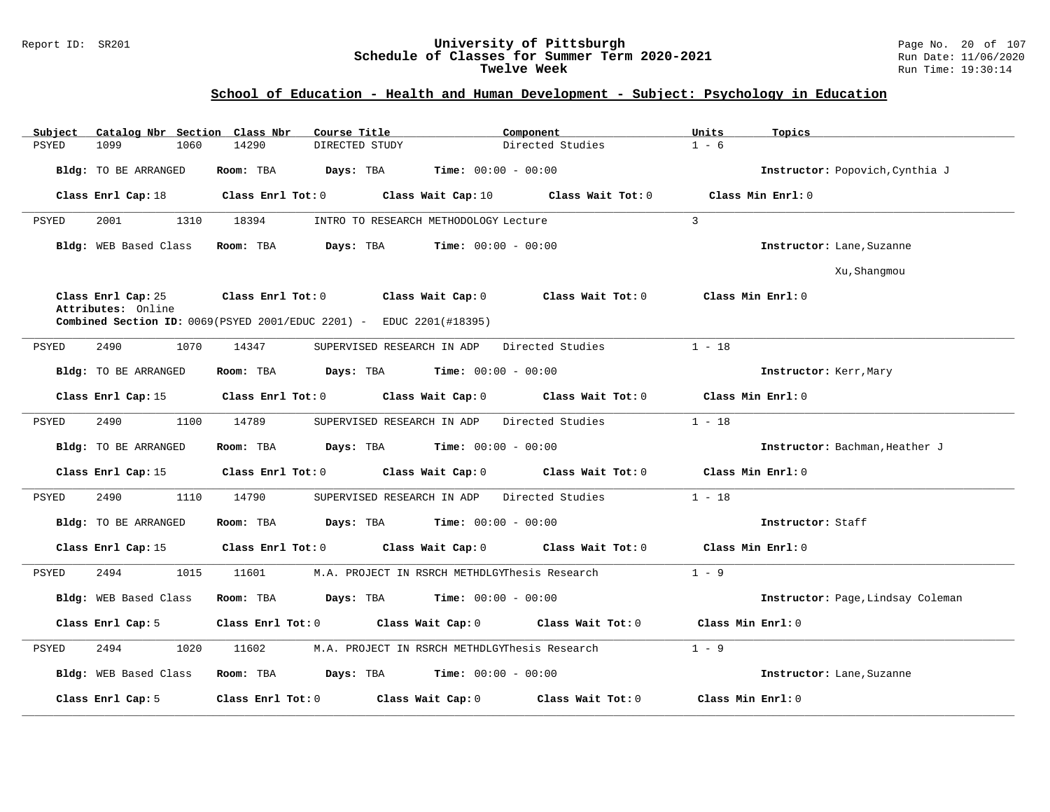#### Report ID: SR201 **University of Pittsburgh** Page No. 20 of 107 **Schedule of Classes for Summer Term 2020-2021** Run Date: 11/06/2020 **Twelve Week** Run Time: 19:30:14

# **School of Education - Health and Human Development - Subject: Psychology in Education**

| Catalog Nbr Section Class Nbr<br>Subject | Course Title                                                                 | Component                                     | Units<br>Topics                   |
|------------------------------------------|------------------------------------------------------------------------------|-----------------------------------------------|-----------------------------------|
| <b>PSYED</b><br>1099<br>1060             | 14290<br>DIRECTED STUDY                                                      | Directed Studies                              | $1 - 6$                           |
| Bldg: TO BE ARRANGED                     | Room: TBA<br>Days: TBA                                                       | <b>Time:</b> $00:00 - 00:00$                  | Instructor: Popovich, Cynthia J   |
| Class Enrl Cap: 18                       | Class Enrl Tot: 0 Class Wait Cap: 10                                         | Class Wait Tot: 0                             | Class Min Enrl: 0                 |
| 2001<br>1310<br>PSYED                    | 18394                                                                        | INTRO TO RESEARCH METHODOLOGY Lecture         | $\mathbf{3}$                      |
| Bldg: WEB Based Class                    | Days: TBA<br>Room: TBA                                                       | $Time: 00:00 - 00:00$                         | Instructor: Lane, Suzanne         |
|                                          |                                                                              |                                               | Xu, Shangmou                      |
| Class Enrl Cap: 25<br>Attributes: Online | Class Enrl Tot: 0<br>Class Wait Cap: 0                                       | Class Wait Tot: 0                             | Class Min Enrl: 0                 |
|                                          | <b>Combined Section ID:</b> $0069(PSYED 2001/EDUC 2201)$ - EDUC 2201(#18395) |                                               |                                   |
| 2490<br>1070<br>PSYED                    | 14347<br>SUPERVISED RESEARCH IN ADP                                          | Directed Studies                              | $1 - 18$                          |
| Bldg: TO BE ARRANGED                     | Room: TBA                                                                    | <b>Days:</b> TBA <b>Time:</b> $00:00 - 00:00$ | Instructor: Kerr, Mary            |
| Class Enrl Cap: 15                       | Class Enrl Tot: 0 Class Wait Cap: 0                                          | Class Wait Tot: 0                             | Class Min Enrl: 0                 |
| 2490<br>1100<br>PSYED                    | 14789<br>SUPERVISED RESEARCH IN ADP                                          | Directed Studies                              | $1 - 18$                          |
| Bldg: TO BE ARRANGED                     | Room: TBA                                                                    | <b>Days:</b> TBA <b>Time:</b> $00:00 - 00:00$ | Instructor: Bachman, Heather J    |
| Class Enrl Cap: 15                       | Class Enrl Tot: 0 Class Wait Cap: 0                                          | Class Wait Tot: 0                             | Class Min Enrl: 0                 |
| 2490<br>1110<br>PSYED                    | 14790                                                                        | SUPERVISED RESEARCH IN ADP Directed Studies   | $1 - 18$                          |
| Bldg: TO BE ARRANGED                     | Room: TBA                                                                    | <b>Days:</b> TBA <b>Time:</b> $00:00 - 00:00$ | Instructor: Staff                 |
| Class Enrl Cap: 15                       | Class Enrl Tot: 0                                                            | Class Wait Cap: 0 Class Wait Tot: 0           | Class Min Enrl: 0                 |
| 2494<br>1015<br>PSYED                    | 11601                                                                        | M.A. PROJECT IN RSRCH METHDLGYThesis Research | $1 - 9$                           |
| Bldg: WEB Based Class                    | Room: TBA                                                                    | <b>Days:</b> TBA <b>Time:</b> $00:00 - 00:00$ | Instructor: Page, Lindsay Coleman |
| Class Enrl Cap: 5                        | Class Enrl Tot: 0 Class Wait Cap: 0                                          | Class Wait Tot: 0                             | Class Min Enrl: 0                 |
| 2494<br>PSYED<br>1020                    | 11602                                                                        | M.A. PROJECT IN RSRCH METHDLGYThesis Research | $1 - 9$                           |
| Bldg: WEB Based Class                    | Room: TBA                                                                    | <b>Days:</b> TBA <b>Time:</b> $00:00 - 00:00$ | Instructor: Lane, Suzanne         |
| Class Enrl Cap: 5                        | Class Enrl Tot: 0 Class Wait Cap: 0                                          | Class Wait Tot: 0                             | Class Min Enrl: 0                 |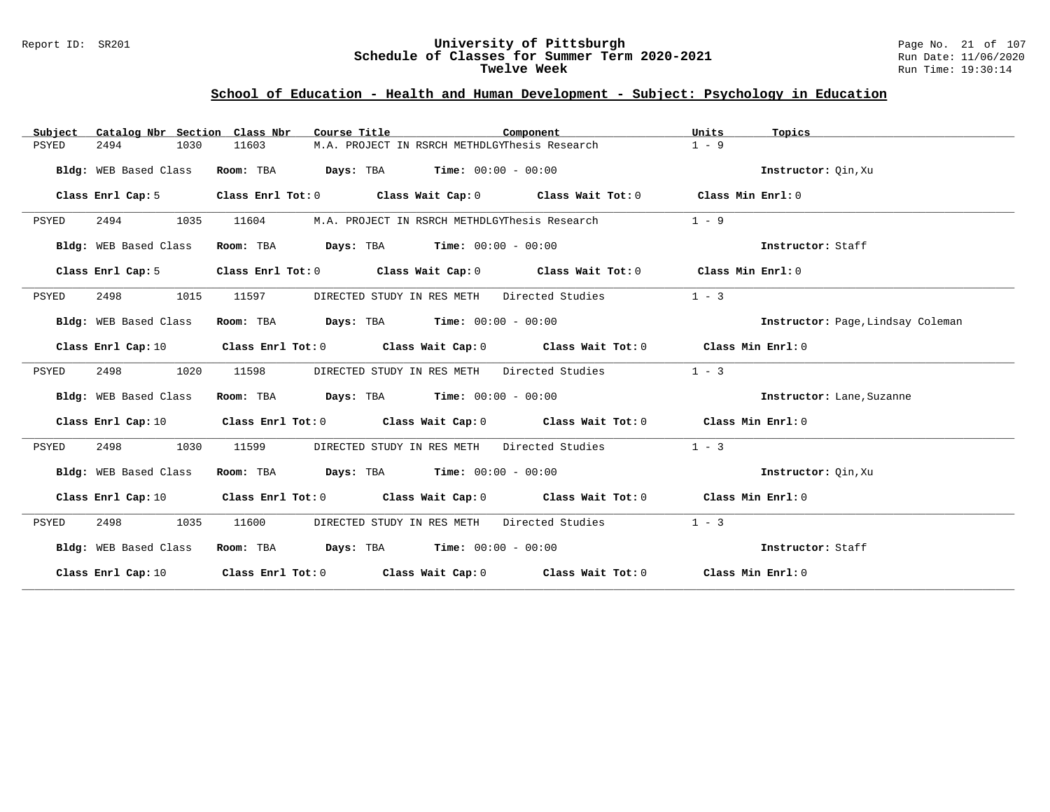#### Report ID: SR201 **University of Pittsburgh** Page No. 21 of 107 **Schedule of Classes for Summer Term 2020-2021** Run Date: 11/06/2020 **Twelve Week** Run Time: 19:30:14

# **School of Education - Health and Human Development - Subject: Psychology in Education**

| Subject               |      | Catalog Nbr Section Class Nbr | Course Title                                       | Component                                                                                                                      | Units   | Topics                            |
|-----------------------|------|-------------------------------|----------------------------------------------------|--------------------------------------------------------------------------------------------------------------------------------|---------|-----------------------------------|
| 2494<br>PSYED         | 1030 | 11603                         |                                                    | M.A. PROJECT IN RSRCH METHDLGYThesis Research                                                                                  | $1 - 9$ |                                   |
| Bldg: WEB Based Class |      |                               | <b>Room:</b> TBA $Days:$ TBA $Time: 00:00 - 00:00$ |                                                                                                                                |         | Instructor: Oin, Xu               |
| Class Enrl Cap: 5     |      |                               |                                                    | Class Enrl Tot: 0 Class Wait Cap: 0 Class Wait Tot: 0 Class Min Enrl: 0                                                        |         |                                   |
| 2494<br>PSYED         | 1035 | 11604                         |                                                    | M.A. PROJECT IN RSRCH METHDLGYThesis Research                                                                                  | $1 - 9$ |                                   |
| Bldg: WEB Based Class |      |                               | <b>Room:</b> TBA $Days:$ TBA $Time: 00:00 - 00:00$ |                                                                                                                                |         | Instructor: Staff                 |
| Class Enrl Cap: 5     |      |                               |                                                    | Class Enrl Tot: $0$ Class Wait Cap: $0$ Class Wait Tot: $0$ Class Min Enrl: $0$                                                |         |                                   |
| PSYED<br>2498         | 1015 | 11597                         |                                                    | DIRECTED STUDY IN RES METH Directed Studies                                                                                    | $1 - 3$ |                                   |
| Bldg: WEB Based Class |      |                               | Room: TBA $Days:$ TBA $Time: 00:00 - 00:00$        |                                                                                                                                |         | Instructor: Page, Lindsay Coleman |
| Class Enrl Cap: 10    |      |                               |                                                    | Class Enrl Tot: 0 Class Wait Cap: 0 Class Wait Tot: 0 Class Min Enrl: 0                                                        |         |                                   |
| PSYED<br>2498         | 1020 | 11598                         |                                                    | DIRECTED STUDY IN RES METH Directed Studies                                                                                    | $1 - 3$ |                                   |
| Bldg: WEB Based Class |      |                               | Room: TBA $Days:$ TBA $Time: 00:00 - 00:00$        |                                                                                                                                |         | Instructor: Lane, Suzanne         |
| Class Enrl Cap: 10    |      |                               |                                                    | Class Enrl Tot: 0 Class Wait Cap: 0 Class Wait Tot: 0 Class Min Enrl: 0                                                        |         |                                   |
| 2498<br>PSYED         | 1030 | 11599                         |                                                    | DIRECTED STUDY IN RES METH Directed Studies                                                                                    | $1 - 3$ |                                   |
| Bldg: WEB Based Class |      |                               | Room: TBA $Days:$ TBA $Time: 00:00 - 00:00$        |                                                                                                                                |         | Instructor: Qin, Xu               |
| Class Enrl Cap: 10    |      |                               |                                                    | Class Enrl Tot: 0 Class Wait Cap: 0 Class Wait Tot: 0 Class Min Enrl: 0                                                        |         |                                   |
| PSYED<br>2498         | 1035 | 11600                         |                                                    | DIRECTED STUDY IN RES METH Directed Studies                                                                                    | $1 - 3$ |                                   |
| Bldg: WEB Based Class |      |                               | Room: TBA $Days:$ TBA $Time: 00:00 - 00:00$        |                                                                                                                                |         | Instructor: Staff                 |
|                       |      |                               |                                                    | Class Enrl Cap: 10 $\qquad$ Class Enrl Tot: 0 $\qquad$ Class Wait Cap: 0 $\qquad$ Class Wait Tot: 0 $\qquad$ Class Min Enrl: 0 |         |                                   |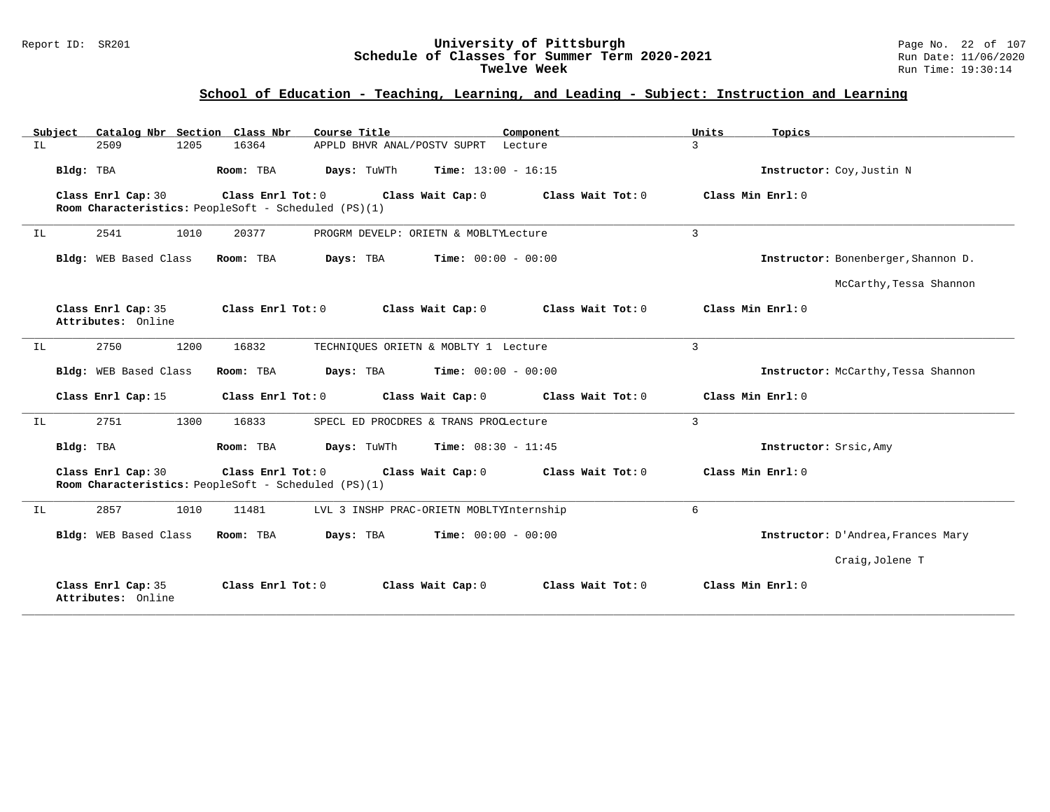#### Report ID: SR201 **University of Pittsburgh** Page No. 22 of 107 **Schedule of Classes for Summer Term 2020-2021** Run Date: 11/06/2020 **Twelve Week** Run Time: 19:30:14

### **School of Education - Teaching, Learning, and Leading - Subject: Instruction and Learning**

|     | Subject                                  |      | Catalog Nbr Section Class Nbr | Course Title                                         |                                          | Component |                   | Units          | Topics                              |
|-----|------------------------------------------|------|-------------------------------|------------------------------------------------------|------------------------------------------|-----------|-------------------|----------------|-------------------------------------|
| IL  | 2509                                     | 1205 | 16364                         |                                                      | APPLD BHVR ANAL/POSTV SUPRT              | Lecture   |                   | $\mathbf{3}$   |                                     |
|     | Bldg: TBA                                |      | Room: TBA                     | Days: TuWTh                                          | <b>Time:</b> $13:00 - 16:15$             |           |                   |                | Instructor: Coy, Justin N           |
|     | Class Enrl Cap: 30                       |      | Class Enrl Tot: 0             | Room Characteristics: PeopleSoft - Scheduled (PS)(1) | Class Wait Cap: 0                        |           | Class Wait Tot: 0 |                | Class Min Enrl: 0                   |
| IL  | 2541                                     | 1010 | 20377                         |                                                      | PROGRM DEVELP: ORIETN & MOBLTYLecture    |           |                   | $\overline{3}$ |                                     |
|     | Bldg: WEB Based Class                    |      | Room: TBA                     | Days: TBA                                            | <b>Time:</b> $00:00 - 00:00$             |           |                   |                | Instructor: Bonenberger, Shannon D. |
|     |                                          |      |                               |                                                      |                                          |           |                   |                | McCarthy, Tessa Shannon             |
|     | Class Enrl Cap: 35<br>Attributes: Online |      | Class Enrl Tot: 0             |                                                      | Class Wait Cap: 0                        |           | Class Wait Tot: 0 |                | Class Min Enrl: 0                   |
| IL. | 2750                                     | 1200 | 16832                         |                                                      | TECHNIQUES ORIETN & MOBLTY 1 Lecture     |           |                   | $\overline{3}$ |                                     |
|     | Bldg: WEB Based Class                    |      | Room: TBA                     | Days: TBA                                            | <b>Time:</b> $00:00 - 00:00$             |           |                   |                | Instructor: McCarthy, Tessa Shannon |
|     | Class Enrl Cap: 15                       |      | Class Enrl Tot: 0             |                                                      | Class Wait Cap: 0                        |           | Class Wait Tot: 0 |                | Class Min Enrl: 0                   |
| IL  | 2751                                     | 1300 | 16833                         |                                                      | SPECL ED PROCDRES & TRANS PROCLecture    |           |                   | $\mathbf{3}$   |                                     |
|     | Bldg: TBA                                |      | Room: TBA                     | Days: TuWTh                                          | <b>Time:</b> $08:30 - 11:45$             |           |                   |                | Instructor: Srsic, Amy              |
|     | Class Enrl Cap: 30                       |      | Class Enrl Tot: 0             | Room Characteristics: PeopleSoft - Scheduled (PS)(1) | Class Wait Cap: 0                        |           | Class Wait Tot: 0 |                | Class Min Enrl: 0                   |
| IL  | 2857                                     | 1010 | 11481                         |                                                      | LVL 3 INSHP PRAC-ORIETN MOBLTYInternship |           |                   | 6              |                                     |
|     | Bldg: WEB Based Class                    |      | Room: TBA                     | Days: TBA                                            | <b>Time:</b> $00:00 - 00:00$             |           |                   |                | Instructor: D'Andrea, Frances Mary  |
|     |                                          |      |                               |                                                      |                                          |           |                   |                | Craig, Jolene T                     |
|     | Class Enrl Cap: 35<br>Attributes: Online |      | Class Enrl Tot: 0             |                                                      | Class Wait Cap: 0                        |           | Class Wait Tot: 0 |                | Class Min Enrl: 0                   |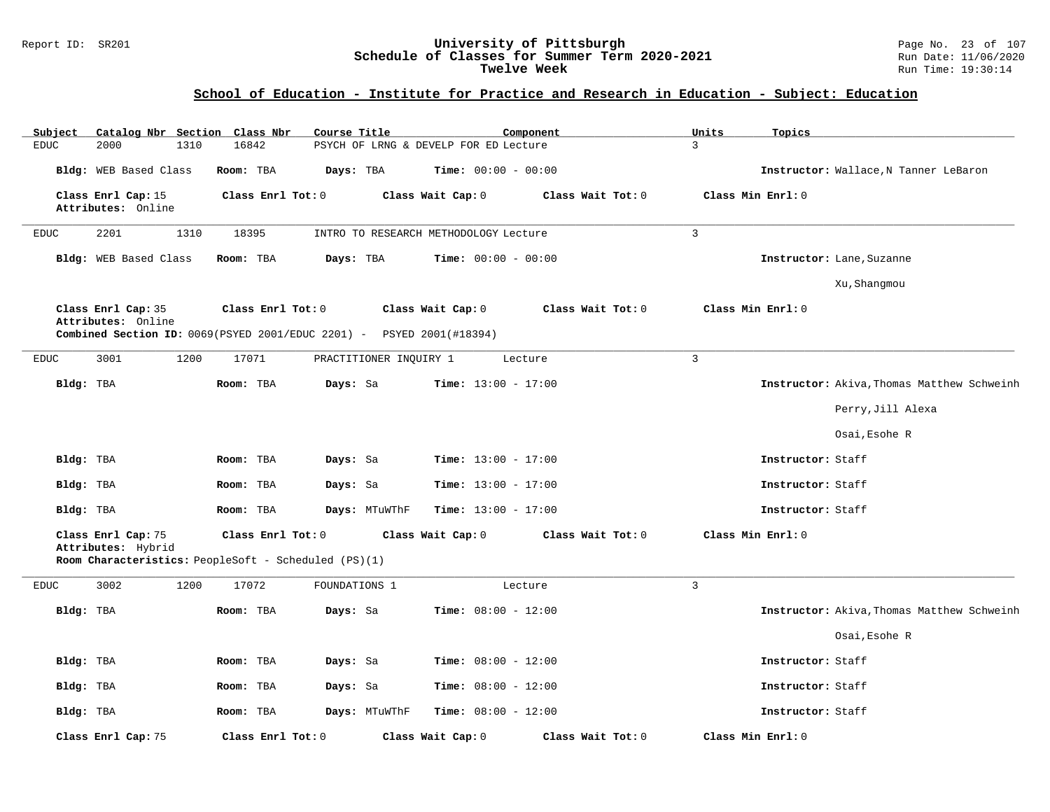#### Report ID: SR201 **University of Pittsburgh** Page No. 23 of 107 **Schedule of Classes for Summer Term 2020-2021** Run Date: 11/06/2020 **Twelve Week** Run Time: 19:30:14

| Catalog Nbr Section Class Nbr<br>Subject | Course Title                                                                                       |                                               | Component         | Units<br>Topics                            |
|------------------------------------------|----------------------------------------------------------------------------------------------------|-----------------------------------------------|-------------------|--------------------------------------------|
| <b>EDUC</b><br>2000<br>1310              | 16842                                                                                              | PSYCH OF LRNG & DEVELP FOR ED Lecture         |                   | 3                                          |
| Bldg: WEB Based Class                    | Room: TBA<br>Days: TBA                                                                             | Time: $00:00 - 00:00$                         |                   | Instructor: Wallace, N Tanner LeBaron      |
| Class Enrl Cap: 15<br>Attributes: Online | Class Enrl Tot: 0                                                                                  | Class Wait Cap: 0                             | Class Wait Tot: 0 | Class Min Enrl: 0                          |
| 2201<br>1310<br><b>EDUC</b>              | 18395                                                                                              | INTRO TO RESEARCH METHODOLOGY Lecture         |                   | $\overline{3}$                             |
| Bldg: WEB Based Class                    | Room: TBA<br>Days: TBA                                                                             | <b>Time:</b> $00:00 - 00:00$                  |                   | Instructor: Lane, Suzanne                  |
|                                          |                                                                                                    |                                               |                   | Xu, Shangmou                               |
| Class Enrl Cap: 35<br>Attributes: Online | Class Enrl Tot: 0<br><b>Combined Section ID:</b> $0069(PSYED 2001/EDUC 2201)$ - PSYED 2001(#18394) | Class Wait Cap: 0                             | Class Wait Tot: 0 | Class Min Enrl: 0                          |
|                                          |                                                                                                    |                                               |                   |                                            |
| 1200<br><b>EDUC</b><br>3001              | 17071                                                                                              | PRACTITIONER INQUIRY 1                        | Lecture           | $\mathbf{3}$                               |
| Bldg: TBA                                | Room: TBA<br>Days: Sa                                                                              | Time: $13:00 - 17:00$                         |                   | Instructor: Akiva, Thomas Matthew Schweinh |
|                                          |                                                                                                    |                                               |                   | Perry, Jill Alexa                          |
|                                          |                                                                                                    |                                               |                   | Osai, Esohe R                              |
| Bldg: TBA                                | Room: TBA<br>Days: Sa                                                                              | <b>Time:</b> $13:00 - 17:00$                  |                   | Instructor: Staff                          |
| Bldg: TBA                                | Room: TBA<br>Days: Sa                                                                              | <b>Time:</b> $13:00 - 17:00$                  |                   | Instructor: Staff                          |
| Bldg: TBA                                | Room: TBA                                                                                          | Time: $13:00 - 17:00$<br>Days: MTuWThF        |                   | Instructor: Staff                          |
| Class Enrl Cap: 75<br>Attributes: Hybrid | Class Enrl Tot: 0                                                                                  | Class Wait Cap: 0                             | Class Wait Tot: 0 | Class Min Enrl: 0                          |
|                                          | Room Characteristics: PeopleSoft - Scheduled (PS)(1)                                               |                                               |                   |                                            |
| 3002<br>1200<br><b>EDUC</b>              | 17072<br>FOUNDATIONS 1                                                                             |                                               | Lecture           | $\overline{3}$                             |
| Bldg: TBA                                | Days: Sa<br>Room: TBA                                                                              | <b>Time:</b> $08:00 - 12:00$                  |                   | Instructor: Akiva, Thomas Matthew Schweinh |
|                                          |                                                                                                    |                                               |                   | Osai, Esohe R                              |
| Bldg: TBA                                | Room: TBA<br>Days: Sa                                                                              | <b>Time:</b> $08:00 - 12:00$                  |                   | Instructor: Staff                          |
| Bldg: TBA                                | Room: TBA<br>Days: Sa                                                                              | Time: $08:00 - 12:00$                         |                   | Instructor: Staff                          |
| Bldg: TBA                                | Room: TBA                                                                                          | Days: MTuWThF<br><b>Time:</b> $08:00 - 12:00$ |                   | Instructor: Staff                          |
| Class Enrl Cap: 75                       | Class Enrl Tot: 0                                                                                  | Class Wait Cap: 0                             | Class Wait Tot: 0 | Class Min Enrl: 0                          |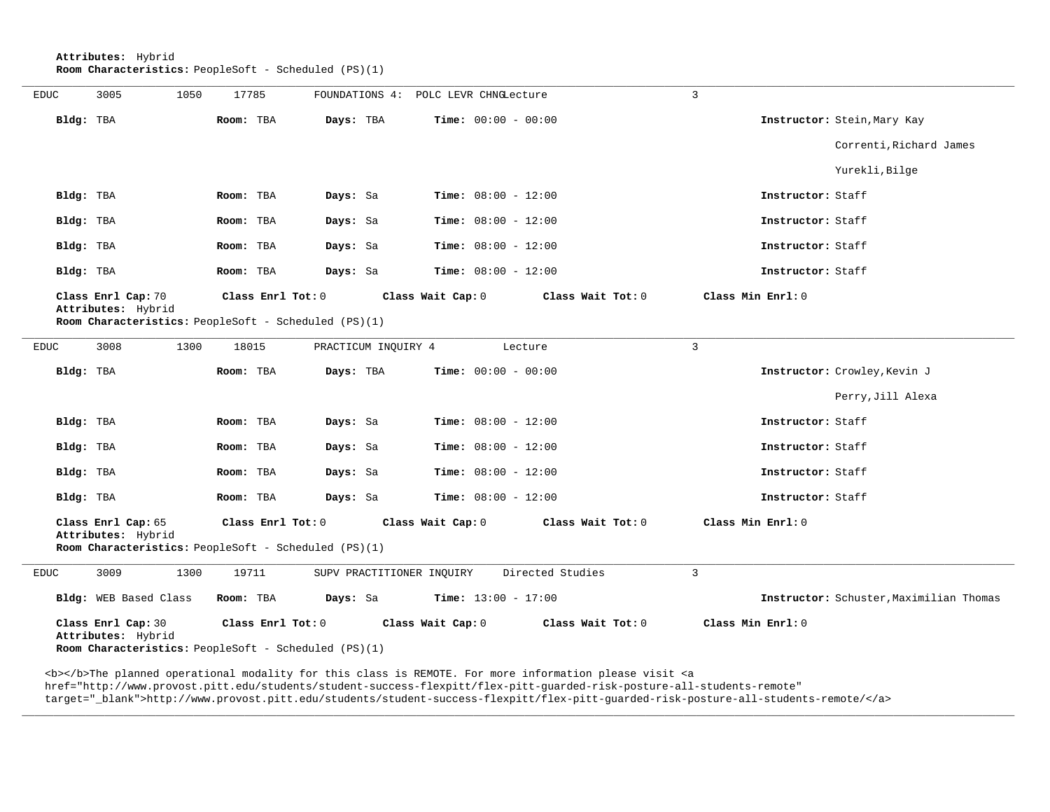**Attributes:** Hybrid **Room Characteristics:** PeopleSoft - Scheduled (PS)(1)

| <b>EDUC</b> | 3005                                                                       | 1050 | 17785             |                           | FOUNDATIONS 4: POLC LEVR CHNGLecture   | 3                                       |
|-------------|----------------------------------------------------------------------------|------|-------------------|---------------------------|----------------------------------------|-----------------------------------------|
| Bldg: TBA   |                                                                            |      | Room: TBA         | Days: TBA                 | <b>Time:</b> $00:00 - 00:00$           | Instructor: Stein, Mary Kay             |
|             |                                                                            |      |                   |                           |                                        | Correnti, Richard James                 |
|             |                                                                            |      |                   |                           |                                        | Yurekli, Bilge                          |
| Bldg: TBA   |                                                                            |      | Room: TBA         | Days: Sa                  | <b>Time:</b> $08:00 - 12:00$           | Instructor: Staff                       |
| Bldg: TBA   |                                                                            |      | Room: TBA         | Days: Sa                  | <b>Time:</b> $08:00 - 12:00$           | Instructor: Staff                       |
| Bldg: TBA   |                                                                            |      | Room: TBA         | Days: Sa                  | <b>Time:</b> $08:00 - 12:00$           | Instructor: Staff                       |
| Bldg: TBA   |                                                                            |      | Room: TBA         | Days: Sa                  | <b>Time:</b> $08:00 - 12:00$           | Instructor: Staff                       |
|             | Class Enrl Cap: 70                                                         |      | Class Enrl Tot: 0 |                           | Class Wait Cap: 0<br>Class Wait Tot: 0 | Class Min Enrl: 0                       |
|             | Attributes: Hybrid<br>Room Characteristics: PeopleSoft - Scheduled (PS)(1) |      |                   |                           |                                        |                                         |
| <b>EDUC</b> | 3008                                                                       | 1300 | 18015             | PRACTICUM INQUIRY 4       | Lecture                                | $\overline{3}$                          |
| Bldg: TBA   |                                                                            |      | Room: TBA         | Days: TBA                 | <b>Time:</b> $00:00 - 00:00$           | Instructor: Crowley, Kevin J            |
|             |                                                                            |      |                   |                           |                                        | Perry, Jill Alexa                       |
| Bldg: TBA   |                                                                            |      | Room: TBA         | Days: Sa                  | Time: $08:00 - 12:00$                  | Instructor: Staff                       |
| Bldg: TBA   |                                                                            |      | Room: TBA         | Days: Sa                  | <b>Time:</b> $08:00 - 12:00$           | Instructor: Staff                       |
| Bldg: TBA   |                                                                            |      | Room: TBA         | Days: Sa                  | <b>Time:</b> $08:00 - 12:00$           | Instructor: Staff                       |
| Bldg: TBA   |                                                                            |      | Room: TBA         | Days: Sa                  | <b>Time:</b> $08:00 - 12:00$           | Instructor: Staff                       |
|             | Class Enrl Cap: 65<br>Attributes: Hybrid                                   |      | Class Enrl Tot: 0 |                           | Class Wait Cap: 0<br>Class Wait Tot: 0 | Class Min Enrl: 0                       |
|             | Room Characteristics: PeopleSoft - Scheduled (PS)(1)                       |      |                   |                           |                                        |                                         |
| <b>EDUC</b> | 3009                                                                       | 1300 | 19711             | SUPV PRACTITIONER INQUIRY | Directed Studies                       | $\overline{3}$                          |
|             | Bldg: WEB Based Class                                                      |      | Room: TBA         | Days: Sa                  | <b>Time:</b> $13:00 - 17:00$           | Instructor: Schuster, Maximilian Thomas |
|             | Class Enrl Cap: 30<br>Attributes: Hybrid                                   |      | Class Enrl Tot: 0 |                           | Class Wait Cap: 0<br>Class Wait Tot: 0 | Class Min $Enrl: 0$                     |
|             | Room Characteristics: PeopleSoft - Scheduled (PS)(1)                       |      |                   |                           |                                        |                                         |

<b></b>The planned operational modality for this class is REMOTE. For more information please visit <a href="http://www.provost.pitt.edu/students/student-success-flexpitt/flex-pitt-guarded-risk-posture-all-students-remote" target="\_blank">http://www.provost.pitt.edu/students/student-success-flexpitt/flex-pitt-guarded-risk-posture-all-students-remote/</a>

**\_\_\_\_\_\_\_\_\_\_\_\_\_\_\_\_\_\_\_\_\_\_\_\_\_\_\_\_\_\_\_\_\_\_\_\_\_\_\_\_\_\_\_\_\_\_\_\_\_\_\_\_\_\_\_\_\_\_\_\_\_\_\_\_\_\_\_\_\_\_\_\_\_\_\_\_\_\_\_\_\_\_\_\_\_\_\_\_\_\_\_\_\_\_\_\_\_\_\_\_\_\_\_\_\_\_\_\_\_\_\_\_\_\_\_\_\_\_\_\_\_\_\_\_\_\_\_\_\_\_\_\_\_\_\_\_\_\_\_\_\_\_\_\_\_\_\_\_\_\_\_\_\_\_\_\_**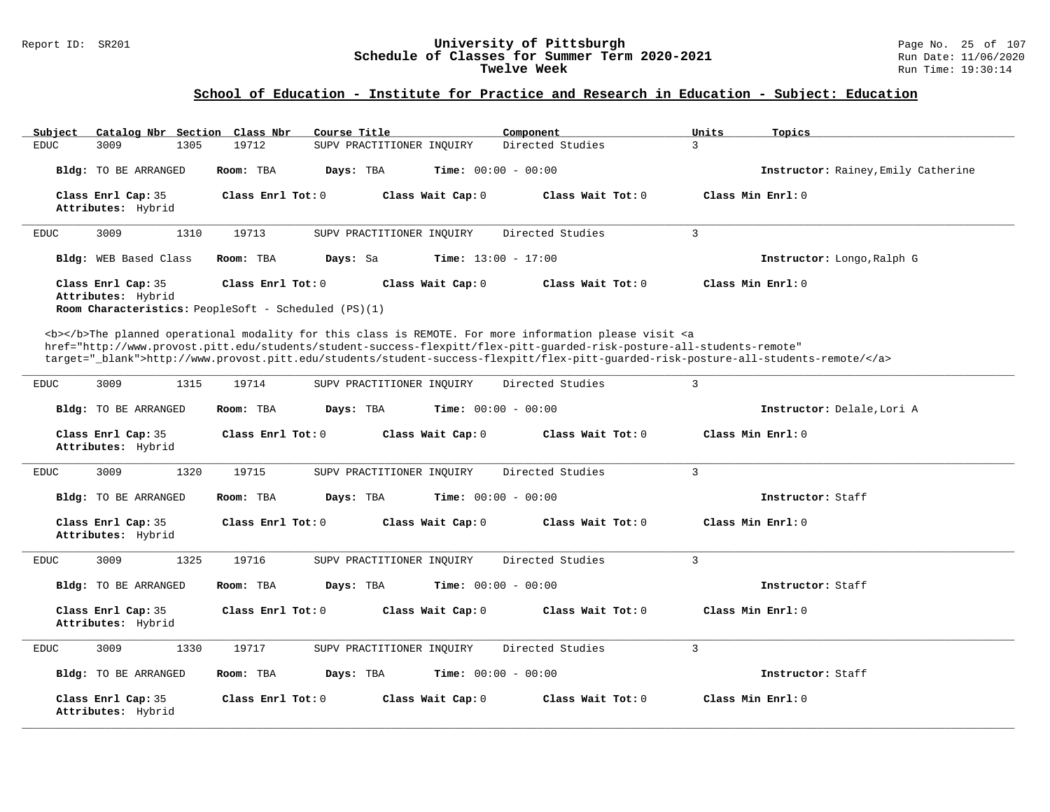#### Report ID: SR201 **University of Pittsburgh** Page No. 25 of 107 **Schedule of Classes for Summer Term 2020-2021** Run Date: 11/06/2020 **Twelve Week** Run Time: 19:30:14

| Catalog Nbr Section Class Nbr<br>Subject | Course Title                                                                                                                                                                                                                                                                                                                                                                       | Component           | Units<br>Topics                     |
|------------------------------------------|------------------------------------------------------------------------------------------------------------------------------------------------------------------------------------------------------------------------------------------------------------------------------------------------------------------------------------------------------------------------------------|---------------------|-------------------------------------|
| <b>EDUC</b><br>3009<br>1305              | 19712<br>SUPV PRACTITIONER INOUIRY                                                                                                                                                                                                                                                                                                                                                 | Directed Studies    | 3                                   |
| Bldg: TO BE ARRANGED                     | Room: TBA<br>Days: TBA<br><b>Time:</b> $00:00 - 00:00$                                                                                                                                                                                                                                                                                                                             |                     | Instructor: Rainey, Emily Catherine |
| Class Enrl Cap: 35<br>Attributes: Hybrid | Class Enrl Tot: 0<br>Class Wait Cap: 0                                                                                                                                                                                                                                                                                                                                             | Class Wait Tot: 0   | Class Min Enrl: 0                   |
| 3009<br>1310<br><b>EDUC</b>              | 19713<br>SUPV PRACTITIONER INQUIRY                                                                                                                                                                                                                                                                                                                                                 | Directed Studies    | $\overline{3}$                      |
| Bldg: WEB Based Class                    | Room: TBA<br>Days: Sa<br><b>Time:</b> $13:00 - 17:00$                                                                                                                                                                                                                                                                                                                              |                     | Instructor: Longo, Ralph G          |
| Class Enrl Cap: 35<br>Attributes: Hybrid | Class Enrl Tot: 0<br>Class Wait Cap: 0<br>Room Characteristics: PeopleSoft - Scheduled (PS)(1)                                                                                                                                                                                                                                                                                     | Class Wait Tot: 0   | Class Min Enrl: 0                   |
|                                          | <b></b> The planned operational modality for this class is REMOTE. For more information please visit <a<br>href="http://www.provost.pitt.edu/students/student-success-flexpitt/flex-pitt-quarded-risk-posture-all-students-remote"<br/>target="_blank"&gt;http://www.provost.pitt.edu/students/student-success-flexpitt/flex-pitt-guarded-risk-posture-all-students-remote/</a<br> |                     |                                     |
| <b>EDUC</b><br>3009<br>1315              | 19714<br>SUPV PRACTITIONER INQUIRY                                                                                                                                                                                                                                                                                                                                                 | Directed Studies    | $\overline{3}$                      |
| Bldg: TO BE ARRANGED                     | Time: $00:00 - 00:00$<br>Room: TBA<br>Days: TBA                                                                                                                                                                                                                                                                                                                                    |                     | Instructor: Delale, Lori A          |
| Class Enrl Cap: 35<br>Attributes: Hybrid | Class Enrl Tot: $0$<br>Class Wait Cap: 0                                                                                                                                                                                                                                                                                                                                           | Class Wait Tot: $0$ | Class Min Enrl: 0                   |
| 3009<br>1320<br><b>EDUC</b>              | 19715<br>SUPV PRACTITIONER INQUIRY                                                                                                                                                                                                                                                                                                                                                 | Directed Studies    | $\overline{3}$                      |
| Bldg: TO BE ARRANGED                     | Room: TBA<br>Days: TBA<br><b>Time:</b> $00:00 - 00:00$                                                                                                                                                                                                                                                                                                                             |                     | Instructor: Staff                   |
| Class Enrl Cap: 35<br>Attributes: Hybrid | Class Enrl Tot: 0<br>Class Wait Cap: 0                                                                                                                                                                                                                                                                                                                                             | Class Wait Tot: 0   | Class Min Enrl: 0                   |
| 1325<br>3009<br>EDUC                     | 19716<br>SUPV PRACTITIONER INQUIRY                                                                                                                                                                                                                                                                                                                                                 | Directed Studies    | $\overline{3}$                      |
| Bldg: TO BE ARRANGED                     | Room: TBA<br>Days: TBA<br><b>Time:</b> $00:00 - 00:00$                                                                                                                                                                                                                                                                                                                             |                     | Instructor: Staff                   |
| Class Enrl Cap: 35<br>Attributes: Hybrid | Class Enrl Tot: 0<br>Class Wait Cap: 0                                                                                                                                                                                                                                                                                                                                             | Class Wait Tot: 0   | Class Min Enrl: 0                   |
| 3009<br>1330<br><b>EDUC</b>              | 19717<br>SUPV PRACTITIONER INQUIRY                                                                                                                                                                                                                                                                                                                                                 | Directed Studies    | $\overline{3}$                      |
| Bldg: TO BE ARRANGED                     | <b>Time:</b> $00:00 - 00:00$<br>Room: TBA<br>Days: TBA                                                                                                                                                                                                                                                                                                                             |                     | Instructor: Staff                   |
| Class Enrl Cap: 35<br>Attributes: Hybrid | Class Enrl Tot: $0$<br>Class Wait Cap: 0                                                                                                                                                                                                                                                                                                                                           | Class Wait Tot: $0$ | Class Min $Enrl: 0$                 |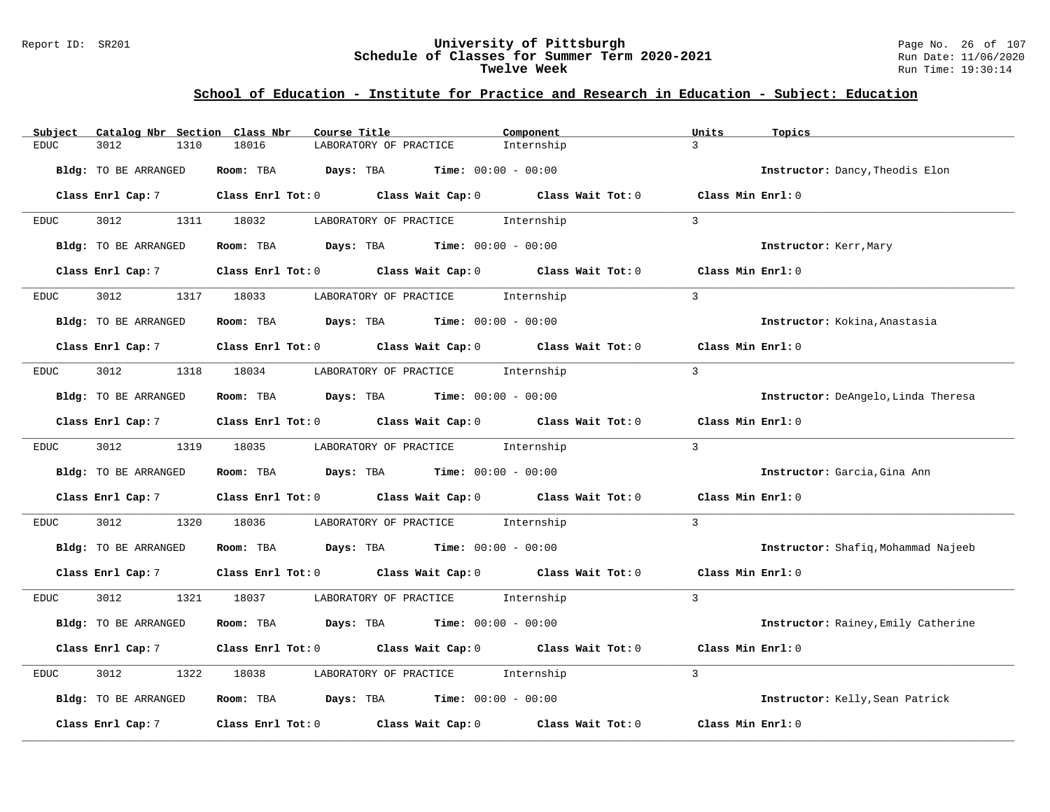#### Report ID: SR201 **University of Pittsburgh** Page No. 26 of 107 **Schedule of Classes for Summer Term 2020-2021** Run Date: 11/06/2020 **Twelve Week** Run Time: 19:30:14

| Catalog Nbr Section Class Nbr<br>Subject | Course Title                                                                          | Component<br>Units                     | Topics                              |
|------------------------------------------|---------------------------------------------------------------------------------------|----------------------------------------|-------------------------------------|
| 3012<br>EDUC<br>1310                     | 18016<br>LABORATORY OF PRACTICE                                                       | $\mathcal{L}$<br>Internship            |                                     |
| Bldg: TO BE ARRANGED                     | Room: TBA<br><b>Days:</b> TBA <b>Time:</b> $00:00 - 00:00$                            |                                        | Instructor: Dancy, Theodis Elon     |
| Class Enrl Cap: 7                        | Class Enrl Tot: $0$ Class Wait Cap: $0$ Class Wait Tot: $0$ Class Min Enrl: $0$       |                                        |                                     |
| 3012<br>EDUC                             | 1311 18032<br>LABORATORY OF PRACTICE                                                  | Internship<br>$\mathcal{L}$            |                                     |
| Bldg: TO BE ARRANGED                     | Room: TBA $Days:$ TBA $Time: 00:00 - 00:00$                                           |                                        | Instructor: Kerr, Mary              |
| Class Enrl Cap: 7                        | Class Enrl Tot: 0 Class Wait Cap: 0 Class Wait Tot: 0                                 | Class Min Enrl: 0                      |                                     |
| 3012<br><b>EDUC</b>                      | 1317 18033<br>LABORATORY OF PRACTICE                                                  | $\mathcal{L}$<br>Internship            |                                     |
| Bldg: TO BE ARRANGED                     | <b>Room:</b> TBA $Days: TBA$ <b>Time:</b> $00:00 - 00:00$                             |                                        | Instructor: Kokina, Anastasia       |
|                                          | Class Enrl Cap: 7 Class Enrl Tot: 0 Class Wait Cap: 0 Class Wait Tot: 0               | Class Min Enrl: 0                      |                                     |
| 3012<br>EDUC                             | 1318 18034<br>LABORATORY OF PRACTICE internship                                       | $\mathbf{3}$                           |                                     |
| Bldg: TO BE ARRANGED                     | Room: TBA $Days:$ TBA $Time: 00:00 - 00:00$                                           |                                        | Instructor: DeAngelo, Linda Theresa |
| Class Enrl Cap: 7                        | Class Enrl Tot: $0$ Class Wait Cap: $0$ Class Wait Tot: $0$ Class Min Enrl: $0$       |                                        |                                     |
| 3012 200<br>EDUC                         | 1319 18035<br>LABORATORY OF PRACTICE Internship                                       | $\mathcal{L}$                          |                                     |
| Bldg: TO BE ARRANGED                     | Room: TBA $Days:$ TBA $Time: 00:00 - 00:00$                                           |                                        | Instructor: Garcia, Gina Ann        |
| Class Enrl Cap: 7                        | Class Enrl Tot: 0 Class Wait Cap: 0 Class Wait Tot: 0                                 | Class Min Enrl: 0                      |                                     |
| 3012<br>1320<br>EDUC                     | 18036<br>LABORATORY OF PRACTICE Internship                                            | $\overline{3}$                         |                                     |
| Bldg: TO BE ARRANGED                     | Room: TBA $Days:$ TBA $Time: 00:00 - 00:00$                                           |                                        | Instructor: Shafiq, Mohammad Najeeb |
| Class Enrl Cap: 7                        | Class Enrl Tot: 0 Class Wait Cap: 0 Class Wait Tot: 0 Class Min Enrl: 0               |                                        |                                     |
| 3012<br>1321<br><b>EDUC</b>              | 18037 LABORATORY OF PRACTICE Internship                                               | $\overline{3}$                         |                                     |
| Bldg: TO BE ARRANGED                     | Room: TBA $Days:$ TBA $Time: 00:00 - 00:00$                                           |                                        | Instructor: Rainey, Emily Catherine |
| Class Enrl Cap: 7                        | Class Enrl Tot: 0 Class Wait Cap: 0 Class Wait Tot: 0                                 | Class Min Enrl: 0                      |                                     |
| 3012<br>1322<br>EDUC                     | 18038<br>LABORATORY OF PRACTICE                                                       | $\mathbf{3}$<br>Internship             |                                     |
| Bldg: TO BE ARRANGED                     | Room: TBA $\rule{1em}{0.15mm}$ Days: TBA $\rule{1.5mm}{0.15mm}$ Time: $00:00 - 00:00$ |                                        | Instructor: Kelly, Sean Patrick     |
| Class Enrl Cap: 7                        | Class Enrl Tot: 0 Class Wait Cap: 0                                                   | Class Wait Tot: 0<br>Class Min Enrl: 0 |                                     |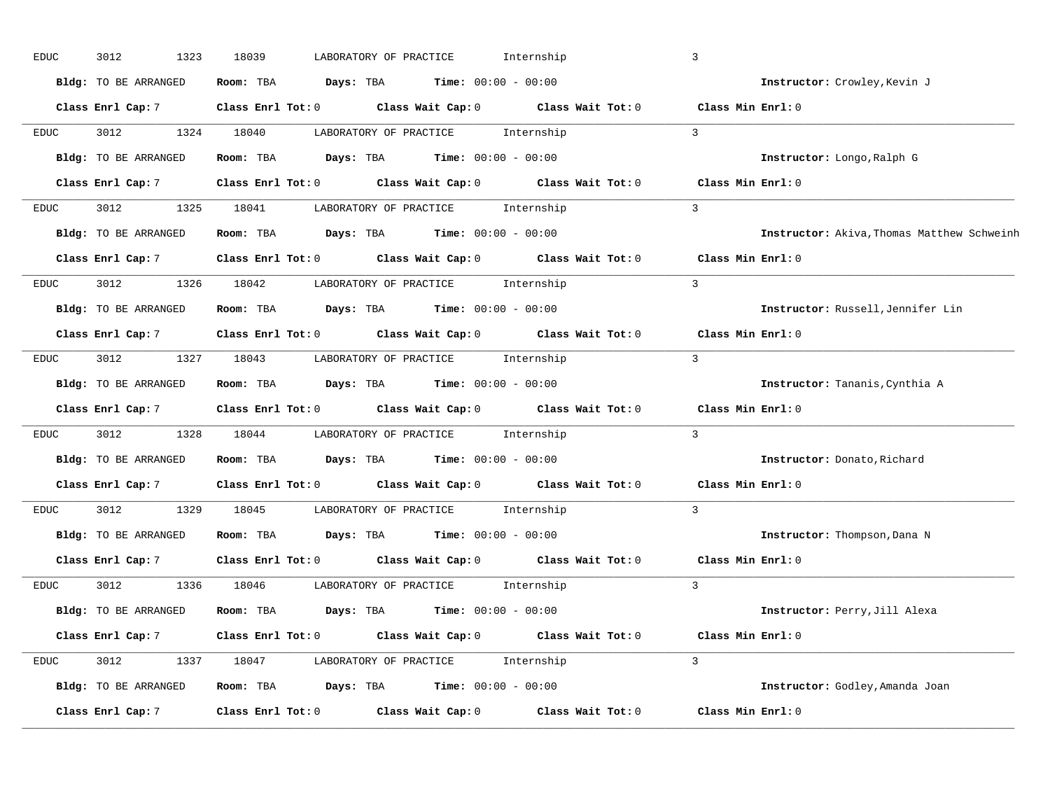| <b>EDUC</b> | 3012<br>1323                | 18039<br>LABORATORY OF PRACTICE                                                 | Internship        | $\mathbf{3}$                               |
|-------------|-----------------------------|---------------------------------------------------------------------------------|-------------------|--------------------------------------------|
|             | Bldg: TO BE ARRANGED        | <b>Days:</b> TBA <b>Time:</b> $00:00 - 00:00$<br>Room: TBA                      |                   | Instructor: Crowley, Kevin J               |
|             | Class Enrl Cap: 7           | Class Enrl Tot: $0$ Class Wait Cap: $0$ Class Wait Tot: $0$ Class Min Enrl: $0$ |                   |                                            |
| <b>EDUC</b> | 3012                        | 1324 18040<br>LABORATORY OF PRACTICE                                            | Internship        | $\overline{3}$                             |
|             | Bldg: TO BE ARRANGED        | Room: TBA<br><b>Days:</b> TBA <b>Time:</b> $00:00 - 00:00$                      |                   | Instructor: Longo, Ralph G                 |
|             | Class Enrl Cap: 7           | Class Enrl Tot: 0 Class Wait Cap: 0 Class Wait Tot: 0                           |                   | Class Min Enrl: 0                          |
| <b>EDUC</b> | 3012                        | 1325 18041<br>LABORATORY OF PRACTICE Internship                                 |                   | $\overline{3}$                             |
|             | Bldg: TO BE ARRANGED        | <b>Days:</b> TBA <b>Time:</b> $00:00 - 00:00$<br>Room: TBA                      |                   | Instructor: Akiva, Thomas Matthew Schweinh |
|             |                             | Class Enrl Cap: 7 Class Enrl Tot: 0 Class Wait Cap: 0 Class Wait Tot: 0         |                   | Class Min Enrl: 0                          |
| EDUC        | 3012                        | 1326 18042<br>LABORATORY OF PRACTICE Internship                                 |                   | $\overline{3}$                             |
|             | <b>Bldg:</b> TO BE ARRANGED | <b>Days:</b> TBA <b>Time:</b> $00:00 - 00:00$<br>Room: TBA                      |                   | Instructor: Russell, Jennifer Lin          |
|             | Class Enrl Cap: 7           | Class Enrl Tot: 0 Class Wait Cap: 0 Class Wait Tot: 0                           |                   | Class Min Enrl: 0                          |
| EDUC        | 3012                        | 1327 18043<br>LABORATORY OF PRACTICE Internship                                 |                   | $\overline{3}$                             |
|             | Bldg: TO BE ARRANGED        | Room: TBA<br>$\texttt{Davis:}$ TBA $\texttt{Time:}$ 00:00 - 00:00               |                   | Instructor: Tananis, Cynthia A             |
|             | Class Enrl Cap: 7           | Class Enrl Tot: $0$ Class Wait Cap: $0$ Class Wait Tot: $0$                     |                   | Class Min Enrl: 0                          |
| <b>EDUC</b> | 3012<br>1328                | 18044 LABORATORY OF PRACTICE Internship                                         |                   | $\overline{3}$                             |
|             | Bldg: TO BE ARRANGED        | Room: TBA<br>$\texttt{Davis:}$ TBA $\texttt{Time:}$ 00:00 - 00:00               |                   | Instructor: Donato, Richard                |
|             | Class Enrl Cap: 7           | Class Enrl Tot: 0 Class Wait Cap: 0 Class Wait Tot: 0                           |                   | Class Min Enrl: 0                          |
| EDUC        | 3012<br>1329                | 18045<br>LABORATORY OF PRACTICE                                                 | Internship        | $\mathbf{3}$                               |
|             | Bldg: TO BE ARRANGED        | Room: TBA $Days:$ TBA $Time: 00:00 - 00:00$                                     |                   | Instructor: Thompson, Dana N               |
|             | Class Enrl Cap: 7           | Class Enrl Tot: 0 Class Wait Cap: 0 Class Wait Tot: 0                           |                   | Class Min Enrl: 0                          |
| EDUC        | 3012                        | 1336 18046<br>LABORATORY OF PRACTICE                                            | Internship        | $\mathcal{L}$                              |
|             | Bldg: TO BE ARRANGED        | Room: TBA $Days:$ TBA $Time: 00:00 - 00:00$                                     |                   | Instructor: Perry, Jill Alexa              |
|             | Class Enrl Cap: 7           | Class Enrl Tot: $0$ Class Wait Cap: $0$ Class Wait Tot: $0$                     |                   | Class Min Enrl: 0                          |
| EDUC        | 3012                        | 1337 18047<br>LABORATORY OF PRACTICE Internship                                 |                   | $\mathcal{L}$                              |
|             | Bldg: TO BE ARRANGED        | Room: TBA $Days:$ TBA $Time: 00:00 - 00:00$                                     |                   | Instructor: Godley, Amanda Joan            |
|             | Class Enrl Cap: 7           | Class Enrl Tot: 0<br>Class Wait Cap: 0                                          | Class Wait Tot: 0 | Class Min Enrl: 0                          |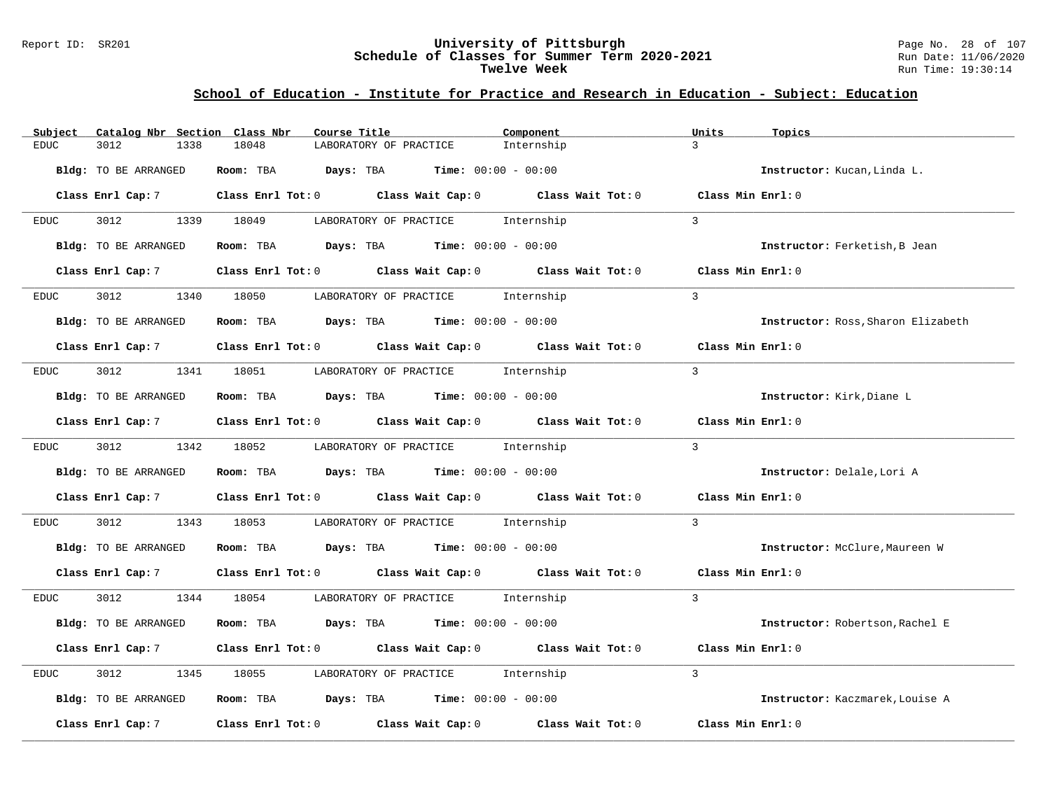#### Report ID: SR201 **University of Pittsburgh** Page No. 28 of 107 **Schedule of Classes for Summer Term 2020-2021** Run Date: 11/06/2020 **Twelve Week** Run Time: 19:30:14

| Subject              | Catalog Nbr Section Class Nbr<br>Course Title                                                      | Component                   | Units<br>Topics                    |
|----------------------|----------------------------------------------------------------------------------------------------|-----------------------------|------------------------------------|
| 3012<br>1338<br>EDUC | 18048<br>LABORATORY OF PRACTICE                                                                    | $\mathbf{3}$<br>Internship  |                                    |
| Bldg: TO BE ARRANGED | Room: TBA $Days:$ TBA $Time: 00:00 - 00:00$                                                        |                             | Instructor: Kucan, Linda L.        |
| Class Enrl Cap: 7    | Class Enrl Tot: $0$ Class Wait Cap: $0$ Class Wait Tot: $0$ Class Min Enrl: $0$                    |                             |                                    |
| 3012 200<br>EDUC     | 1339 18049<br>LABORATORY OF PRACTICE                                                               | $\mathcal{L}$<br>Internship |                                    |
| Bldg: TO BE ARRANGED | Room: TBA $Days:$ TBA $Time: 00:00 - 00:00$                                                        |                             | Instructor: Ferketish, B Jean      |
| Class Enrl Cap: 7    | Class Enrl Tot: $0$ Class Wait Cap: $0$ Class Wait Tot: $0$                                        |                             | Class Min Enrl: 0                  |
| 3012<br>EDUC         | 1340 18050<br>LABORATORY OF PRACTICE Internship                                                    | $\overline{3}$              |                                    |
| Bldg: TO BE ARRANGED | Room: TBA $Days:$ TBA $Time: 00:00 - 00:00$                                                        |                             | Instructor: Ross, Sharon Elizabeth |
|                      | Class Enrl Cap: 7 $\qquad$ Class Enrl Tot: 0 $\qquad$ Class Wait Cap: 0 $\qquad$ Class Wait Tot: 0 |                             | Class Min Enrl: 0                  |
| 3012<br>EDUC         | 1341 18051 LABORATORY OF PRACTICE Internship                                                       | $\overline{3}$              |                                    |
| Bldg: TO BE ARRANGED | Room: TBA $Days:$ TBA $Time: 00:00 - 00:00$                                                        |                             | Instructor: Kirk, Diane L          |
| Class Enrl Cap: 7    | Class Enrl Tot: $0$ Class Wait Cap: $0$ Class Wait Tot: $0$ Class Min Enrl: $0$                    |                             |                                    |
| EDUC                 | 3012 1342 18052<br>LABORATORY OF PRACTICE Internship                                               | $\overline{3}$              |                                    |
| Bldg: TO BE ARRANGED | Room: TBA $Days:$ TBA $Time: 00:00 - 00:00$                                                        |                             | Instructor: Delale, Lori A         |
| Class Enrl Cap: 7    | Class Enrl Tot: 0 Class Wait Cap: 0 Class Wait Tot: 0                                              |                             | Class Min Enrl: 0                  |
| 3012<br>EDUC         | 1343 18053<br>LABORATORY OF PRACTICE Internship                                                    | $\mathbf{3}$                |                                    |
| Bldg: TO BE ARRANGED | Room: TBA $Days:$ TBA $Time: 00:00 - 00:00$                                                        |                             | Instructor: McClure, Maureen W     |
|                      | Class Enrl Cap: 7 Class Enrl Tot: 0 Class Wait Cap: 0 Class Wait Tot: 0 Class Min Enrl: 0          |                             |                                    |
| 3012 200<br>EDUC     | 1344 18054 LABORATORY OF PRACTICE Internship                                                       | $\overline{3}$              |                                    |
| Bldg: TO BE ARRANGED | Room: TBA $Days:$ TBA $Time: 00:00 - 00:00$                                                        |                             | Instructor: Robertson, Rachel E    |
|                      | Class Enrl Cap: 7 Class Enrl Tot: 0 Class Wait Cap: 0 Class Wait Tot: 0                            |                             | Class Min Enrl: 0                  |
| 3012<br>EDUC         | LABORATORY OF PRACTICE internship<br>1345<br>18055                                                 | $\overline{3}$              |                                    |
| Bldg: TO BE ARRANGED | Room: TBA $Days:$ TBA $Time: 00:00 - 00:00$                                                        |                             | Instructor: Kaczmarek, Louise A    |
| Class Enrl Cap: 7    | Class Enrl Tot: 0 Class Wait Cap: 0                                                                | Class Wait Tot: 0           | Class Min Enrl: 0                  |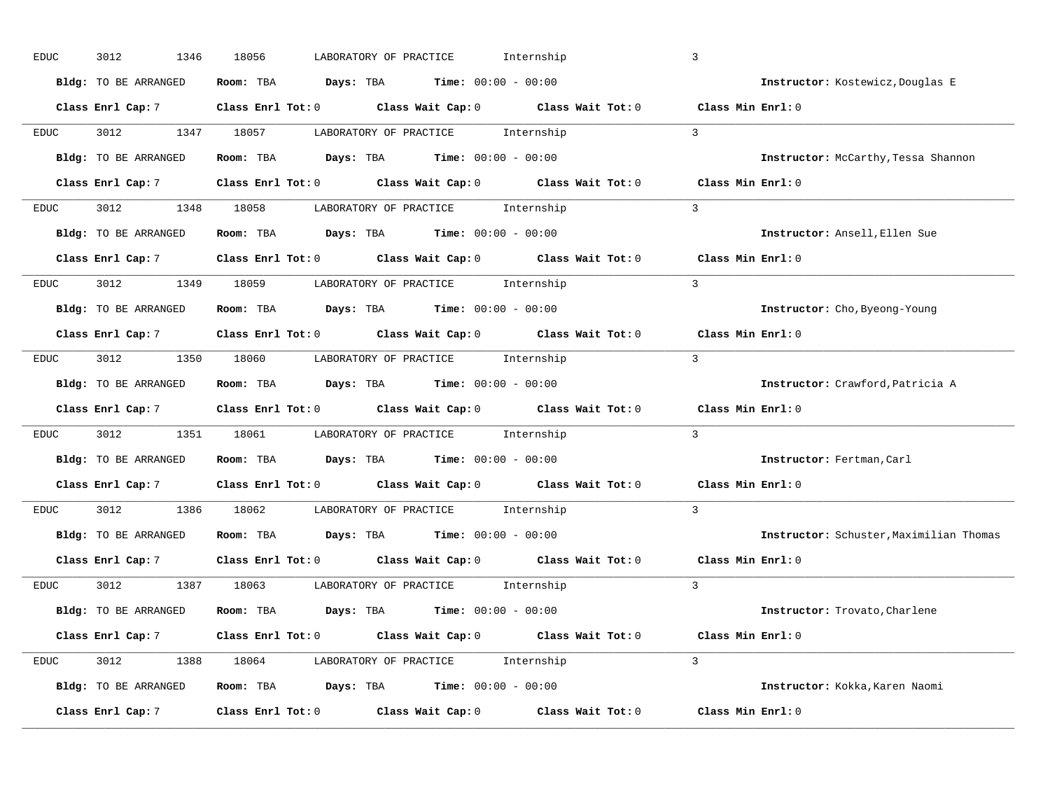| EDUC        | 3012<br>1346         | 18056<br>Internship<br>LABORATORY OF PRACTICE                                                                                 | $\overline{3}$                          |
|-------------|----------------------|-------------------------------------------------------------------------------------------------------------------------------|-----------------------------------------|
|             | Bldg: TO BE ARRANGED | Room: TBA $Days: TBA$ Time: $00:00 - 00:00$                                                                                   | Instructor: Kostewicz, Douglas E        |
|             |                      | Class Enrl Cap: 7 $\qquad$ Class Enrl Tot: 0 $\qquad$ Class Wait Cap: 0 $\qquad$ Class Wait Tot: 0 $\qquad$ Class Min Enrl: 0 |                                         |
| EDUC        | 3012                 | 1347 18057<br>LABORATORY OF PRACTICE Internship                                                                               | $\mathcal{L}$                           |
|             | Bldg: TO BE ARRANGED | Room: TBA $Days: TBA$ Time: $00:00 - 00:00$                                                                                   | Instructor: McCarthy, Tessa Shannon     |
|             | Class Enrl Cap: 7    | Class Enrl Tot: 0 $\qquad$ Class Wait Cap: 0 $\qquad$ Class Wait Tot: 0 $\qquad$ Class Min Enrl: 0                            |                                         |
| EDUC        |                      | 3012 1348 18058 LABORATORY OF PRACTICE Internship                                                                             | $\overline{3}$                          |
|             |                      | Bldg: TO BE ARRANGED Room: TBA Days: TBA Time: 00:00 - 00:00                                                                  | Instructor: Ansell, Ellen Sue           |
|             |                      | Class Enrl Cap: 7 $\qquad$ Class Enrl Tot: 0 $\qquad$ Class Wait Cap: 0 $\qquad$ Class Wait Tot: 0                            | Class Min Enrl: 0                       |
| EDUC        |                      | 3012 1349 18059 LABORATORY OF PRACTICE Internship                                                                             | $\overline{3}$                          |
|             | Bldg: TO BE ARRANGED | Room: TBA $Days:$ TBA $Time: 00:00 - 00:00$                                                                                   | Instructor: Cho, Byeong-Young           |
|             |                      | Class Enrl Cap: 7 Class Enrl Tot: 0 Class Wait Cap: 0 Class Wait Tot: 0                                                       | Class Min Enrl: 0                       |
| EDUC        |                      | 3012 1350 18060 LABORATORY OF PRACTICE Internship                                                                             | $\mathcal{R}$                           |
|             | Bldg: TO BE ARRANGED | <b>Room:</b> TBA $\qquad \qquad$ Days: TBA $\qquad \qquad$ Time: $00:00 - 00:00$                                              | Instructor: Crawford, Patricia A        |
|             |                      | Class Enrl Cap: 7 Class Enrl Tot: 0 Class Wait Cap: 0 Class Wait Tot: 0                                                       | Class Min Enrl: 0                       |
| EDUC        |                      | 3012 1351 18061 LABORATORY OF PRACTICE Internship                                                                             | $\overline{3}$                          |
|             | Bldg: TO BE ARRANGED | Room: TBA $Days:$ TBA $Time: 00:00 - 00:00$                                                                                   | Instructor: Fertman, Carl               |
|             |                      | Class Enrl Cap: 7 Class Enrl Tot: 0 Class Wait Cap: 0 Class Wait Tot: 0                                                       | Class Min Enrl: 0                       |
| <b>EDUC</b> | 3012 2012            | 1386 18062 LABORATORY OF PRACTICE<br>Internship                                                                               | $\overline{3}$                          |
|             | Bldg: TO BE ARRANGED | Room: TBA $Days:$ TBA Time: $00:00 - 00:00$                                                                                   | Instructor: Schuster, Maximilian Thomas |
|             |                      | Class Enrl Cap: 7 $\qquad$ Class Enrl Tot: 0 $\qquad$ Class Wait Cap: 0 $\qquad$ Class Wait Tot: 0                            | Class Min Enrl: 0                       |
| <b>EDUC</b> |                      | 3012 1387 18063 LABORATORY OF PRACTICE Internship                                                                             | $\mathcal{L}$                           |
|             | Bldg: TO BE ARRANGED | Room: TBA $Days:$ TBA $Time: 00:00 - 00:00$                                                                                   | Instructor: Trovato, Charlene           |
|             | Class Enrl Cap: 7    | Class Enrl Tot: 0 $\qquad$ Class Wait Cap: 0 $\qquad$ Class Wait Tot: 0 $\qquad$ Class Min Enrl: 0                            |                                         |
| <b>EDUC</b> |                      | 3012 1388 18064 LABORATORY OF PRACTICE Internship                                                                             | $\mathcal{L}$                           |
|             |                      | Bldg: TO BE ARRANGED Room: TBA Days: TBA Time: 00:00 - 00:00                                                                  | Instructor: Kokka, Karen Naomi          |
|             | Class Enrl Cap: 7    | Class Enrl Tot: 0 Class Wait Cap: 0<br>Class Wait Tot: 0                                                                      | Class Min Enrl: 0                       |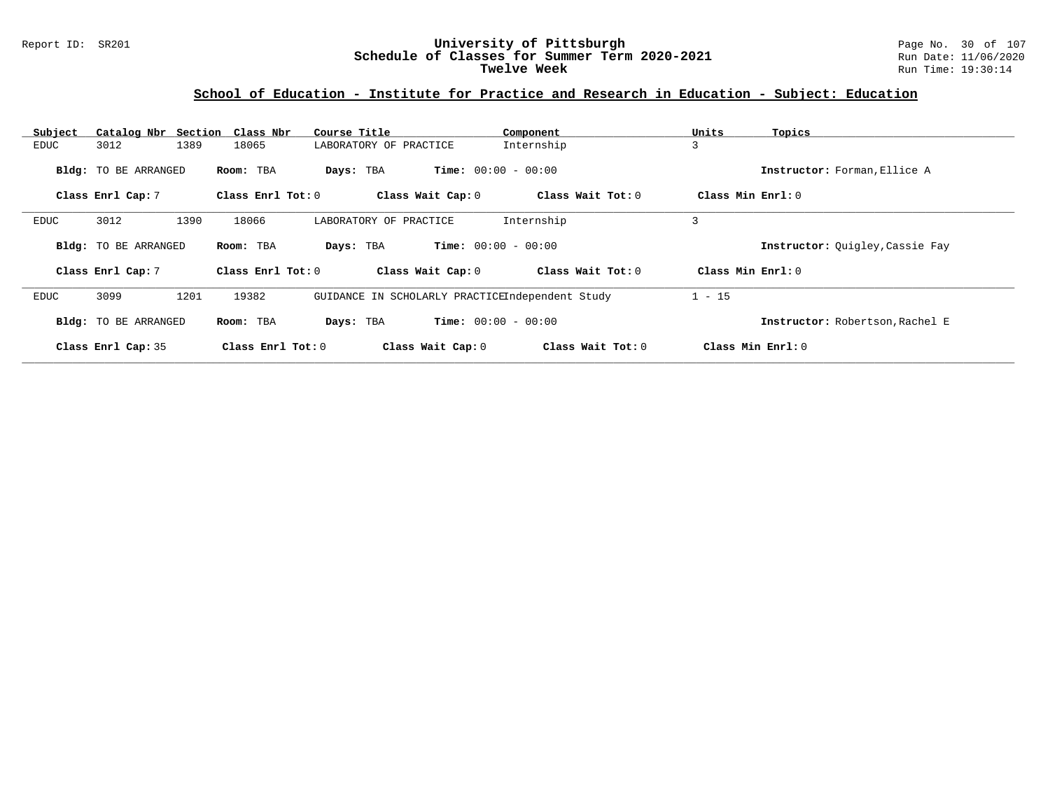#### Report ID: SR201 **University of Pittsburgh** Page No. 30 of 107 **Schedule of Classes for Summer Term 2020-2021** Run Date: 11/06/2020 **Twelve Week** Run Time: 19:30:14

| Subject |                      | Catalog Nbr Section Class Nbr | Course Title                                    | Component                    | Units<br>Topics                 |  |
|---------|----------------------|-------------------------------|-------------------------------------------------|------------------------------|---------------------------------|--|
| EDUC    | 3012                 | 1389<br>18065                 | LABORATORY OF PRACTICE                          | Internship                   | 3                               |  |
|         | Bldg: TO BE ARRANGED | Room: TBA                     | Days: TBA                                       | <b>Time:</b> $00:00 - 00:00$ | Instructor: Forman, Ellice A    |  |
|         | Class Enrl Cap: 7    | Class Enrl Tot: 0             | Class Wait Cap: 0                               | Class Wait Tot: 0            | Class Min Enrl: 0               |  |
| EDUC    | 3012                 | 1390<br>18066                 | LABORATORY OF PRACTICE                          | Internship                   | 3                               |  |
|         | Bldg: TO BE ARRANGED | Room: TBA                     | Days: TBA                                       | <b>Time:</b> $00:00 - 00:00$ | Instructor: Quigley, Cassie Fay |  |
|         | Class Enrl Cap: 7    | Class Enrl Tot: 0             | Class Wait Cap: 0                               | Class Wait Tot: 0            | Class Min Enrl: 0               |  |
| EDUC    | 3099                 | 1201<br>19382                 | GUIDANCE IN SCHOLARLY PRACTICEIndependent Study |                              | $1 - 15$                        |  |
|         | Bldg: TO BE ARRANGED | Room: TBA                     | Days: TBA                                       | <b>Time:</b> $00:00 - 00:00$ | Instructor: Robertson, Rachel E |  |
|         | Class Enrl Cap: 35   | Class Enrl Tot: $0$           | Class Wait Cap: 0                               | Class Wait Tot: 0            | Class Min Enrl: 0               |  |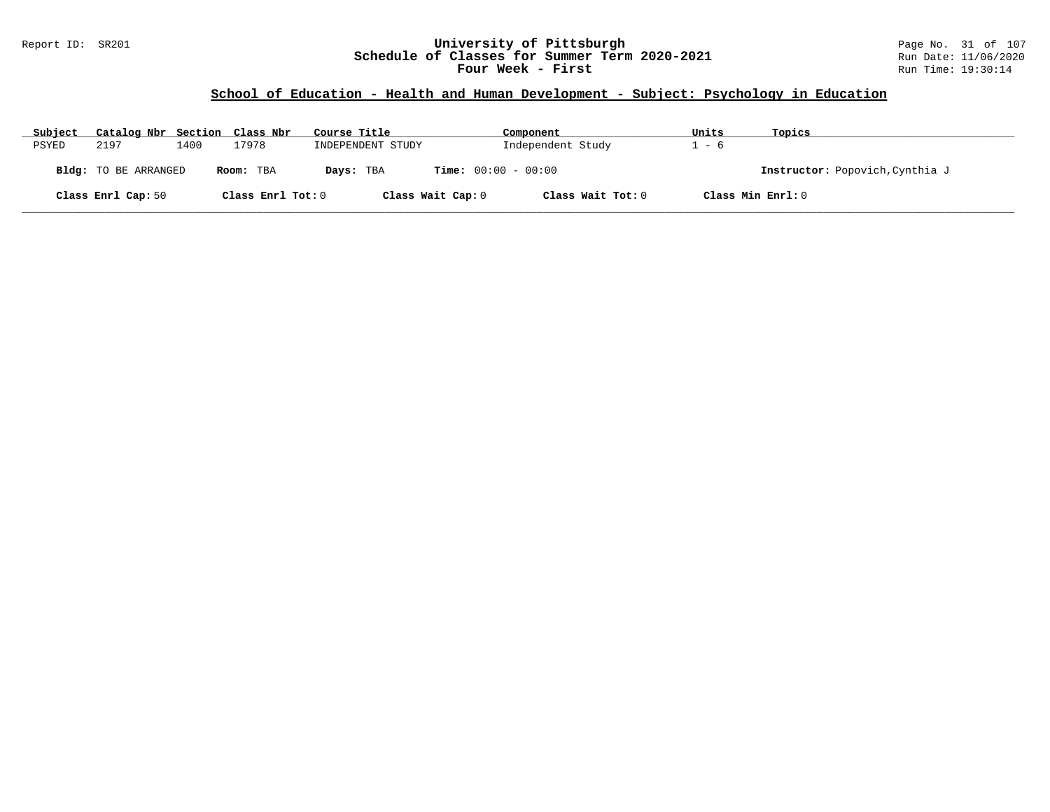### Report ID: SR201 **University of Pittsburgh** Page No. 31 of 107 **Schedule of Classes for Summer Term 2020-2021** Run Date: 11/06/2020 **Four Week - First** Run Time: 19:30:14

### **School of Education - Health and Human Development - Subject: Psychology in Education**

| Subject | Catalog Nbr Section Class Nbr |      |                   | Course Title      | Component                    | Units             | Topics                          |
|---------|-------------------------------|------|-------------------|-------------------|------------------------------|-------------------|---------------------------------|
| PSYED   | 2197                          | 1400 | 17978             | INDEPENDENT STUDY | Independent Study            | $-6$              |                                 |
|         | Bldg: TO BE ARRANGED          |      | Room: TBA         | Days: TBA         | <b>Time:</b> $00:00 - 00:00$ |                   | Instructor: Popovich, Cynthia J |
|         | Class Enrl Cap: 50            |      | Class Enrl Tot: 0 | Class Wait Cap: 0 | Class Wait Tot: 0            | Class Min Enrl: 0 |                                 |

**\_\_\_\_\_\_\_\_\_\_\_\_\_\_\_\_\_\_\_\_\_\_\_\_\_\_\_\_\_\_\_\_\_\_\_\_\_\_\_\_\_\_\_\_\_\_\_\_\_\_\_\_\_\_\_\_\_\_\_\_\_\_\_\_\_\_\_\_\_\_\_\_\_\_\_\_\_\_\_\_\_\_\_\_\_\_\_\_\_\_\_\_\_\_\_\_\_\_\_\_\_\_\_\_\_\_\_\_\_\_\_\_\_\_\_\_\_\_\_\_\_\_\_\_\_\_\_\_\_\_\_\_\_\_\_\_\_\_\_\_\_\_\_\_\_\_\_\_\_\_\_\_\_\_\_\_**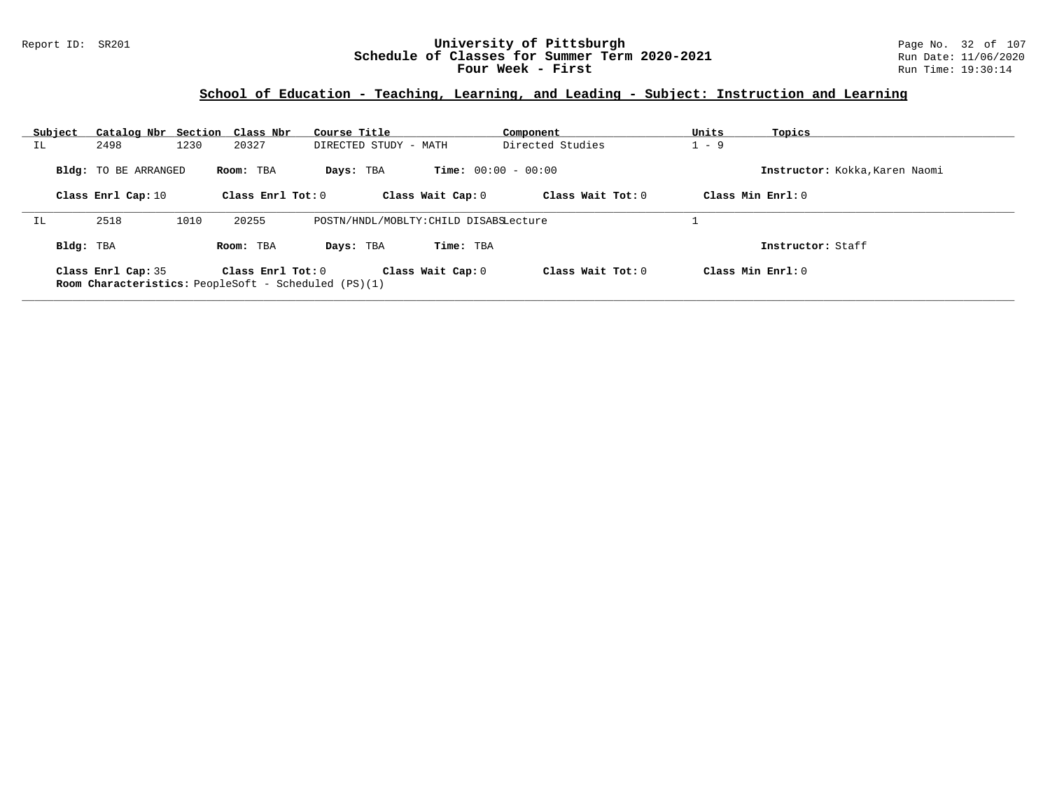### Report ID: SR201 **University of Pittsburgh** Page No. 32 of 107 **Schedule of Classes for Summer Term 2020-2021** Run Date: 11/06/2020 **Four Week - First** Run Time: 19:30:14

### **School of Education - Teaching, Learning, and Leading - Subject: Instruction and Learning**

| Subject   | Catalog Nbr Section Class Nbr |      |                     | Course Title                                                |                              | Component           | Units   | Topics                         |
|-----------|-------------------------------|------|---------------------|-------------------------------------------------------------|------------------------------|---------------------|---------|--------------------------------|
| IL.       | 2498                          | 1230 | 20327               | DIRECTED STUDY - MATH                                       |                              | Directed Studies    | $1 - 9$ |                                |
|           | <b>Bldg:</b> TO BE ARRANGED   |      | Room: TBA           | Days: TBA                                                   | <b>Time:</b> $00:00 - 00:00$ |                     |         | Instructor: Kokka, Karen Naomi |
|           | Class Enrl Cap: 10            |      | Class Enrl Tot: 0   |                                                             | Class Wait Cap: 0            | Class Wait Tot: 0   |         | Class Min $Enrl: 0$            |
| IL        | 2518                          | 1010 | 20255               | POSTN/HNDL/MOBLTY: CHILD DISABSLecture                      |                              |                     |         |                                |
| Bldg: TBA |                               |      | Room: TBA           | Days: TBA                                                   | Time: TBA                    |                     |         | Instructor: Staff              |
|           | Class Enrl Cap: 35            |      | Class Enrl Tot: $0$ | <b>Room Characteristics:</b> PeopleSoft - Scheduled (PS)(1) | Class Wait Cap: 0            | Class Wait $Tot: 0$ |         | Class Min $Enrl: 0$            |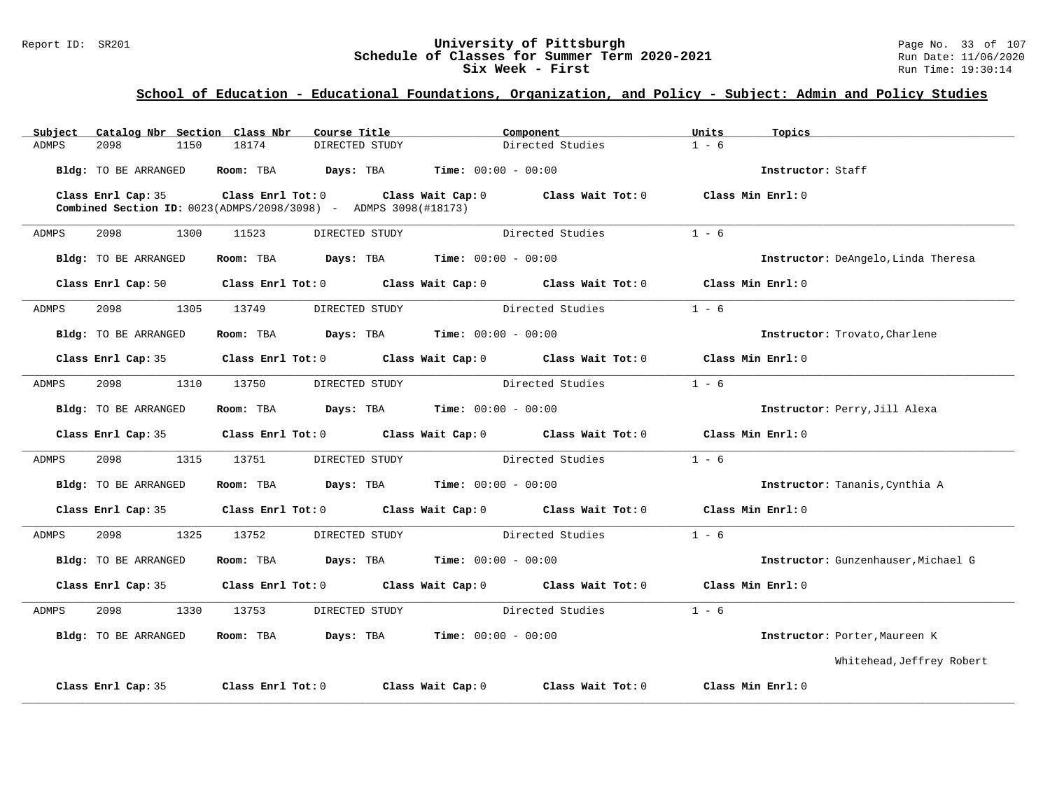### Report ID: SR201 **University of Pittsburgh University of Pittsburgh** Page No. 33 of 107<br>**Schedule of Classes for Summer Term 2020-2021** Run Date: 11/06/2020 **Schedule of Classes for Summer Term 2020-2021** Run Date: 11/06/2021<br>**Six Week - First** Run Time: 19:30:14 **Six Week - First**

| Catalog Nbr Section Class Nbr<br>Subject | Course Title                                                           | Component                                                                                  | Units<br>Topics                     |
|------------------------------------------|------------------------------------------------------------------------|--------------------------------------------------------------------------------------------|-------------------------------------|
| 2098<br>1150<br>ADMPS                    | 18174<br>DIRECTED STUDY                                                | Directed Studies                                                                           | $1 - 6$                             |
| Bldg: TO BE ARRANGED                     | Room: TBA $Days:$ TBA $Time: 00:00 - 00:00$                            |                                                                                            | Instructor: Staff                   |
| Class Enrl Cap: 35                       | <b>Combined Section ID:</b> 0023(ADMPS/2098/3098) - ADMPS 3098(#18173) | Class Enrl Tot: $0$ Class Wait Cap: $0$ Class Wait Tot: $0$ Class Min Enrl: $0$            |                                     |
| ADMPS<br>2098<br>1300                    | 11523<br>DIRECTED STUDY                                                | Directed Studies                                                                           | $1 - 6$                             |
| Bldg: TO BE ARRANGED                     | Room: TBA $Days: TBA$ Time: $00:00 - 00:00$                            |                                                                                            | Instructor: DeAngelo, Linda Theresa |
|                                          |                                                                        | Class Enrl Cap: 50 Class Enrl Tot: 0 Class Wait Cap: 0 Class Wait Tot: 0 Class Min Enrl: 0 |                                     |
| 2098<br>ADMPS                            | 1305 13749<br>DIRECTED STUDY                                           | Directed Studies                                                                           | $1 - 6$                             |
| Bldg: TO BE ARRANGED                     | Room: TBA $Days: TBA$ Time: $00:00 - 00:00$                            |                                                                                            | Instructor: Trovato, Charlene       |
|                                          |                                                                        | Class Enrl Cap: 35 Class Enrl Tot: 0 Class Wait Cap: 0 Class Wait Tot: 0 Class Min Enrl: 0 |                                     |
| 2098 — 100<br>ADMPS                      | 1310 13750<br>DIRECTED STUDY                                           | Directed Studies                                                                           | $1 - 6$                             |
| Bldg: TO BE ARRANGED                     | Room: TBA $Days: TBA$ Time: $00:00 - 00:00$                            |                                                                                            | Instructor: Perry, Jill Alexa       |
|                                          |                                                                        | Class Enrl Cap: 35 Class Enrl Tot: 0 Class Wait Cap: 0 Class Wait Tot: 0 Class Min Enrl: 0 |                                     |
| 2098 — 100<br>ADMPS                      | 1315 13751<br>DIRECTED STUDY                                           | Directed Studies                                                                           | $1 - 6$                             |
| Bldg: TO BE ARRANGED                     | Room: TBA                                                              | $\texttt{Davis:}$ TBA $\texttt{Time:}$ 00:00 - 00:00                                       | Instructor: Tananis, Cynthia A      |
| Class Enrl Cap: 35                       |                                                                        | Class Enrl Tot: $0$ Class Wait Cap: $0$ Class Wait Tot: $0$                                | Class Min Enrl: 0                   |
| 2098 70<br>1325<br>ADMPS                 | 13752<br>DIRECTED STUDY                                                | Directed Studies                                                                           | $1 - 6$                             |
| Bldg: TO BE ARRANGED                     | Room: TBA                                                              | <b>Days:</b> TBA <b>Time:</b> $00:00 - 00:00$                                              | Instructor: Gunzenhauser, Michael G |
| Class Enrl Cap: 35                       |                                                                        | Class Enrl Tot: 0 Class Wait Cap: 0 Class Wait Tot: 0                                      | Class Min Enrl: 0                   |
| 2098<br>1330<br>ADMPS                    | 13753<br>DIRECTED STUDY                                                | Directed Studies                                                                           | $1 - 6$                             |
| Bldg: TO BE ARRANGED                     | Room: TBA $Days: TBA$ Time: $00:00 - 00:00$                            |                                                                                            | Instructor: Porter, Maureen K       |
|                                          |                                                                        |                                                                                            | Whitehead, Jeffrey Robert           |
| Class Enrl Cap: 35                       | Class Enrl Tot: 0<br>Class Wait Cap: 0                                 | Class Wait Tot: 0                                                                          | Class Min Enrl: 0                   |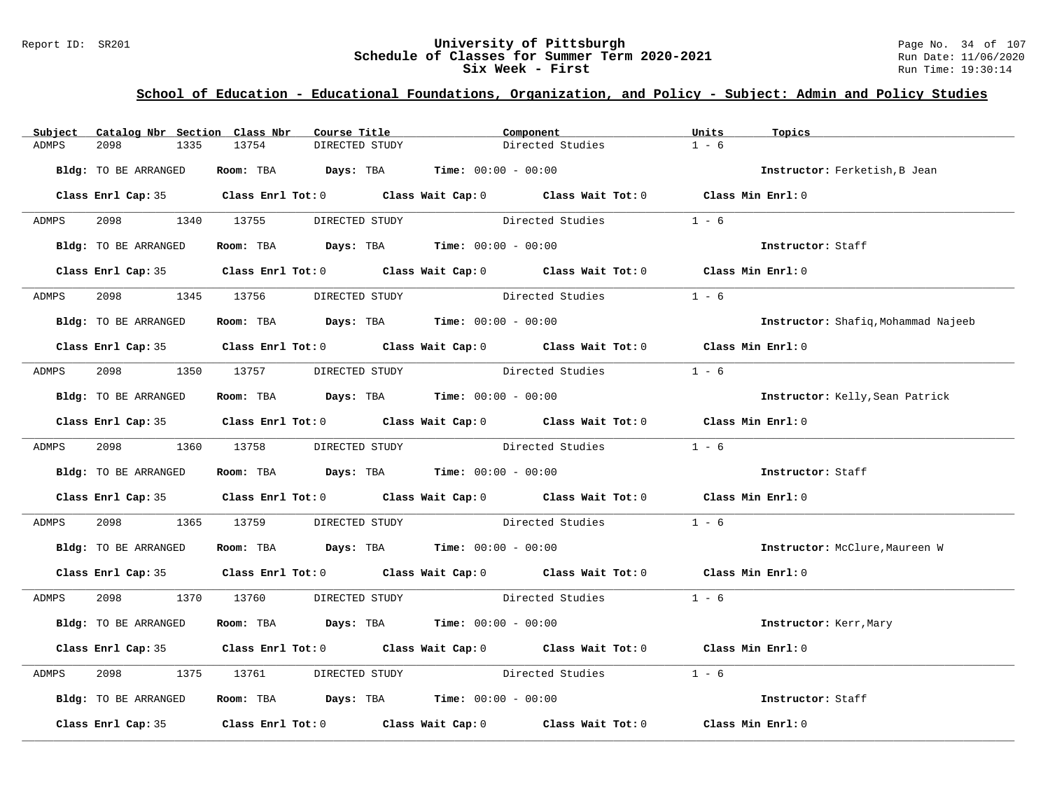### Report ID: SR201 **University of Pittsburgh University of Pittsburgh** Page No. 34 of 107<br>**Schedule of Classes for Summer Term 2020-2021** Run Date: 11/06/2020 **Schedule of Classes for Summer Term 2020-2021** Run Date: 11/06/2021<br>**Six Week - First** Run Time: 19:30:14 **Six Week - First**

| Subject | Catalog Nbr Section Class Nbr  |      |            | Course Title   |                                                                                          | Component                                                                                  | Units   | Topics                              |
|---------|--------------------------------|------|------------|----------------|------------------------------------------------------------------------------------------|--------------------------------------------------------------------------------------------|---------|-------------------------------------|
| ADMPS   | 2098                           | 1335 | 13754      | DIRECTED STUDY |                                                                                          | Directed Studies                                                                           | $1 - 6$ |                                     |
|         | Bldg: TO BE ARRANGED           |      |            |                | Room: TBA $Days:$ TBA $Time: 00:00 - 00:00$                                              |                                                                                            |         | Instructor: Ferketish, B Jean       |
|         |                                |      |            |                |                                                                                          | Class Enrl Cap: 35 Class Enrl Tot: 0 Class Wait Cap: 0 Class Wait Tot: 0 Class Min Enrl: 0 |         |                                     |
| ADMPS   | 2098 1340 13755                |      |            | DIRECTED STUDY |                                                                                          | Directed Studies                                                                           | $1 - 6$ |                                     |
|         | Bldg: TO BE ARRANGED           |      |            |                | Room: TBA Days: TBA Time: $00:00 - 00:00$                                                |                                                                                            |         | Instructor: Staff                   |
|         |                                |      |            |                |                                                                                          | Class Enrl Cap: 35 Class Enrl Tot: 0 Class Wait Cap: 0 Class Wait Tot: 0 Class Min Enrl: 0 |         |                                     |
| ADMPS   | 2098 1345 13756 DIRECTED STUDY |      |            |                |                                                                                          | Directed Studies                                                                           | $1 - 6$ |                                     |
|         | Bldg: TO BE ARRANGED           |      |            |                | Room: TBA $\rule{1em}{0.15mm}$ Days: TBA $\rule{1.15mm}]{0.15mm}$ Time: $0.000 - 0.0000$ |                                                                                            |         | Instructor: Shafiq, Mohammad Najeeb |
|         |                                |      |            |                |                                                                                          | Class Enrl Cap: 35 Class Enrl Tot: 0 Class Wait Cap: 0 Class Wait Tot: 0 Class Min Enrl: 0 |         |                                     |
| ADMPS   | 2098 70                        |      | 1350 13757 |                |                                                                                          | DIRECTED STUDY Directed Studies                                                            | $1 - 6$ |                                     |
|         | Bldg: TO BE ARRANGED           |      |            |                | Room: TBA $\rule{1em}{0.15mm}$ Days: TBA Time: $00:00 - 00:00$                           |                                                                                            |         | Instructor: Kelly, Sean Patrick     |
|         |                                |      |            |                |                                                                                          | Class Enrl Cap: 35 Class Enrl Tot: 0 Class Wait Cap: 0 Class Wait Tot: 0 Class Min Enrl: 0 |         |                                     |
| ADMPS   |                                |      |            |                |                                                                                          | 2098 1360 13758 DIRECTED STUDY Directed Studies                                            | $1 - 6$ |                                     |
|         | Bldg: TO BE ARRANGED           |      |            |                | Room: TBA $Days:$ TBA $Time: 00:00 - 00:00$                                              |                                                                                            |         | Instructor: Staff                   |
|         |                                |      |            |                |                                                                                          | Class Enrl Cap: 35 Class Enrl Tot: 0 Class Wait Cap: 0 Class Wait Tot: 0 Class Min Enrl: 0 |         |                                     |
| ADMPS   | 2098 — 100                     |      | 1365 13759 |                |                                                                                          | DIRECTED STUDY Directed Studies                                                            | $1 - 6$ |                                     |
|         | Bldg: TO BE ARRANGED           |      |            |                | Room: TBA $Days:$ TBA $Time: 00:00 - 00:00$                                              |                                                                                            |         | Instructor: McClure, Maureen W      |
|         |                                |      |            |                |                                                                                          | Class Enrl Cap: 35 Class Enrl Tot: 0 Class Wait Cap: 0 Class Wait Tot: 0 Class Min Enrl: 0 |         |                                     |
| ADMPS   |                                |      |            |                |                                                                                          | 2098 1370 13760 DIRECTED STUDY Directed Studies 1 - 6                                      |         |                                     |
|         | Bldg: TO BE ARRANGED           |      |            |                | Room: TBA $Days:$ TBA $Time: 00:00 - 00:00$                                              |                                                                                            |         | Instructor: Kerr, Mary              |
|         |                                |      |            |                |                                                                                          | Class Enrl Cap: 35 Class Enrl Tot: 0 Class Wait Cap: 0 Class Wait Tot: 0 Class Min Enrl: 0 |         |                                     |
| ADMPS   | 2098                           |      | 1375 13761 |                |                                                                                          | DIRECTED STUDY Directed Studies                                                            | $1 - 6$ |                                     |
|         | Bldg: TO BE ARRANGED           |      |            |                | Room: TBA $\rule{1em}{0.15mm}$ Days: TBA $\rule{1.15mm}]{0.15mm}$ Time: $00:00 - 00:00$  |                                                                                            |         | Instructor: Staff                   |
|         |                                |      |            |                |                                                                                          | Class Enrl Cap: 35 Class Enrl Tot: 0 Class Wait Cap: 0 Class Wait Tot: 0 Class Min Enrl: 0 |         |                                     |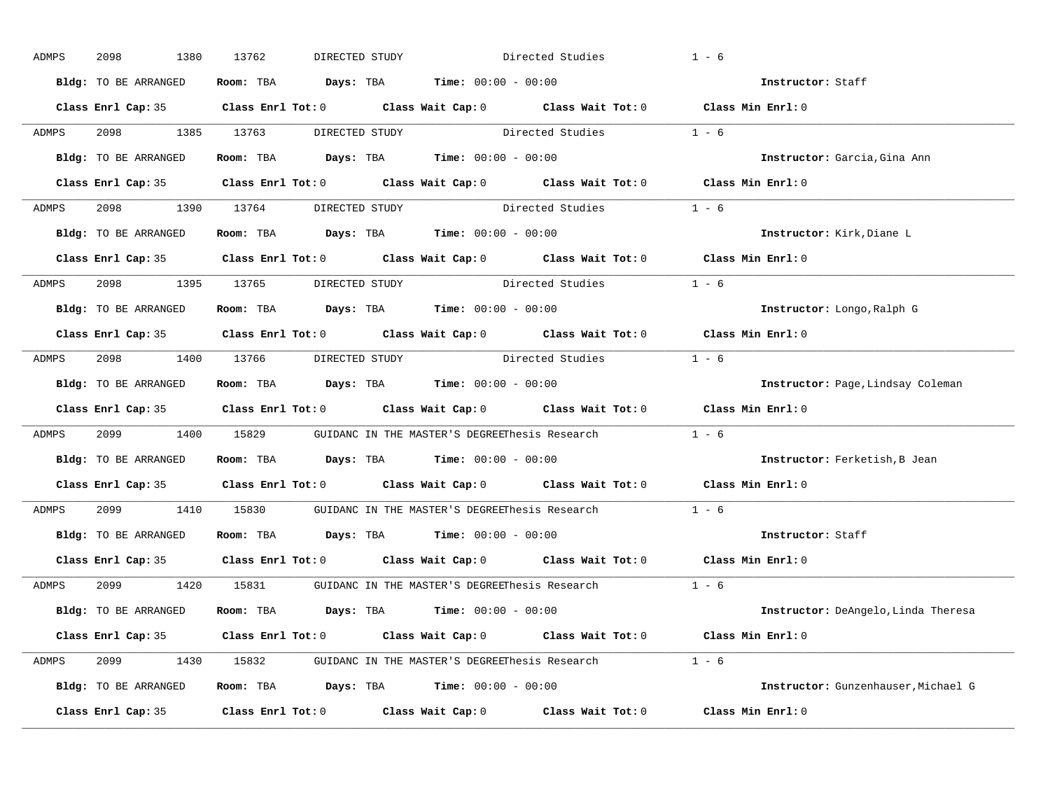| ADMPS | 2098<br>1380         | 13762<br>DIRECTED STUDY        |                                                                                            | Directed Studies | $1 - 6$                             |
|-------|----------------------|--------------------------------|--------------------------------------------------------------------------------------------|------------------|-------------------------------------|
|       | Bldg: TO BE ARRANGED |                                | Room: TBA $Days:$ TBA $Time: 00:00 - 00:00$                                                |                  | Instructor: Staff                   |
|       |                      |                                | Class Enrl Cap: 35 Class Enrl Tot: 0 Class Wait Cap: 0 Class Wait Tot: 0 Class Min Enrl: 0 |                  |                                     |
| ADMPS | 2098 1385 13763      |                                | DIRECTED STUDY Directed Studies 1 - 6                                                      |                  |                                     |
|       | Bldg: TO BE ARRANGED |                                | Room: TBA $Days:$ TBA Time: $00:00 - 00:00$                                                |                  | Instructor: Garcia, Gina Ann        |
|       |                      |                                | Class Enrl Cap: 35 Class Enrl Tot: 0 Class Wait Cap: 0 Class Wait Tot: 0 Class Min Enrl: 0 |                  |                                     |
|       |                      |                                | ADMPS 2098 1390 13764 DIRECTED STUDY Directed Studies 1 - 6                                |                  |                                     |
|       |                      |                                | Bldg: TO BE ARRANGED Room: TBA Days: TBA Time: 00:00 - 00:00                               |                  | Instructor: Kirk, Diane L           |
|       |                      |                                | Class Enrl Cap: 35 Class Enrl Tot: 0 Class Wait Cap: 0 Class Wait Tot: 0 Class Min Enrl: 0 |                  |                                     |
| ADMPS |                      | 2098 1395 13765 DIRECTED STUDY | Directed Studies                                                                           |                  | $1 - 6$                             |
|       | Bldg: TO BE ARRANGED |                                | Room: TBA $Days:$ TBA $Time: 00:00 - 00:00$                                                |                  | Instructor: Longo, Ralph G          |
|       |                      |                                | Class Enrl Cap: 35 Class Enrl Tot: 0 Class Wait Cap: 0 Class Wait Tot: 0 Class Min Enrl: 0 |                  |                                     |
| ADMPS |                      |                                | 2098 1400 13766 DIRECTED STUDY Directed Studies 1 - 6                                      |                  |                                     |
|       | Bldg: TO BE ARRANGED |                                | Room: TBA $Days:$ TBA $Time: 00:00 - 00:00$                                                |                  | Instructor: Page, Lindsay Coleman   |
|       |                      |                                | Class Enrl Cap: 35 Class Enrl Tot: 0 Class Wait Cap: 0 Class Wait Tot: 0 Class Min Enrl: 0 |                  |                                     |
| ADMPS |                      |                                | 2099 1400 15829 GUIDANC IN THE MASTER'S DEGREEThesis Research 1 - 6                        |                  |                                     |
|       | Bldg: TO BE ARRANGED |                                | Room: TBA $Days:$ TBA $Time: 00:00 - 00:00$                                                |                  | Instructor: Ferketish, B Jean       |
|       |                      |                                | Class Enrl Cap: 35 Class Enrl Tot: 0 Class Wait Cap: 0 Class Wait Tot: 0                   |                  | Class Min Enrl: 0                   |
| ADMPS |                      |                                | 2099 1410 15830 GUIDANC IN THE MASTER'S DEGREEThesis Research                              |                  | $1 - 6$                             |
|       |                      |                                | Bldg: TO BE ARRANGED Room: TBA Days: TBA Time: 00:00 - 00:00                               |                  | Instructor: Staff                   |
|       |                      |                                | Class Enrl Cap: 35 Class Enrl Tot: 0 Class Wait Cap: 0 Class Wait Tot: 0                   |                  | Class Min Enrl: 0                   |
| ADMPS |                      |                                | 2099 1420 15831 GUIDANC IN THE MASTER'S DEGREEThesis Research                              |                  | $1 - 6$                             |
|       | Bldg: TO BE ARRANGED |                                | Room: TBA $Days:$ TBA $Time: 00:00 - 00:00$                                                |                  | Instructor: DeAngelo, Linda Theresa |
|       |                      |                                | Class Enrl Cap: 35 Class Enrl Tot: 0 Class Wait Cap: 0 Class Wait Tot: 0 Class Min Enrl: 0 |                  |                                     |
| ADMPS |                      |                                | 2099 1430 15832 GUIDANC IN THE MASTER'S DEGREEThesis Research 1 - 6                        |                  |                                     |
|       | Bldg: TO BE ARRANGED |                                | Room: TBA $Days: TBA$ Time: $00:00 - 00:00$                                                |                  | Instructor: Gunzenhauser, Michael G |
|       | Class Enrl Cap: 35   |                                | Class Enrl Tot: $0$ Class Wait Cap: $0$ Class Wait Tot: $0$                                |                  | Class Min Enrl: 0                   |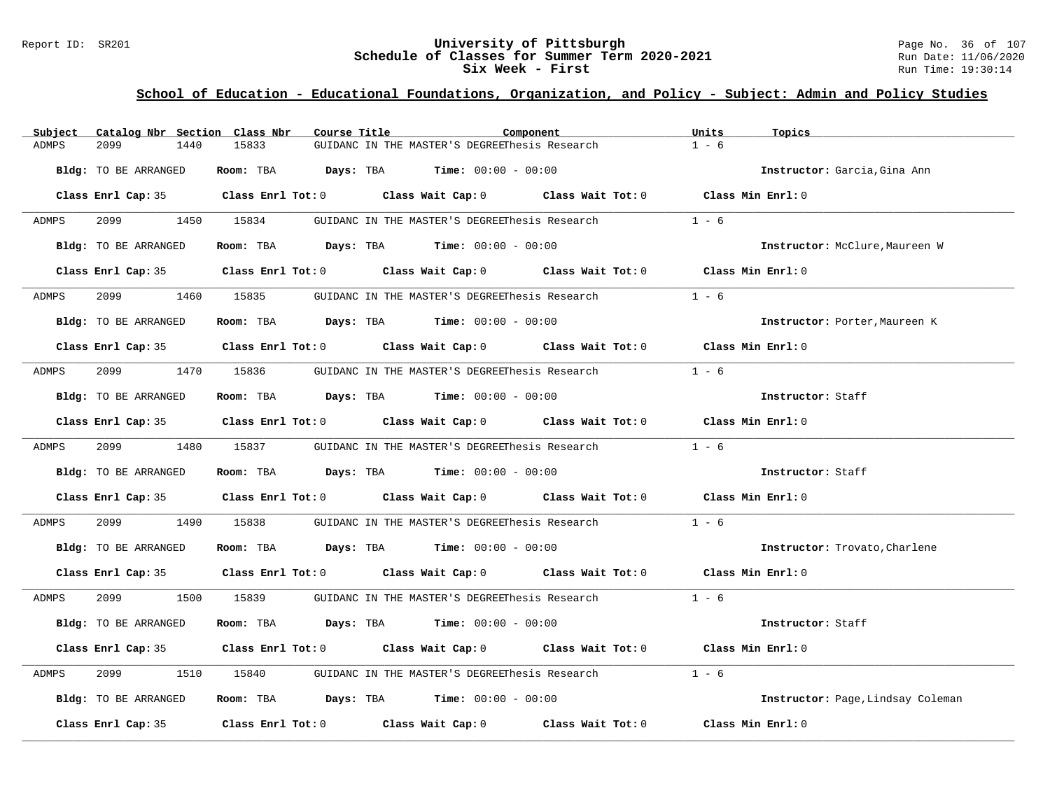### Report ID: SR201 **University of Pittsburgh University of Pittsburgh** Page No. 36 of 107<br>**Schedule of Classes for Summer Term 2020-2021** Run Date: 11/06/2020 **Schedule of Classes for Summer Term 2020-2021** Run Date: 11/06/2021<br>**Six Week - First** Run Time: 19:30:14 **Six Week - First**

| Subject |                             | Catalog Nbr Section Class Nbr | Course Title |                                                                                       | Component                                                                                           | Units             | Topics                            |
|---------|-----------------------------|-------------------------------|--------------|---------------------------------------------------------------------------------------|-----------------------------------------------------------------------------------------------------|-------------------|-----------------------------------|
| ADMPS   | 2099                        | 1440<br>15833                 |              | GUIDANC IN THE MASTER'S DEGREEThesis Research                                         |                                                                                                     | $1 - 6$           |                                   |
|         | Bldg: TO BE ARRANGED        |                               |              | Room: TBA $Days: TBA$ Time: $00:00 - 00:00$                                           |                                                                                                     |                   | Instructor: Garcia, Gina Ann      |
|         |                             |                               |              |                                                                                       | Class Enrl Cap: 35 $\qquad$ Class Enrl Tot: 0 $\qquad$ Class Wait Cap: 0 $\qquad$ Class Wait Tot: 0 | Class Min Enrl: 0 |                                   |
| ADMPS   |                             |                               |              | 2099 1450 15834 GUIDANC IN THE MASTER'S DEGREEThesis Research                         |                                                                                                     | $1 - 6$           |                                   |
|         | Bldg: TO BE ARRANGED        |                               |              | Room: TBA $Days:$ TBA $Time: 00:00 - 00:00$                                           |                                                                                                     |                   | Instructor: McClure, Maureen W    |
|         |                             |                               |              |                                                                                       | Class Enrl Cap: 35 Class Enrl Tot: 0 Class Wait Cap: 0 Class Wait Tot: 0 Class Min Enrl: 0          |                   |                                   |
| ADMPS   |                             | 2099 1460 15835               |              |                                                                                       | GUIDANC IN THE MASTER'S DEGREEThesis Research                                                       | $1 - 6$           |                                   |
|         | Bldg: TO BE ARRANGED        |                               |              | Room: TBA $\rule{1em}{0.15mm}$ Days: TBA $\rule{1.5mm}{0.15mm}$ Time: $00:00 - 00:00$ |                                                                                                     |                   | Instructor: Porter, Maureen K     |
|         |                             |                               |              |                                                                                       | Class Enrl Cap: 35 Class Enrl Tot: 0 Class Wait Cap: 0 Class Wait Tot: 0 Class Min Enrl: 0          |                   |                                   |
| ADMPS   | 2099                        | 1470 15836                    |              |                                                                                       | GUIDANC IN THE MASTER'S DEGREEThesis Research                                                       | $1 - 6$           |                                   |
|         | <b>Bldg:</b> TO BE ARRANGED |                               |              | Room: TBA $Days:$ TBA $Time: 00:00 - 00:00$                                           |                                                                                                     |                   | Instructor: Staff                 |
|         |                             |                               |              |                                                                                       | Class Enrl Cap: 35 Class Enrl Tot: 0 Class Wait Cap: 0 Class Wait Tot: 0 Class Min Enrl: 0          |                   |                                   |
| ADMPS   |                             |                               |              |                                                                                       | 2099 1480 15837 GUIDANC IN THE MASTER'S DEGREEThesis Research 1 - 6                                 |                   |                                   |
|         | Bldg: TO BE ARRANGED        |                               |              | Room: TBA $Days:$ TBA $Time: 00:00 - 00:00$                                           |                                                                                                     |                   | Instructor: Staff                 |
|         |                             |                               |              |                                                                                       | Class Enrl Cap: 35 Class Enrl Tot: 0 Class Wait Cap: 0 Class Wait Tot: 0 Class Min Enrl: 0          |                   |                                   |
| ADMPS   | 2099                        | 1490<br>15838                 |              | GUIDANC IN THE MASTER'S DEGREEThesis Research                                         |                                                                                                     | $1 - 6$           |                                   |
|         | Bldg: TO BE ARRANGED        |                               |              | Room: TBA $Days:$ TBA $Time: 00:00 - 00:00$                                           |                                                                                                     |                   | Instructor: Trovato, Charlene     |
|         |                             |                               |              |                                                                                       | Class Enrl Cap: 35 Class Enrl Tot: 0 Class Wait Cap: 0 Class Wait Tot: 0 Class Min Enrl: 0          |                   |                                   |
| ADMPS   |                             |                               |              |                                                                                       | 2099 1500 15839 GUIDANC IN THE MASTER'S DEGREEThesis Research 1 - 6                                 |                   |                                   |
|         | Bldg: TO BE ARRANGED        |                               |              | Room: TBA $Days: TBA$ Time: $00:00 - 00:00$                                           |                                                                                                     |                   | Instructor: Staff                 |
|         |                             |                               |              |                                                                                       | Class Enrl Cap: 35 Class Enrl Tot: 0 Class Wait Cap: 0 Class Wait Tot: 0 Class Min Enrl: 0          |                   |                                   |
| ADMPS   | 2099                        |                               |              |                                                                                       | 1510 15840 GUIDANC IN THE MASTER'S DEGREEThesis Research                                            | $1 - 6$           |                                   |
|         | Bldg: TO BE ARRANGED        |                               |              | Room: TBA $Days:$ TBA $Time: 00:00 - 00:00$                                           |                                                                                                     |                   | Instructor: Page, Lindsay Coleman |
|         | Class Enrl Cap: 35          |                               |              |                                                                                       | Class Enrl Tot: $0$ Class Wait Cap: $0$ Class Wait Tot: $0$                                         |                   | Class Min Enrl: 0                 |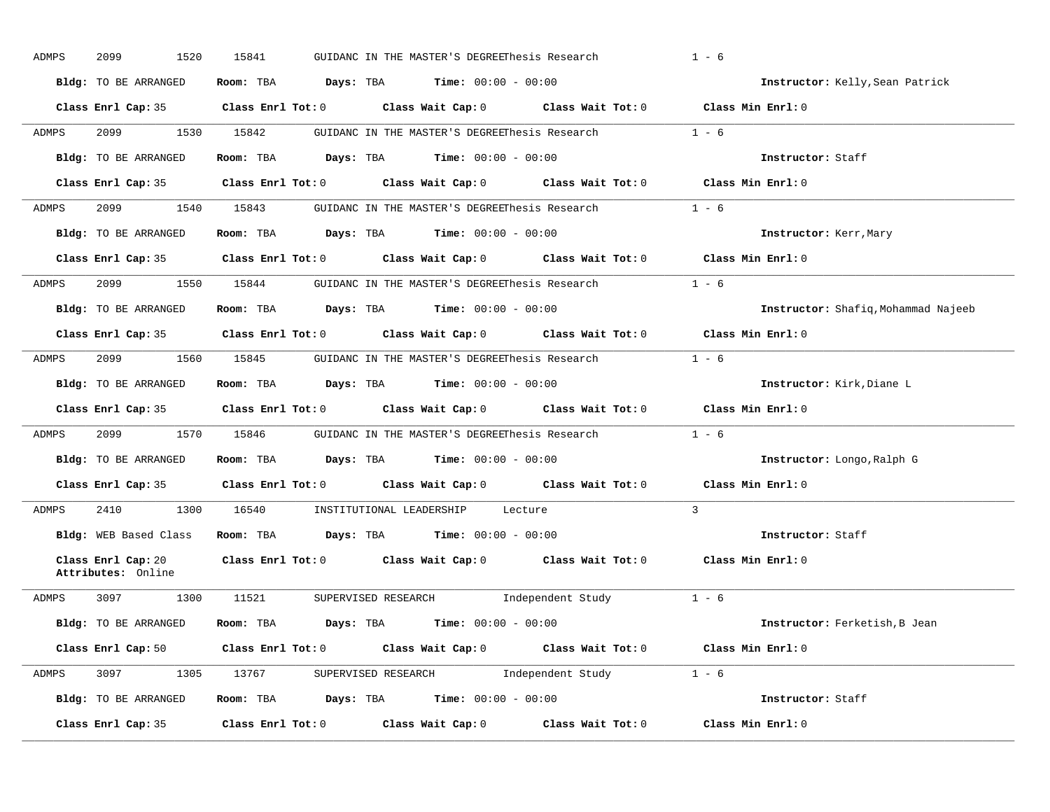| ADMPS | 2099<br>1520          | 15841 | GUIDANC IN THE MASTER'S DEGREEThesis Research                                                                                  | $1 - 6$                             |
|-------|-----------------------|-------|--------------------------------------------------------------------------------------------------------------------------------|-------------------------------------|
|       | Bldg: TO BE ARRANGED  |       | Room: TBA $Days:$ TBA $Time: 00:00 - 00:00$                                                                                    | Instructor: Kelly, Sean Patrick     |
|       |                       |       | Class Enrl Cap: 35 Class Enrl Tot: 0 Class Wait Cap: 0 Class Wait Tot: 0 Class Min Enrl: 0                                     |                                     |
| ADMPS | 2099 — 2005           |       | 1530 15842 GUIDANC IN THE MASTER'S DEGREEThesis Research 1 - 6                                                                 |                                     |
|       | Bldg: TO BE ARRANGED  |       | Room: TBA $Days:$ TBA $Time: 00:00 - 00:00$                                                                                    | Instructor: Staff                   |
|       |                       |       | Class Enrl Cap: 35 Class Enrl Tot: 0 Class Wait Cap: 0 Class Wait Tot: 0 Class Min Enrl: 0                                     |                                     |
| ADMPS |                       |       | 2099 1540 15843 GUIDANC IN THE MASTER'S DEGREEThesis Research 1 - 6                                                            |                                     |
|       | Bldg: TO BE ARRANGED  |       | Room: TBA Days: TBA Time: $00:00 - 00:00$                                                                                      | Instructor: Kerr, Mary              |
|       |                       |       | Class Enrl Cap: 35 Class Enrl Tot: 0 Class Wait Cap: 0 Class Wait Tot: 0 Class Min Enrl: 0                                     |                                     |
| ADMPS |                       |       | 2099 1550 15844 GUIDANC IN THE MASTER'S DEGREEThesis Research 1 - 6                                                            |                                     |
|       |                       |       | Bldg: TO BE ARRANGED Room: TBA Days: TBA Time: 00:00 - 00:00                                                                   | Instructor: Shafiq, Mohammad Najeeb |
|       |                       |       | Class Enrl Cap: 35 $\qquad$ Class Enrl Tot: 0 $\qquad$ Class Wait Cap: 0 $\qquad$ Class Wait Tot: 0                            | Class Min Enrl: 0                   |
| ADMPS |                       |       | 2099 1560 15845 GUIDANC IN THE MASTER'S DEGREEThesis Research 1 - 6                                                            |                                     |
|       |                       |       | Bldg: TO BE ARRANGED Room: TBA Days: TBA Time: 00:00 - 00:00                                                                   | Instructor: Kirk, Diane L           |
|       |                       |       |                                                                                                                                |                                     |
|       |                       |       | Class Enrl Cap: 35 $\qquad$ Class Enrl Tot: 0 $\qquad$ Class Wait Cap: 0 $\qquad$ Class Wait Tot: 0                            | Class Min Enrl: 0                   |
| ADMPS |                       |       | 2099 1570 15846 GUIDANC IN THE MASTER'S DEGREEThesis Research 1 - 6                                                            |                                     |
|       | Bldg: TO BE ARRANGED  |       | Room: TBA $Days:$ TBA $Time: 00:00 - 00:00$                                                                                    | Instructor: Longo, Ralph G          |
|       |                       |       | Class Enrl Cap: 35 Class Enrl Tot: 0 Class Wait Cap: 0 Class Wait Tot: 0 Class Min Enrl: 0                                     |                                     |
| ADMPS |                       |       | 2410 1300 16540 INSTITUTIONAL LEADERSHIP Lecture                                                                               | $\mathcal{R}$                       |
|       | Bldg: WEB Based Class |       | Room: TBA $Days:$ TBA $Time: 00:00 - 00:00$                                                                                    | Instructor: Staff                   |
|       | Attributes: Online    |       | Class Enrl Cap: 20 		 Class Enrl Tot: 0 		 Class Wait Cap: 0 		 Class Wait Tot: 0 		 Class Min Enrl: 0                         |                                     |
|       | ADMPS 3097 1300       |       | 11521 SUPERVISED RESEARCH 1ndependent Study 1 - 6                                                                              |                                     |
|       | Bldg: TO BE ARRANGED  |       | Room: TBA $Days:$ TBA $Time: 00:00 - 00:00$                                                                                    | Instructor: Ferketish, B Jean       |
|       |                       |       | Class Enrl Cap: 50 $\qquad$ Class Enrl Tot: 0 $\qquad$ Class Wait Cap: 0 $\qquad$ Class Wait Tot: 0 $\qquad$ Class Min Enrl: 0 |                                     |
| ADMPS |                       |       | 3097 1305 13767 SUPERVISED RESEARCH Independent Study 1 - 6                                                                    |                                     |
|       | Bldg: TO BE ARRANGED  |       | Room: TBA $Days:$ TBA $Time:$ 00:00 - 00:00                                                                                    | Instructor: Staff                   |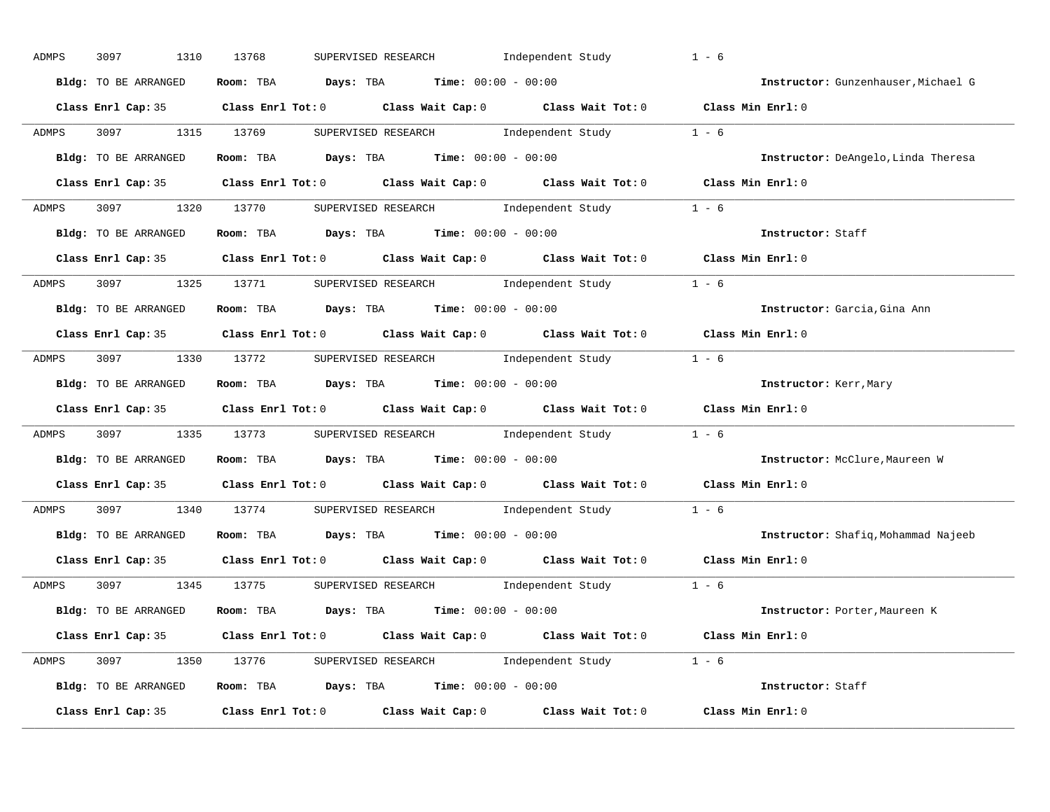| ADMPS        | 3097<br>1310         | SUPERVISED RESEARCH<br>Independent Study<br>13768                                                  | $1 - 6$                             |
|--------------|----------------------|----------------------------------------------------------------------------------------------------|-------------------------------------|
|              | Bldg: TO BE ARRANGED | Room: TBA $Days:$ TBA $Time: 00:00 - 00:00$                                                        | Instructor: Gunzenhauser, Michael G |
|              |                      | Class Enrl Cap: 35 Class Enrl Tot: 0 Class Wait Cap: 0 Class Wait Tot: 0 Class Min Enrl: 0         |                                     |
| ADMPS        |                      | 3097 1315 13769 SUPERVISED RESEARCH Independent Study 1 - 6                                        |                                     |
|              | Bldg: TO BE ARRANGED | Room: TBA $Days:$ TBA Time: $00:00 - 00:00$                                                        | Instructor: DeAngelo, Linda Theresa |
|              |                      | Class Enrl Cap: 35 Class Enrl Tot: 0 Class Wait Cap: 0 Class Wait Tot: 0 Class Min Enrl: 0         |                                     |
| ADMPS        |                      | 3097 1320 13770 SUPERVISED RESEARCH Independent Study 1 - 6                                        |                                     |
|              |                      | Bldg: TO BE ARRANGED Room: TBA Days: TBA Time: 00:00 - 00:00                                       | Instructor: Staff                   |
|              |                      | Class Enrl Cap: 35 Class Enrl Tot: 0 Class Wait Cap: 0 Class Wait Tot: 0 Class Min Enrl: 0         |                                     |
| <b>ADMPS</b> |                      | 3097 1325 13771 SUPERVISED RESEARCH Independent Study 1 - 6                                        |                                     |
|              | Bldg: TO BE ARRANGED | Room: TBA $Days:$ TBA $Time: 00:00 - 00:00$                                                        | Instructor: Garcia, Gina Ann        |
|              |                      | Class Enrl Cap: 35 Class Enrl Tot: 0 Class Wait Cap: 0 Class Wait Tot: 0 Class Min Enrl: 0         |                                     |
| ADMPS        |                      | 3097 1330 13772 SUPERVISED RESEARCH Independent Study                                              | $1 - 6$                             |
|              | Bldg: TO BE ARRANGED | Room: TBA $Days: TBA$ Time: $00:00 - 00:00$                                                        | Instructor: Kerr, Mary              |
|              |                      | Class Enrl Cap: 35 Class Enrl Tot: 0 Class Wait Cap: 0 Class Wait Tot: 0 Class Min Enrl: 0         |                                     |
| ADMPS        |                      | 3097 1335 13773 SUPERVISED RESEARCH Independent Study 1 - 6                                        |                                     |
|              | Bldg: TO BE ARRANGED | Room: TBA $Days:$ TBA Time: $00:00 - 00:00$                                                        | Instructor: McClure, Maureen W      |
|              |                      | Class Enrl Cap: 35 Class Enrl Tot: 0 Class Wait Cap: 0 Class Wait Tot: 0 Class Min Enrl: 0         |                                     |
| ADMPS        |                      | 3097 1340 13774 SUPERVISED RESEARCH Independent Study 1 - 6                                        |                                     |
|              | Bldg: TO BE ARRANGED | Room: TBA $Days:$ TBA $Time:$ 00:00 - 00:00                                                        | Instructor: Shafiq, Mohammad Najeeb |
|              |                      |                                                                                                    |                                     |
|              | Class Enrl Cap: 35   | Class Enrl Tot: 0 $\qquad$ Class Wait Cap: 0 $\qquad$ Class Wait Tot: 0 $\qquad$ Class Min Enrl: 0 |                                     |
| ADMPS        |                      | 3097 1345 13775 SUPERVISED RESEARCH Independent Study 1 - 6                                        |                                     |
|              |                      | Bldg: TO BE ARRANGED Room: TBA Days: TBA Time: 00:00 - 00:00                                       | Instructor: Porter, Maureen K       |
|              |                      | Class Enrl Cap: 35 Class Enrl Tot: 0 Class Wait Cap: 0 Class Wait Tot: 0 Class Min Enrl: 0         |                                     |
|              |                      | ADMPS 3097 1350 13776 SUPERVISED RESEARCH Independent Study 1 - 6                                  |                                     |
|              |                      | Bldg: TO BE ARRANGED ROOM: TBA Days: TBA Time: 00:00 - 00:00                                       | Instructor: Staff                   |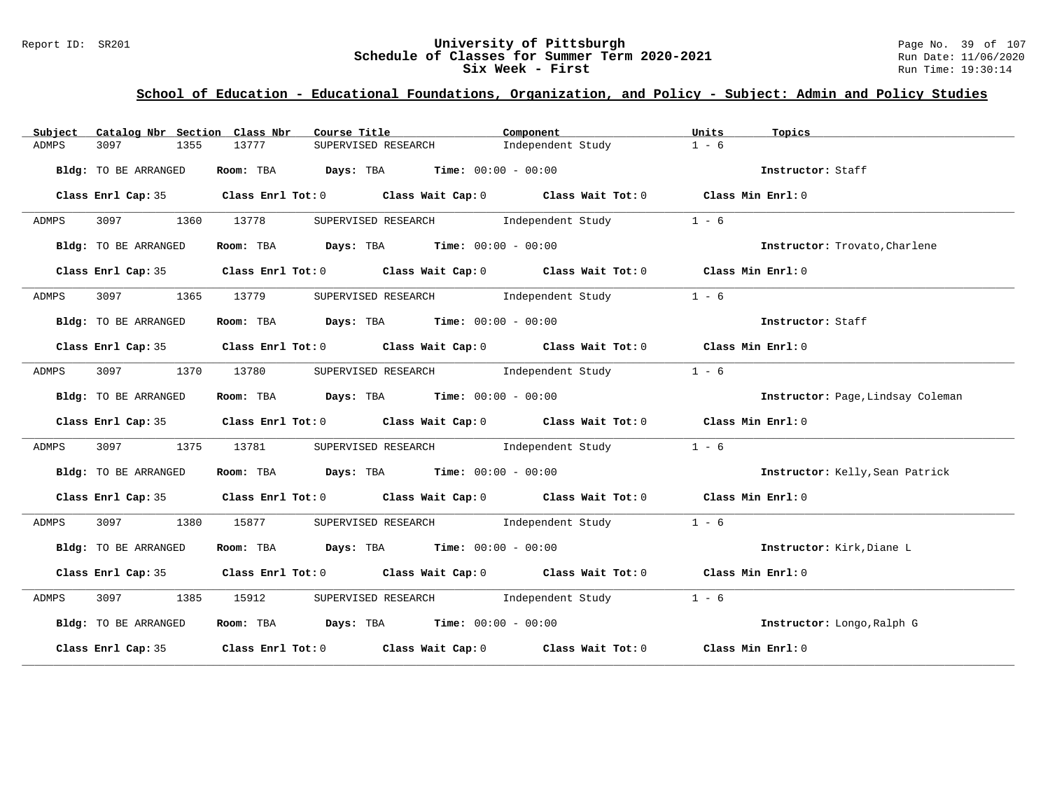### Report ID: SR201 **University of Pittsburgh University of Pittsburgh** Page No. 39 of 107<br>**Schedule of Classes for Summer Term 2020-2021** Run Date: 11/06/2020 **Schedule of Classes for Summer Term 2020-2021** Run Date: 11/06/2021<br>**Six Week - First** Run Time: 19:30:14 Six Week - First

| Catalog Nbr Section Class Nbr<br>Subject | Course Title <b>Course In the Course Course I</b>                                          | Component | Units<br>Topics                   |
|------------------------------------------|--------------------------------------------------------------------------------------------|-----------|-----------------------------------|
| ADMPS<br>3097<br>1355                    | SUPERVISED RESEARCH 1ndependent Study<br>13777                                             |           | $1 - 6$                           |
| Bldg: TO BE ARRANGED                     | Room: TBA $Days:$ TBA $Time: 00:00 - 00:00$                                                |           | Instructor: Staff                 |
|                                          | Class Enrl Cap: 35 Class Enrl Tot: 0 Class Wait Cap: 0 Class Wait Tot: 0 Class Min Enrl: 0 |           |                                   |
| 3097 1360 13778<br>ADMPS                 | SUPERVISED RESEARCH independent Study 1 - 6                                                |           |                                   |
| Bldg: TO BE ARRANGED                     | Room: TBA $\rule{1em}{0.15mm}$ Days: TBA Time: $00:00 - 00:00$                             |           | Instructor: Trovato, Charlene     |
|                                          | Class Enrl Cap: 35 Class Enrl Tot: 0 Class Wait Cap: 0 Class Wait Tot: 0 Class Min Enrl: 0 |           |                                   |
| ADMPS                                    | 3097 1365 13779 SUPERVISED RESEARCH Independent Study                                      |           | $1 - 6$                           |
| Bldg: TO BE ARRANGED                     | Room: TBA $\rule{1em}{0.15mm}$ Days: TBA $\rule{1.5mm}{0.15mm}$ Time: $00:00 - 00:00$      |           | Instructor: Staff                 |
|                                          | Class Enrl Cap: 35 Class Enrl Tot: 0 Class Wait Cap: 0 Class Wait Tot: 0 Class Min Enrl: 0 |           |                                   |
| ADMPS                                    | 3097 1370 13780 SUPERVISED RESEARCH Independent Study                                      |           | $1 - 6$                           |
| Bldg: TO BE ARRANGED                     | Room: TBA $\rule{1em}{0.15mm}$ Days: TBA Time: $00:00 - 00:00$                             |           | Instructor: Page, Lindsay Coleman |
|                                          | Class Enrl Cap: 35 Class Enrl Tot: 0 Class Wait Cap: 0 Class Wait Tot: 0 Class Min Enrl: 0 |           |                                   |
| ADMPS<br>3097 300<br>1375                | 13781 SUPERVISED RESEARCH Independent Study                                                |           | $1 - 6$                           |
| Bldg: TO BE ARRANGED                     | <b>ROOM:</b> TBA <b>Days:</b> TBA <b>Time:</b> 00:00 - 00:00                               |           | Instructor: Kelly, Sean Patrick   |
|                                          | Class Enrl Cap: 35 Class Enrl Tot: 0 Class Wait Cap: 0 Class Wait Tot: 0 Class Min Enrl: 0 |           |                                   |
| 3097 1380 15877<br>ADMPS                 | SUPERVISED RESEARCH 1ndependent Study 1 - 6                                                |           |                                   |
| Bldg: TO BE ARRANGED                     | Room: TBA $\rule{1em}{0.15mm}$ Days: TBA Time: $00:00 - 00:00$                             |           | Instructor: Kirk, Diane L         |
|                                          | Class Enrl Cap: 35 Class Enrl Tot: 0 Class Wait Cap: 0 Class Wait Tot: 0 Class Min Enrl: 0 |           |                                   |
| ADMPS                                    | 3097 1385 15912 SUPERVISED RESEARCH Independent Study 1 - 6                                |           |                                   |
| Bldg: TO BE ARRANGED                     | Room: TBA $Days:$ TBA $Time: 00:00 - 00:00$                                                |           | Instructor: Longo, Ralph G        |
|                                          | Class Enrl Cap: 35 Class Enrl Tot: 0 Class Wait Cap: 0 Class Wait Tot: 0 Class Min Enrl: 0 |           |                                   |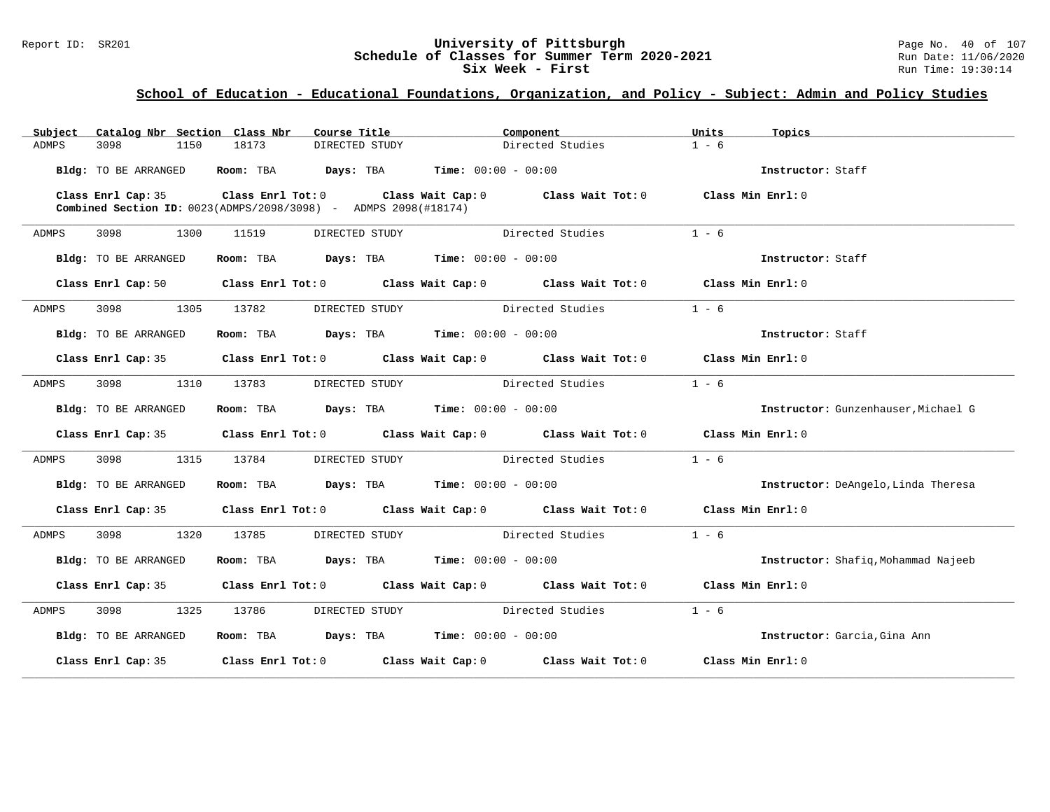### Report ID: SR201 **University of Pittsburgh University of Pittsburgh** Page No. 40 of 107<br>**Schedule of Classes for Summer Term 2020-2021** Run Date: 11/06/2020 **Schedule of Classes for Summer Term 2020-2021** Run Date: 11/06/2021<br>Six Week - First Run Time: 19:30:14 Six Week - First

| Subject              |                    | Catalog Nbr Section Class Nbr | Course Title                                                           |                                                                                                                                | Component                                                                                  | Units   | Topics                              |
|----------------------|--------------------|-------------------------------|------------------------------------------------------------------------|--------------------------------------------------------------------------------------------------------------------------------|--------------------------------------------------------------------------------------------|---------|-------------------------------------|
| 3098<br>ADMPS        | 1150               | 18173                         | DIRECTED STUDY                                                         |                                                                                                                                | Directed Studies                                                                           | $1 - 6$ |                                     |
| Bldg: TO BE ARRANGED |                    |                               | Room: TBA $Days:$ TBA $Time: 00:00 - 00:00$                            |                                                                                                                                |                                                                                            |         | Instructor: Staff                   |
|                      |                    |                               | <b>Combined Section ID:</b> 0023(ADMPS/2098/3098) - ADMPS 2098(#18174) |                                                                                                                                | Class Enrl Cap: 35 Class Enrl Tot: 0 Class Wait Cap: 0 Class Wait Tot: 0 Class Min Enrl: 0 |         |                                     |
| ADMPS                | 3098 — 100<br>1300 | 11519                         | DIRECTED STUDY                                                         | Directed Studies                                                                                                               |                                                                                            | $1 - 6$ |                                     |
| Bldg: TO BE ARRANGED |                    |                               | Room: TBA $Days:$ TBA $Time: 00:00 - 00:00$                            |                                                                                                                                |                                                                                            |         | Instructor: Staff                   |
|                      |                    |                               |                                                                        | Class Enrl Cap: 50 $\qquad$ Class Enrl Tot: 0 $\qquad$ Class Wait Cap: 0 $\qquad$ Class Wait Tot: 0 $\qquad$ Class Min Enrl: 0 |                                                                                            |         |                                     |
| ADMPS                |                    | 3098 1305 13782               | DIRECTED STUDY                                                         |                                                                                                                                | Directed Studies                                                                           | $1 - 6$ |                                     |
| Bldg: TO BE ARRANGED |                    |                               | Room: TBA $Days:$ TBA $Time: 00:00 - 00:00$                            |                                                                                                                                |                                                                                            |         | Instructor: Staff                   |
|                      |                    |                               |                                                                        |                                                                                                                                | Class Enrl Cap: 35 Class Enrl Tot: 0 Class Wait Cap: 0 Class Wait Tot: 0 Class Min Enrl: 0 |         |                                     |
| ADMPS                |                    | 3098 1310 13783               |                                                                        |                                                                                                                                | DIRECTED STUDY Directed Studies                                                            | $1 - 6$ |                                     |
| Bldg: TO BE ARRANGED |                    |                               | Room: TBA $Days:$ TBA $Time: 00:00 - 00:00$                            |                                                                                                                                |                                                                                            |         | Instructor: Gunzenhauser, Michael G |
|                      |                    |                               |                                                                        | Class Enrl Cap: 35 Class Enrl Tot: 0 Class Wait Cap: 0 Class Wait Tot: 0 Class Min Enrl: 0                                     |                                                                                            |         |                                     |
| ADMPS                |                    | 3098 1315 13784               |                                                                        |                                                                                                                                | DIRECTED STUDY Directed Studies                                                            | $1 - 6$ |                                     |
| Bldg: TO BE ARRANGED |                    |                               | Room: TBA $Days:$ TBA $Time: 00:00 - 00:00$                            |                                                                                                                                |                                                                                            |         | Instructor: DeAngelo, Linda Theresa |
|                      |                    |                               |                                                                        |                                                                                                                                | Class Enrl Cap: 35 Class Enrl Tot: 0 Class Wait Cap: 0 Class Wait Tot: 0 Class Min Enrl: 0 |         |                                     |
| ADMPS                | 3098 1320          | 13785                         |                                                                        |                                                                                                                                | DIRECTED STUDY Directed Studies                                                            | $1 - 6$ |                                     |
| Bldg: TO BE ARRANGED |                    |                               | Room: TBA $Days:$ TBA $Time: 00:00 - 00:00$                            |                                                                                                                                |                                                                                            |         | Instructor: Shafiq, Mohammad Najeeb |
|                      |                    |                               |                                                                        |                                                                                                                                | Class Enrl Cap: 35 Class Enrl Tot: 0 Class Wait Cap: 0 Class Wait Tot: 0 Class Min Enrl: 0 |         |                                     |
| ADMPS                | 3098 300           |                               | 1325 13786 DIRECTED STUDY Directed Studies                             |                                                                                                                                |                                                                                            | $1 - 6$ |                                     |
| Bldg: TO BE ARRANGED |                    |                               | Room: TBA $Days:$ TBA $Time: 00:00 - 00:00$                            |                                                                                                                                |                                                                                            |         | Instructor: Garcia, Gina Ann        |
|                      |                    |                               |                                                                        |                                                                                                                                | Class Enrl Cap: 35 Class Enrl Tot: 0 Class Wait Cap: 0 Class Wait Tot: 0 Class Min Enrl: 0 |         |                                     |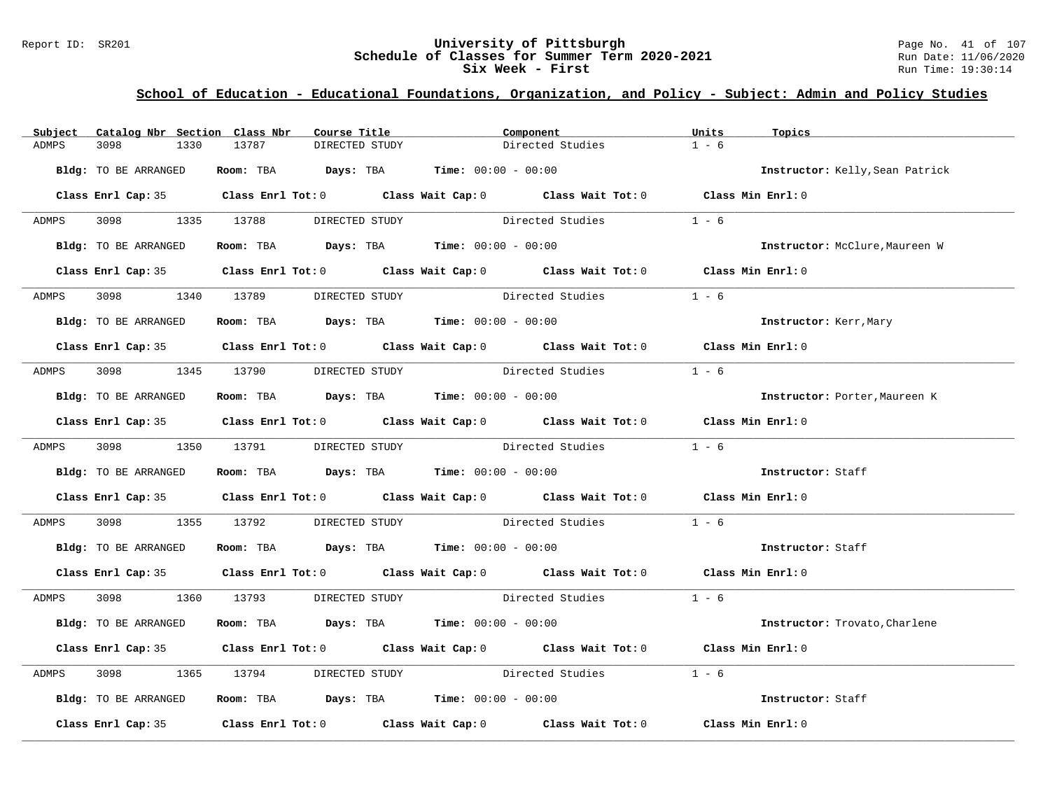### Report ID: SR201 **University of Pittsburgh University of Pittsburgh** Page No. 41 of 107<br>**Schedule of Classes for Summer Term 2020-2021** Run Date: 11/06/2020 **Schedule of Classes for Summer Term 2020-2021** Run Date: 11/06/2021<br>Six Week - First Run Time: 19:30:14 Six Week - First

| Subject | Catalog Nbr Section Class Nbr |                                                                                            | Course Title   | Component                                                                                  |                                             | Units   | Topics                          |
|---------|-------------------------------|--------------------------------------------------------------------------------------------|----------------|--------------------------------------------------------------------------------------------|---------------------------------------------|---------|---------------------------------|
| ADMPS   | 3098<br>1330                  | 13787                                                                                      | DIRECTED STUDY |                                                                                            | Directed Studies                            | $1 - 6$ |                                 |
|         | Bldg: TO BE ARRANGED          | Room: TBA $Days:$ TBA $Time: 00:00 - 00:00$                                                |                |                                                                                            |                                             |         | Instructor: Kelly, Sean Patrick |
|         |                               | Class Enrl Cap: 35 Class Enrl Tot: 0 Class Wait Cap: 0 Class Wait Tot: 0 Class Min Enrl: 0 |                |                                                                                            |                                             |         |                                 |
| ADMPS   |                               | 3098 1335 13788                                                                            | DIRECTED STUDY |                                                                                            | Directed Studies                            | $1 - 6$ |                                 |
|         | Bldg: TO BE ARRANGED          |                                                                                            |                |                                                                                            | Room: TBA $Days:$ TBA $Time: 00:00 - 00:00$ |         | Instructor: McClure, Maureen W  |
|         |                               |                                                                                            |                | Class Enrl Cap: 35 Class Enrl Tot: 0 Class Wait Cap: 0 Class Wait Tot: 0 Class Min Enrl: 0 |                                             |         |                                 |
| ADMPS   |                               | 3098 1340 13789 DIRECTED STUDY                                                             |                |                                                                                            | Directed Studies                            | $1 - 6$ |                                 |
|         | Bldg: TO BE ARRANGED          |                                                                                            |                | Room: TBA $Days:$ TBA Time: $00:00 - 00:00$                                                |                                             |         | Instructor: Kerr, Mary          |
|         |                               | Class Enrl Cap: 35 Class Enrl Tot: 0 Class Wait Cap: 0 Class Wait Tot: 0 Class Min Enrl: 0 |                |                                                                                            |                                             |         |                                 |
| ADMPS   | 3098 300                      | 1345 13790                                                                                 |                |                                                                                            | DIRECTED STUDY Directed Studies             | $1 - 6$ |                                 |
|         | Bldg: TO BE ARRANGED          | Room: TBA $\rule{1em}{0.15mm}$ Days: TBA Time: $00:00 - 00:00$                             |                |                                                                                            |                                             |         | Instructor: Porter, Maureen K   |
|         |                               | Class Enrl Cap: 35 Class Enrl Tot: 0 Class Wait Cap: 0 Class Wait Tot: 0 Class Min Enrl: 0 |                |                                                                                            |                                             |         |                                 |
|         |                               | ADMPS 3098 1350 13791 DIRECTED STUDY          Directed Studies                             |                |                                                                                            |                                             | $1 - 6$ |                                 |
|         | Bldg: TO BE ARRANGED          | Room: TBA $Days:$ TBA $Time: 00:00 - 00:00$                                                |                |                                                                                            |                                             |         | Instructor: Staff               |
|         |                               | Class Enrl Cap: 35 Class Enrl Tot: 0 Class Wait Cap: 0 Class Wait Tot: 0 Class Min Enrl: 0 |                |                                                                                            |                                             |         |                                 |
| ADMPS   | 3098 300                      | 1355 13792 DIRECTED STUDY Directed Studies                                                 |                |                                                                                            |                                             | $1 - 6$ |                                 |
|         | Bldg: TO BE ARRANGED          | Room: TBA $\rule{1em}{0.15mm}$ Days: TBA Time: $00:00 - 00:00$                             |                |                                                                                            |                                             |         | Instructor: Staff               |
|         |                               | Class Enrl Cap: 35 Class Enrl Tot: 0 Class Wait Cap: 0 Class Wait Tot: 0 Class Min Enrl: 0 |                |                                                                                            |                                             |         |                                 |
|         |                               | ADMPS 3098 1360 13793 DIRECTED STUDY Directed Studies 1 - 6                                |                |                                                                                            |                                             |         |                                 |
|         | Bldg: TO BE ARRANGED          | Room: TBA $Days:$ TBA $Time: 00:00 - 00:00$                                                |                |                                                                                            |                                             |         | Instructor: Trovato, Charlene   |
|         |                               | Class Enrl Cap: 35 Class Enrl Tot: 0 Class Wait Cap: 0 Class Wait Tot: 0 Class Min Enrl: 0 |                |                                                                                            |                                             |         |                                 |
| ADMPS   | 3098 300                      | 1365 13794 DIRECTED STUDY Directed Studies                                                 |                |                                                                                            |                                             | $1 - 6$ |                                 |
|         | Bldg: TO BE ARRANGED          | Room: TBA $\rule{1em}{0.15mm}$ Days: TBA $\rule{1.15mm}]{0.15mm}$ Time: $00:00 - 00:00$    |                |                                                                                            |                                             |         | Instructor: Staff               |
|         |                               | Class Enrl Cap: 35 Class Enrl Tot: 0 Class Wait Cap: 0 Class Wait Tot: 0 Class Min Enrl: 0 |                |                                                                                            |                                             |         |                                 |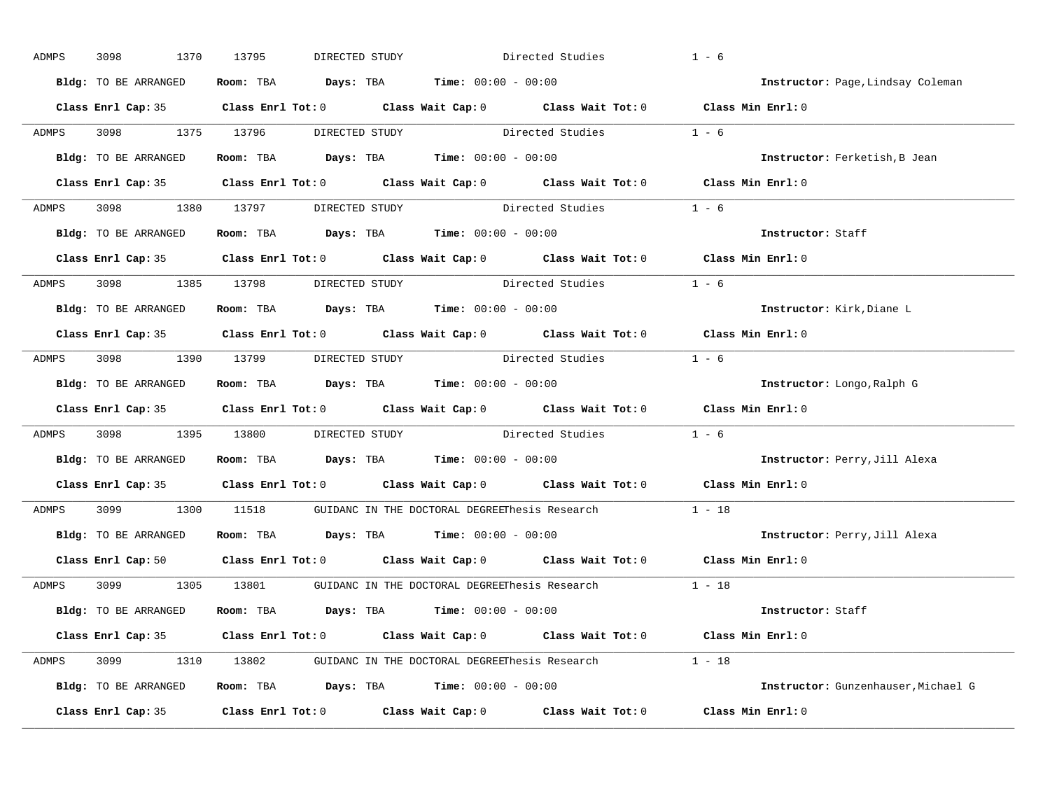| ADMPS | 3098<br>1370         | 13795<br>DIRECTED STUDY        |                                                                                                     | Directed Studies | $1 - 6$                             |
|-------|----------------------|--------------------------------|-----------------------------------------------------------------------------------------------------|------------------|-------------------------------------|
|       | Bldg: TO BE ARRANGED |                                | Room: TBA $Days:$ TBA $Time: 00:00 - 00:00$                                                         |                  | Instructor: Page, Lindsay Coleman   |
|       |                      |                                | Class Enrl Cap: 35 Class Enrl Tot: 0 Class Wait Cap: 0 Class Wait Tot: 0 Class Min Enrl: 0          |                  |                                     |
| ADMPS | 3098 1375 13796      |                                | DIRECTED STUDY Directed Studies 1 - 6                                                               |                  |                                     |
|       | Bldg: TO BE ARRANGED |                                | Room: TBA $Days:$ TBA Time: $00:00 - 00:00$                                                         |                  | Instructor: Ferketish, B Jean       |
|       |                      |                                | Class Enrl Cap: 35 Class Enrl Tot: 0 Class Wait Cap: 0 Class Wait Tot: 0 Class Min Enrl: 0          |                  |                                     |
|       |                      |                                | ADMPS 3098 1380 13797 DIRECTED STUDY Directed Studies 1 - 6                                         |                  |                                     |
|       |                      |                                | Bldg: TO BE ARRANGED Room: TBA Days: TBA Time: 00:00 - 00:00                                        |                  | Instructor: Staff                   |
|       |                      |                                | Class Enrl Cap: 35 Class Enrl Tot: 0 Class Wait Cap: 0 Class Wait Tot: 0 Class Min Enrl: 0          |                  |                                     |
| ADMPS |                      | 3098 1385 13798 DIRECTED STUDY | Directed Studies                                                                                    |                  | $1 - 6$                             |
|       | Bldg: TO BE ARRANGED |                                | Room: TBA $Days:$ TBA $Time: 00:00 - 00:00$                                                         |                  | Instructor: Kirk, Diane L           |
|       |                      |                                | Class Enrl Cap: 35 Class Enrl Tot: 0 Class Wait Cap: 0 Class Wait Tot: 0 Class Min Enrl: 0          |                  |                                     |
| ADMPS |                      |                                | 3098 1390 13799 DIRECTED STUDY Directed Studies 1 - 6                                               |                  |                                     |
|       | Bldg: TO BE ARRANGED |                                | Room: TBA $Days:$ TBA $Time: 00:00 - 00:00$                                                         |                  | Instructor: Longo, Ralph G          |
|       |                      |                                | Class Enrl Cap: 35 Class Enrl Tot: 0 Class Wait Cap: 0 Class Wait Tot: 0 Class Min Enrl: 0          |                  |                                     |
| ADMPS |                      |                                | 3098 1395 13800 DIRECTED STUDY Directed Studies 1 - 6                                               |                  |                                     |
|       | Bldg: TO BE ARRANGED |                                | Room: TBA $Days:$ TBA $Time: 00:00 - 00:00$                                                         |                  | Instructor: Perry, Jill Alexa       |
|       |                      |                                | Class Enrl Cap: 35 Class Enrl Tot: 0 Class Wait Cap: 0 Class Wait Tot: 0                            |                  | Class Min Enrl: 0                   |
| ADMPS |                      |                                | 3099 1300 11518 GUIDANC IN THE DOCTORAL DEGREEThesis Research                                       |                  | $1 - 18$                            |
|       |                      |                                | Bldg: TO BE ARRANGED Room: TBA Days: TBA Time: 00:00 - 00:00                                        |                  | Instructor: Perry, Jill Alexa       |
|       |                      |                                | Class Enrl Cap: 50 $\qquad$ Class Enrl Tot: 0 $\qquad$ Class Wait Cap: 0 $\qquad$ Class Wait Tot: 0 |                  | Class Min Enrl: 0                   |
|       |                      |                                | ADMPS 3099 1305 13801 GUIDANC IN THE DOCTORAL DEGREEThesis Research 1 - 18                          |                  |                                     |
|       | Bldg: TO BE ARRANGED |                                | Room: TBA $Days:$ TBA $Time: 00:00 - 00:00$                                                         |                  | Instructor: Staff                   |
|       |                      |                                | Class Enrl Cap: 35 Class Enrl Tot: 0 Class Wait Cap: 0 Class Wait Tot: 0 Class Min Enrl: 0          |                  |                                     |
|       |                      |                                | ADMPS 3099 1310 13802 GUIDANC IN THE DOCTORAL DEGREEThesis Research 1 - 18                          |                  |                                     |
|       |                      |                                | Bldg: TO BE ARRANGED Room: TBA Days: TBA Time: 00:00 - 00:00                                        |                  | Instructor: Gunzenhauser, Michael G |
|       |                      |                                | Class Enrl Cap: 35 Class Enrl Tot: 0 Class Wait Cap: 0 Class Wait Tot: 0                            |                  | Class Min Enrl: 0                   |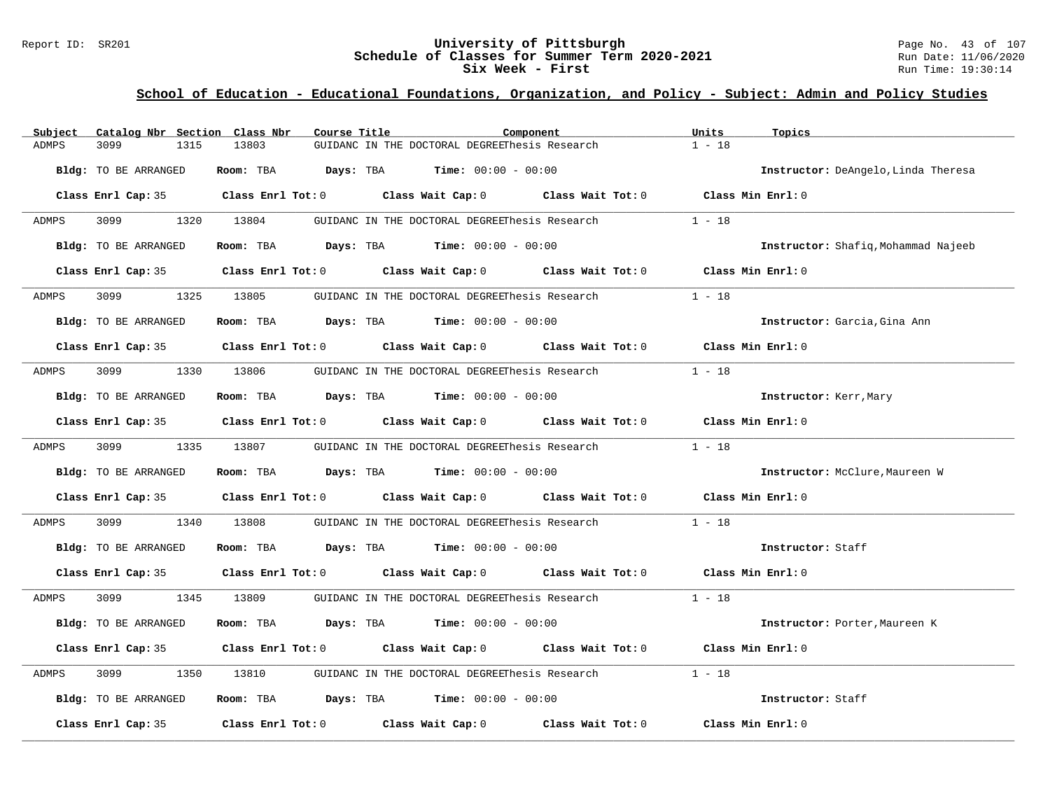### Report ID: SR201 **University of Pittsburgh University of Pittsburgh** Page No. 43 of 107<br>**Schedule of Classes for Summer Term 2020-2021** Run Date: 11/06/2020 **Schedule of Classes for Summer Term 2020-2021** Run Date: 11/06/2021<br>Six Week - First Run Time: 19:30:14 Six Week - First

| Subject      | Catalog Nbr Section Class Nbr | Course Title | Component                                                                                  | Units<br>Topics                     |
|--------------|-------------------------------|--------------|--------------------------------------------------------------------------------------------|-------------------------------------|
| <b>ADMPS</b> | 3099<br>1315                  | 13803        | GUIDANC IN THE DOCTORAL DEGREEThesis Research                                              | $1 - 18$                            |
|              | Bldg: TO BE ARRANGED          |              | Room: TBA $Days:$ TBA $Time: 00:00 - 00:00$                                                | Instructor: DeAngelo, Linda Theresa |
|              |                               |              | Class Enrl Cap: 35 Class Enrl Tot: 0 Class Wait Cap: 0 Class Wait Tot: 0                   | Class Min Enrl: 0                   |
| ADMPS        | 3099                          | 1320 13804   | GUIDANC IN THE DOCTORAL DEGREEThesis Research                                              | $1 - 18$                            |
|              | Bldg: TO BE ARRANGED          |              | Room: TBA $Days:$ TBA $Time: 00:00 - 00:00$                                                | Instructor: Shafiq, Mohammad Najeeb |
|              |                               |              | Class Enrl Cap: 35 Class Enrl Tot: 0 Class Wait Cap: 0 Class Wait Tot: 0 Class Min Enrl: 0 |                                     |
| ADMPS        | 3099 700                      | 1325 13805   | GUIDANC IN THE DOCTORAL DEGREEThesis Research                                              | $1 - 18$                            |
|              | Bldg: TO BE ARRANGED          |              | Room: TBA $Days:$ TBA $Time:$ $00:00 - 00:00$                                              | Instructor: Garcia, Gina Ann        |
|              |                               |              | Class Enrl Cap: 35 Class Enrl Tot: 0 Class Wait Cap: 0 Class Wait Tot: 0 Class Min Enrl: 0 |                                     |
| ADMPS        | 3099 700                      | 1330 13806   | GUIDANC IN THE DOCTORAL DEGREEThesis Research                                              | $1 - 18$                            |
|              | Bldg: TO BE ARRANGED          |              | Room: TBA $Days:$ TBA Time: $00:00 - 00:00$                                                | Instructor: Kerr, Mary              |
|              |                               |              | Class Enrl Cap: 35 Class Enrl Tot: 0 Class Wait Cap: 0 Class Wait Tot: 0 Class Min Enrl: 0 |                                     |
| ADMPS        | 3099 1335 13807               |              | GUIDANC IN THE DOCTORAL DEGREEThesis Research $1 - 18$                                     |                                     |
|              | Bldg: TO BE ARRANGED          |              | Room: TBA $Days: TBA$ Time: $00:00 - 00:00$                                                | Instructor: McClure, Maureen W      |
|              |                               |              | Class Enrl Cap: 35 Class Enrl Tot: 0 Class Wait Cap: 0 Class Wait Tot: 0 Class Min Enrl: 0 |                                     |
| ADMPS        | 3099<br>1340                  | 13808        | GUIDANC IN THE DOCTORAL DEGREEThesis Research                                              | $1 - 18$                            |
|              | Bldg: TO BE ARRANGED          |              | Room: TBA $Days:$ TBA $Time: 00:00 - 00:00$                                                | Instructor: Staff                   |
|              |                               |              | Class Enrl Cap: 35 Class Enrl Tot: 0 Class Wait Cap: 0 Class Wait Tot: 0 Class Min Enrl: 0 |                                     |
| ADMPS        |                               |              | 3099 1345 13809 GUIDANC IN THE DOCTORAL DEGREEThesis Research 1 - 18                       |                                     |
|              | Bldg: TO BE ARRANGED          |              | Room: TBA $Days:$ TBA $Time: 00:00 - 00:00$                                                | Instructor: Porter, Maureen K       |
|              |                               |              | Class Enrl Cap: 35 Class Enrl Tot: 0 Class Wait Cap: 0 Class Wait Tot: 0 Class Min Enrl: 0 |                                     |
| ADMPS        | 3099<br>1350                  |              | 13810 GUIDANC IN THE DOCTORAL DEGREEThesis Research                                        | $1 - 18$                            |
|              | Bldg: TO BE ARRANGED          |              | Room: TBA $Days:$ TBA $Time:$ $00:00 - 00:00$                                              | Instructor: Staff                   |
|              | Class Enrl Cap: 35            |              | Class Enrl Tot: $0$ Class Wait Cap: $0$ Class Wait Tot: $0$                                | Class Min Enrl: 0                   |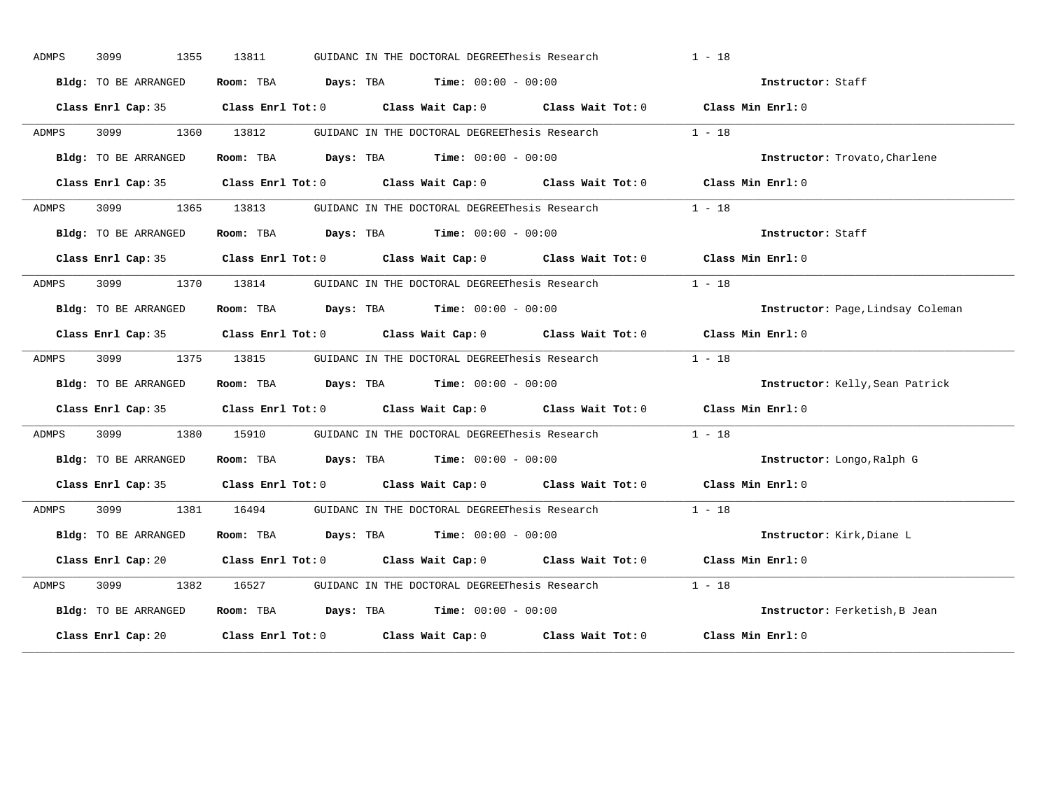| ADMPS        | 3099<br>1355         | 13811      | GUIDANC IN THE DOCTORAL DEGREEThesis Research                                                          |  | $1 - 18$                          |  |
|--------------|----------------------|------------|--------------------------------------------------------------------------------------------------------|--|-----------------------------------|--|
|              | Bldg: TO BE ARRANGED |            | Room: TBA $Days:$ TBA $Time: 00:00 - 00:00$                                                            |  | Instructor: Staff                 |  |
|              |                      |            | Class Enrl Cap: 35 Class Enrl Tot: 0 Class Wait Cap: 0 Class Wait Tot: 0 Class Min Enrl: 0             |  |                                   |  |
| ADMPS        | 3099 700             | 1360 13812 | GUIDANC IN THE DOCTORAL DEGREEThesis Research 1 - 18                                                   |  |                                   |  |
|              | Bldg: TO BE ARRANGED |            | Room: TBA $\rule{1em}{0.15mm}$ Days: TBA Time: $00:00 - 00:00$                                         |  | Instructor: Trovato, Charlene     |  |
|              |                      |            | Class Enrl Cap: 35 Class Enrl Tot: 0 Class Wait Cap: 0 Class Wait Tot: 0 Class Min Enrl: 0             |  |                                   |  |
| <b>ADMPS</b> |                      |            | 3099 1365 13813 GUIDANC IN THE DOCTORAL DEGREEThesis Research 1 - 18                                   |  |                                   |  |
|              | Bldg: TO BE ARRANGED |            | Room: TBA $Days: TBA$ Time: $00:00 - 00:00$                                                            |  | Instructor: Staff                 |  |
|              |                      |            | Class Enrl Cap: 35 Class Enrl Tot: 0 Class Wait Cap: 0 Class Wait Tot: 0 Class Min Enrl: 0             |  |                                   |  |
| ADMPS        |                      |            | 3099 1370 13814 GUIDANC IN THE DOCTORAL DEGREEThesis Research                                          |  | $1 - 18$                          |  |
|              | Bldg: TO BE ARRANGED |            | Room: TBA $Days:$ TBA $Time: 00:00 - 00:00$                                                            |  | Instructor: Page, Lindsay Coleman |  |
|              |                      |            | Class Enrl Cap: 35 Class Enrl Tot: 0 Class Wait Cap: 0 Class Wait Tot: 0 Class Min Enrl: 0             |  |                                   |  |
| ADMPS        |                      |            | 3099 1375 13815 GUIDANC IN THE DOCTORAL DEGREEThesis Research                                          |  | $1 - 18$                          |  |
|              | Bldg: TO BE ARRANGED |            | Room: TBA $\rule{1em}{0.15mm}$ Days: TBA Time: $00:00 - 00:00$                                         |  | Instructor: Kelly, Sean Patrick   |  |
|              |                      |            | Class Enrl Cap: 35 Class Enrl Tot: 0 Class Wait Cap: 0 Class Wait Tot: 0 Class Min Enrl: 0             |  |                                   |  |
| <b>ADMPS</b> |                      |            | 3099 1380 15910 GUIDANC IN THE DOCTORAL DEGREEThesis Research 1 - 18                                   |  |                                   |  |
|              | Bldg: TO BE ARRANGED |            | Room: TBA $Days:$ TBA $Time: 00:00 - 00:00$                                                            |  | Instructor: Longo, Ralph G        |  |
|              |                      |            | Class Enrl Cap: 35 Class Enrl Tot: 0 Class Wait Cap: 0 Class Wait Tot: 0 Class Min Enrl: 0             |  |                                   |  |
| ADMPS        |                      |            | 3099 1381 16494 GUIDANC IN THE DOCTORAL DEGREEThesis Research                                          |  | $1 - 18$                          |  |
|              | Bldg: TO BE ARRANGED |            | Room: TBA $Days:$ TBA $Time: 00:00 - 00:00$                                                            |  | Instructor: Kirk, Diane L         |  |
|              |                      |            | Class Enrl Cap: 20 		 Class Enrl Tot: 0 		 Class Wait Cap: 0 		 Class Wait Tot: 0 		 Class Min Enrl: 0 |  |                                   |  |
| ADMPS        | 3099 700             |            | 1382 16527 GUIDANC IN THE DOCTORAL DEGREEThesis Research 1 - 18                                        |  |                                   |  |
|              | Bldg: TO BE ARRANGED |            | Room: TBA $\rule{1em}{0.15mm}$ Days: TBA Time: $00:00 - 00:00$                                         |  | Instructor: Ferketish, B Jean     |  |
|              | Class Enrl Cap: 20   |            | Class Enrl Tot: $0$ Class Wait Cap: $0$ Class Wait Tot: $0$ Class Min Enrl: $0$                        |  |                                   |  |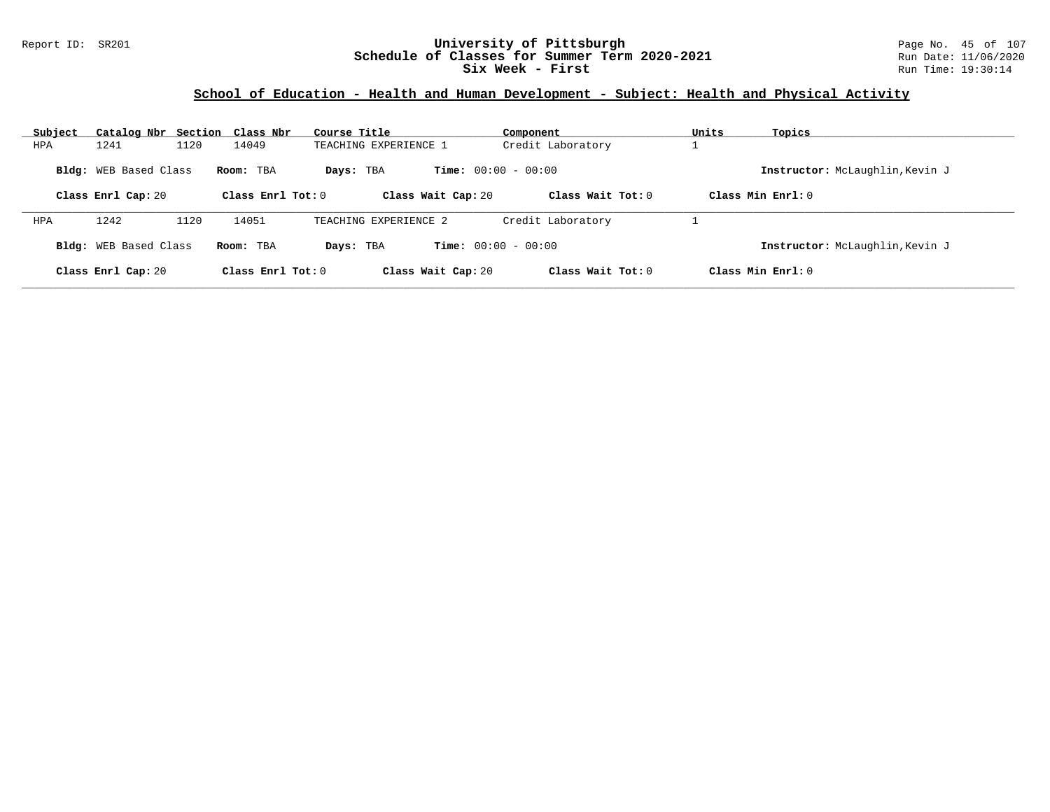### Report ID: SR201 **University of Pittsburgh** Page No. 45 of 107 **Schedule of Classes for Summer Term 2020-2021** Run Date: 11/06/2020 **Six Week - First Run** Time: 19:30:14

# **School of Education - Health and Human Development - Subject: Health and Physical Activity**

| Subject                                                  |                       | Catalog Nbr Section Class Nbr | Course Title          | Component                    |                     | Units             | Topics                          |
|----------------------------------------------------------|-----------------------|-------------------------------|-----------------------|------------------------------|---------------------|-------------------|---------------------------------|
| HPA                                                      | 1241                  | 1120<br>14049                 | TEACHING EXPERIENCE 1 |                              | Credit Laboratory   |                   |                                 |
| Bldg: WEB Based Class<br>Room: TBA<br>Class Enrl Cap: 20 |                       |                               | Days: TBA             | <b>Time:</b> $00:00 - 00:00$ |                     |                   | Instructor: McLaughlin, Kevin J |
|                                                          |                       |                               | Class Enrl Tot: $0$   | Class Wait Cap: 20           | Class Wait Tot: $0$ | Class Min Enrl: 0 |                                 |
| <b>HPA</b>                                               | 1242                  | 1120<br>14051                 | TEACHING EXPERIENCE 2 |                              | Credit Laboratory   |                   |                                 |
|                                                          | Bldg: WEB Based Class | Room: TBA                     | Davs: TBA             | <b>Time:</b> $00:00 - 00:00$ |                     |                   | Instructor: McLaughlin, Kevin J |
|                                                          | Class Enrl Cap: 20    |                               | Class Enrl Tot: $0$   | Class Wait Cap: 20           | Class Wait Tot: 0   | Class Min Enrl: 0 |                                 |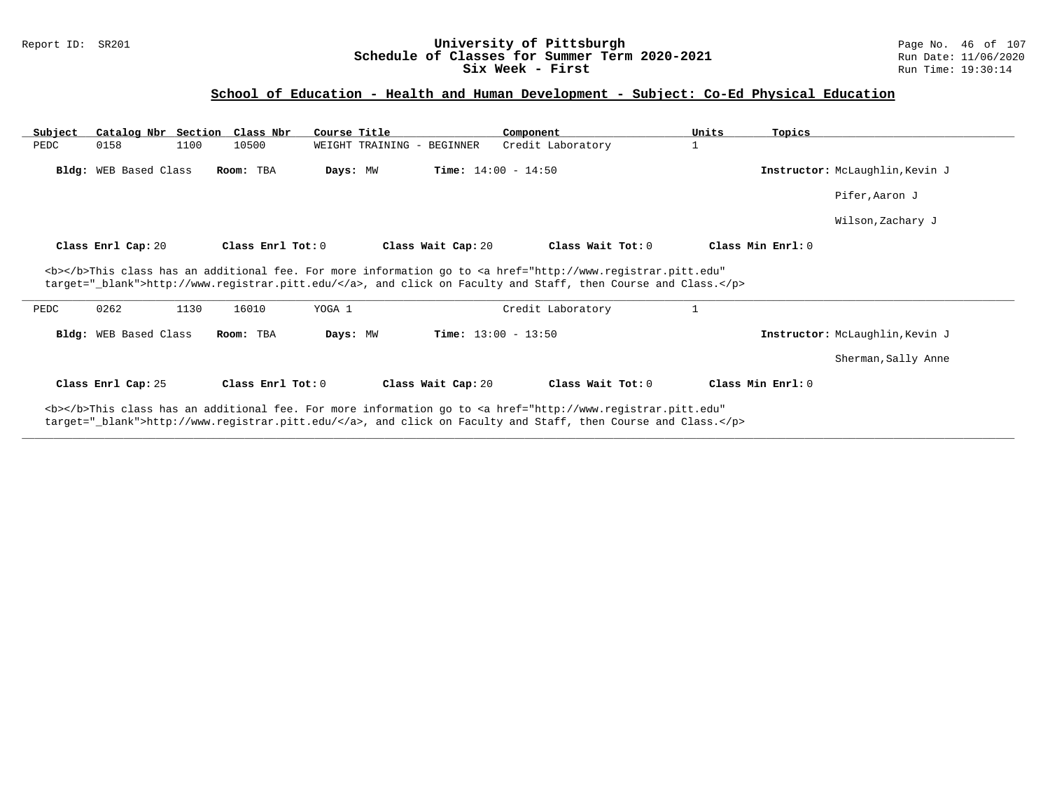### Report ID: SR201 **University of Pittsburgh** Page No. 46 of 107 **Schedule of Classes for Summer Term 2020-2021** Run Date: 11/06/2020 **Six Week - First Run Time: 19:30:14**

## **School of Education - Health and Human Development - Subject: Co-Ed Physical Education**

| Subject | Catalog Nbr Section Class Nbr |      |                   | Course Title |                              | Component                                                                                                                                                                                                                                               | Units | Topics                          |
|---------|-------------------------------|------|-------------------|--------------|------------------------------|---------------------------------------------------------------------------------------------------------------------------------------------------------------------------------------------------------------------------------------------------------|-------|---------------------------------|
| PEDC    | 0158                          | 1100 | 10500             |              | WEIGHT TRAINING - BEGINNER   | Credit Laboratory                                                                                                                                                                                                                                       | 1     |                                 |
|         | Bldg: WEB Based Class         |      | Room: TBA         | Days: MW     | <b>Time:</b> $14:00 - 14:50$ |                                                                                                                                                                                                                                                         |       | Instructor: McLaughlin, Kevin J |
|         |                               |      |                   |              |                              |                                                                                                                                                                                                                                                         |       | Pifer, Aaron J                  |
|         |                               |      |                   |              |                              |                                                                                                                                                                                                                                                         |       | Wilson, Zachary J               |
|         | Class Enrl Cap: 20            |      | Class Enrl Tot: 0 |              | Class Wait Cap: 20           | Class Wait Tot: 0                                                                                                                                                                                                                                       |       | Class Min Enrl: 0               |
| PEDC    | 0262                          | 1130 | 16010             | YOGA 1       |                              | <b></b> This class has an additional fee. For more information go to <a <br="" href="http://www.registrar.pitt.edu">target="_blank"&gt;http://www.registrar.pitt.edu/</a> , and click on Faculty and Staff, then Course and Class.<br>Credit Laboratory |       |                                 |
|         | Bldg: WEB Based Class         |      | Room: TBA         | Days: MW     | <b>Time:</b> $13:00 - 13:50$ |                                                                                                                                                                                                                                                         |       | Instructor: McLaughlin, Kevin J |
|         |                               |      |                   |              |                              |                                                                                                                                                                                                                                                         |       | Sherman, Sally Anne             |
|         |                               |      |                   |              |                              |                                                                                                                                                                                                                                                         |       |                                 |
|         | Class Enrl Cap: 25            |      | Class Enrl Tot: 0 |              | Class Wait Cap: 20           | Class Wait Tot: $0$                                                                                                                                                                                                                                     |       | Class Min Enrl: 0               |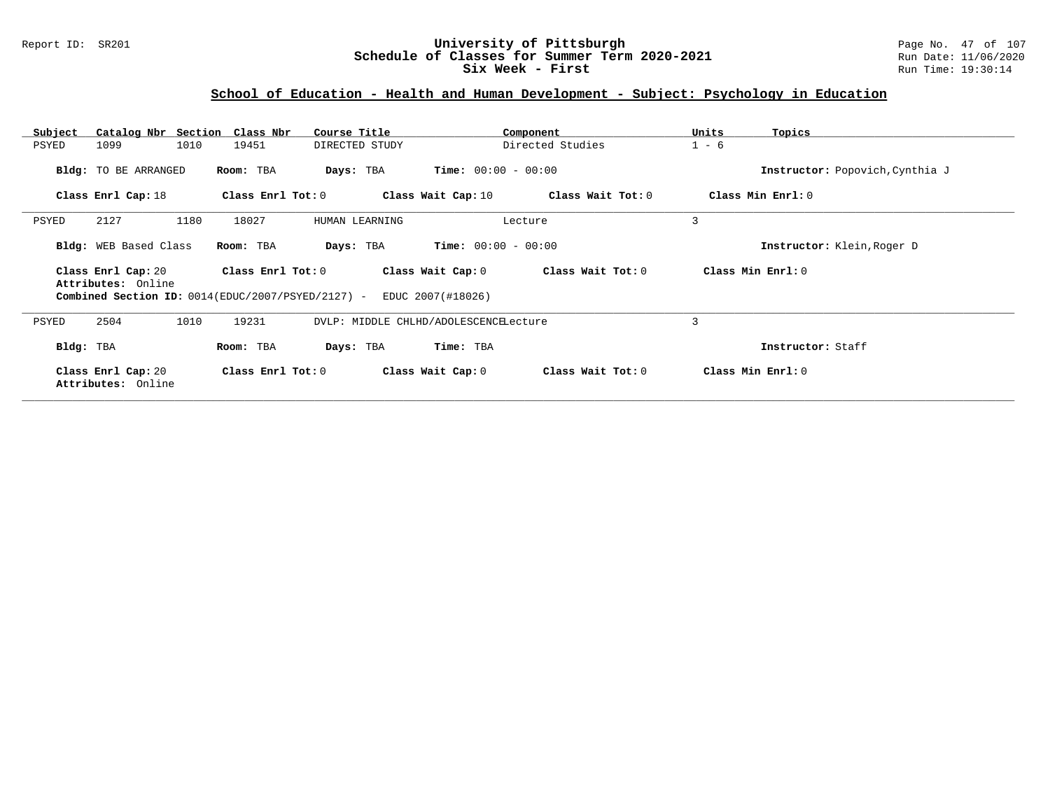### Report ID: SR201 **University of Pittsburgh** Page No. 47 of 107 **Schedule of Classes for Summer Term 2020-2021** Run Date: 11/06/2020 **Six Week - First Run Time: 19:30:14**

# **School of Education - Health and Human Development - Subject: Psychology in Education**

| Subject   | Catalog Nbr Section Class Nbr            |      |                                                                          | Course Title   |                   |                                       | Component         | Units             | Topics                          |
|-----------|------------------------------------------|------|--------------------------------------------------------------------------|----------------|-------------------|---------------------------------------|-------------------|-------------------|---------------------------------|
| PSYED     | 1099                                     | 1010 | 19451                                                                    | DIRECTED STUDY |                   |                                       | Directed Studies  | $1 - 6$           |                                 |
|           | <b>Bldg:</b> TO BE ARRANGED              |      | Room: TBA                                                                | Days: TBA      |                   | <b>Time:</b> $00:00 - 00:00$          |                   |                   | Instructor: Popovich, Cynthia J |
|           | Class Enrl Cap: 18                       |      | Class Enrl Tot: 0                                                        |                |                   | Class Wait Cap: 10                    | Class Wait Tot: 0 |                   | Class Min Enrl: 0               |
| PSYED     | 2127                                     | 1180 | 18027                                                                    | HUMAN LEARNING |                   |                                       | Lecture           | 3                 |                                 |
|           | Bldg: WEB Based Class                    |      | Room: TBA                                                                | Days: TBA      |                   | <b>Time:</b> $00:00 - 00:00$          |                   |                   | Instructor: Klein, Roger D      |
|           | Class Enrl Cap: 20<br>Attributes: Online |      | Class Enrl Tot: $0$<br>Combined Section ID: 0014(EDUC/2007/PSYED/2127) - |                | Class Wait Cap: 0 | Class Wait Tot: 0                     |                   | Class Min Enrl: 0 |                                 |
|           |                                          |      |                                                                          |                |                   | EDUC 2007(#18026)                     |                   |                   |                                 |
| PSYED     | 2504                                     | 1010 | 19231                                                                    |                |                   | DVLP: MIDDLE CHLHD/ADOLESCENCELecture |                   | 3                 |                                 |
| Bldg: TBA |                                          |      | Room: TBA                                                                | Days: TBA      |                   | Time: TBA                             |                   |                   | Instructor: Staff               |
|           | Class Enrl Cap: 20<br>Attributes: Online |      | Class Enrl Tot: $0$                                                      |                |                   | Class Wait Cap: 0                     | Class Wait Tot: 0 |                   | Class Min Enrl: 0               |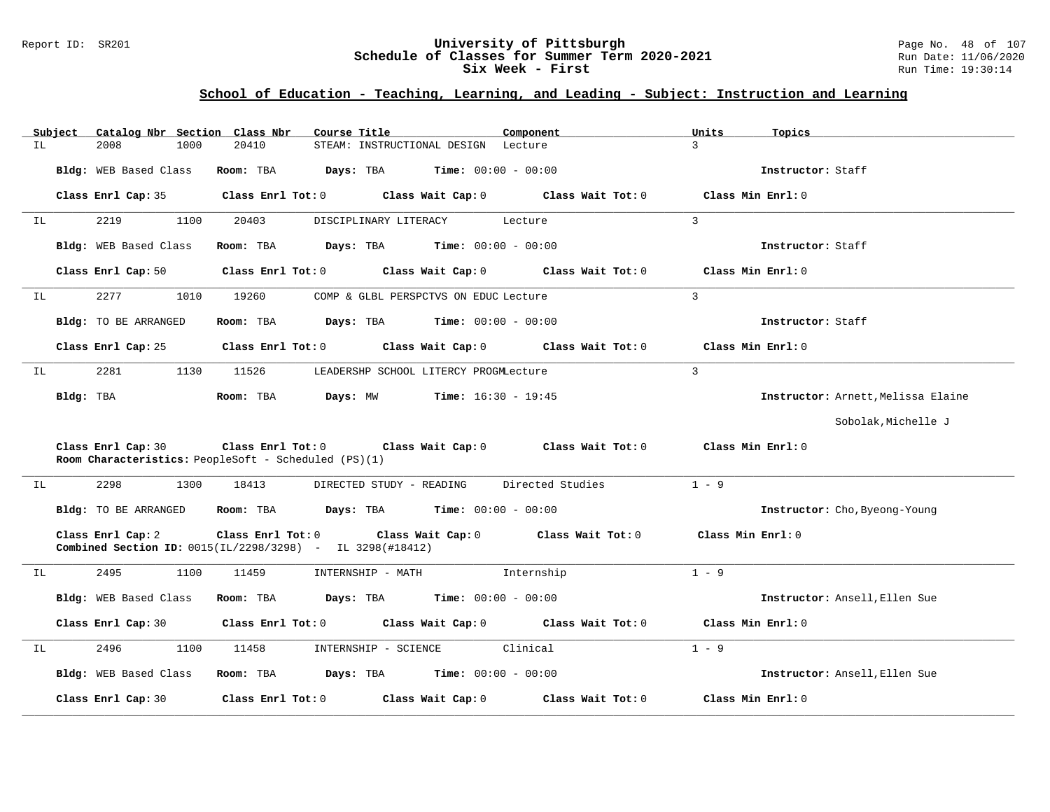#### Report ID: SR201 **University of Pittsburgh** Page No. 48 of 107 **Schedule of Classes for Summer Term 2020-2021** Run Date: 11/06/2020 **Six Week - First Run** Time: 19:30:14

## **School of Education - Teaching, Learning, and Leading - Subject: Instruction and Learning**

|     | Subject   |                                                                                         |      | Catalog Nbr Section Class Nbr | Course Title            |                                                     |                              | Component                           |                   | Units              | Topics                             |
|-----|-----------|-----------------------------------------------------------------------------------------|------|-------------------------------|-------------------------|-----------------------------------------------------|------------------------------|-------------------------------------|-------------------|--------------------|------------------------------------|
| IL  |           | 2008                                                                                    | 1000 | 20410                         |                         | STEAM: INSTRUCTIONAL DESIGN Lecture                 |                              |                                     |                   | $\mathcal{L}$      |                                    |
|     |           | Bldg: WEB Based Class                                                                   |      | Room: TBA                     | Days: TBA               |                                                     | $Time: 00:00 - 00:00$        |                                     |                   |                    | Instructor: Staff                  |
|     |           | Class Enrl Cap: 35                                                                      |      |                               | $Class$ $Enrl$ $Tot: 0$ |                                                     |                              | Class Wait Cap: 0 Class Wait Tot: 0 |                   |                    | Class Min Enrl: 0                  |
| IL  |           | 2219                                                                                    | 1100 | 20403                         |                         | DISCIPLINARY LITERACY                               |                              | Lecture                             |                   | $\overline{3}$     |                                    |
|     |           | Bldg: WEB Based Class                                                                   |      | Room: TBA                     |                         | <b>Days:</b> TBA <b>Time:</b> $00:00 - 00:00$       |                              |                                     |                   |                    | Instructor: Staff                  |
|     |           | Class Enrl Cap: 50                                                                      |      |                               |                         | Class Enrl Tot: 0 Class Wait Cap: 0                 |                              |                                     | Class Wait Tot: 0 |                    | Class Min Enrl: 0                  |
| ΙL  |           | 2277                                                                                    | 1010 | 19260                         |                         | COMP & GLBL PERSPCTVS ON EDUC Lecture               |                              |                                     |                   | $\overline{3}$     |                                    |
|     |           | Bldg: TO BE ARRANGED                                                                    |      | Room: TBA                     |                         | <b>Days:</b> TBA <b>Time:</b> $00:00 - 00:00$       |                              |                                     |                   |                    | Instructor: Staff                  |
|     |           | Class Enrl Cap: 25                                                                      |      |                               | $Class$ $Enr1$ $Tot: 0$ | Class Wait Cap: 0                                   |                              |                                     | Class Wait Tot: 0 | Class Min Enrl: 0  |                                    |
| IL  |           | 2281                                                                                    | 1130 | 11526                         |                         | LEADERSHP SCHOOL LITERCY PROGMLecture               |                              |                                     |                   | $\overline{3}$     |                                    |
|     | Bldg: TBA |                                                                                         |      | Room: TBA                     | Days: MW                |                                                     | <b>Time:</b> $16:30 - 19:45$ |                                     |                   |                    | Instructor: Arnett, Melissa Elaine |
|     |           |                                                                                         |      |                               |                         |                                                     |                              |                                     |                   |                    | Sobolak, Michelle J                |
|     |           | Class Enrl Cap: 30<br>Room Characteristics: PeopleSoft - Scheduled (PS)(1)              |      |                               |                         | Class Enrl Tot: 0 Class Wait Cap: 0                 |                              | Class Wait Tot: 0                   |                   | Class Min Enrl: 0  |                                    |
| IL. |           | 2298                                                                                    | 1300 | 18413                         |                         | DIRECTED STUDY - READING                            |                              | Directed Studies                    |                   | $1 - 9$            |                                    |
|     |           | Bldg: TO BE ARRANGED                                                                    |      | Room: TBA                     |                         | <b>Days:</b> TBA <b>Time:</b> $00:00 - 00:00$       |                              |                                     |                   |                    | Instructor: Cho, Byeong-Young      |
|     |           | Class Enrl Cap: 2<br><b>Combined Section ID:</b> $0015(IL/2298/3298)$ - IL 3298(#18412) |      |                               |                         | Class Enrl Tot: 0 Class Wait Cap: 0                 |                              | Class Wait Tot: 0                   |                   | Class Min $Err1:0$ |                                    |
| IL  |           | 2495                                                                                    | 1100 | 11459                         |                         | INTERNSHIP - MATH                                   |                              | Internship                          |                   | $1 - 9$            |                                    |
|     |           | Bldg: WEB Based Class                                                                   |      | Room: TBA                     |                         | $\texttt{Days:}$ TBA $\texttt{Time:}$ 00:00 - 00:00 |                              |                                     |                   |                    | Instructor: Ansell, Ellen Sue      |
|     |           | Class Enrl Cap: 30                                                                      |      |                               | $Class$ $Enr1$ $Tot: 0$ |                                                     |                              | Class Wait Cap: 0 Class Wait Tot: 0 |                   |                    | Class Min Enrl: 0                  |
| ΙL  |           | 2496                                                                                    | 1100 | 11458                         |                         | INTERNSHIP - SCIENCE                                |                              | Clinical                            |                   | $1 - 9$            |                                    |
|     |           | Bldg: WEB Based Class                                                                   |      |                               |                         | Room: TBA $Days:$ TBA $Time: 00:00 - 00:00$         |                              |                                     |                   |                    | Instructor: Ansell, Ellen Sue      |
|     |           | Class Enrl Cap: 30                                                                      |      | Class Enrl Tot: 0             |                         | Class Wait Cap: 0                                   |                              |                                     | Class Wait Tot: 0 |                    | Class Min Enrl: 0                  |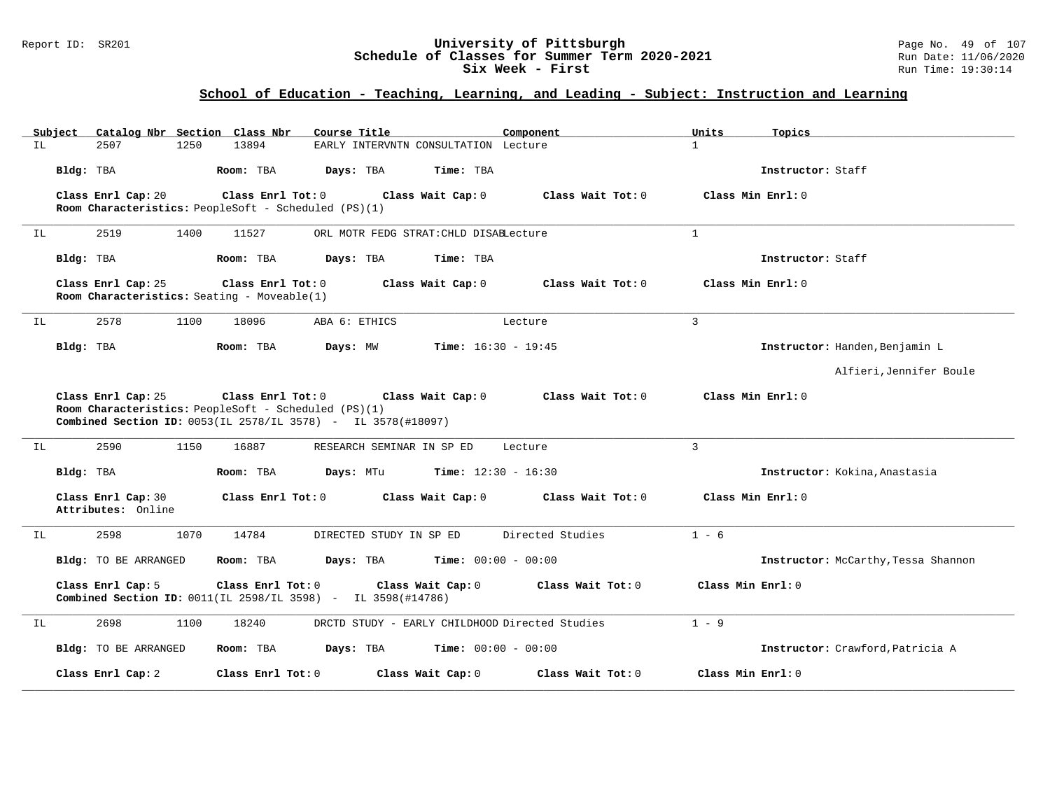#### Report ID: SR201 **University of Pittsburgh** Page No. 49 of 107 **Schedule of Classes for Summer Term 2020-2021** Run Date: 11/06/2020 **Six Week - First Run** Time: 19:30:14

# **School of Education - Teaching, Learning, and Leading - Subject: Instruction and Learning**

| Subject                                  | Catalog Nbr Section Class Nbr<br>Course Title                                                                                                                  | Component                                      | Units<br>Topics                     |
|------------------------------------------|----------------------------------------------------------------------------------------------------------------------------------------------------------------|------------------------------------------------|-------------------------------------|
| IL.<br>2507<br>1250                      | 13894<br>EARLY INTERVNTN CONSULTATION Lecture                                                                                                                  |                                                | $\mathbf{1}$                        |
| Bldg: TBA                                | Room: TBA<br>Days: TBA                                                                                                                                         | Time: TBA                                      | Instructor: Staff                   |
| Class Enrl Cap: 20                       | Class Enrl Tot: 0<br>Class Wait Cap: 0<br>Room Characteristics: PeopleSoft - Scheduled (PS)(1)                                                                 | Class Wait Tot: 0                              | Class Min Enrl: 0                   |
| 2519<br>1400<br>IL                       | 11527<br>ORL MOTR FEDG STRAT: CHLD DISABLecture                                                                                                                |                                                | $\mathbf{1}$                        |
| Bldg: TBA                                | Room: TBA<br>Days: TBA                                                                                                                                         | Time: TBA                                      | Instructor: Staff                   |
| Class Enrl Cap: 25                       | Class Enrl Tot: 0<br>Class Wait Cap: 0<br>Room Characteristics: Seating - Moveable(1)                                                                          | Class Wait Tot: 0                              | Class Min Enrl: 0                   |
| 2578<br>1100<br>IL                       | 18096<br>ABA 6: ETHICS                                                                                                                                         | Lecture                                        | $\overline{3}$                      |
| Bldg: TBA                                | Room: TBA<br>Days: MW                                                                                                                                          | <b>Time:</b> $16:30 - 19:45$                   | Instructor: Handen, Benjamin L      |
|                                          |                                                                                                                                                                |                                                | Alfieri, Jennifer Boule             |
| Class Enrl Cap: 25                       | Class Enrl Tot: 0<br>Class Wait Cap: 0<br>Room Characteristics: PeopleSoft - Scheduled (PS)(1)<br>Combined Section ID: 0053(IL 2578/IL 3578) - IL 3578(#18097) | Class Wait Tot: 0                              | Class Min Enrl: 0                   |
| 2590<br>1150<br>IL                       | 16887<br>RESEARCH SEMINAR IN SP ED                                                                                                                             | Lecture                                        | 3                                   |
| Bldg: TBA                                | Room: TBA<br>Days: MTu                                                                                                                                         | <b>Time:</b> $12:30 - 16:30$                   | Instructor: Kokina, Anastasia       |
| Class Enrl Cap: 30<br>Attributes: Online | Class Enrl Tot: 0<br>Class Wait Cap: 0                                                                                                                         | Class Wait Tot: 0                              | Class Min Enrl: 0                   |
| 2598<br>1070<br>ΙL                       | 14784<br>DIRECTED STUDY IN SP ED                                                                                                                               | Directed Studies                               | $1 - 6$                             |
| <b>Bldg:</b> TO BE ARRANGED              | Days: TBA<br>Room: TBA                                                                                                                                         | $Time: 00:00 - 00:00$                          | Instructor: McCarthy, Tessa Shannon |
| Class Enrl Cap: 5                        | Class Enrl Tot: 0<br>Class Wait Cap: 0<br>Combined Section ID: 0011(IL 2598/IL 3598) - IL 3598(#14786)                                                         | Class Wait Tot: 0                              | Class Min Enrl: 0                   |
| 2698<br>1100<br>ΙL                       | 18240                                                                                                                                                          | DRCTD STUDY - EARLY CHILDHOOD Directed Studies | $1 - 9$                             |
| <b>Bldg:</b> TO BE ARRANGED              | Room: TBA<br>Days: TBA                                                                                                                                         | <b>Time:</b> $00:00 - 00:00$                   | Instructor: Crawford, Patricia A    |
| Class Enrl Cap: 2                        | Class Enrl Tot: 0<br>Class Wait Cap: 0                                                                                                                         | Class Wait Tot: 0                              | Class Min Enrl: 0                   |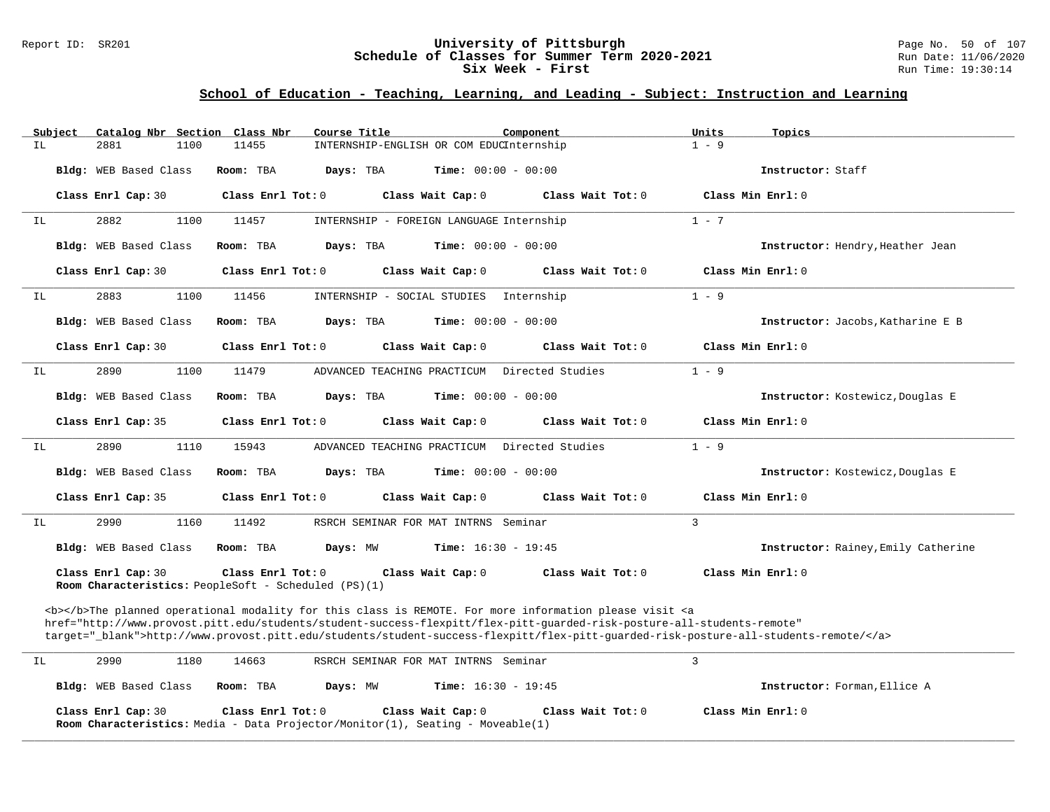### Report ID: SR201 **University of Pittsburgh** Page No. 50 of 107 **Schedule of Classes for Summer Term 2020-2021** Run Date: 11/06/2020 **Six Week - First** Run Time: 19:30:14

# **School of Education - Teaching, Learning, and Leading - Subject: Instruction and Learning**

| Subject | Catalog Nbr Section Class Nbr                                              |                     | Course Title                                                                                               | Component                    |                                                                                                                                                                                                                                                              | Units             | Topics                              |
|---------|----------------------------------------------------------------------------|---------------------|------------------------------------------------------------------------------------------------------------|------------------------------|--------------------------------------------------------------------------------------------------------------------------------------------------------------------------------------------------------------------------------------------------------------|-------------------|-------------------------------------|
| IL      | 2881<br>1100                                                               | 11455               | INTERNSHIP-ENGLISH OR COM EDUCInternship                                                                   |                              |                                                                                                                                                                                                                                                              | $1 - 9$           |                                     |
|         | Bldg: WEB Based Class                                                      | Room: TBA           | Days: TBA                                                                                                  | Time: $00:00 - 00:00$        |                                                                                                                                                                                                                                                              |                   | Instructor: Staff                   |
|         | Class Enrl Cap: 30                                                         | Class Enrl Tot: 0   | Class Wait Cap: 0                                                                                          |                              | Class Wait Tot: 0                                                                                                                                                                                                                                            | Class Min Enrl: 0 |                                     |
| IL      | 2882<br>1100                                                               | 11457               | INTERNSHIP - FOREIGN LANGUAGE Internship                                                                   |                              |                                                                                                                                                                                                                                                              | $1 - 7$           |                                     |
|         | Bldg: WEB Based Class                                                      | Room: TBA           | Days: TBA                                                                                                  | Time: $00:00 - 00:00$        |                                                                                                                                                                                                                                                              |                   | Instructor: Hendry, Heather Jean    |
|         | Class Enrl Cap: 30                                                         | Class Enrl Tot: 0   | Class Wait Cap: 0                                                                                          |                              | Class Wait Tot: 0                                                                                                                                                                                                                                            | Class Min Enrl: 0 |                                     |
| IL      | 2883<br>1100                                                               | 11456               | INTERNSHIP - SOCIAL STUDIES                                                                                | Internship                   |                                                                                                                                                                                                                                                              | $1 - 9$           |                                     |
|         | Bldg: WEB Based Class                                                      | Room: TBA           | Days: TBA                                                                                                  | Time: $00:00 - 00:00$        |                                                                                                                                                                                                                                                              |                   | Instructor: Jacobs, Katharine E B   |
|         | Class Enrl Cap: 30                                                         | Class Enrl Tot: 0   | Class Wait Cap: 0                                                                                          |                              | Class Wait Tot: 0                                                                                                                                                                                                                                            | Class Min Enrl: 0 |                                     |
| IL      | 2890<br>1100                                                               | 11479               | ADVANCED TEACHING PRACTICUM                                                                                |                              | Directed Studies                                                                                                                                                                                                                                             | $1 - 9$           |                                     |
|         | Bldg: WEB Based Class                                                      | Room: TBA           | Days: TBA                                                                                                  | <b>Time:</b> $00:00 - 00:00$ |                                                                                                                                                                                                                                                              |                   | Instructor: Kostewicz, Douglas E    |
|         | Class Enrl Cap: 35                                                         | Class Enrl Tot: 0   | Class Wait Cap: 0                                                                                          |                              | Class Wait Tot: 0                                                                                                                                                                                                                                            | Class Min Enrl: 0 |                                     |
| ΙL      | 2890<br>1110                                                               | 15943               | ADVANCED TEACHING PRACTICUM                                                                                |                              | Directed Studies                                                                                                                                                                                                                                             | $1 - 9$           |                                     |
|         | Bldg: WEB Based Class                                                      | Room: TBA           | Days: TBA                                                                                                  | <b>Time:</b> $00:00 - 00:00$ |                                                                                                                                                                                                                                                              |                   | Instructor: Kostewicz, Douglas E    |
|         | Class Enrl Cap: 35                                                         | Class Enrl Tot: $0$ | Class Wait Cap: 0                                                                                          |                              | Class Wait Tot: $0$                                                                                                                                                                                                                                          | Class Min Enrl: 0 |                                     |
| IL      | 2990<br>1160                                                               | 11492               | RSRCH SEMINAR FOR MAT INTRNS Seminar                                                                       |                              |                                                                                                                                                                                                                                                              | 3                 |                                     |
|         | Bldg: WEB Based Class                                                      | Room: TBA           | Days: MW                                                                                                   | <b>Time:</b> $16:30 - 19:45$ |                                                                                                                                                                                                                                                              |                   | Instructor: Rainey, Emily Catherine |
|         | Class Enrl Cap: 30<br>Room Characteristics: PeopleSoft - Scheduled (PS)(1) | Class Enrl Tot: 0   | Class Wait Cap: 0                                                                                          |                              | Class Wait Tot: 0                                                                                                                                                                                                                                            | Class Min Enrl: 0 |                                     |
|         |                                                                            |                     |                                                                                                            |                              | <b></b> The planned operational modality for this class is REMOTE. For more information please visit <a< td=""><td></td><td></td></a<>                                                                                                                       |                   |                                     |
|         |                                                                            |                     |                                                                                                            |                              | href="http://www.provost.pitt.edu/students/student-success-flexpitt/flex-pitt-quarded-risk-posture-all-students-remote"<br>target="_blank">http://www.provost.pitt.edu/students/student-success-flexpitt/flex-pitt-quarded-risk-posture-all-students-remote/ |                   |                                     |
|         |                                                                            |                     |                                                                                                            |                              |                                                                                                                                                                                                                                                              |                   |                                     |
| IL      | 2990<br>1180                                                               | 14663               | RSRCH SEMINAR FOR MAT INTRNS Seminar                                                                       |                              |                                                                                                                                                                                                                                                              | $\overline{3}$    |                                     |
|         | Bldg: WEB Based Class                                                      | Room: TBA           | Days: MW                                                                                                   | Time: $16:30 - 19:45$        |                                                                                                                                                                                                                                                              |                   | Instructor: Forman, Ellice A        |
|         | Class Enrl Cap: 30                                                         | Class Enrl Tot: 0   | Class Wait Cap: 0<br><b>Room Characteristics:</b> Media - Data Projector/Monitor(1), Seating - Moveable(1) |                              | Class Wait Tot: 0                                                                                                                                                                                                                                            | Class Min Enrl: 0 |                                     |

**\_\_\_\_\_\_\_\_\_\_\_\_\_\_\_\_\_\_\_\_\_\_\_\_\_\_\_\_\_\_\_\_\_\_\_\_\_\_\_\_\_\_\_\_\_\_\_\_\_\_\_\_\_\_\_\_\_\_\_\_\_\_\_\_\_\_\_\_\_\_\_\_\_\_\_\_\_\_\_\_\_\_\_\_\_\_\_\_\_\_\_\_\_\_\_\_\_\_\_\_\_\_\_\_\_\_\_\_\_\_\_\_\_\_\_\_\_\_\_\_\_\_\_\_\_\_\_\_\_\_\_\_\_\_\_\_\_\_\_\_\_\_\_\_\_\_\_\_\_\_\_\_\_\_\_\_**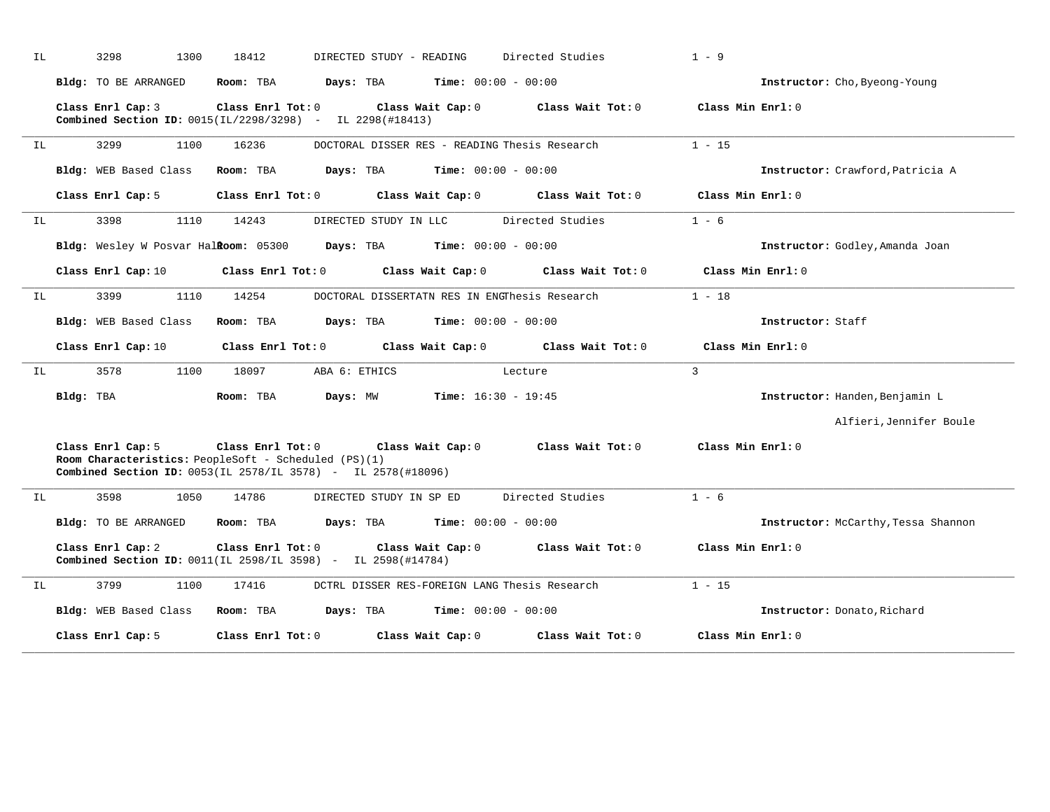| IL |           | 3298<br>1300                                                                                                                                     | 18412                   | DIRECTED STUDY - READING                      |                              | Directed Studies  | $1 - 9$           |                                     |
|----|-----------|--------------------------------------------------------------------------------------------------------------------------------------------------|-------------------------|-----------------------------------------------|------------------------------|-------------------|-------------------|-------------------------------------|
|    |           | Bldg: TO BE ARRANGED                                                                                                                             | Room: TBA               | Days: TBA                                     | $Time: 00:00 - 00:00$        |                   |                   | Instructor: Cho, Byeong-Young       |
|    |           | Class Enrl Cap: 3<br>Combined Section ID: 0015(IL/2298/3298) - IL 2298(#18413)                                                                   | Class Enrl Tot: 0       |                                               | Class Wait Cap: 0            | Class Wait Tot: 0 | Class Min Enrl: 0 |                                     |
| IL |           | 3299<br>1100                                                                                                                                     | 16236                   | DOCTORAL DISSER RES - READING Thesis Research |                              |                   | $1 - 15$          |                                     |
|    |           | Bldg: WEB Based Class                                                                                                                            | Room: TBA               | <b>Days:</b> TBA <b>Time:</b> $00:00 - 00:00$ |                              |                   |                   | Instructor: Crawford, Patricia A    |
|    |           | Class Enrl Cap: 5                                                                                                                                | Class Enrl Tot: 0       |                                               | Class Wait Cap: 0            | Class Wait Tot: 0 | Class Min Enrl: 0 |                                     |
| IL |           | 3398<br>1110                                                                                                                                     | 14243                   | DIRECTED STUDY IN LLC                         |                              | Directed Studies  | $1 - 6$           |                                     |
|    |           | Bldg: Wesley W Posvar Halkoom: 05300                                                                                                             |                         | Days: TBA                                     | <b>Time:</b> $00:00 - 00:00$ |                   |                   | Instructor: Godley, Amanda Joan     |
|    |           | Class Enrl Cap: 10                                                                                                                               | $Class$ $Enr1$ $Tot: 0$ |                                               | Class Wait Cap: 0            | Class Wait Tot: 0 | Class Min Enrl: 0 |                                     |
| IL |           | 3399<br>1110                                                                                                                                     | 14254                   | DOCTORAL DISSERTATN RES IN ENGThesis Research |                              |                   | $1 - 18$          |                                     |
|    |           | Bldg: WEB Based Class                                                                                                                            | Room: TBA               | Days: TBA                                     | $Time: 00:00 - 00:00$        |                   |                   | Instructor: Staff                   |
|    |           | Class Enrl Cap: 10                                                                                                                               | Class Enrl Tot: 0       | Class Wait Cap: 0                             |                              | Class Wait Tot: 0 | Class Min Enrl: 0 |                                     |
| IL |           | 3578<br>1100                                                                                                                                     | 18097                   | ABA 6: ETHICS                                 |                              | Lecture           | $\overline{3}$    |                                     |
|    | Bldg: TBA |                                                                                                                                                  | Room: TBA               | <b>Days:</b> MW <b>Time:</b> $16:30 - 19:45$  |                              |                   |                   | Instructor: Handen, Benjamin L      |
|    |           |                                                                                                                                                  |                         |                                               |                              |                   |                   | Alfieri, Jennifer Boule             |
|    |           | Class Enrl Cap: 5<br>Room Characteristics: PeopleSoft - Scheduled (PS)(1)<br><b>Combined Section ID:</b> 0053(IL 2578/IL 3578) - IL 2578(#18096) | Class Enrl Tot: 0       | Class Wait Cap: 0                             |                              | Class Wait Tot: 0 | Class Min Enrl: 0 |                                     |
| IL |           | 3598<br>1050                                                                                                                                     | 14786                   | DIRECTED STUDY IN SP ED                       |                              | Directed Studies  | $1 - 6$           |                                     |
|    |           | Bldg: TO BE ARRANGED                                                                                                                             | Room: TBA               | Days: TBA                                     | <b>Time:</b> $00:00 - 00:00$ |                   |                   | Instructor: McCarthy, Tessa Shannon |
|    |           | Class Enrl Cap: 2<br>Combined Section ID: 0011(IL 2598/IL 3598) - IL 2598(#14784)                                                                | Class Enrl Tot: 0       | Class Wait Cap: 0                             |                              | Class Wait Tot: 0 | Class Min Enrl: 0 |                                     |
| IL |           | 1100<br>3799                                                                                                                                     | 17416                   | DCTRL DISSER RES-FOREIGN LANG Thesis Research |                              |                   | $1 - 15$          |                                     |
|    |           | Bldg: WEB Based Class                                                                                                                            | Room: TBA               | Days: TBA                                     | $Time: 00:00 - 00:00$        |                   |                   | Instructor: Donato, Richard         |
|    |           | Class Enrl Cap: 5                                                                                                                                | Class Enrl Tot: 0       |                                               | Class Wait Cap: 0            | Class Wait Tot: 0 | Class Min Enrl: 0 |                                     |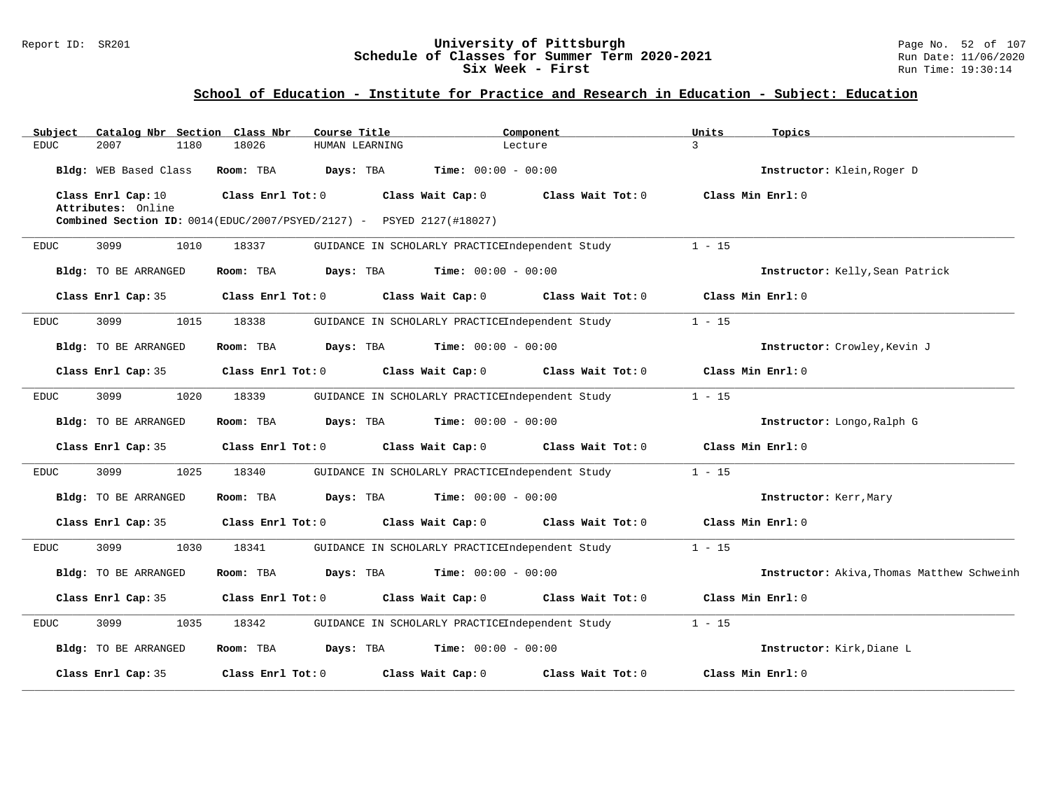### Report ID: SR201 **1988 Chedule of Classes for Summer Term 2020-2021** Page No. 52 of 107<br>**Schedule of Classes for Summer Term 2020-2021** Run Date: 11/06/2020 **Schedule of Classes for Summer Term 2020-2021** Run Date: 11/06/2021<br>Six Week - First Run Time: 19:30:14 Six Week - First

## **School of Education - Institute for Practice and Research in Education - Subject: Education**

| Catalog Nbr Section<br>Subject           | Class Nbr<br>Course Title                                                      | Component                                       | Units<br>Topics                            |
|------------------------------------------|--------------------------------------------------------------------------------|-------------------------------------------------|--------------------------------------------|
| <b>EDUC</b><br>2007<br>1180              | 18026<br>HUMAN LEARNING                                                        | Lecture                                         | 3                                          |
| Bldg: WEB Based Class                    | Room: TBA<br>Days: TBA                                                         | <b>Time:</b> $00:00 - 00:00$                    | Instructor: Klein, Roger D                 |
| Class Enrl Cap: 10<br>Attributes: Online | Class Enrl Tot: 0                                                              | Class Wait Cap: 0<br>Class Wait Tot: 0          | Class Min Enrl: 0                          |
|                                          | <b>Combined Section ID:</b> $0014$ (EDUC/2007/PSYED/2127) - PSYED 2127(#18027) |                                                 |                                            |
| 3099<br>1010<br>EDUC                     | 18337                                                                          | GUIDANCE IN SCHOLARLY PRACTICEIndependent Study | $1 - 15$                                   |
| Bldg: TO BE ARRANGED                     | Room: TBA<br>Days: TBA                                                         | <b>Time:</b> $00:00 - 00:00$                    | Instructor: Kelly, Sean Patrick            |
| Class Enrl Cap: 35                       | Class Enrl Tot: 0                                                              | Class Wait Cap: 0<br>Class Wait Tot: 0          | Class Min Enrl: 0                          |
| 3099<br>1015<br><b>EDUC</b>              | 18338                                                                          | GUIDANCE IN SCHOLARLY PRACTICEIndependent Study | $1 - 15$                                   |
| Bldg: TO BE ARRANGED                     | Room: TBA<br>Days: TBA                                                         | <b>Time:</b> $00:00 - 00:00$                    | Instructor: Crowley, Kevin J               |
| Class Enrl Cap: 35                       | Class Enrl Tot: 0                                                              | Class Wait Cap: 0<br>Class Wait Tot: 0          | Class Min Enrl: 0                          |
| 3099<br>1020<br><b>EDUC</b>              | 18339                                                                          | GUIDANCE IN SCHOLARLY PRACTICEIndependent Study | $1 - 15$                                   |
| Bldg: TO BE ARRANGED                     | Room: TBA<br>Days: TBA                                                         | <b>Time:</b> $00:00 - 00:00$                    | Instructor: Longo, Ralph G                 |
| Class Enrl Cap: 35                       | Class Enrl Tot: 0                                                              | Class Wait Cap: 0<br>Class Wait Tot: 0          | Class Min Enrl: 0                          |
| 3099<br>1025<br><b>EDUC</b>              | 18340                                                                          | GUIDANCE IN SCHOLARLY PRACTICEIndependent Study | $1 - 15$                                   |
| Bldg: TO BE ARRANGED                     | Room: TBA<br>Days: TBA                                                         | $Time: 00:00 - 00:00$                           | Instructor: Kerr, Mary                     |
| Class Enrl Cap: 35                       | Class Enrl Tot: 0                                                              | Class Wait Cap: 0<br>Class Wait Tot: 0          | Class Min Enrl: 0                          |
| 3099<br>1030<br>EDUC                     | 18341                                                                          | GUIDANCE IN SCHOLARLY PRACTICEIndependent Study | $1 - 15$                                   |
| <b>Bldg:</b> TO BE ARRANGED              | Days: TBA<br>Room: TBA                                                         | <b>Time:</b> $00:00 - 00:00$                    | Instructor: Akiva, Thomas Matthew Schweinh |
| Class Enrl Cap: 35                       | Class Enrl Tot: 0                                                              | Class Wait Cap: 0<br>Class Wait Tot: 0          | Class Min Enrl: 0                          |
| 3099<br>1035<br><b>EDUC</b>              | 18342                                                                          | GUIDANCE IN SCHOLARLY PRACTICEIndependent Study | $1 - 15$                                   |
| <b>Bldg:</b> TO BE ARRANGED              | Days: TBA<br>Room: TBA                                                         | <b>Time:</b> $00:00 - 00:00$                    | Instructor: Kirk, Diane L                  |
| Class Enrl Cap: 35                       | Class Enrl Tot: 0                                                              | Class Wait Cap: 0<br>Class Wait Tot: 0          | Class Min Enrl: 0                          |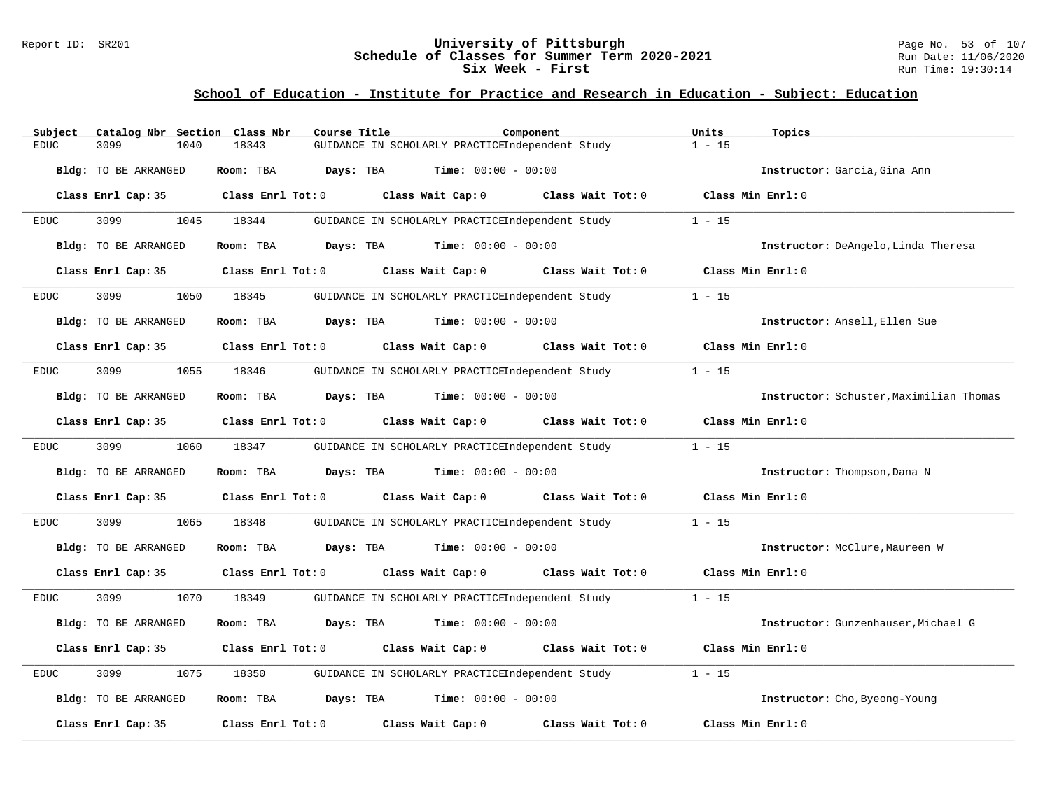#### Report ID: SR201 **University of Pittsburgh** Page No. 53 of 107 **Schedule of Classes for Summer Term 2020-2021** Run Date: 11/06/2020 **Six Week - First Run** Time: 19:30:14

# **School of Education - Institute for Practice and Research in Education - Subject: Education**

| Subject              | Catalog Nbr Section Class Nbr<br>Course Title |                                                 | Component         | Units<br>Topics                         |
|----------------------|-----------------------------------------------|-------------------------------------------------|-------------------|-----------------------------------------|
| <b>EDUC</b><br>3099  | 1040<br>18343                                 | GUIDANCE IN SCHOLARLY PRACTICEIndependent Study |                   | $1 - 15$                                |
| Bldg: TO BE ARRANGED | Room: TBA                                     | Days: TBA<br><b>Time:</b> $00:00 - 00:00$       |                   | Instructor: Garcia, Gina Ann            |
| Class Enrl Cap: 35   | Class Enrl Tot: 0                             | Class Wait Cap: 0                               | Class Wait Tot: 0 | Class Min Enrl: 0                       |
| 3099<br><b>EDUC</b>  | 1045<br>18344                                 | GUIDANCE IN SCHOLARLY PRACTICEIndependent Study |                   | $1 - 15$                                |
| Bldg: TO BE ARRANGED | Room: TBA                                     | Days: TBA<br>$Time: 00:00 - 00:00$              |                   | Instructor: DeAngelo, Linda Theresa     |
| Class Enrl Cap: 35   | Class Enrl Tot: 0                             | Class Wait Cap: 0                               | Class Wait Tot: 0 | Class Min Enrl: 0                       |
| 3099<br>EDUC         | 1050<br>18345                                 | GUIDANCE IN SCHOLARLY PRACTICEIndependent Study |                   | $1 - 15$                                |
| Bldg: TO BE ARRANGED | Room: TBA<br>Days: TBA                        | <b>Time:</b> $00:00 - 00:00$                    |                   | Instructor: Ansell, Ellen Sue           |
| Class Enrl Cap: 35   | Class Enrl Tot: 0                             | Class Wait Cap: 0 Class Wait Tot: 0             |                   | Class Min Enrl: 0                       |
| 3099<br>EDUC         | 1055<br>18346                                 | GUIDANCE IN SCHOLARLY PRACTICEIndependent Study |                   | $1 - 15$                                |
| Bldg: TO BE ARRANGED | Room: TBA                                     | <b>Days:</b> TBA <b>Time:</b> $00:00 - 00:00$   |                   | Instructor: Schuster, Maximilian Thomas |
| Class Enrl Cap: 35   | Class Enrl Tot: 0                             | Class Wait Cap: 0                               | Class Wait Tot: 0 | Class Min Enrl: 0                       |
| 3099<br><b>EDUC</b>  | 1060<br>18347                                 | GUIDANCE IN SCHOLARLY PRACTICEIndependent Study |                   | $1 - 15$                                |
| Bldg: TO BE ARRANGED | Room: TBA                                     | Days: TBA<br><b>Time:</b> $00:00 - 00:00$       |                   | Instructor: Thompson, Dana N            |
| Class Enrl Cap: 35   | Class Enrl Tot: 0                             | Class Wait Cap: 0 Class Wait Tot: 0             |                   | Class Min Enrl: 0                       |
| 3099<br><b>EDUC</b>  | 1065<br>18348                                 | GUIDANCE IN SCHOLARLY PRACTICEIndependent Study |                   | $1 - 15$                                |
| Bldg: TO BE ARRANGED | Room: TBA                                     | <b>Days:</b> TBA <b>Time:</b> $00:00 - 00:00$   |                   | Instructor: McClure, Maureen W          |
| Class Enrl Cap: 35   | Class Enrl Tot: 0                             | Class Wait Cap: 0                               | Class Wait Tot: 0 | Class Min Enrl: 0                       |
| 3099<br><b>EDUC</b>  | 1070<br>18349                                 | GUIDANCE IN SCHOLARLY PRACTICEIndependent Study |                   | $1 - 15$                                |
| Bldg: TO BE ARRANGED | Room: TBA                                     | Days: TBA<br><b>Time:</b> $00:00 - 00:00$       |                   | Instructor: Gunzenhauser, Michael G     |
| Class Enrl Cap: 35   | Class Enrl Tot: 0                             | Class Wait Cap: $0$ Class Wait Tot: $0$         |                   | Class Min Enrl: 0                       |
| <b>EDUC</b><br>3099  | 1075<br>18350                                 | GUIDANCE IN SCHOLARLY PRACTICEIndependent Study |                   | $1 - 15$                                |
| Bldg: TO BE ARRANGED | Room: TBA                                     | Days: TBA<br><b>Time:</b> $00:00 - 00:00$       |                   | Instructor: Cho, Byeong-Young           |
| Class Enrl Cap: 35   | Class Enrl Tot: 0                             | Class Wait Cap: 0                               | Class Wait Tot: 0 | Class Min Enrl: 0                       |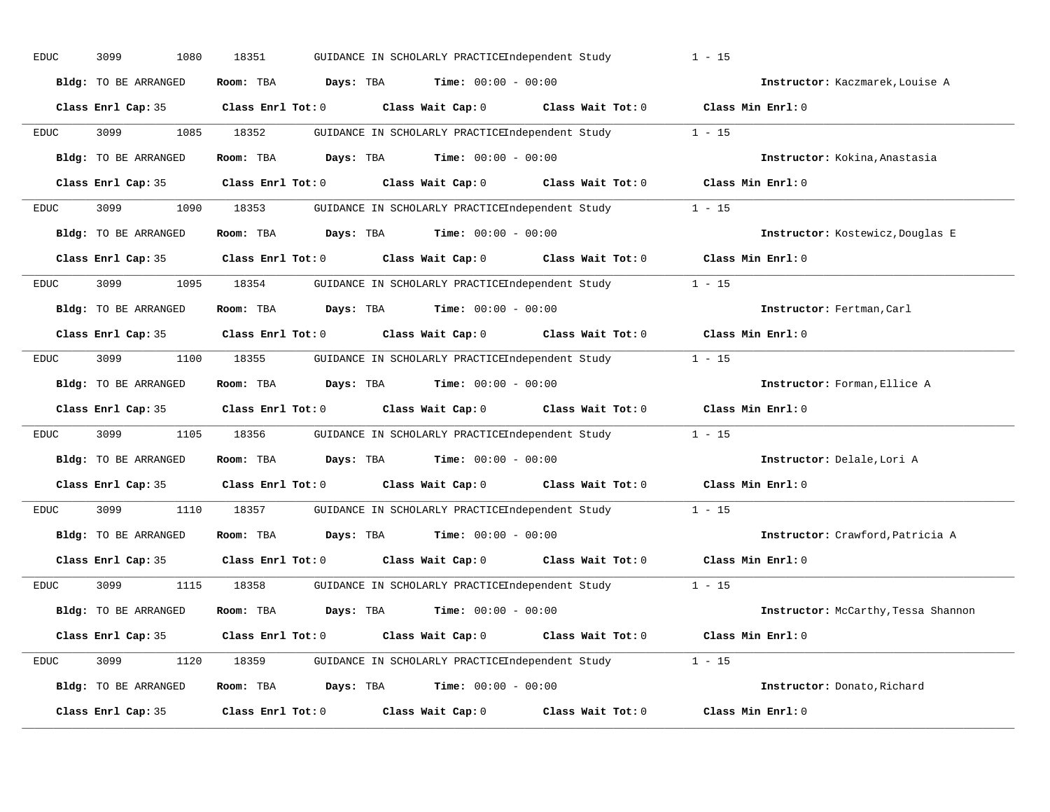| EDUC        | 3099<br>1080         | 18351<br>GUIDANCE IN SCHOLARLY PRACTICEIndependent Study   |                                     | $1 - 15$                            |
|-------------|----------------------|------------------------------------------------------------|-------------------------------------|-------------------------------------|
|             | Bldg: TO BE ARRANGED | Room: TBA<br>Days: TBA<br><b>Time:</b> $00:00 - 00:00$     |                                     | Instructor: Kaczmarek, Louise A     |
|             | Class Enrl Cap: 35   | $Class$ $Enr1$ $Tot: 0$                                    | Class Wait Cap: 0 Class Wait Tot: 0 | Class Min Enrl: 0                   |
| EDUC        | 3099<br>1085         | 18352<br>GUIDANCE IN SCHOLARLY PRACTICEIndependent Study   |                                     | $1 - 15$                            |
|             | Bldg: TO BE ARRANGED | Room: TBA<br>Days: TBA<br><b>Time:</b> $00:00 - 00:00$     |                                     | Instructor: Kokina, Anastasia       |
|             | Class Enrl Cap: 35   | Class Enrl Tot: 0                                          | Class Wait Cap: 0 Class Wait Tot: 0 | Class Min Enrl: 0                   |
| <b>EDUC</b> | 1090<br>3099         | 18353<br>GUIDANCE IN SCHOLARLY PRACTICEIndependent Study   |                                     | $1 - 15$                            |
|             | Bldg: TO BE ARRANGED | Room: TBA<br>Days: TBA<br><b>Time:</b> $00:00 - 00:00$     |                                     | Instructor: Kostewicz, Douglas E    |
|             | Class Enrl Cap: 35   | Class Enrl Tot: 0                                          | Class Wait Cap: 0 Class Wait Tot: 0 | Class Min Enrl: 0                   |
| EDUC        | 3099<br>1095         | 18354<br>GUIDANCE IN SCHOLARLY PRACTICEIndependent Study   |                                     | $1 - 15$                            |
|             | Bldg: TO BE ARRANGED | Room: TBA<br>Days: TBA<br><b>Time:</b> $00:00 - 00:00$     |                                     | Instructor: Fertman, Carl           |
|             | Class Enrl Cap: 35   | $Class$ $Enrl$ $Tot: 0$                                    | Class Wait Cap: 0 Class Wait Tot: 0 | Class Min Enrl: 0                   |
| EDUC        | 3099<br>1100         | 18355<br>GUIDANCE IN SCHOLARLY PRACTICEIndependent Study   |                                     | $1 - 15$                            |
|             | Bldg: TO BE ARRANGED | <b>Days:</b> TBA <b>Time:</b> $00:00 - 00:00$<br>Room: TBA |                                     | Instructor: Forman, Ellice A        |
|             | Class Enrl Cap: 35   | Class Enrl Tot: 0 Class Wait Cap: 0 Class Wait Tot: 0      |                                     | Class Min Enrl: 0                   |
| <b>EDUC</b> | 3099<br>1105         | 18356<br>GUIDANCE IN SCHOLARLY PRACTICEIndependent Study   |                                     | $1 - 15$                            |
|             | Bldg: TO BE ARRANGED | <b>Days:</b> TBA <b>Time:</b> $00:00 - 00:00$<br>Room: TBA |                                     | Instructor: Delale, Lori A          |
|             | Class Enrl Cap: 35   | Class Enrl Tot: 0 Class Wait Cap: 0 Class Wait Tot: 0      |                                     | Class Min Enrl: 0                   |
| EDUC        | 3099<br>1110         | 18357<br>GUIDANCE IN SCHOLARLY PRACTICEIndependent Study   |                                     | $1 - 15$                            |
|             | Bldg: TO BE ARRANGED | <b>Days:</b> TBA <b>Time:</b> $00:00 - 00:00$<br>Room: TBA |                                     | Instructor: Crawford, Patricia A    |
|             | Class Enrl Cap: 35   | Class Enrl Tot: 0<br>Class Wait Cap: 0                     | Class Wait Tot: 0                   | Class Min Enrl: 0                   |
| EDUC        | 3099<br>1115         | 18358<br>GUIDANCE IN SCHOLARLY PRACTICEIndependent Study   |                                     | $1 - 15$                            |
|             | Bldg: TO BE ARRANGED | <b>Days:</b> TBA <b>Time:</b> $00:00 - 00:00$<br>Room: TBA |                                     | Instructor: McCarthy, Tessa Shannon |
|             | Class Enrl Cap: 35   | Class Wait Cap: 0<br>$Class$ $Enr1$ $Tot: 0$               | Class Wait Tot: 0                   | Class Min Enrl: 0                   |
| EDUC        | 3099<br>1120         |                                                            |                                     |                                     |
|             | Bldg: TO BE ARRANGED | Room: TBA<br><b>Days:</b> TBA <b>Time:</b> $00:00 - 00:00$ |                                     | Instructor: Donato, Richard         |
|             | Class Enrl Cap: 35   | Class Wait Cap: 0<br>Class Enrl Tot: 0                     | Class Wait Tot: 0                   | Class Min Enrl: 0                   |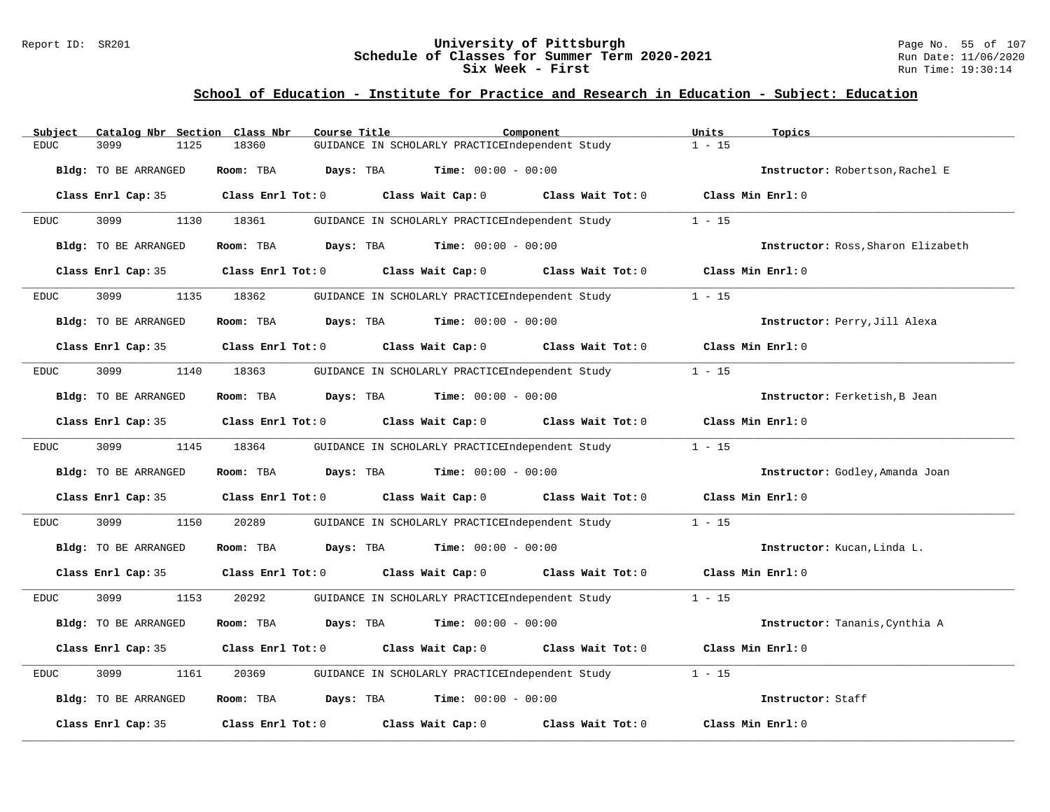#### Report ID: SR201 **University of Pittsburgh** Page No. 55 of 107 **Schedule of Classes for Summer Term 2020-2021** Run Date: 11/06/2020 **Six Week - First Run** Time: 19:30:14

# **School of Education - Institute for Practice and Research in Education - Subject: Education**

| Catalog Nbr Section Class Nbr<br>Subject | Course Title                                                      | Component                                       | Units<br>Topics                    |
|------------------------------------------|-------------------------------------------------------------------|-------------------------------------------------|------------------------------------|
| 3099<br>1125<br>EDUC                     | 18360                                                             | GUIDANCE IN SCHOLARLY PRACTICEIndependent Study | $1 - 15$                           |
| Bldg: TO BE ARRANGED                     | Room: TBA<br>Days: TBA                                            | <b>Time:</b> $00:00 - 00:00$                    | Instructor: Robertson, Rachel E    |
| Class Enrl Cap: 35                       | $Class$ $Enrl$ $Tot: 0$                                           | Class Wait Cap: 0 Class Wait Tot: 0             | Class Min Enrl: 0                  |
| 3099<br>1130<br><b>EDUC</b>              | 18361                                                             | GUIDANCE IN SCHOLARLY PRACTICEIndependent Study | $1 - 15$                           |
| Bldg: TO BE ARRANGED                     | Room: TBA                                                         | <b>Days:</b> TBA <b>Time:</b> $00:00 - 00:00$   | Instructor: Ross, Sharon Elizabeth |
| Class Enrl Cap: 35                       | Class Enrl Tot: 0                                                 | Class Wait Cap: 0<br>Class Wait Tot: 0          | Class Min $Err1:0$                 |
| 3099<br>1135<br>EDUC                     | 18362                                                             | GUIDANCE IN SCHOLARLY PRACTICEIndependent Study | $1 - 15$                           |
| Bldg: TO BE ARRANGED                     | <b>Days:</b> TBA <b>Time:</b> $00:00 - 00:00$<br>Room: TBA        |                                                 | Instructor: Perry, Jill Alexa      |
| Class Enrl Cap: 35                       | $Class$ $Enrl$ $Tot: 0$                                           | Class Wait Cap: 0 Class Wait Tot: 0             | Class Min Enrl: 0                  |
| 3099<br>1140<br>EDUC                     | 18363                                                             | GUIDANCE IN SCHOLARLY PRACTICEIndependent Study | $1 - 15$                           |
| Bldg: TO BE ARRANGED                     | Room: TBA<br>$\texttt{Davis:}$ TBA $\texttt{Time:}$ 00:00 - 00:00 |                                                 | Instructor: Ferketish, B Jean      |
| Class Enrl Cap: 35                       | Class Enrl Tot: 0                                                 | Class Wait Cap: 0<br>Class Wait Tot: 0          | Class Min Enrl: 0                  |
| 3099<br>1145<br><b>EDUC</b>              | 18364                                                             | GUIDANCE IN SCHOLARLY PRACTICEIndependent Study | $1 - 15$                           |
| Bldg: TO BE ARRANGED                     | Room: TBA<br>Days: TBA                                            | <b>Time:</b> $00:00 - 00:00$                    | Instructor: Godley, Amanda Joan    |
| Class Enrl Cap: 35                       | Class Enrl Tot: 0                                                 | Class Wait Cap: $0$ Class Wait Tot: $0$         | Class Min Enrl: 0                  |
| 3099<br>1150<br>EDUC                     | 20289                                                             | GUIDANCE IN SCHOLARLY PRACTICEIndependent Study | $1 - 15$                           |
| Bldg: TO BE ARRANGED                     | Room: TBA<br><b>Days:</b> TBA <b>Time:</b> $00:00 - 00:00$        |                                                 | Instructor: Kucan, Linda L.        |
| Class Enrl Cap: 35                       | Class Enrl Tot: 0                                                 | Class Wait Cap: 0<br>Class Wait Tot: 0          | Class Min Enrl: 0                  |
| 3099<br>1153<br><b>EDUC</b>              | 20292                                                             | GUIDANCE IN SCHOLARLY PRACTICEIndependent Study | $1 - 15$                           |
| <b>Bldg:</b> TO BE ARRANGED              | Days: TBA<br>Room: TBA                                            | <b>Time:</b> $00:00 - 00:00$                    | Instructor: Tananis, Cynthia A     |
| Class Enrl Cap: 35                       | Class Enrl Tot: 0                                                 | Class Wait Cap: 0 Class Wait Tot: 0             | Class Min Enrl: 0                  |
| <b>EDUC</b><br>3099<br>1161              | 20369                                                             | GUIDANCE IN SCHOLARLY PRACTICEIndependent Study | $1 - 15$                           |
| <b>Bldg:</b> TO BE ARRANGED              | Room: TBA<br>Days: TBA                                            | <b>Time:</b> $00:00 - 00:00$                    | Instructor: Staff                  |
| Class Enrl Cap: 35                       | Class Enrl Tot: 0                                                 | Class Wait Cap: 0<br>Class Wait Tot: 0          | Class Min Enrl: 0                  |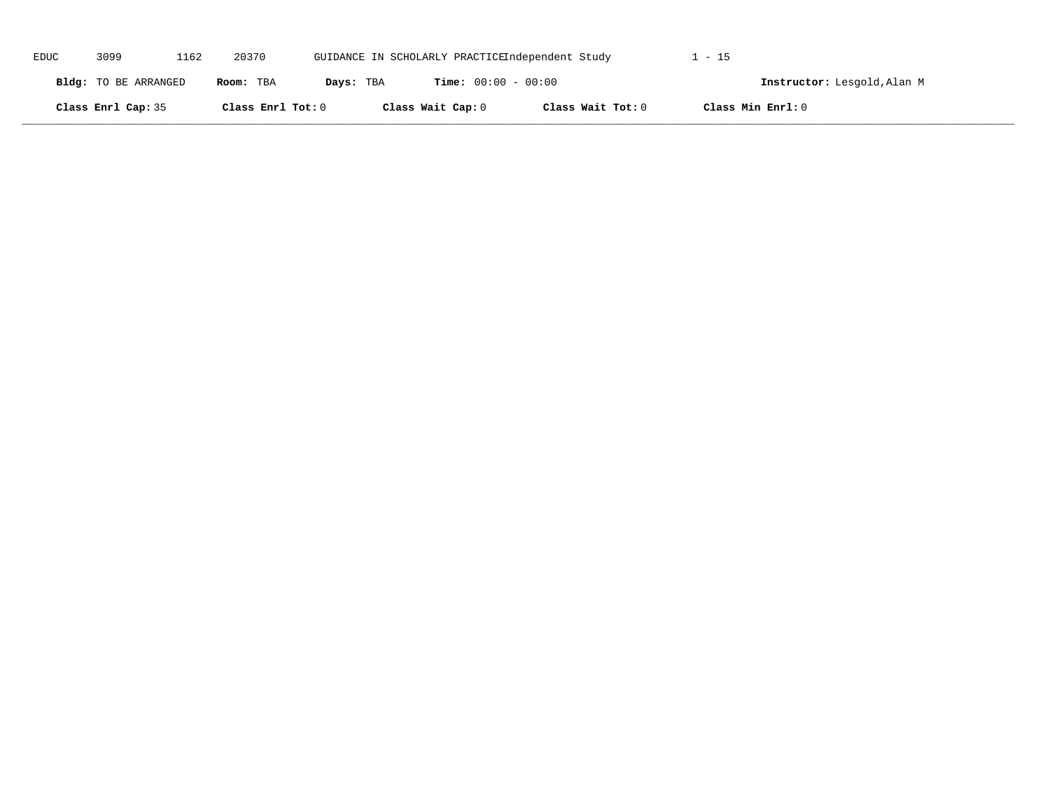| EDUC | 3099                 | 1162 | 20370             |           |                              | GUIDANCE IN SCHOLARLY PRACTICEIndependent Study | . - 15                      |  |
|------|----------------------|------|-------------------|-----------|------------------------------|-------------------------------------------------|-----------------------------|--|
|      | Bldg: TO BE ARRANGED |      | Room: TBA         | Days: TBA | <b>Time:</b> $00:00 - 00:00$ |                                                 | Instructor: Lesgold, Alan M |  |
|      | Class Enrl Cap: 35   |      | Class Enrl Tot: 0 |           | Class Wait Cap: 0            | Class Wait Tot: 0                               | Class Min Enrl: 0           |  |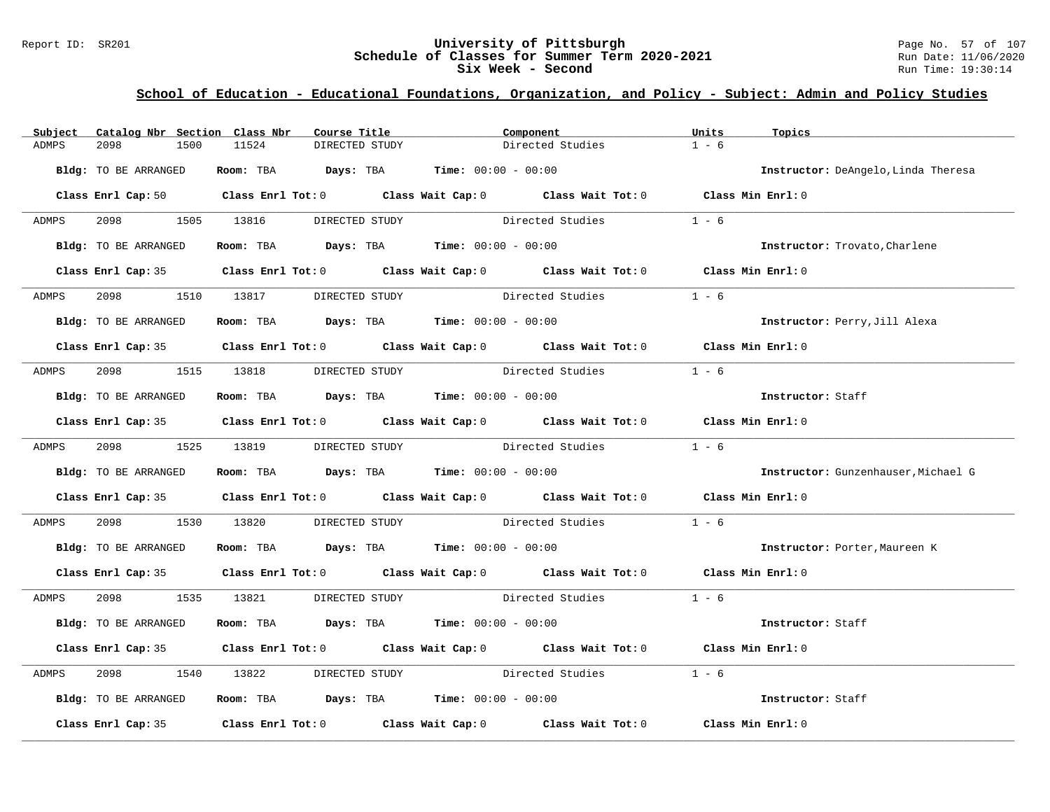### Report ID: SR201 **University of Pittsburgh University of Pittsburgh** Page No. 57 of 107<br>**Schedule of Classes for Summer Term 2020-2021** Run Date: 11/06/2020 **Schedule of Classes for Summer Term 2020-2021** Run Date: 11/06/2021<br>Six Week - Second Run Time: 19:30:14 **Six Week - Second**

| Subject | Catalog Nbr Section Class Nbr |                                                                | Course Title   | Component        |                                                                                            | Units   | Topics                              |
|---------|-------------------------------|----------------------------------------------------------------|----------------|------------------|--------------------------------------------------------------------------------------------|---------|-------------------------------------|
| ADMPS   | 2098<br>1500                  | 11524                                                          | DIRECTED STUDY |                  | Directed Studies                                                                           | $1 - 6$ |                                     |
|         | Bldg: TO BE ARRANGED          | Room: TBA $Days:$ TBA $Time: 00:00 - 00:00$                    |                |                  |                                                                                            |         | Instructor: DeAngelo, Linda Theresa |
|         |                               |                                                                |                |                  | Class Enrl Cap: 50 Class Enrl Tot: 0 Class Wait Cap: 0 Class Wait Tot: 0 Class Min Enrl: 0 |         |                                     |
| ADMPS   |                               | 2098 1505 13816 DIRECTED STUDY                                 |                |                  | Directed Studies                                                                           | $1 - 6$ |                                     |
|         | Bldg: TO BE ARRANGED          | Room: TBA $Days:$ TBA $Time: 00:00 - 00:00$                    |                |                  |                                                                                            |         | Instructor: Trovato, Charlene       |
|         |                               |                                                                |                |                  | Class Enrl Cap: 35 Class Enrl Tot: 0 Class Wait Cap: 0 Class Wait Tot: 0 Class Min Enrl: 0 |         |                                     |
| ADMPS   | 2098                          | 1510 13817 DIRECTED STUDY                                      |                | Directed Studies |                                                                                            | $1 - 6$ |                                     |
|         | Bldg: TO BE ARRANGED          | Room: TBA $Days:$ TBA $Time: 00:00 - 00:00$                    |                |                  |                                                                                            |         | Instructor: Perry, Jill Alexa       |
|         |                               |                                                                |                |                  | Class Enrl Cap: 35 Class Enrl Tot: 0 Class Wait Cap: 0 Class Wait Tot: 0 Class Min Enrl: 0 |         |                                     |
| ADMPS   |                               | 2098 1515 13818 DIRECTED STUDY                                 |                | Directed Studies |                                                                                            | $1 - 6$ |                                     |
|         | Bldg: TO BE ARRANGED          | Room: TBA $Days:$ TBA $Time: 00:00 - 00:00$                    |                |                  |                                                                                            |         | Instructor: Staff                   |
|         |                               |                                                                |                |                  | Class Enrl Cap: 35 Class Enrl Tot: 0 Class Wait Cap: 0 Class Wait Tot: 0 Class Min Enrl: 0 |         |                                     |
| ADMPS   |                               | 2098 1525 13819 DIRECTED STUDY                                 |                |                  | Directed Studies 1 - 6                                                                     |         |                                     |
|         | Bldg: TO BE ARRANGED          | Room: TBA $Days:$ TBA $Time:$ 00:00 - 00:00                    |                |                  |                                                                                            |         | Instructor: Gunzenhauser, Michael G |
|         |                               |                                                                |                |                  | Class Enrl Cap: 35 Class Enrl Tot: 0 Class Wait Cap: 0 Class Wait Tot: 0 Class Min Enrl: 0 |         |                                     |
| ADMPS   | 2098 — 100                    | 1530 13820                                                     |                |                  | DIRECTED STUDY Directed Studies                                                            | $1 - 6$ |                                     |
|         | Bldg: TO BE ARRANGED          | Room: TBA $Days:$ TBA $Time:$ $00:00 - 00:00$                  |                |                  |                                                                                            |         | Instructor: Porter, Maureen K       |
|         |                               |                                                                |                |                  | Class Enrl Cap: 35 Class Enrl Tot: 0 Class Wait Cap: 0 Class Wait Tot: 0 Class Min Enrl: 0 |         |                                     |
| ADMPS   |                               |                                                                |                |                  | 2098 1535 13821 DIRECTED STUDY Directed Studies 1 - 6                                      |         |                                     |
|         | Bldg: TO BE ARRANGED          | Room: TBA $Days:$ TBA $Time: 00:00 - 00:00$                    |                |                  |                                                                                            |         | Instructor: Staff                   |
|         |                               |                                                                |                |                  | Class Enrl Cap: 35 Class Enrl Tot: 0 Class Wait Cap: 0 Class Wait Tot: 0 Class Min Enrl: 0 |         |                                     |
| ADMPS   | 2098                          |                                                                |                |                  | 1540 13822 DIRECTED STUDY Directed Studies                                                 | $1 - 6$ |                                     |
|         | Bldg: TO BE ARRANGED          | Room: TBA $\rule{1em}{0.15mm}$ Days: TBA Time: $00:00 - 00:00$ |                |                  |                                                                                            |         | Instructor: Staff                   |
|         |                               |                                                                |                |                  | Class Enrl Cap: 35 Class Enrl Tot: 0 Class Wait Cap: 0 Class Wait Tot: 0 Class Min Enrl: 0 |         |                                     |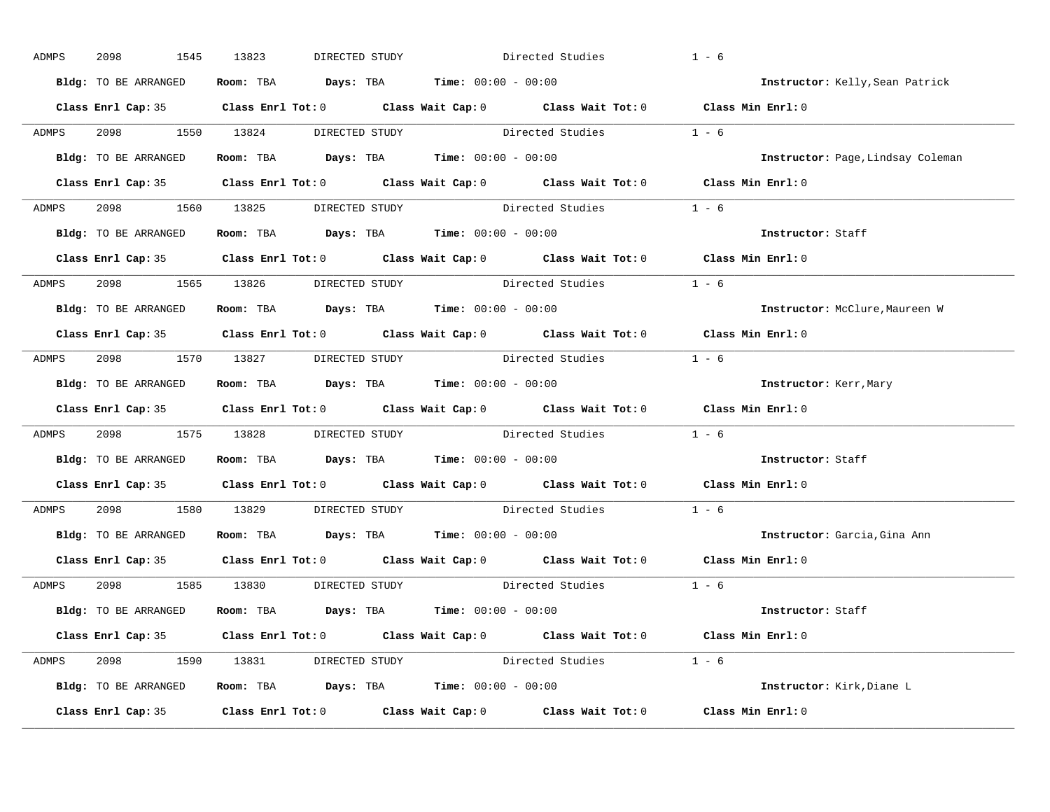| ADMPS        | 2098<br>1545         | 13823<br>DIRECTED STUDY                                                                             | Directed Studies | $1 - 6$                                                                                    |                                   |
|--------------|----------------------|-----------------------------------------------------------------------------------------------------|------------------|--------------------------------------------------------------------------------------------|-----------------------------------|
|              | Bldg: TO BE ARRANGED | Room: TBA $Days:$ TBA $Time: 00:00 - 00:00$                                                         |                  |                                                                                            | Instructor: Kelly, Sean Patrick   |
|              |                      |                                                                                                     |                  | Class Enrl Cap: 35 Class Enrl Tot: 0 Class Wait Cap: 0 Class Wait Tot: 0 Class Min Enrl: 0 |                                   |
| ADMPS        |                      | 2098 1550 13824 DIRECTED STUDY Directed Studies 1 - 6                                               |                  |                                                                                            |                                   |
|              | Bldg: TO BE ARRANGED | Room: TBA $Days:$ TBA Time: $00:00 - 00:00$                                                         |                  |                                                                                            | Instructor: Page, Lindsay Coleman |
|              |                      |                                                                                                     |                  | Class Enrl Cap: 35 Class Enrl Tot: 0 Class Wait Cap: 0 Class Wait Tot: 0 Class Min Enrl: 0 |                                   |
| <b>ADMPS</b> |                      | 2098 1560 13825 DIRECTED STUDY Directed Studies 1 - 6                                               |                  |                                                                                            |                                   |
|              |                      | Bldg: TO BE ARRANGED Room: TBA Days: TBA Time: 00:00 - 00:00                                        |                  |                                                                                            | Instructor: Staff                 |
|              |                      |                                                                                                     |                  | Class Enrl Cap: 35 Class Enrl Tot: 0 Class Wait Cap: 0 Class Wait Tot: 0 Class Min Enrl: 0 |                                   |
| <b>ADMPS</b> |                      | 2098 1565 13826 DIRECTED STUDY                                                                      |                  | Directed Studies 1 - 6                                                                     |                                   |
|              | Bldg: TO BE ARRANGED | Room: TBA $\rule{1em}{0.15mm}$ Days: TBA $\rule{1.5mm}{0.15mm}$ Time: $00:00 - 00:00$               |                  |                                                                                            | Instructor: McClure, Maureen W    |
|              |                      |                                                                                                     |                  | Class Enrl Cap: 35 Class Enrl Tot: 0 Class Wait Cap: 0 Class Wait Tot: 0 Class Min Enrl: 0 |                                   |
| ADMPS        |                      | 2098 1570 13827 DIRECTED STUDY Directed Studies 1 - 6                                               |                  |                                                                                            |                                   |
|              | Bldg: TO BE ARRANGED | Room: TBA $\rule{1em}{0.15mm}$ Days: TBA Time: $00:00 - 00:00$                                      |                  |                                                                                            | Instructor: Kerr, Mary            |
|              |                      |                                                                                                     |                  | Class Enrl Cap: 35 Class Enrl Tot: 0 Class Wait Cap: 0 Class Wait Tot: 0 Class Min Enrl: 0 |                                   |
| ADMPS        |                      | 2098 1575 13828 DIRECTED STUDY Directed Studies 1 - 6                                               |                  |                                                                                            |                                   |
|              |                      | Bldg: TO BE ARRANGED Room: TBA Days: TBA Time: 00:00 - 00:00                                        |                  |                                                                                            | Instructor: Staff                 |
|              |                      | Class Enrl Cap: 35 $\qquad$ Class Enrl Tot: 0 $\qquad$ Class Wait Cap: 0 $\qquad$ Class Wait Tot: 0 |                  | Class Min $Enr1:0$                                                                         |                                   |
| ADMPS        |                      | 2098 1580 13829 DIRECTED STUDY Directed Studies 1 - 6                                               |                  |                                                                                            |                                   |
|              | Bldg: TO BE ARRANGED | Room: TBA $Days:$ TBA $Time:$ 00:00 - 00:00                                                         |                  |                                                                                            | Instructor: Garcia, Gina Ann      |
|              |                      |                                                                                                     |                  | Class Enrl Cap: 35 Class Enrl Tot: 0 Class Wait Cap: 0 Class Wait Tot: 0 Class Min Enrl: 0 |                                   |
| ADMPS        |                      | 2098 1585 13830 DIRECTED STUDY                                                                      |                  | Directed Studies 1 - 6                                                                     |                                   |
|              | Bldg: TO BE ARRANGED | Room: TBA $\rule{1em}{0.15mm}$ Days: TBA $\rule{1.5mm}{0.15mm}$ Time: $00:00 - 00:00$               |                  |                                                                                            | Instructor: Staff                 |
|              |                      |                                                                                                     |                  | Class Enrl Cap: 35 Class Enrl Tot: 0 Class Wait Cap: 0 Class Wait Tot: 0 Class Min Enrl: 0 |                                   |
|              |                      | ADMPS 2098 1590 13831 DIRECTED STUDY Directed Studies 1 - 6                                         |                  |                                                                                            |                                   |
|              |                      | Bldg: TO BE ARRANGED Room: TBA Days: TBA Time: 00:00 - 00:00                                        |                  |                                                                                            | Instructor: Kirk, Diane L         |
|              |                      | Class Enrl Cap: 35 Class Enrl Tot: 0 Class Wait Cap: 0 Class Wait Tot: 0 Class Min Enrl: 0          |                  |                                                                                            |                                   |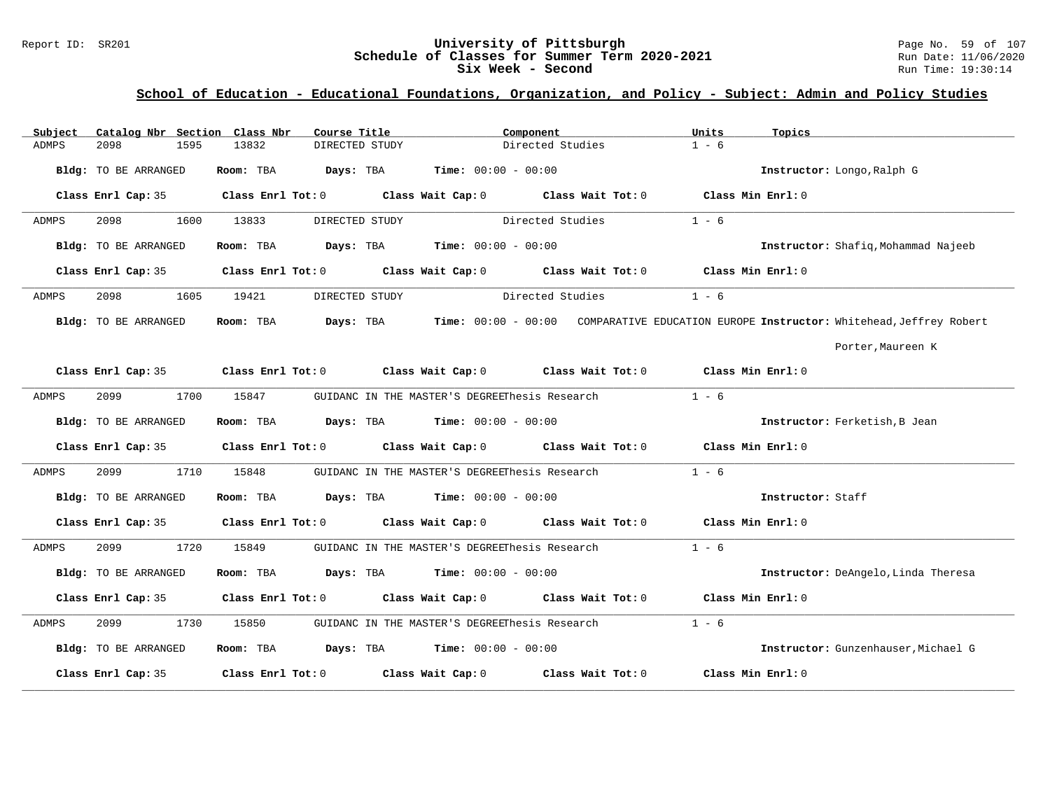### Report ID: SR201 **University of Pittsburgh University of Pittsburgh** Page No. 59 of 107<br>**Schedule of Classes for Summer Term 2020-2021** Run Date: 11/06/2020 **Schedule of Classes for Summer Term 2020-2021** Run Date: 11/06/2021<br>Six Week - Second Run Time: 19:30:14 **Six Week - Second**

| Subject      | Catalog Nbr Section Class Nbr | Course Title                                | Component                                                                                  | Units<br>Topics                                                                                  |
|--------------|-------------------------------|---------------------------------------------|--------------------------------------------------------------------------------------------|--------------------------------------------------------------------------------------------------|
| ADMPS        | 2098<br>1595                  | DIRECTED STUDY<br>13832                     | Directed Studies                                                                           | $1 - 6$                                                                                          |
|              | Bldg: TO BE ARRANGED          | Room: TBA                                   | <b>Days:</b> TBA <b>Time:</b> $00:00 - 00:00$                                              | Instructor: Longo, Ralph G                                                                       |
|              | Class Enrl Cap: 35            |                                             | Class Enrl Tot: $0$ Class Wait Cap: $0$ Class Wait Tot: $0$ Class Min Enrl: $0$            |                                                                                                  |
| ADMPS        | 2098<br>1600                  | 13833<br>DIRECTED STUDY                     | Directed Studies                                                                           | $1 - 6$                                                                                          |
|              | Bldg: TO BE ARRANGED          | Room: TBA                                   | <b>Days:</b> TBA <b>Time:</b> $00:00 - 00:00$                                              | Instructor: Shafiq, Mohammad Najeeb                                                              |
|              |                               |                                             | Class Enrl Cap: 35 Class Enrl Tot: 0 Class Wait Cap: 0 Class Wait Tot: 0 Class Min Enrl: 0 |                                                                                                  |
| ADMPS        | 2098<br>1605                  | 19421<br>DIRECTED STUDY                     | Directed Studies                                                                           | $1 - 6$                                                                                          |
|              | Bldg: TO BE ARRANGED          | Room: TBA                                   |                                                                                            | Days: TBA Time: 00:00 - 00:00 COMPARATIVE EDUCATION EUROPE Instructor: Whitehead, Jeffrey Robert |
|              |                               |                                             |                                                                                            | Porter, Maureen K                                                                                |
|              |                               |                                             | Class Enrl Cap: 35 Class Enrl Tot: 0 Class Wait Cap: 0 Class Wait Tot: 0 Class Min Enrl: 0 |                                                                                                  |
| ADMPS        | 2099<br>1700                  | 15847                                       | GUIDANC IN THE MASTER'S DEGREEThesis Research                                              | $1 - 6$                                                                                          |
|              | Bldg: TO BE ARRANGED          | Room: TBA $Days: TBA$ Time: $00:00 - 00:00$ |                                                                                            | Instructor: Ferketish, B Jean                                                                    |
|              |                               |                                             | Class Enrl Cap: 35 Class Enrl Tot: 0 Class Wait Cap: 0 Class Wait Tot: 0 Class Min Enrl: 0 |                                                                                                  |
| ADMPS        | 2099<br>1710                  | 15848                                       | GUIDANC IN THE MASTER'S DEGREEThesis Research                                              | $1 - 6$                                                                                          |
|              | Bldg: TO BE ARRANGED          | Room: TBA $Days: TBA$ Time: $00:00 - 00:00$ |                                                                                            | Instructor: Staff                                                                                |
|              |                               |                                             | Class Enrl Cap: 35 Class Enrl Tot: 0 Class Wait Cap: 0 Class Wait Tot: 0 Class Min Enrl: 0 |                                                                                                  |
| <b>ADMPS</b> | 2099<br>1720                  | 15849                                       | GUIDANC IN THE MASTER'S DEGREEThesis Research                                              | $1 - 6$                                                                                          |
|              | Bldg: TO BE ARRANGED          | Room: TBA $Days:$ TBA $Time: 00:00 - 00:00$ |                                                                                            | Instructor: DeAngelo, Linda Theresa                                                              |
|              |                               |                                             | Class Enrl Cap: 35 Class Enrl Tot: 0 Class Wait Cap: 0 Class Wait Tot: 0 Class Min Enrl: 0 |                                                                                                  |
| ADMPS        | 2099<br>1730                  | 15850                                       | GUIDANC IN THE MASTER'S DEGREEThesis Research                                              | $1 - 6$                                                                                          |
|              | Bldg: TO BE ARRANGED          | Room: TBA $Days:$ TBA $Time: 00:00 - 00:00$ |                                                                                            | Instructor: Gunzenhauser, Michael G                                                              |
|              | Class Enrl Cap: 35            | Class Enrl Tot: 0 Class Wait Cap: 0         | Class Wait Tot: 0                                                                          | Class Min Enrl: 0                                                                                |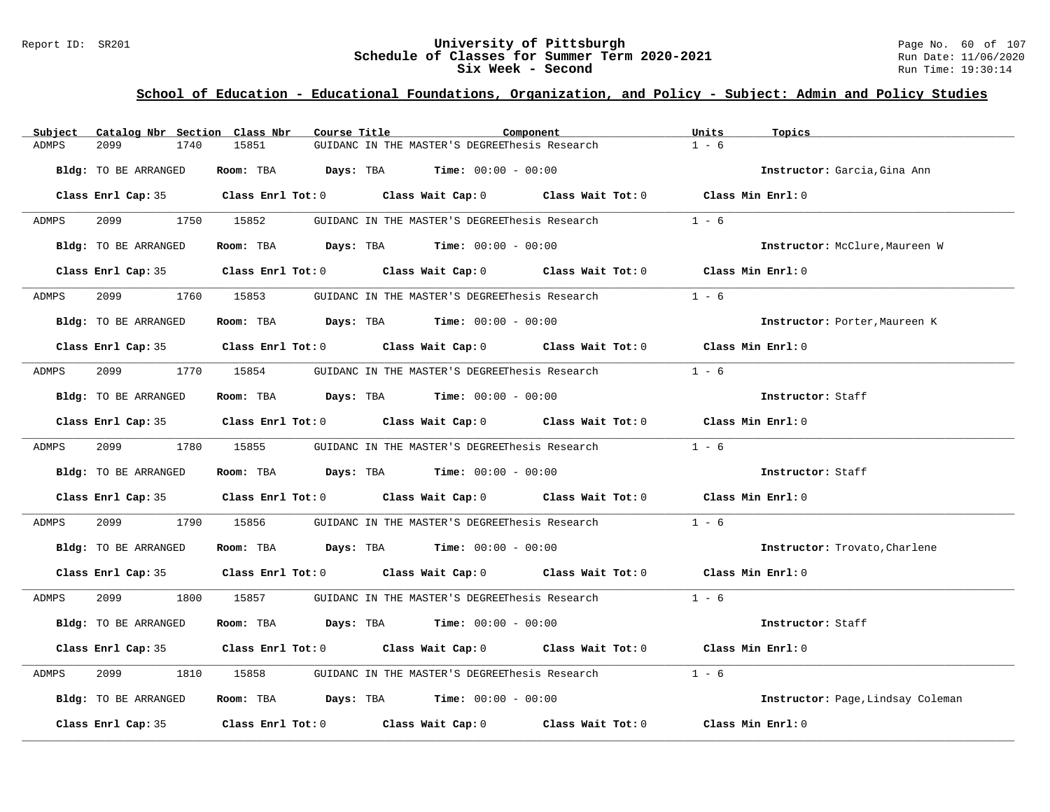#### Report ID: SR201 **University of Pittsburgh** Page No. 60 of 107 **Schedule of Classes for Summer Term 2020-2021** Run Date: 11/06/2020 **Six Week - Second Run Time: 19:30:14**

| Subject | Catalog Nbr Section Class Nbr | Course Title |                                                                                                     | Component | Units<br>Topics                   |
|---------|-------------------------------|--------------|-----------------------------------------------------------------------------------------------------|-----------|-----------------------------------|
| ADMPS   | 2099<br>1740                  | 15851        | GUIDANC IN THE MASTER'S DEGREEThesis Research                                                       |           | $1 - 6$                           |
|         | Bldg: TO BE ARRANGED          |              | Room: TBA $Days:$ TBA $Time: 00:00 - 00:00$                                                         |           | Instructor: Garcia, Gina Ann      |
|         |                               |              | Class Enrl Cap: 35 $\qquad$ Class Enrl Tot: 0 $\qquad$ Class Wait Cap: 0 $\qquad$ Class Wait Tot: 0 |           | Class Min Enrl: 0                 |
| ADMPS   | 2099 — 200                    | 1750 15852   | GUIDANC IN THE MASTER'S DEGREEThesis Research                                                       |           | $1 - 6$                           |
|         | Bldg: TO BE ARRANGED          |              | Room: TBA $Days:$ TBA $Time:$ $00:00 - 00:00$                                                       |           | Instructor: McClure, Maureen W    |
|         |                               |              | Class Enrl Cap: 35 Class Enrl Tot: 0 Class Wait Cap: 0 Class Wait Tot: 0 Class Min Enrl: 0          |           |                                   |
| ADMPS   | 2099 1760 15853               |              | GUIDANC IN THE MASTER'S DEGREEThesis Research                                                       |           | $1 - 6$                           |
|         | Bldg: TO BE ARRANGED          |              | Room: TBA $Days:$ TBA $Time: 00:00 - 00:00$                                                         |           | Instructor: Porter, Maureen K     |
|         |                               |              | Class Enrl Cap: 35 Class Enrl Tot: 0 Class Wait Cap: 0 Class Wait Tot: 0 Class Min Enrl: 0          |           |                                   |
| ADMPS   | 2099                          | 1770 15854   | GUIDANC IN THE MASTER'S DEGREEThesis Research                                                       |           | $1 - 6$                           |
|         | Bldg: TO BE ARRANGED          |              | Room: TBA $Days:$ TBA $Time: 00:00 - 00:00$                                                         |           | Instructor: Staff                 |
|         |                               |              | Class Enrl Cap: 35 Class Enrl Tot: 0 Class Wait Cap: 0 Class Wait Tot: 0 Class Min Enrl: 0          |           |                                   |
| ADMPS   | 2099 1780 15855               |              | GUIDANC IN THE MASTER'S DEGREEThesis Research 1 - 6                                                 |           |                                   |
|         | Bldg: TO BE ARRANGED          |              | Room: TBA $Days:$ TBA $Time: 00:00 - 00:00$                                                         |           | Instructor: Staff                 |
|         |                               |              | Class Enrl Cap: 35 Class Enrl Tot: 0 Class Wait Cap: 0 Class Wait Tot: 0 Class Min Enrl: 0          |           |                                   |
| ADMPS   | 2099<br>1790                  | 15856        | GUIDANC IN THE MASTER'S DEGREEThesis Research                                                       |           | $1 - 6$                           |
|         | Bldg: TO BE ARRANGED          |              | Room: TBA $Days:$ TBA $Time: 00:00 - 00:00$                                                         |           | Instructor: Trovato, Charlene     |
|         |                               |              | Class Enrl Cap: 35 Class Enrl Tot: 0 Class Wait Cap: 0 Class Wait Tot: 0 Class Min Enrl: 0          |           |                                   |
| ADMPS   | 2099 — 2007                   | 1800 15857   | GUIDANC IN THE MASTER'S DEGREEThesis Research $1 - 6$                                               |           |                                   |
|         | Bldg: TO BE ARRANGED          |              | Room: TBA $Days:$ TBA $Time: 00:00 - 00:00$                                                         |           | Instructor: Staff                 |
|         |                               |              | Class Enrl Cap: 35 Class Enrl Tot: 0 Class Wait Cap: 0 Class Wait Tot: 0 Class Min Enrl: 0          |           |                                   |
| ADMPS   | 2099<br>1810                  | 15858        | GUIDANC IN THE MASTER'S DEGREEThesis Research                                                       |           | $1 - 6$                           |
|         | Bldg: TO BE ARRANGED          |              | Room: TBA $Days:$ TBA $Time: 00:00 - 00:00$                                                         |           | Instructor: Page, Lindsay Coleman |
|         | Class Enrl Cap: 35            |              | Class Enrl Tot: 0 Class Wait Cap: 0 Class Wait Tot: 0                                               |           | Class Min Enrl: 0                 |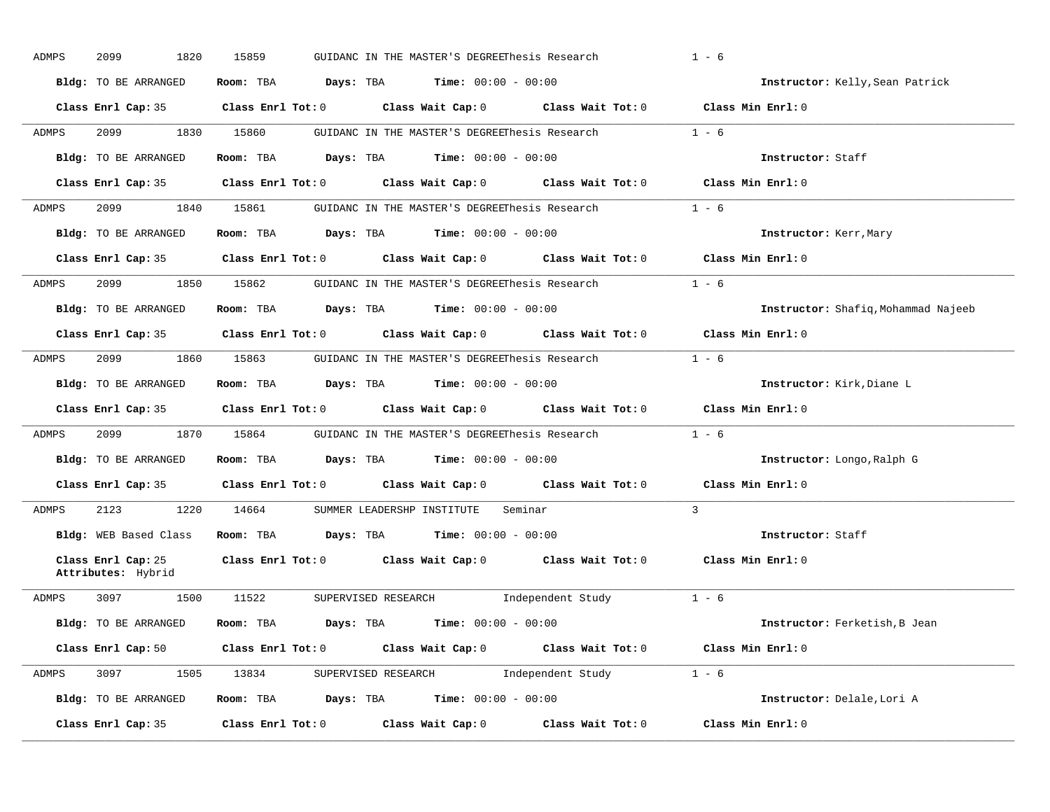| ADMPS | 2099<br>1820                             | 15859               | GUIDANC IN THE MASTER'S DEGREEThesis Research                                                       | $1 - 6$                             |
|-------|------------------------------------------|---------------------|-----------------------------------------------------------------------------------------------------|-------------------------------------|
|       | Bldg: TO BE ARRANGED                     |                     | Room: TBA $Days:$ TBA $Time: 00:00 - 00:00$                                                         | Instructor: Kelly, Sean Patrick     |
|       |                                          |                     | Class Enrl Cap: 35 Class Enrl Tot: 0 Class Wait Cap: 0 Class Wait Tot: 0 Class Min Enrl: 0          |                                     |
| ADMPS | 2099 — 2005                              | 1830 15860          | GUIDANC IN THE MASTER'S DEGREEThesis Research 1 - 6                                                 |                                     |
|       | Bldg: TO BE ARRANGED                     | Room: TBA Days: TBA | $Time: 00:00 - 00:00$                                                                               | Instructor: Staff                   |
|       | Class Enrl Cap: 35                       |                     | Class Enrl Tot: 0 Class Wait Cap: 0 Class Wait Tot: 0 Class Min Enrl: 0                             |                                     |
| ADMPS |                                          |                     | 2099 1840 15861 GUIDANC IN THE MASTER'S DEGREEThesis Research 1 - 6                                 |                                     |
|       | Bldg: TO BE ARRANGED                     |                     | Room: TBA Days: TBA Time: $00:00 - 00:00$                                                           | Instructor: Kerr, Mary              |
|       |                                          |                     | Class Enrl Cap: 35 Class Enrl Tot: 0 Class Wait Cap: 0 Class Wait Tot: 0 Class Min Enrl: 0          |                                     |
| ADMPS |                                          |                     | 2099 1850 15862 GUIDANC IN THE MASTER'S DEGREEThesis Research 1 - 6                                 |                                     |
|       | Bldg: TO BE ARRANGED                     |                     | Room: TBA $Days:$ TBA $Time: 00:00 - 00:00$                                                         | Instructor: Shafiq, Mohammad Najeeb |
|       |                                          |                     | Class Enrl Cap: 35 $\qquad$ Class Enrl Tot: 0 $\qquad$ Class Wait Cap: 0 $\qquad$ Class Wait Tot: 0 | Class Min Enrl: 0                   |
| ADMPS |                                          |                     | 2099 1860 15863 GUIDANC IN THE MASTER'S DEGREEThesis Research 1 - 6                                 |                                     |
|       | Bldg: TO BE ARRANGED                     |                     | Room: TBA $Days: TBA$ Time: $00:00 - 00:00$                                                         | Instructor: Kirk, Diane L           |
|       |                                          |                     |                                                                                                     |                                     |
|       |                                          |                     | Class Enrl Cap: 35 $\qquad$ Class Enrl Tot: 0 $\qquad$ Class Wait Cap: 0 $\qquad$ Class Wait Tot: 0 | Class Min Enrl: 0                   |
| ADMPS |                                          |                     | 2099 1870 15864 GUIDANC IN THE MASTER'S DEGREEThesis Research 1 - 6                                 |                                     |
|       | Bldg: TO BE ARRANGED                     |                     | Room: TBA $Days:$ TBA $Time: 00:00 - 00:00$                                                         | Instructor: Longo, Ralph G          |
|       |                                          |                     | Class Enrl Cap: 35 Class Enrl Tot: 0 Class Wait Cap: 0 Class Wait Tot: 0 Class Min Enrl: 0          |                                     |
| ADMPS |                                          |                     | 2123 1220 14664 SUMMER LEADERSHP INSTITUTE Seminar                                                  | $\mathcal{R}$                       |
|       | Bldg: WEB Based Class                    |                     | Room: TBA $\rule{1em}{0.15mm}$ Days: TBA $\rule{1.15mm}]{0.15mm}$ Time: $0.000 - 0.0000$            | Instructor: Staff                   |
|       | Class Enrl Cap: 25<br>Attributes: Hybrid |                     | Class Enrl Tot: 0 Class Wait Cap: 0 Class Wait Tot: 0 Class Min Enrl: 0                             |                                     |
| ADMPS | 3097 1500                                |                     | 11522 SUPERVISED RESEARCH 1ndependent Study 1 - 6                                                   |                                     |
|       | Bldg: TO BE ARRANGED                     |                     | Room: TBA $\rule{1em}{0.15mm}$ Days: TBA Time: $00:00 - 00:00$                                      | Instructor: Ferketish, B Jean       |
|       |                                          |                     | Class Enrl Cap: 50 Class Enrl Tot: 0 Class Wait Cap: 0 Class Wait Tot: 0 Class Min Enrl: 0          |                                     |
| ADMPS |                                          |                     | 3097 1505 13834 SUPERVISED RESEARCH Independent Study 1 - 6                                         |                                     |
|       | Bldg: TO BE ARRANGED                     |                     | Room: TBA $Days:$ TBA $Time:$ $00:00 - 00:00$                                                       | Instructor: Delale, Lori A          |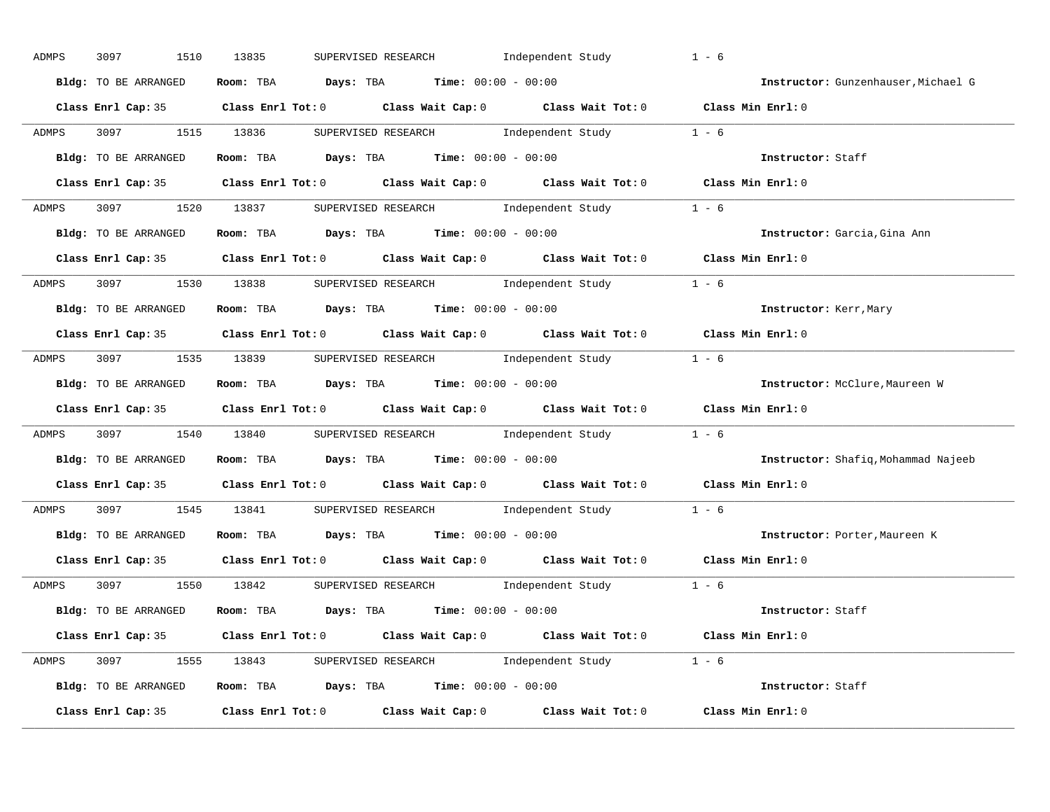| ADMPS        | 3097<br>1510         | Independent Study<br>13835<br>SUPERVISED RESEARCH                                                     | $1 - 6$                             |
|--------------|----------------------|-------------------------------------------------------------------------------------------------------|-------------------------------------|
|              | Bldg: TO BE ARRANGED | Room: TBA $Days:$ TBA $Time: 00:00 - 00:00$                                                           | Instructor: Gunzenhauser, Michael G |
|              |                      | Class Enrl Cap: 35 Class Enrl Tot: 0 Class Wait Cap: 0 Class Wait Tot: 0 Class Min Enrl: 0            |                                     |
| ADMPS        |                      | 3097 1515 13836 SUPERVISED RESEARCH Independent Study 1 - 6                                           |                                     |
|              |                      | Bldg: TO BE ARRANGED Room: TBA Days: TBA Time: 00:00 - 00:00                                          | Instructor: Staff                   |
|              |                      | Class Enrl Cap: 35 Class Enrl Tot: 0 Class Wait Cap: 0 Class Wait Tot: 0 Class Min Enrl: 0            |                                     |
| <b>ADMPS</b> |                      | 3097 1520 13837 SUPERVISED RESEARCH Independent Study 1 - 6                                           |                                     |
|              |                      | Bldg: TO BE ARRANGED Room: TBA Days: TBA Time: 00:00 - 00:00 000 100 100 Instructor: Garcia, Gina Ann |                                     |
|              |                      | Class Enrl Cap: 35 Class Enrl Tot: 0 Class Wait Cap: 0 Class Wait Tot: 0 Class Min Enrl: 0            |                                     |
|              |                      | ADMPS 3097 1530 13838 SUPERVISED RESEARCH Independent Study 1 - 6                                     |                                     |
|              | Bldg: TO BE ARRANGED | Room: TBA $Days:$ TBA $Time:$ $00:00 - 00:00$                                                         | Instructor: Kerr, Mary              |
|              |                      | Class Enrl Cap: 35 Class Enrl Tot: 0 Class Wait Cap: 0 Class Wait Tot: 0 Class Min Enrl: 0            |                                     |
| ADMPS        |                      | 3097 1535 13839 SUPERVISED RESEARCH Independent Study 1 - 6                                           |                                     |
|              | Bldg: TO BE ARRANGED | Room: TBA Days: TBA Time: $00:00 - 00:00$                                                             | Instructor: McClure, Maureen W      |
|              |                      | Class Enrl Cap: 35 Class Enrl Tot: 0 Class Wait Cap: 0 Class Wait Tot: 0 Class Min Enrl: 0            |                                     |
| ADMPS        |                      | 3097 1540 13840 SUPERVISED RESEARCH Independent Study 1 - 6                                           |                                     |
|              | Bldg: TO BE ARRANGED | Room: TBA $Days:$ TBA Time: $00:00 - 00:00$                                                           | Instructor: Shafiq, Mohammad Najeeb |
|              |                      | Class Enrl Cap: 35 Class Enrl Tot: 0 Class Wait Cap: 0 Class Wait Tot: 0 Class Min Enrl: 0            |                                     |
| ADMPS        |                      | 3097 1545 13841 SUPERVISED RESEARCH Independent Study 1 - 6                                           |                                     |
|              | Bldg: TO BE ARRANGED | Room: TBA $Days:$ TBA $Time: 00:00 - 00:00$                                                           | Instructor: Porter, Maureen K       |
|              | Class Enrl Cap: 35   | Class Enrl Tot: 0 $\qquad$ Class Wait Cap: 0 $\qquad$ Class Wait Tot: 0 $\qquad$ Class Min Enrl: 0    |                                     |
| ADMPS        |                      | 3097 1550 13842 SUPERVISED RESEARCH Independent Study 1 - 6                                           |                                     |
|              |                      | Bldg: TO BE ARRANGED Room: TBA Days: TBA Time: 00:00 - 00:00                                          | Instructor: Staff                   |
|              |                      | Class Enrl Cap: 35 Class Enrl Tot: 0 Class Wait Cap: 0 Class Wait Tot: 0 Class Min Enrl: 0            |                                     |
|              |                      | ADMPS 3097 1555 13843 SUPERVISED RESEARCH Independent Study 1 - 6                                     |                                     |
|              |                      |                                                                                                       |                                     |
|              |                      | Bldg: TO BE ARRANGED Room: TBA Days: TBA Time: 00:00 - 00:00                                          | Instructor: Staff                   |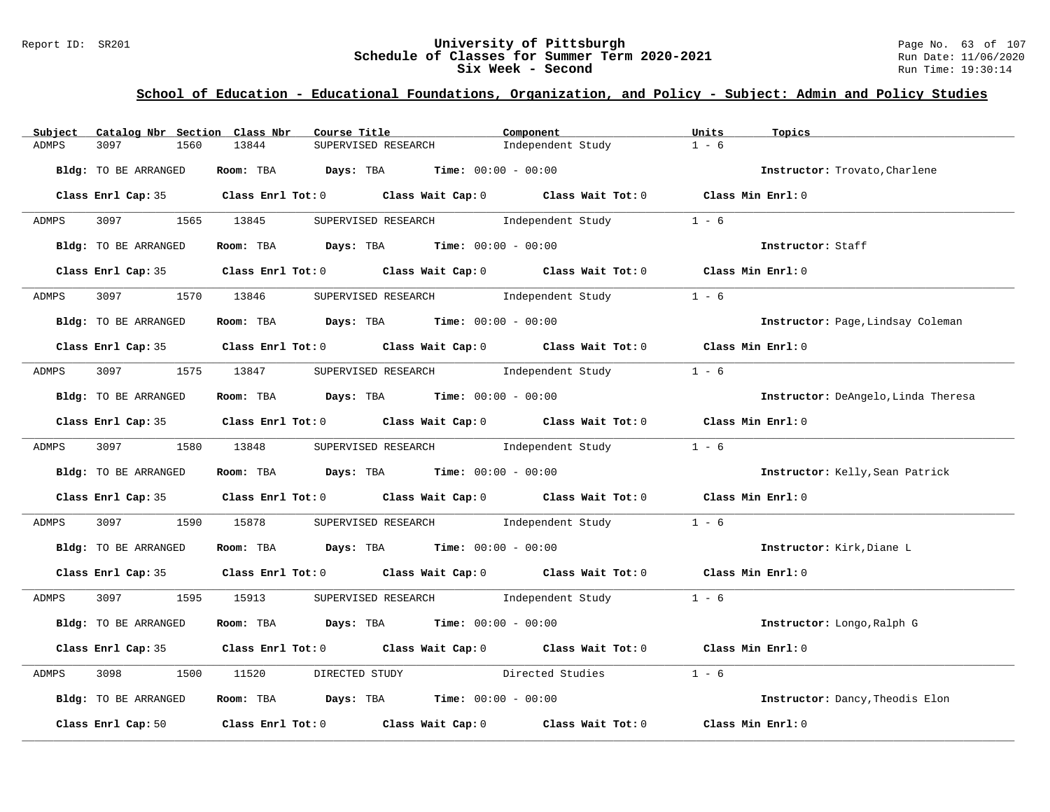### Report ID: SR201 **University of Pittsburgh University of Pittsburgh** Page No. 63 of 107<br>**Schedule of Classes for Summer Term 2020-2021** Run Date: 11/06/2020 **Schedule of Classes for Summer Term 2020-2021** Run Date: 11/06/2021<br>Six Week - Second Run Time: 19:30:14 **Six Week - Second**

| Catalog Nbr Section Class Nbr<br>Subject | Course Title                                                                               | Component         | Units<br>Topics                     |
|------------------------------------------|--------------------------------------------------------------------------------------------|-------------------|-------------------------------------|
| 3097<br>1560<br>ADMPS                    | 13844<br>SUPERVISED RESEARCH                                                               | Independent Study | $1 - 6$                             |
| Bldg: TO BE ARRANGED                     | Room: TBA $Days:$ TBA $Time: 00:00 - 00:00$                                                |                   | Instructor: Trovato, Charlene       |
|                                          | Class Enrl Cap: 35 Class Enrl Tot: 0 Class Wait Cap: 0 Class Wait Tot: 0 Class Min Enrl: 0 |                   |                                     |
| 3097 1565 13845<br>ADMPS                 | SUPERVISED RESEARCH 1ndependent Study                                                      |                   | $1 - 6$                             |
| Bldg: TO BE ARRANGED                     | Room: TBA $Days:$ TBA $Time: 00:00 - 00:00$                                                |                   | Instructor: Staff                   |
|                                          | Class Enrl Cap: 35 Class Enrl Tot: 0 Class Wait Cap: 0 Class Wait Tot: 0 Class Min Enrl: 0 |                   |                                     |
| ADMPS                                    | 3097 1370 13846 SUPERVISED RESEARCH Independent Study                                      |                   | $1 - 6$                             |
| Bldg: TO BE ARRANGED                     | Room: TBA $Days:$ TBA $Time: 00:00 - 00:00$                                                |                   | Instructor: Page, Lindsay Coleman   |
|                                          | Class Enrl Cap: 35 Class Enrl Tot: 0 Class Wait Cap: 0 Class Wait Tot: 0 Class Min Enrl: 0 |                   |                                     |
| ADMPS                                    | 3097 1575 13847 SUPERVISED RESEARCH Independent Study                                      |                   | $1 - 6$                             |
| Bldg: TO BE ARRANGED                     | Room: TBA $\rule{1em}{0.15mm}$ Days: TBA $\rule{1.5mm}{0.15mm}$ Time: $00:00 - 00:00$      |                   | Instructor: DeAngelo, Linda Theresa |
|                                          | Class Enrl Cap: 35 Class Enrl Tot: 0 Class Wait Cap: 0 Class Wait Tot: 0 Class Min Enrl: 0 |                   |                                     |
| ADMPS 3097 1580 13848                    | SUPERVISED RESEARCH Modern Independent Study 1 - 6                                         |                   |                                     |
| Bldg: TO BE ARRANGED                     | Room: TBA $\rule{1em}{0.15mm}$ Days: TBA Time: $00:00 - 00:00$                             |                   | Instructor: Kelly, Sean Patrick     |
|                                          | Class Enrl Cap: 35 Class Enrl Tot: 0 Class Wait Cap: 0 Class Wait Tot: 0 Class Min Enrl: 0 |                   |                                     |
| ADMPS<br>3097 300                        | 1590 15878 SUPERVISED RESEARCH 1ndependent Study                                           |                   | $1 - 6$                             |
| Bldg: TO BE ARRANGED                     | Room: TBA $\rule{1em}{0.15mm}$ Days: TBA Time: $00:00 - 00:00$                             |                   | Instructor: Kirk, Diane L           |
|                                          | Class Enrl Cap: 35 Class Enrl Tot: 0 Class Wait Cap: 0 Class Wait Tot: 0 Class Min Enrl: 0 |                   |                                     |
| ADMPS                                    | 3097 1595 15913 SUPERVISED RESEARCH Independent Study 1 - 6                                |                   |                                     |
| Bldg: TO BE ARRANGED                     | Room: TBA $Days:$ TBA $Time: 00:00 - 00:00$                                                |                   | Instructor: Longo, Ralph G          |
|                                          | Class Enrl Cap: 35 Class Enrl Tot: 0 Class Wait Cap: 0 Class Wait Tot: 0 Class Min Enrl: 0 |                   |                                     |
| 3098<br>ADMPS                            | DIRECTED STUDY Directed Studies<br>1500 11520                                              |                   | $1 - 6$                             |
| Bldg: TO BE ARRANGED                     | Room: TBA $\rule{1em}{0.15mm}$ Days: TBA $\rule{1.15mm}]{0.15mm}$ Time: $00:00 - 00:00$    |                   | Instructor: Dancy, Theodis Elon     |
| Class Enrl Cap: 50                       | Class Enrl Tot: $0$ Class Wait Cap: $0$ Class Wait Tot: $0$                                |                   | Class Min Enrl: 0                   |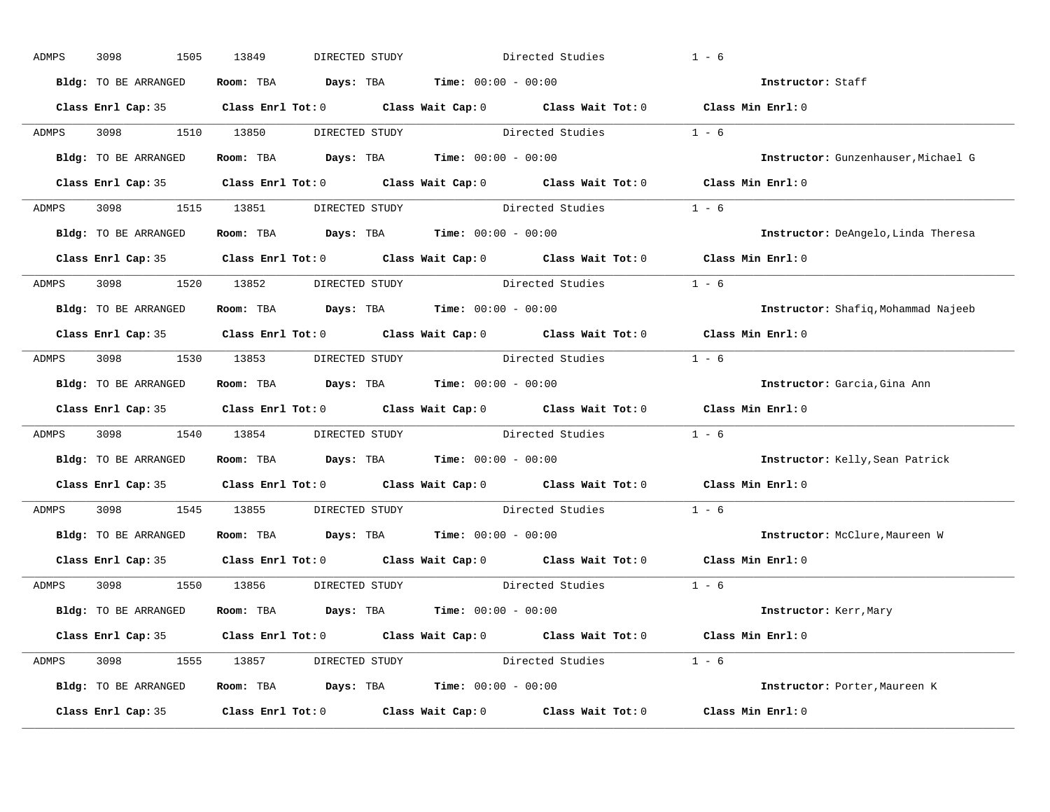| ADMPS | 1505<br>3098         | 13849<br>DIRECTED STUDY                                      | Directed Studies                                                                           | $1 - 6$                             |
|-------|----------------------|--------------------------------------------------------------|--------------------------------------------------------------------------------------------|-------------------------------------|
|       | Bldg: TO BE ARRANGED | Room: TBA $Days: TBA$ Time: $00:00 - 00:00$                  |                                                                                            | Instructor: Staff                   |
|       |                      |                                                              | Class Enrl Cap: 35 Class Enrl Tot: 0 Class Wait Cap: 0 Class Wait Tot: 0 Class Min Enrl: 0 |                                     |
| ADMPS | 3098 1510 13850      |                                                              | DIRECTED STUDY Directed Studies                                                            | $1 - 6$                             |
|       | Bldg: TO BE ARRANGED | Room: TBA $Days:$ TBA Time: $00:00 - 00:00$                  |                                                                                            | Instructor: Gunzenhauser, Michael G |
|       |                      |                                                              | Class Enrl Cap: 35 Class Enrl Tot: 0 Class Wait Cap: 0 Class Wait Tot: 0 Class Min Enrl: 0 |                                     |
|       |                      |                                                              | ADMPS 3098 1515 13851 DIRECTED STUDY Directed Studies 1 - 6                                |                                     |
|       |                      | Bldg: TO BE ARRANGED Room: TBA Days: TBA Time: 00:00 - 00:00 |                                                                                            | Instructor: DeAngelo, Linda Theresa |
|       |                      |                                                              | Class Enrl Cap: 35 Class Enrl Tot: 0 Class Wait Cap: 0 Class Wait Tot: 0 Class Min Enrl: 0 |                                     |
| ADMPS |                      | 3098 1520 13852 DIRECTED STUDY                               | Directed Studies                                                                           | $1 - 6$                             |
|       | Bldg: TO BE ARRANGED | Room: TBA $Days:$ TBA $Time: 00:00 - 00:00$                  |                                                                                            | Instructor: Shafiq, Mohammad Najeeb |
|       |                      |                                                              | Class Enrl Cap: 35 Class Enrl Tot: 0 Class Wait Cap: 0 Class Wait Tot: 0 Class Min Enrl: 0 |                                     |
| ADMPS |                      |                                                              | 3098 1530 13853 DIRECTED STUDY Directed Studies 1 - 6                                      |                                     |
|       | Bldg: TO BE ARRANGED | Room: TBA $Days:$ TBA $Time: 00:00 - 00:00$                  |                                                                                            | Instructor: Garcia, Gina Ann        |
|       |                      |                                                              | Class Enrl Cap: 35 Class Enrl Tot: 0 Class Wait Cap: 0 Class Wait Tot: 0 Class Min Enrl: 0 |                                     |
| ADMPS |                      |                                                              | 3098 1540 13854 DIRECTED STUDY Directed Studies 1 - 6                                      |                                     |
|       | Bldg: TO BE ARRANGED | Room: TBA $Days:$ TBA $Time: 00:00 - 00:00$                  |                                                                                            | Instructor: Kelly, Sean Patrick     |
|       |                      |                                                              | Class Enrl Cap: 35 Class Enrl Tot: 0 Class Wait Cap: 0 Class Wait Tot: 0                   | Class Min Enrl: 0                   |
| ADMPS |                      |                                                              | 3098 1545 13855 DIRECTED STUDY Directed Studies                                            | $1 - 6$                             |
|       |                      | Bldg: TO BE ARRANGED Room: TBA Days: TBA Time: 00:00 - 00:00 |                                                                                            | Instructor: McClure, Maureen W      |
|       |                      |                                                              | Class Enrl Cap: 35 Class Enrl Tot: 0 Class Wait Cap: 0 Class Wait Tot: 0                   | Class Min Enrl: 0                   |
|       |                      | ADMPS 3098 1550 13856 DIRECTED STUDY                         | Directed Studies 1 - 6                                                                     |                                     |
|       | Bldg: TO BE ARRANGED | Room: TBA $Days:$ TBA $Time: 00:00 - 00:00$                  |                                                                                            | Instructor: Kerr, Mary              |
|       |                      |                                                              | Class Enrl Cap: 35 Class Enrl Tot: 0 Class Wait Cap: 0 Class Wait Tot: 0 Class Min Enrl: 0 |                                     |
|       |                      |                                                              | ADMPS 3098 1555 13857 DIRECTED STUDY Directed Studies 1 - 6                                |                                     |
|       | Bldg: TO BE ARRANGED | Room: TBA $Days:$ TBA $Time: 00:00 - 00:00$                  |                                                                                            | Instructor: Porter, Maureen K       |
|       | Class Enrl Cap: 35   |                                                              | Class Enrl Tot: $0$ Class Wait Cap: $0$ Class Wait Tot: $0$ Class Min Enrl: $0$            |                                     |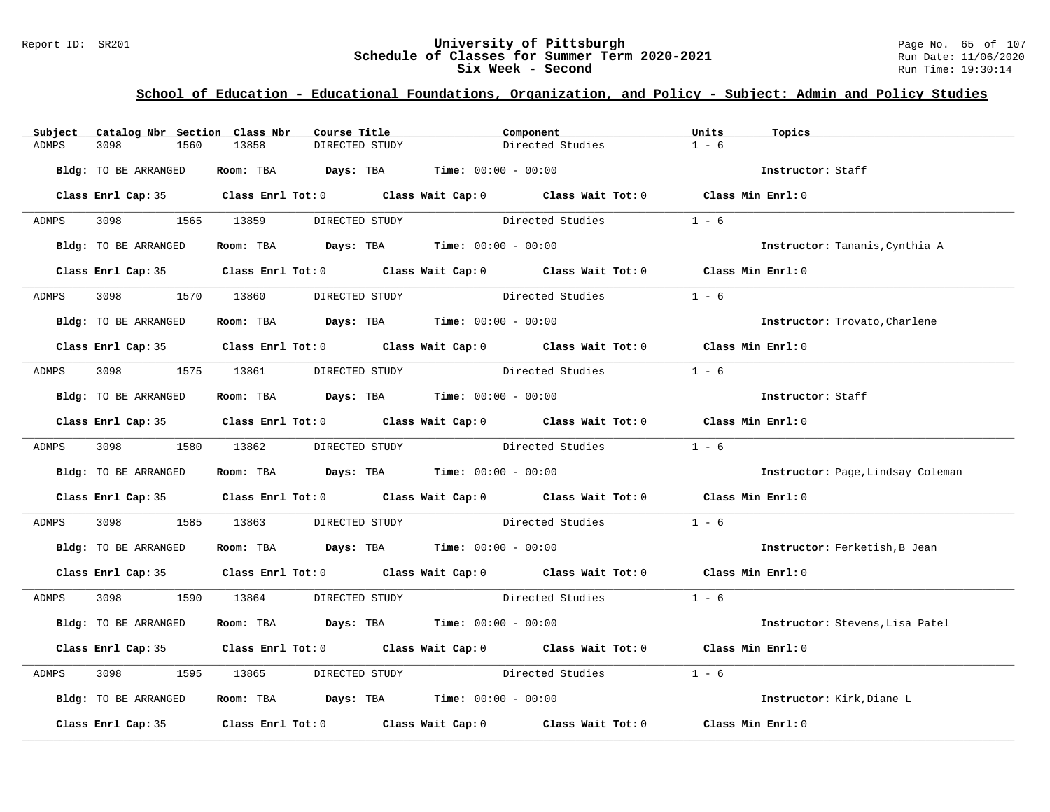### Report ID: SR201 **University of Pittsburgh University of Pittsburgh** Page No. 65 of 107<br>**Schedule of Classes for Summer Term 2020-2021** Run Date: 11/06/2020 **Schedule of Classes for Summer Term 2020-2021** Run Date: 11/06/2021<br>Six Week - Second Run Time: 19:30:14 **Six Week - Second**

| Subject | Catalog Nbr Section Class Nbr | Course Title                                                                               |                | Component |                                 | Units   | Topics                            |
|---------|-------------------------------|--------------------------------------------------------------------------------------------|----------------|-----------|---------------------------------|---------|-----------------------------------|
| ADMPS   | 3098<br>1560                  | 13858                                                                                      | DIRECTED STUDY |           | Directed Studies                | $1 - 6$ |                                   |
|         | Bldg: TO BE ARRANGED          | Room: TBA $Days:$ TBA $Time: 00:00 - 00:00$                                                |                |           |                                 |         | Instructor: Staff                 |
|         |                               | Class Enrl Cap: 35 Class Enrl Tot: 0 Class Wait Cap: 0 Class Wait Tot: 0 Class Min Enrl: 0 |                |           |                                 |         |                                   |
| ADMPS   | 3098 1565 13859               |                                                                                            | DIRECTED STUDY |           | Directed Studies                | $1 - 6$ |                                   |
|         | Bldg: TO BE ARRANGED          | Room: TBA $Days:$ TBA $Time: 00:00 - 00:00$                                                |                |           |                                 |         | Instructor: Tananis, Cynthia A    |
|         |                               | Class Enrl Cap: 35 Class Enrl Tot: 0 Class Wait Cap: 0 Class Wait Tot: 0 Class Min Enrl: 0 |                |           |                                 |         |                                   |
|         |                               | ADMPS 3098 1570 13860 DIRECTED STUDY Directed Studies 1 - 6                                |                |           |                                 |         |                                   |
|         | Bldg: TO BE ARRANGED          | Room: TBA $Days:$ TBA $Time: 00:00 - 00:00$                                                |                |           |                                 |         | Instructor: Trovato, Charlene     |
|         |                               | Class Enrl Cap: 35 Class Enrl Tot: 0 Class Wait Cap: 0 Class Wait Tot: 0 Class Min Enrl: 0 |                |           |                                 |         |                                   |
| ADMPS   | 3098 1575 13861               |                                                                                            |                |           | DIRECTED STUDY Directed Studies | $1 - 6$ |                                   |
|         | Bldg: TO BE ARRANGED          | Room: TBA $Days: TBA$ Time: $00:00 - 00:00$                                                |                |           |                                 |         | Instructor: Staff                 |
|         |                               | Class Enrl Cap: 35 Class Enrl Tot: 0 Class Wait Cap: 0 Class Wait Tot: 0 Class Min Enrl: 0 |                |           |                                 |         |                                   |
| ADMPS   |                               | 3098 1580 13862 DIRECTED STUDY Directed Studies 1 - 6                                      |                |           |                                 |         |                                   |
|         | Bldg: TO BE ARRANGED          | Room: TBA $Days:$ TBA $Time: 00:00 - 00:00$                                                |                |           |                                 |         | Instructor: Page, Lindsay Coleman |
|         |                               | Class Enrl Cap: 35 Class Enrl Tot: 0 Class Wait Cap: 0 Class Wait Tot: 0 Class Min Enrl: 0 |                |           |                                 |         |                                   |
| ADMPS   | 3098 300                      | 1585 13863 DIRECTED STUDY Directed Studies                                                 |                |           |                                 | $1 - 6$ |                                   |
|         | Bldg: TO BE ARRANGED          | Room: TBA $\rule{1em}{0.15mm}$ Days: TBA Time: $00:00 - 00:00$                             |                |           |                                 |         | Instructor: Ferketish, B Jean     |
|         |                               | Class Enrl Cap: 35 Class Enrl Tot: 0 Class Wait Cap: 0 Class Wait Tot: 0 Class Min Enrl: 0 |                |           |                                 |         |                                   |
| ADMPS   |                               | 3098 1590 13864 DIRECTED STUDY Directed Studies 1 - 6                                      |                |           |                                 |         |                                   |
|         | Bldg: TO BE ARRANGED          | Room: TBA $Days:$ TBA $Time: 00:00 - 00:00$                                                |                |           |                                 |         | Instructor: Stevens, Lisa Patel   |
|         |                               | Class Enrl Cap: 35 Class Enrl Tot: 0 Class Wait Cap: 0 Class Wait Tot: 0 Class Min Enrl: 0 |                |           |                                 |         |                                   |
| ADMPS   | 3098                          | 1595 13865                                                                                 |                |           | DIRECTED STUDY Directed Studies | $1 - 6$ |                                   |
|         | Bldg: TO BE ARRANGED          | Room: TBA $\rule{1em}{0.15mm}$ Days: TBA $\rule{1.15mm}]{0.15mm}$ Time: $00:00 - 00:00$    |                |           |                                 |         | Instructor: Kirk, Diane L         |
|         |                               | Class Enrl Cap: 35 Class Enrl Tot: 0 Class Wait Cap: 0 Class Wait Tot: 0 Class Min Enrl: 0 |                |           |                                 |         |                                   |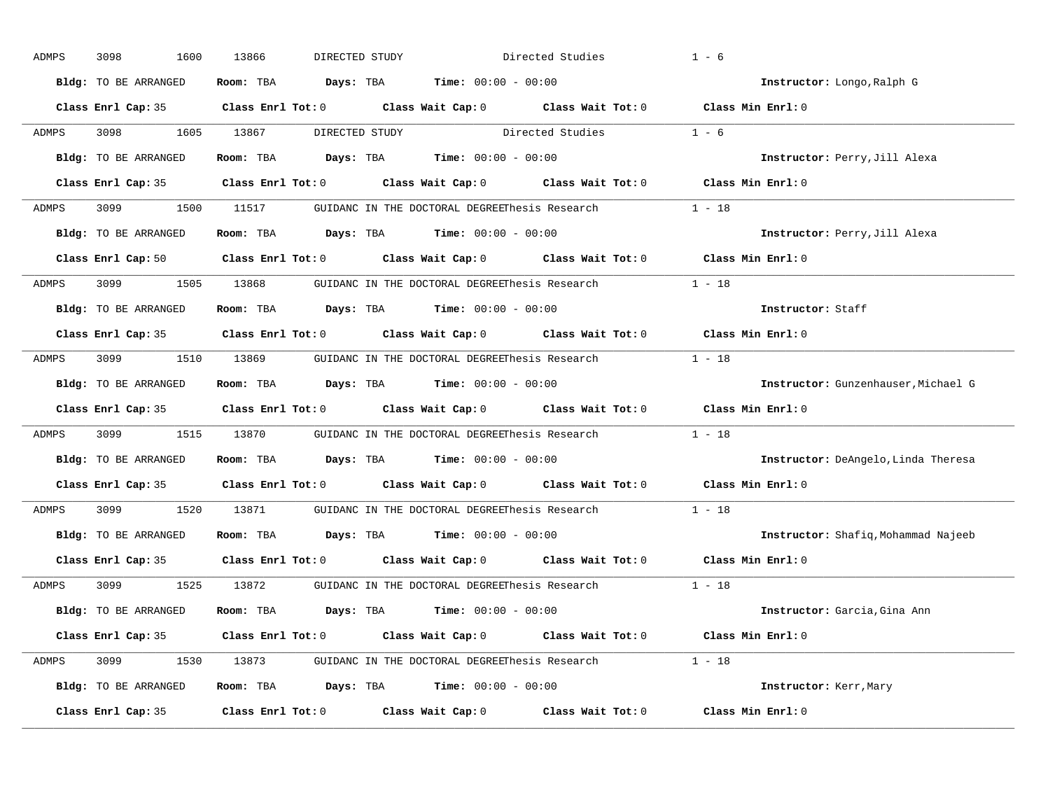| ADMPS | 3098<br>1600         | 13866 | DIRECTED STUDY                                                                                      | Directed Studies | $1 - 6$                             |
|-------|----------------------|-------|-----------------------------------------------------------------------------------------------------|------------------|-------------------------------------|
|       | Bldg: TO BE ARRANGED |       | Room: TBA $Days: TBA$ Time: $00:00 - 00:00$                                                         |                  | Instructor: Longo, Ralph G          |
|       |                      |       | Class Enrl Cap: 35 Class Enrl Tot: 0 Class Wait Cap: 0 Class Wait Tot: 0 Class Min Enrl: 0          |                  |                                     |
| ADMPS | 3098 1605 13867      |       | DIRECTED STUDY Directed Studies                                                                     |                  | $1 - 6$                             |
|       | Bldg: TO BE ARRANGED |       | Room: TBA $Days:$ TBA Time: $00:00 - 00:00$                                                         |                  | Instructor: Perry, Jill Alexa       |
|       |                      |       | Class Enrl Cap: 35 Class Enrl Tot: 0 Class Wait Cap: 0 Class Wait Tot: 0 Class Min Enrl: 0          |                  |                                     |
| ADMPS |                      |       | 3099 1500 11517 GUIDANC IN THE DOCTORAL DEGREEThesis Research 1 - 18                                |                  |                                     |
|       | Bldg: TO BE ARRANGED |       | Room: TBA $Days:$ TBA Time: $00:00 - 00:00$                                                         |                  | Instructor: Perry, Jill Alexa       |
|       |                      |       | Class Enrl Cap: 50 $\qquad$ Class Enrl Tot: 0 $\qquad$ Class Wait Cap: 0 $\qquad$ Class Wait Tot: 0 |                  | Class Min Enrl: 0                   |
| ADMPS |                      |       | 3099 1505 13868 GUIDANC IN THE DOCTORAL DEGREEThesis Research                                       |                  | $1 - 18$                            |
|       | Bldg: TO BE ARRANGED |       | Room: TBA $Days: TBA$ Time: $00:00 - 00:00$                                                         |                  | Instructor: Staff                   |
|       |                      |       | Class Enrl Cap: 35 Class Enrl Tot: 0 Class Wait Cap: 0 Class Wait Tot: 0                            |                  | Class Min Enrl: 0                   |
| ADMPS |                      |       | 3099 1510 13869 GUIDANC IN THE DOCTORAL DEGREEThesis Research 1 - 18                                |                  |                                     |
|       | Bldg: TO BE ARRANGED |       | Room: TBA $Days: TBA$ Time: $00:00 - 00:00$                                                         |                  | Instructor: Gunzenhauser, Michael G |
|       |                      |       | Class Enrl Cap: 35 Class Enrl Tot: 0 Class Wait Cap: 0 Class Wait Tot: 0 Class Min Enrl: 0          |                  |                                     |
| ADMPS |                      |       | 3099 1515 13870 GUIDANC IN THE DOCTORAL DEGREEThesis Research                                       |                  | $1 - 18$                            |
|       | Bldg: TO BE ARRANGED |       | Room: TBA $Days:$ TBA $Time: 00:00 - 00:00$                                                         |                  | Instructor: DeAngelo, Linda Theresa |
|       |                      |       | Class Enrl Cap: 35 Class Enrl Tot: 0 Class Wait Cap: 0 Class Wait Tot: 0                            |                  | Class Min Enrl: 0                   |
| ADMPS | 3099 700             |       | 1520 13871 GUIDANC IN THE DOCTORAL DEGREEThesis Research                                            |                  | $1 - 18$                            |
|       | Bldg: TO BE ARRANGED |       | Room: TBA $Days:$ TBA Time: $00:00 - 00:00$                                                         |                  | Instructor: Shafiq, Mohammad Najeeb |
|       |                      |       | Class Enrl Cap: 35 Class Enrl Tot: 0 Class Wait Cap: 0 Class Wait Tot: 0                            |                  | Class Min Enrl: 0                   |
| ADMPS |                      |       | 3099 1525 13872 GUIDANC IN THE DOCTORAL DEGREEThesis Research                                       |                  | $1 - 18$                            |
|       | Bldg: TO BE ARRANGED |       | Room: TBA $Days:$ TBA $Time: 00:00 - 00:00$                                                         |                  | Instructor: Garcia, Gina Ann        |
|       |                      |       | Class Enrl Cap: 35 Class Enrl Tot: 0 Class Wait Cap: 0 Class Wait Tot: 0 Class Min Enrl: 0          |                  |                                     |
| ADMPS |                      |       | 3099 1530 13873 GUIDANC IN THE DOCTORAL DEGREEThesis Research 1 - 18                                |                  |                                     |
|       | Bldg: TO BE ARRANGED |       | Room: TBA $Days: TBA$ Time: $00:00 - 00:00$                                                         |                  | Instructor: Kerr, Mary              |
|       | Class Enrl Cap: 35   |       | $Class$ $Enrl$ $Tot: 0$ $Class$ $Wait$ $Cans$ $Class$ $Wait$ $Tot: 0$                               |                  | Class Min Enrl: 0                   |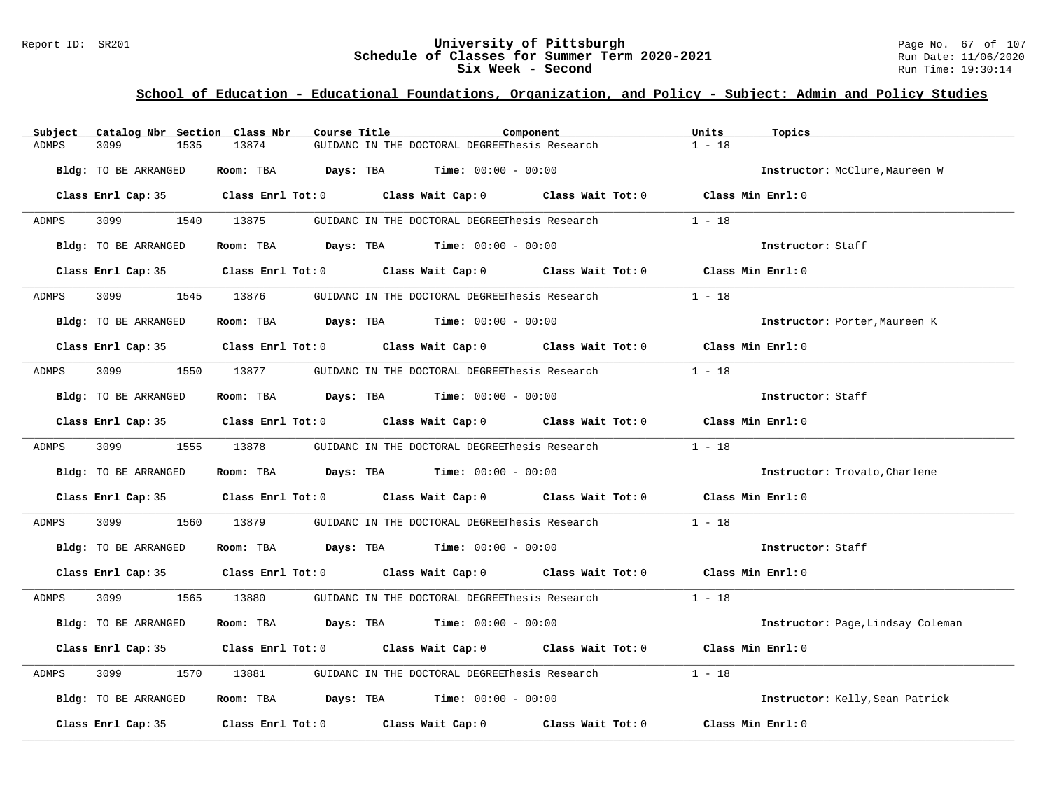### Report ID: SR201 **University of Pittsburgh University of Pittsburgh** Page No. 67 of 107<br>**Schedule of Classes for Summer Term 2020-2021** Run Date: 11/06/2020 **Schedule of Classes for Summer Term 2020-2021** Run Date: 11/06/2021<br>Six Week - Second Run Time: 19:30:14 **Six Week - Second**

| Subject      | Catalog Nbr Section Class Nbr | Course Title | Component                                                                                          | Units<br>Topics                   |
|--------------|-------------------------------|--------------|----------------------------------------------------------------------------------------------------|-----------------------------------|
| <b>ADMPS</b> | 3099<br>1535                  | 13874        | GUIDANC IN THE DOCTORAL DEGREEThesis Research                                                      | $1 - 18$                          |
|              | Bldg: TO BE ARRANGED          |              | Room: TBA $Days:$ TBA $Time: 00:00 - 00:00$                                                        | Instructor: McClure, Maureen W    |
|              |                               |              | Class Enrl Cap: 35 Class Enrl Tot: 0 Class Wait Cap: 0 Class Wait Tot: 0                           | Class Min Enrl: 0                 |
| ADMPS        | 3099 1540 13875               |              | GUIDANC IN THE DOCTORAL DEGREEThesis Research                                                      | $1 - 18$                          |
|              | Bldg: TO BE ARRANGED          |              | Room: TBA $Days:$ TBA $Time: 00:00 - 00:00$                                                        | Instructor: Staff                 |
|              |                               |              | Class Enrl Cap: 35 Class Enrl Tot: 0 Class Wait Cap: 0 Class Wait Tot: 0 Class Min Enrl: 0         |                                   |
| ADMPS        | 3099 1545 13876               |              | GUIDANC IN THE DOCTORAL DEGREEThesis Research                                                      | $1 - 18$                          |
|              | Bldg: TO BE ARRANGED          |              | Room: TBA $Days:$ TBA $Time: 00:00 - 00:00$                                                        | Instructor: Porter, Maureen K     |
|              |                               |              | Class Enrl Cap: 35 Class Enrl Tot: 0 Class Wait Cap: 0 Class Wait Tot: 0 Class Min Enrl: 0         |                                   |
| ADMPS        | 3099 700                      | 1550 13877   | GUIDANC IN THE DOCTORAL DEGREEThesis Research 1 - 18                                               |                                   |
|              | Bldg: TO BE ARRANGED          |              | Room: TBA $Days:$ TBA Time: $00:00 - 00:00$                                                        | Instructor: Staff                 |
|              |                               |              | Class Enrl Cap: 35 Class Enrl Tot: 0 Class Wait Cap: 0 Class Wait Tot: 0 Class Min Enrl: 0         |                                   |
| ADMPS        | 3099 1555 13878               |              | GUIDANC IN THE DOCTORAL DEGREEThesis Research $1 - 18$                                             |                                   |
|              | Bldg: TO BE ARRANGED          |              | <b>Room:</b> TBA $Days: TBA$ <b>Time:</b> $00:00 - 00:00$                                          | Instructor: Trovato, Charlene     |
|              |                               |              | Class Enrl Cap: 35 Class Enrl Tot: 0 Class Wait Cap: 0 Class Wait Tot: 0 Class Min Enrl: 0         |                                   |
| ADMPS        | 3099<br>1560                  | 13879        | GUIDANC IN THE DOCTORAL DEGREEThesis Research $1 - 18$                                             |                                   |
|              | Bldg: TO BE ARRANGED          |              | Room: TBA $Days:$ TBA $Time: 00:00 - 00:00$                                                        | Instructor: Staff                 |
|              |                               |              | Class Enrl Cap: 35 Class Enrl Tot: 0 Class Wait Cap: 0 Class Wait Tot: 0 Class Min Enrl: 0         |                                   |
| ADMPS        |                               |              | 3099 1565 13880 GUIDANC IN THE DOCTORAL DEGREEThesis Research 1 - 18                               |                                   |
|              | Bldg: TO BE ARRANGED          |              | Room: TBA $Days:$ TBA $Time: 00:00 - 00:00$                                                        | Instructor: Page, Lindsay Coleman |
|              |                               |              | Class Enrl Cap: 35 Class Enrl Tot: 0 Class Wait Cap: 0 Class Wait Tot: 0 Class Min Enrl: 0         |                                   |
| ADMPS        | 3099                          | 1570 13881   | GUIDANC IN THE DOCTORAL DEGREEThesis Research                                                      | $1 - 18$                          |
|              | Bldg: TO BE ARRANGED          |              | Room: TBA $Days:$ TBA $Time: 00:00 - 00:00$                                                        | Instructor: Kelly, Sean Patrick   |
|              | Class Enrl Cap: 35            |              | Class Enrl Tot: 0 $\qquad$ Class Wait Cap: 0 $\qquad$ Class Wait Tot: 0 $\qquad$ Class Min Enrl: 0 |                                   |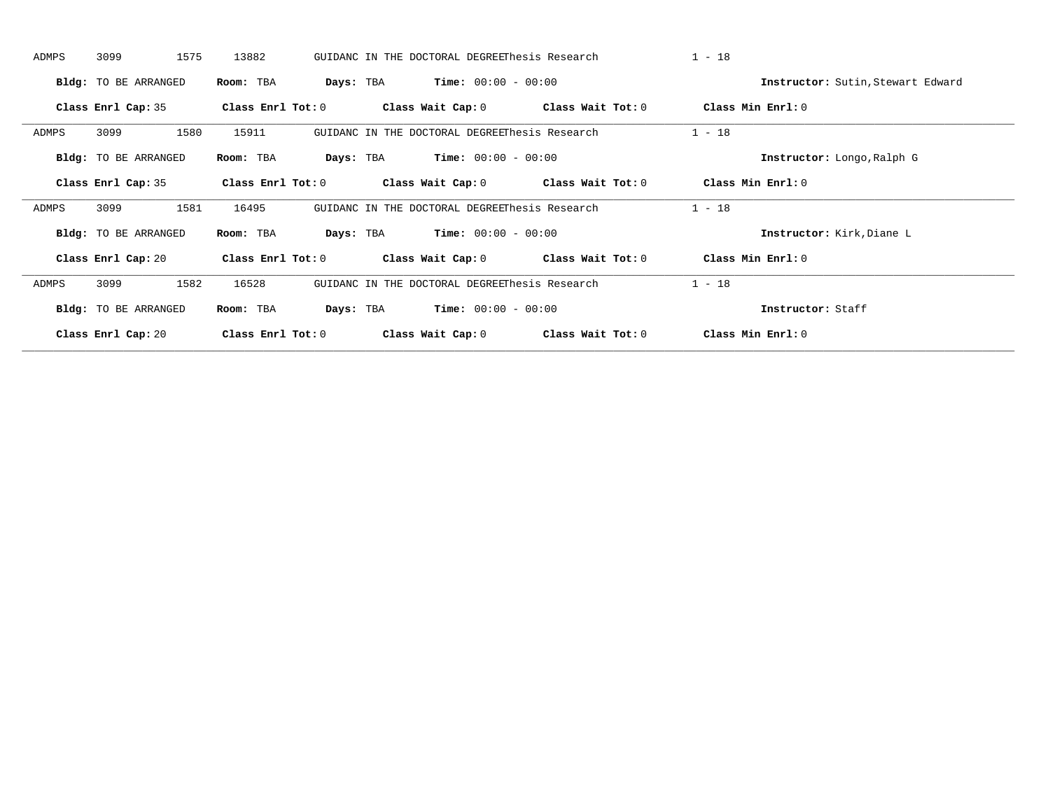| ADMPS | 3099                        | 1575 | 13882               |           | GUIDANC IN THE DOCTORAL DEGREEThesis Research |                                         | $1 - 18$ |                                   |
|-------|-----------------------------|------|---------------------|-----------|-----------------------------------------------|-----------------------------------------|----------|-----------------------------------|
|       | <b>Bldg:</b> TO BE ARRANGED |      | Room: TBA           | Days: TBA | <b>Time:</b> $00:00 - 00:00$                  |                                         |          | Instructor: Sutin, Stewart Edward |
|       | Class Enrl Cap: 35          |      | Class Enrl Tot: 0   |           | Class Wait Cap: 0                             | Class Wait Tot: 0                       |          | Class Min Enrl: 0                 |
| ADMPS | 3099                        | 1580 | 15911               |           | GUIDANC IN THE DOCTORAL DEGREEThesis Research |                                         | $1 - 18$ |                                   |
|       | Bldg: TO BE ARRANGED        |      | Room: TBA           | Days: TBA | $Time: 00:00 - 00:00$                         |                                         |          | Instructor: Longo, Ralph G        |
|       | Class Enrl Cap: 35          |      | Class Enrl Tot: 0   |           |                                               | Class Wait Cap: 0 Class Wait Tot: 0     |          | Class Min Enrl: 0                 |
| ADMPS | 3099                        | 1581 | 16495               |           | GUIDANC IN THE DOCTORAL DEGREEThesis Research |                                         | $1 - 18$ |                                   |
|       | <b>Bldg:</b> TO BE ARRANGED |      | Room: TBA           | Days: TBA | $Time: 00:00 - 00:00$                         |                                         |          | Instructor: Kirk, Diane L         |
|       | Class Enrl Cap: 20          |      | Class Enrl Tot: 0   |           |                                               | Class Wait Cap: $0$ Class Wait Tot: $0$ |          | Class Min $Err1:0$                |
| ADMPS | 3099                        | 1582 | 16528               |           | GUIDANC IN THE DOCTORAL DEGREEThesis Research |                                         | $1 - 18$ |                                   |
|       | <b>Bldg:</b> TO BE ARRANGED |      | Room: TBA           | Days: TBA | <b>Time:</b> $00:00 - 00:00$                  |                                         |          | Instructor: Staff                 |
|       | Class Enrl Cap: 20          |      | Class Enrl Tot: $0$ |           | Class Wait Cap: 0                             | Class Wait Tot: 0                       |          | Class Min Enrl: 0                 |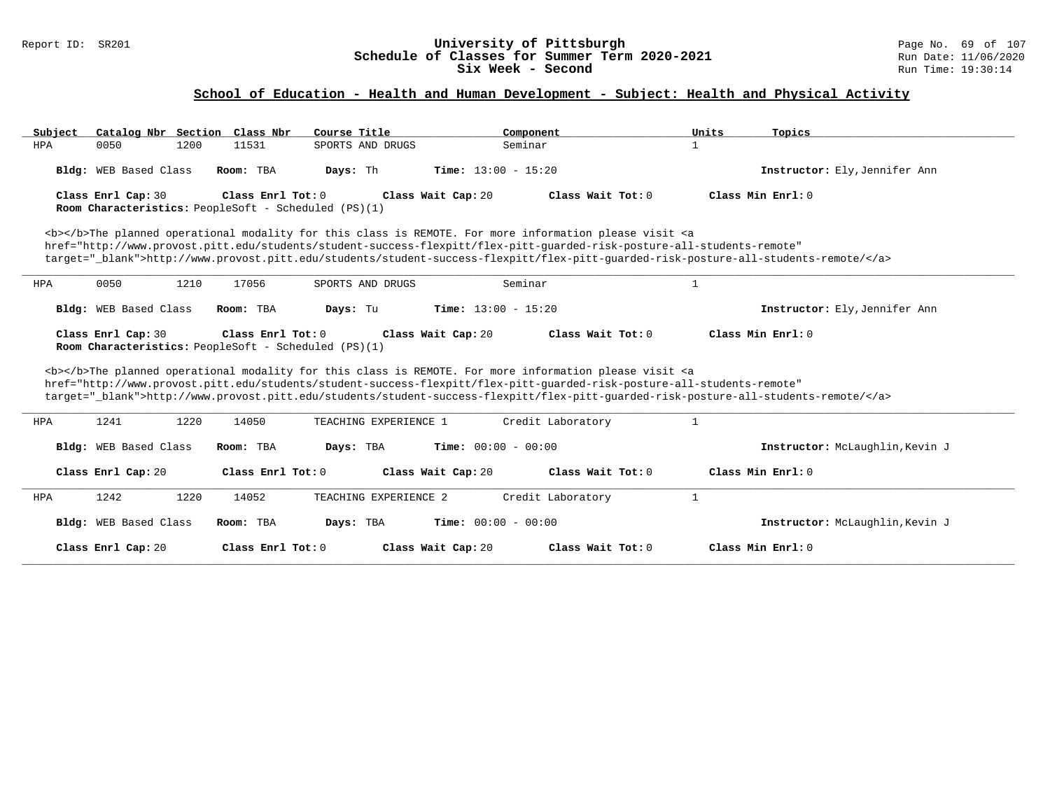#### Report ID: SR201 **University of Pittsburgh** Page No. 69 of 107 **Schedule of Classes for Summer Term 2020-2021** Run Date: 11/06/2020 **Six Week - Second Run Time: 19:30:14**

# **School of Education - Health and Human Development - Subject: Health and Physical Activity**

| Catalog Nbr Section Class Nbr<br>Subject | Course Title                                                              | Component                                                                                                                                                                                                                                                                                                                                                                          | Units<br>Topics                 |
|------------------------------------------|---------------------------------------------------------------------------|------------------------------------------------------------------------------------------------------------------------------------------------------------------------------------------------------------------------------------------------------------------------------------------------------------------------------------------------------------------------------------|---------------------------------|
| 0050<br>1200<br>HPA                      | SPORTS AND DRUGS<br>11531                                                 | Seminar                                                                                                                                                                                                                                                                                                                                                                            | $\mathbf{1}$                    |
| Bldg: WEB Based Class                    | Room: TBA<br>Days: Th                                                     | <b>Time:</b> $13:00 - 15:20$                                                                                                                                                                                                                                                                                                                                                       | Instructor: Ely, Jennifer Ann   |
| Class Enrl Cap: 30                       | Class Enrl Tot: 0<br>Room Characteristics: PeopleSoft - Scheduled (PS)(1) | Class Wait Cap: 20<br>Class Wait Tot: 0                                                                                                                                                                                                                                                                                                                                            | Class Min Enrl: 0               |
|                                          |                                                                           | <b></b> The planned operational modality for this class is REMOTE. For more information please visit <a<br>href="http://www.provost.pitt.edu/students/student-success-flexpitt/flex-pitt-quarded-risk-posture-all-students-remote"<br/>target="_blank"&gt;http://www.provost.pitt.edu/students/student-success-flexpitt/flex-pitt-quarded-risk-posture-all-students-remote/</a<br> |                                 |
| 0050<br>1210<br>HPA                      | 17056<br>SPORTS AND DRUGS                                                 | Seminar                                                                                                                                                                                                                                                                                                                                                                            | $\mathbf{1}$                    |
| Bldg: WEB Based Class                    | Room: TBA<br>Days: Tu                                                     | <b>Time:</b> $13:00 - 15:20$                                                                                                                                                                                                                                                                                                                                                       | Instructor: Ely, Jennifer Ann   |
| Class Enrl Cap: 30                       | Class Enrl Tot: 0<br>Room Characteristics: PeopleSoft - Scheduled (PS)(1) | Class Wait Cap: 20<br>Class Wait Tot: 0                                                                                                                                                                                                                                                                                                                                            | Class Min Enrl: 0               |
|                                          |                                                                           | <b></b> The planned operational modality for this class is REMOTE. For more information please visit <a<br>href="http://www.provost.pitt.edu/students/student-success-flexpitt/flex-pitt-quarded-risk-posture-all-students-remote"<br/>target="_blank"&gt;http://www.provost.pitt.edu/students/student-success-flexpitt/flex-pitt-quarded-risk-posture-all-students-remote/</a<br> |                                 |
| 1220<br>1241<br>HPA                      | 14050<br>TEACHING EXPERIENCE 1                                            | Credit Laboratory                                                                                                                                                                                                                                                                                                                                                                  | $\mathbf{1}$                    |
| Bldg: WEB Based Class                    | Room: TBA<br>Days: TBA                                                    | <b>Time:</b> $00:00 - 00:00$                                                                                                                                                                                                                                                                                                                                                       | Instructor: McLaughlin, Kevin J |
| Class Enrl Cap: 20                       | Class Enrl Tot: 0                                                         | Class Wait Cap: 20<br>Class Wait Tot: 0                                                                                                                                                                                                                                                                                                                                            | Class Min Enrl: 0               |
| 1242<br>1220<br>HPA                      | 14052<br>TEACHING EXPERIENCE 2                                            | Credit Laboratory                                                                                                                                                                                                                                                                                                                                                                  | $\mathbf{1}$                    |
| Bldg: WEB Based Class                    | Days: TBA<br>Room: TBA                                                    | <b>Time:</b> $00:00 - 00:00$                                                                                                                                                                                                                                                                                                                                                       | Instructor: McLaughlin, Kevin J |
| Class Enrl Cap: 20                       | Class Enrl Tot: 0                                                         | Class Wait Cap: 20<br>Class Wait Tot: $0$                                                                                                                                                                                                                                                                                                                                          | Class Min Enrl: 0               |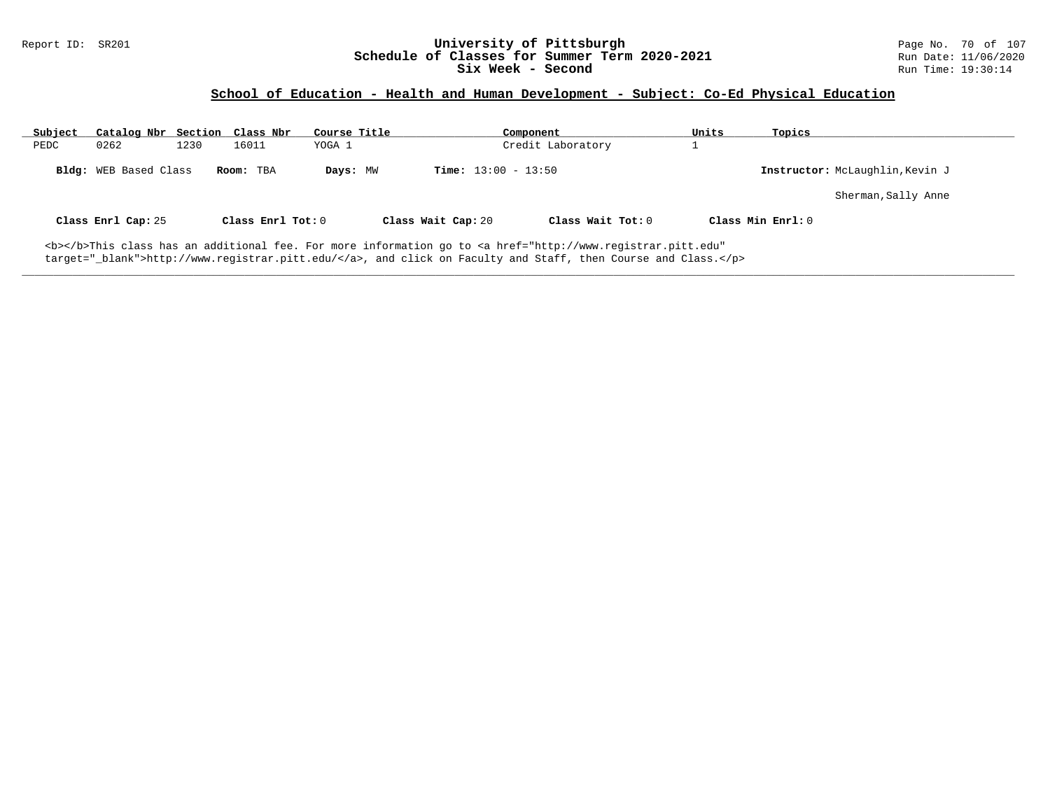### Report ID: SR201 **University of Pittsburgh University of Pittsburgh** Page No. 70 of 107<br>**Schedule of Classes for Summer Term 2020-2021** Run Date: 11/06/2020 **Schedule of Classes for Summer Term 2020-2021** Run Date: 11/06/2021<br>Six Week - Second Run Time: 19:30:14 **Six Week - Second**

## **School of Education - Health and Human Development - Subject: Co-Ed Physical Education**

| Subject | Catalog Nbr Section Class Nbr |      |                   | Course Title |                              | Component                                                                                                                                      | Units | Topics                          |
|---------|-------------------------------|------|-------------------|--------------|------------------------------|------------------------------------------------------------------------------------------------------------------------------------------------|-------|---------------------------------|
| PEDC    | 0262                          | 1230 | 16011             | YOGA 1       |                              | Credit Laboratory                                                                                                                              |       |                                 |
|         | Bldg: WEB Based Class         |      | Room: TBA         | Days: MW     | <b>Time:</b> $13:00 - 13:50$ |                                                                                                                                                |       | Instructor: McLaughlin, Kevin J |
|         |                               |      |                   |              |                              |                                                                                                                                                |       | Sherman, Sally Anne             |
|         | Class Enrl Cap: 25            |      | Class Enrl Tot: 0 |              | Class Wait Cap: 20           | Class Wait $Tot: 0$                                                                                                                            |       | Class Min Enrl: 0               |
|         |                               |      |                   |              |                              | <b></b> This class has an additional fee. For more information go to <a <="" href="http://www.registrar.pitt.edu" td=""><td></td><td></td></a> |       |                                 |

**\_\_\_\_\_\_\_\_\_\_\_\_\_\_\_\_\_\_\_\_\_\_\_\_\_\_\_\_\_\_\_\_\_\_\_\_\_\_\_\_\_\_\_\_\_\_\_\_\_\_\_\_\_\_\_\_\_\_\_\_\_\_\_\_\_\_\_\_\_\_\_\_\_\_\_\_\_\_\_\_\_\_\_\_\_\_\_\_\_\_\_\_\_\_\_\_\_\_\_\_\_\_\_\_\_\_\_\_\_\_\_\_\_\_\_\_\_\_\_\_\_\_\_\_\_\_\_\_\_\_\_\_\_\_\_\_\_\_\_\_\_\_\_\_\_\_\_\_\_\_\_\_\_\_\_\_**

target="\_blank">http://www.registrar.pitt.edu/</a>, and click on Faculty and Staff, then Course and Class.</p>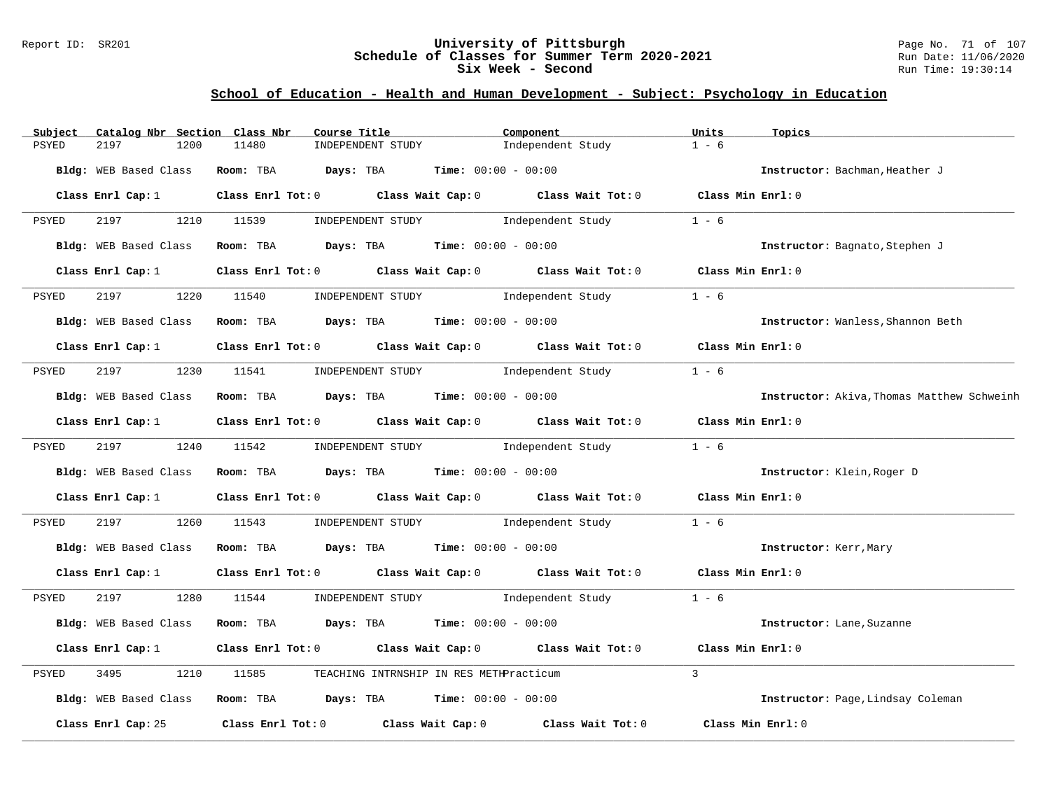### Report ID: SR201 **University of Pittsburgh** Page No. 71 of 107 **Schedule of Classes for Summer Term 2020-2021** Run Date: 11/06/2020 **Six Week - Second Run Time: 19:30:14**

# **School of Education - Health and Human Development - Subject: Psychology in Education**

| Subject      | Catalog Nbr Section Class Nbr | Course Title                                                  | Component                                                                                 | Units<br>Topics                            |
|--------------|-------------------------------|---------------------------------------------------------------|-------------------------------------------------------------------------------------------|--------------------------------------------|
| <b>PSYED</b> | 2197<br>1200                  | 11480<br>INDEPENDENT STUDY                                    | Independent Study                                                                         | $1 - 6$                                    |
|              | Bldg: WEB Based Class         | Room: TBA $Days:$ TBA $Time: 00:00 - 00:00$                   |                                                                                           | Instructor: Bachman, Heather J             |
|              | Class Enrl Cap: 1             |                                                               | Class Enrl Tot: 0 Class Wait Cap: 0 Class Wait Tot: 0 Class Min Enrl: 0                   |                                            |
| PSYED        | 2197 120                      | 1210 11539<br>INDEPENDENT STUDY                               | Independent Study                                                                         | $1 - 6$                                    |
|              | Bldg: WEB Based Class         |                                                               | Room: TBA $\rule{1em}{0.15mm}$ Days: TBA $\rule{1em}{0.15mm}$ Time: $00:00 - 00:00$       | Instructor: Bagnato, Stephen J             |
|              | Class Enrl Cap: 1             |                                                               | Class Enrl Tot: 0 Class Wait Cap: 0 Class Wait Tot: 0                                     | Class Min Enrl: 0                          |
| PSYED        | 2197                          | 1220 11540<br>INDEPENDENT STUDY                               | Independent Study                                                                         | $1 - 6$                                    |
|              | Bldg: WEB Based Class         | <b>Room:</b> TBA $Days:$ TBA $Time: 00:00 - 00:00$            |                                                                                           | Instructor: Wanless, Shannon Beth          |
|              |                               |                                                               | Class Enrl Cap: 1 Class Enrl Tot: 0 Class Wait Cap: 0 Class Wait Tot: 0 Class Min Enrl: 0 |                                            |
| PSYED        |                               |                                                               | 2197 1230 11541 INDEPENDENT STUDY Independent Study                                       | $1 - 6$                                    |
|              | Bldg: WEB Based Class         | Room: TBA $Days:$ TBA $Time:$ $00:00 - 00:00$                 |                                                                                           | Instructor: Akiva, Thomas Matthew Schweinh |
|              | Class Enrl Cap: 1             |                                                               | Class Enrl Tot: 0 Class Wait Cap: 0 Class Wait Tot: 0                                     | Class Min Enrl: 0                          |
| PSYED        | 2197 1240 11542               |                                                               | INDEPENDENT STUDY 1ndependent Study                                                       | $1 - 6$                                    |
|              |                               | Bldg: WEB Based Class Room: TBA Days: TBA Time: 00:00 - 00:00 |                                                                                           | Instructor: Klein, Roger D                 |
|              | Class Enrl Cap: 1             |                                                               | Class Enrl Tot: $0$ Class Wait Cap: $0$ Class Wait Tot: $0$                               | Class Min Enrl: 0                          |
| PSYED        | 2197<br>1260                  | 11543                                                         | INDEPENDENT STUDY 1ndependent Study                                                       | $1 - 6$                                    |
|              | Bldg: WEB Based Class         | Room: TBA $Days:$ TBA $Time: 00:00 - 00:00$                   |                                                                                           | Instructor: Kerr, Mary                     |
|              | Class Enrl Cap: 1             |                                                               | Class Enrl Tot: 0 Class Wait Cap: 0 Class Wait Tot: 0 Class Min Enrl: 0                   |                                            |
| PSYED        |                               |                                                               | 2197 1280 11544 INDEPENDENT STUDY Independent Study                                       | $1 - 6$                                    |
|              | Bldg: WEB Based Class         | Room: TBA $Days:$ TBA $Time: 00:00 - 00:00$                   |                                                                                           | Instructor: Lane, Suzanne                  |
|              | Class Enrl Cap: 1             |                                                               | Class Enrl Tot: $0$ Class Wait Cap: $0$ Class Wait Tot: $0$                               | Class Min Enrl: 0                          |
| PSYED        | 3495<br>1210                  | 11585                                                         | TEACHING INTRNSHIP IN RES METHPracticum                                                   | $\mathbf{3}$                               |
|              | Bldg: WEB Based Class         | Room: TBA $Days: TBA$ Time: $00:00 - 00:00$                   |                                                                                           | Instructor: Page, Lindsay Coleman          |
|              | Class Enrl Cap: 25            |                                                               | Class Enrl Tot: 0 Class Wait Cap: 0 Class Wait Tot: 0                                     | Class Min Enrl: 0                          |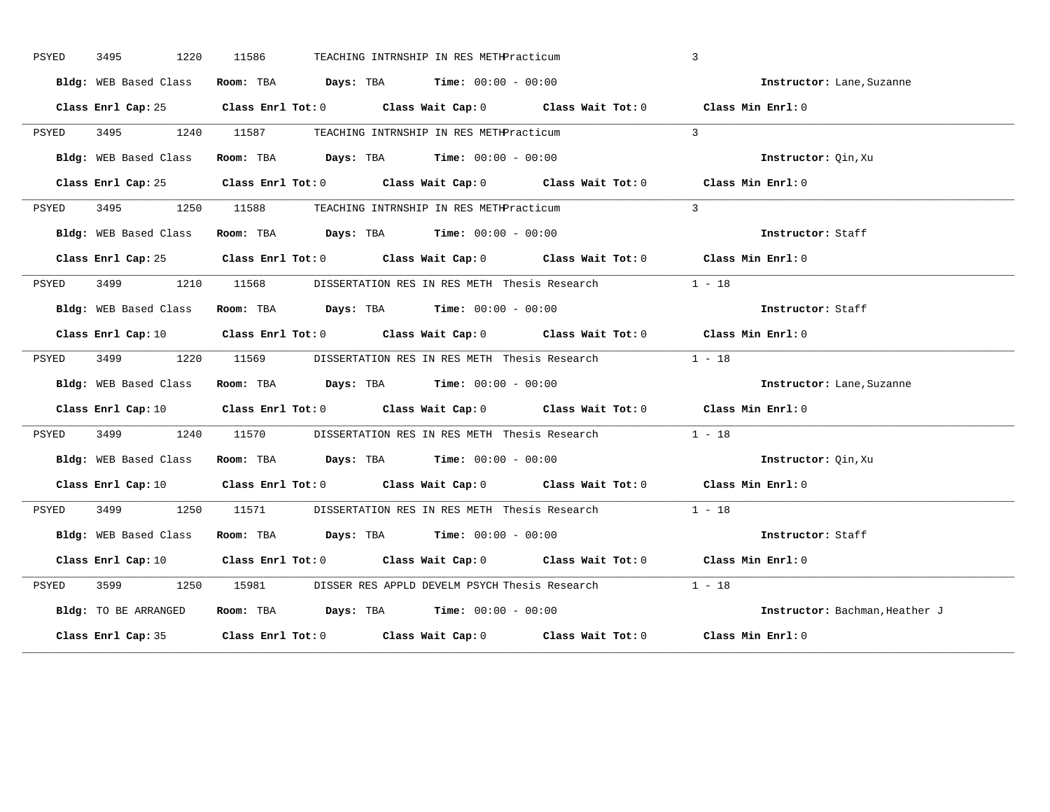| PSYED | 3495 | 1220                  | 11586 |                                                                | TEACHING INTRNSHIP IN RES METHPracticum |                                                                                            | $\overline{3}$                                                                                                                 |
|-------|------|-----------------------|-------|----------------------------------------------------------------|-----------------------------------------|--------------------------------------------------------------------------------------------|--------------------------------------------------------------------------------------------------------------------------------|
|       |      | Bldg: WEB Based Class |       | Room: TBA $Days:$ TBA Time: $00:00 - 00:00$                    |                                         |                                                                                            | Instructor: Lane, Suzanne                                                                                                      |
|       |      |                       |       |                                                                |                                         |                                                                                            | Class Enrl Cap: 25 Class Enrl Tot: 0 Class Wait Cap: 0 Class Wait Tot: 0 Class Min Enrl: 0                                     |
| PSYED |      |                       |       | 3495 1240 11587 TEACHING INTRNSHIP IN RES METHPracticum        |                                         |                                                                                            | $\mathcal{L}$                                                                                                                  |
|       |      | Bldg: WEB Based Class |       | Room: TBA $Days: TBA$ Time: $00:00 - 00:00$                    |                                         |                                                                                            | Instructor: Qin, Xu                                                                                                            |
|       |      |                       |       |                                                                |                                         |                                                                                            | Class Enrl Cap: 25 Class Enrl Tot: 0 Class Wait Cap: 0 Class Wait Tot: 0 Class Min Enrl: 0                                     |
| PSYED |      |                       |       | 3495 1250 11588 TEACHING INTRNSHIP IN RES METHPracticum        |                                         |                                                                                            | $\mathcal{L}$                                                                                                                  |
|       |      | Bldg: WEB Based Class |       | Room: TBA $Days:$ TBA $Time: 00:00 - 00:00$                    |                                         |                                                                                            | Instructor: Staff                                                                                                              |
|       |      |                       |       |                                                                |                                         |                                                                                            | Class Enrl Cap: 25 Class Enrl Tot: 0 Class Wait Cap: 0 Class Wait Tot: 0 Class Min Enrl: 0                                     |
| PSYED |      |                       |       | 3499 1210 11568 DISSERTATION RES IN RES METH Thesis Research   |                                         |                                                                                            | $1 - 18$                                                                                                                       |
|       |      |                       |       | Bldg: WEB Based Class Room: TBA Days: TBA Time: 00:00 - 00:00  |                                         |                                                                                            | Instructor: Staff                                                                                                              |
|       |      |                       |       |                                                                |                                         |                                                                                            | Class Enrl Cap: 10 Class Enrl Tot: 0 Class Wait Cap: 0 Class Wait Tot: 0 Class Min Enrl: 0                                     |
| PSYED |      |                       |       |                                                                |                                         | 3499 1220 11569 DISSERTATION RES IN RES METH Thesis Research 1 - 18                        |                                                                                                                                |
|       |      |                       |       | Bldg: WEB Based Class Room: TBA Days: TBA Time: 00:00 - 00:00  |                                         |                                                                                            | Instructor: Lane, Suzanne                                                                                                      |
|       |      |                       |       |                                                                |                                         |                                                                                            | Class Enrl Cap: 10 $\qquad$ Class Enrl Tot: 0 $\qquad$ Class Wait Cap: 0 $\qquad$ Class Wait Tot: 0 $\qquad$ Class Min Enrl: 0 |
| PSYED |      |                       |       |                                                                |                                         | 3499 1240 11570 DISSERTATION RES IN RES METH Thesis Research 1 - 18                        |                                                                                                                                |
|       |      |                       |       | Bldg: WEB Based Class Room: TBA Days: TBA Time: 00:00 - 00:00  |                                         |                                                                                            | Instructor: Qin, Xu                                                                                                            |
|       |      |                       |       |                                                                |                                         |                                                                                            | Class Enrl Cap: 10 Class Enrl Tot: 0 Class Wait Cap: 0 Class Wait Tot: 0 Class Min Enrl: 0                                     |
| PSYED |      |                       |       | 3499 1250 11571 DISSERTATION RES IN RES METH Thesis Research   |                                         |                                                                                            | $1 - 18$                                                                                                                       |
|       |      |                       |       | Bldg: WEB Based Class Room: TBA Days: TBA Time: 00:00 - 00:00  |                                         |                                                                                            | Instructor: Staff                                                                                                              |
|       |      |                       |       |                                                                |                                         |                                                                                            | Class Enrl Cap: 10 $\qquad$ Class Enrl Tot: 0 $\qquad$ Class Wait Cap: 0 $\qquad$ Class Wait Tot: 0 $\qquad$ Class Min Enrl: 0 |
| PSYED |      | 3599 359              |       |                                                                |                                         | 1250 15981 DISSER RES APPLD DEVELM PSYCH Thesis Research 1 - 18                            |                                                                                                                                |
|       |      | Bldg: TO BE ARRANGED  |       | Room: TBA $\rule{1em}{0.15mm}$ Days: TBA Time: $00:00 - 00:00$ |                                         |                                                                                            | Instructor: Bachman, Heather J                                                                                                 |
|       |      |                       |       |                                                                |                                         | Class Enrl Cap: 35 Class Enrl Tot: 0 Class Wait Cap: 0 Class Wait Tot: 0 Class Min Enrl: 0 |                                                                                                                                |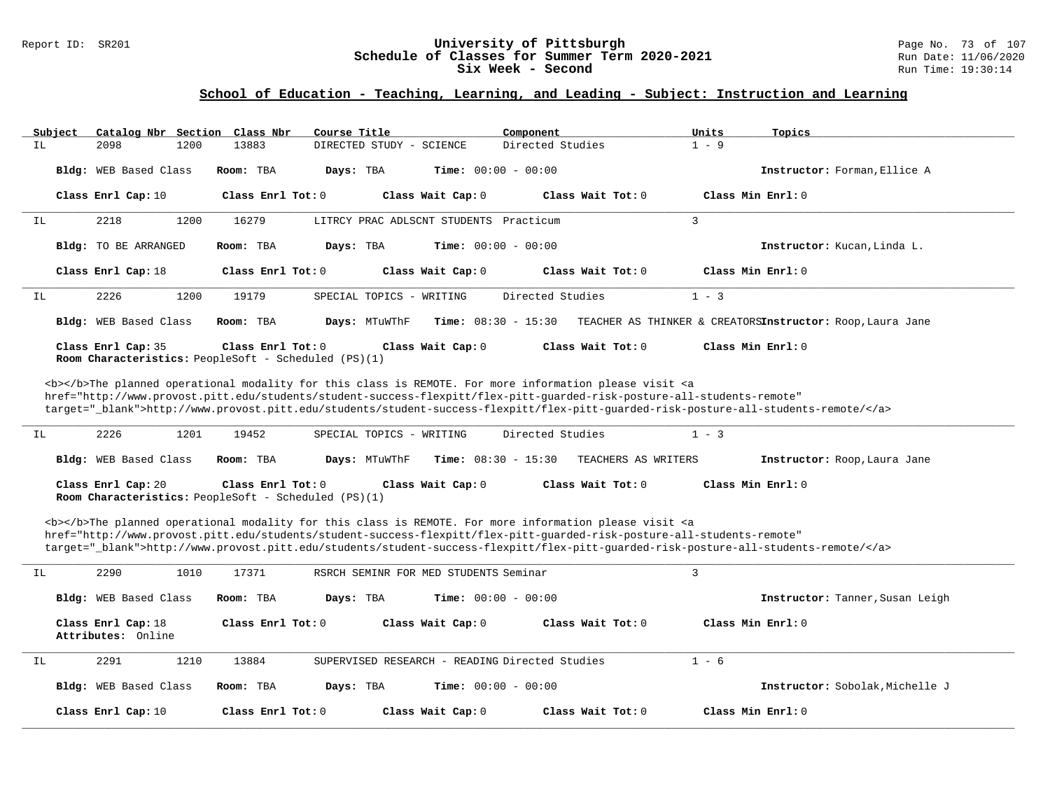### Report ID: SR201 **University of Pittsburgh** Page No. 73 of 107 **Schedule of Classes for Summer Term 2020-2021** Run Date: 11/06/2020 **Six Week - Second Run Time: 19:30:14**

| Subject                                                                                                                                                                                                                                                                                                                                                                                                                                                                                    | Catalog Nbr Section Class Nbr            |                                                                             | Course Title                                   | Component                                                                                                                                                                                                                                 | Units<br>Topics                                                                                                                   |  |  |  |
|--------------------------------------------------------------------------------------------------------------------------------------------------------------------------------------------------------------------------------------------------------------------------------------------------------------------------------------------------------------------------------------------------------------------------------------------------------------------------------------------|------------------------------------------|-----------------------------------------------------------------------------|------------------------------------------------|-------------------------------------------------------------------------------------------------------------------------------------------------------------------------------------------------------------------------------------------|-----------------------------------------------------------------------------------------------------------------------------------|--|--|--|
| IL                                                                                                                                                                                                                                                                                                                                                                                                                                                                                         | 1200<br>2098                             | 13883                                                                       | DIRECTED STUDY - SCIENCE                       | Directed Studies                                                                                                                                                                                                                          | $1 - 9$                                                                                                                           |  |  |  |
|                                                                                                                                                                                                                                                                                                                                                                                                                                                                                            | Bldg: WEB Based Class                    | Room: TBA                                                                   | Days: TBA<br><b>Time:</b> $00:00 - 00:00$      |                                                                                                                                                                                                                                           | Instructor: Forman, Ellice A                                                                                                      |  |  |  |
|                                                                                                                                                                                                                                                                                                                                                                                                                                                                                            | Class Enrl Cap: 10                       | Class Enrl Tot: $0$                                                         | Class Wait Cap: 0                              | Class Wait Tot: 0                                                                                                                                                                                                                         | Class Min Enrl: 0                                                                                                                 |  |  |  |
| IL                                                                                                                                                                                                                                                                                                                                                                                                                                                                                         | 2218<br>1200                             | 16279                                                                       | LITRCY PRAC ADLSCNT STUDENTS Practicum         |                                                                                                                                                                                                                                           | 3                                                                                                                                 |  |  |  |
|                                                                                                                                                                                                                                                                                                                                                                                                                                                                                            | Bldg: TO BE ARRANGED                     | Room: TBA                                                                   | Days: TBA<br><b>Time:</b> $00:00 - 00:00$      |                                                                                                                                                                                                                                           | Instructor: Kucan, Linda L.                                                                                                       |  |  |  |
|                                                                                                                                                                                                                                                                                                                                                                                                                                                                                            | Class Enrl Cap: 18                       | Class Enrl Tot: 0                                                           | Class Wait Cap: 0                              | Class Wait Tot: 0                                                                                                                                                                                                                         | Class Min Enrl: 0                                                                                                                 |  |  |  |
| IL                                                                                                                                                                                                                                                                                                                                                                                                                                                                                         | 2226<br>1200                             | 19179                                                                       | SPECIAL TOPICS - WRITING                       | Directed Studies                                                                                                                                                                                                                          | $1 - 3$                                                                                                                           |  |  |  |
|                                                                                                                                                                                                                                                                                                                                                                                                                                                                                            | Bldg: WEB Based Class                    | Room: TBA                                                                   | Days: MTuWThF<br><b>Time:</b> $08:30 - 15:30$  |                                                                                                                                                                                                                                           | TEACHER AS THINKER & CREATORSInstructor: Roop, Laura Jane                                                                         |  |  |  |
|                                                                                                                                                                                                                                                                                                                                                                                                                                                                                            | Class Enrl Cap: 35                       | Class Enrl Tot: $0$<br>Room Characteristics: PeopleSoft - Scheduled (PS)(1) | Class Wait Cap: 0                              | Class Wait Tot: 0                                                                                                                                                                                                                         | Class Min Enrl: 0                                                                                                                 |  |  |  |
| <b></b> >>>The planned operational modality for this class is REMOTE. For more information please visit <a<br>href="http://www.provost.pitt.edu/students/student-success-flexpitt/flex-pitt-guarded-risk-posture-all-students-remote"<br/>target="_blank"&gt;http://www.provost.pitt.edu/students/student-success-flexpitt/flex-pitt-quarded-risk-posture-all-students-remote/<br/>2226<br/>1201<br/>19452<br/>Directed Studies<br/><math>1 - 3</math><br/>SPECIAL TOPICS - WRITING</a<br> |                                          |                                                                             |                                                |                                                                                                                                                                                                                                           |                                                                                                                                   |  |  |  |
| IL                                                                                                                                                                                                                                                                                                                                                                                                                                                                                         |                                          |                                                                             |                                                |                                                                                                                                                                                                                                           |                                                                                                                                   |  |  |  |
|                                                                                                                                                                                                                                                                                                                                                                                                                                                                                            | Bldg: WEB Based Class                    | Room: TBA                                                                   | <b>Time:</b> $08:30 - 15:30$<br>Days: MTuWThF  | TEACHERS AS WRITERS                                                                                                                                                                                                                       | Instructor: Roop, Laura Jane                                                                                                      |  |  |  |
|                                                                                                                                                                                                                                                                                                                                                                                                                                                                                            | Class Enrl Cap: 20                       | Class Enrl Tot: 0<br>Room Characteristics: PeopleSoft - Scheduled (PS)(1)   | Class Wait Cap: 0                              | Class Wait Tot: 0                                                                                                                                                                                                                         | Class Min Enrl: 0                                                                                                                 |  |  |  |
|                                                                                                                                                                                                                                                                                                                                                                                                                                                                                            |                                          |                                                                             |                                                | <b></b> The planned operational modality for this class is REMOTE. For more information please visit <a<br>href="http://www.provost.pitt.edu/students/student-success-flexpitt/flex-pitt-quarded-risk-posture-all-students-remote"</a<br> | target="_blank">http://www.provost.pitt.edu/students/student-success-flexpitt/flex-pitt-guarded-risk-posture-all-students-remote/ |  |  |  |
| IL                                                                                                                                                                                                                                                                                                                                                                                                                                                                                         | 2290<br>1010                             | 17371                                                                       | RSRCH SEMINR FOR MED STUDENTS Seminar          |                                                                                                                                                                                                                                           | 3                                                                                                                                 |  |  |  |
|                                                                                                                                                                                                                                                                                                                                                                                                                                                                                            | Bldg: WEB Based Class                    | Room: TBA                                                                   | <b>Time:</b> $00:00 - 00:00$<br>Days: TBA      |                                                                                                                                                                                                                                           | Instructor: Tanner, Susan Leigh                                                                                                   |  |  |  |
|                                                                                                                                                                                                                                                                                                                                                                                                                                                                                            | Class Enrl Cap: 18<br>Attributes: Online | Class Enrl Tot: 0                                                           | Class Wait Cap: 0                              | Class Wait Tot: 0                                                                                                                                                                                                                         | Class Min Enrl: 0                                                                                                                 |  |  |  |
| IL                                                                                                                                                                                                                                                                                                                                                                                                                                                                                         | 2291<br>1210                             | 13884                                                                       | SUPERVISED RESEARCH - READING Directed Studies |                                                                                                                                                                                                                                           | $1 - 6$                                                                                                                           |  |  |  |
|                                                                                                                                                                                                                                                                                                                                                                                                                                                                                            | Bldg: WEB Based Class                    | Room: TBA                                                                   | <b>Time:</b> $00:00 - 00:00$<br>Days: TBA      |                                                                                                                                                                                                                                           | Instructor: Sobolak, Michelle J                                                                                                   |  |  |  |
|                                                                                                                                                                                                                                                                                                                                                                                                                                                                                            | Class Enrl Cap: 10                       | Class Enrl Tot: 0                                                           | Class Wait Cap: 0                              | Class Wait Tot: 0                                                                                                                                                                                                                         | Class Min Enrl: 0                                                                                                                 |  |  |  |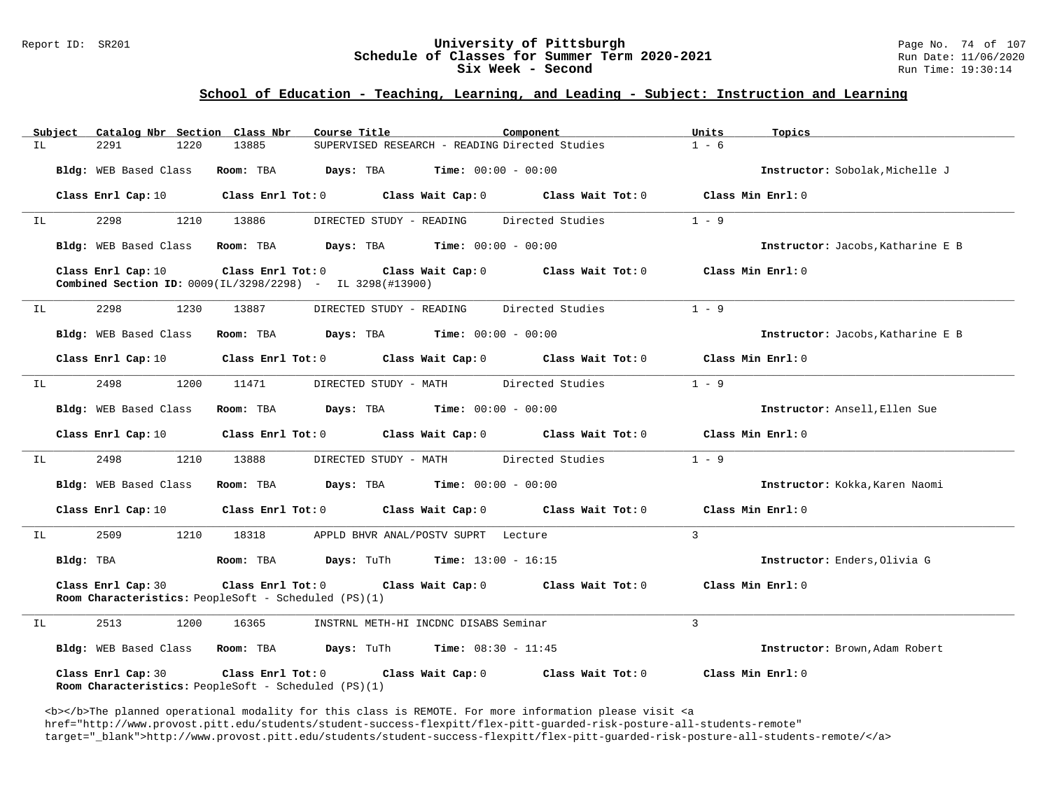### Report ID: SR201 **University of Pittsburgh University of Pittsburgh** Page No. 74 of 107<br>**Schedule of Classes for Summer Term 2020-2021** Run Date: 11/06/2020 **Schedule of Classes for Summer Term 2020-2021** Run Date: 11/06/2021<br>Six Week - Second Run Time: 19:30:14 Six Week - Second

### **School of Education - Teaching, Learning, and Leading - Subject: Instruction and Learning**

| Subject | Catalog Nbr Section Class Nbr | Course Title                                                                             |                                                      | Component         | Units<br>Topics                   |
|---------|-------------------------------|------------------------------------------------------------------------------------------|------------------------------------------------------|-------------------|-----------------------------------|
| ΙL      | 2291<br>1220                  | 13885                                                                                    | SUPERVISED RESEARCH - READING Directed Studies       |                   | $1 - 6$                           |
|         | Bldg: WEB Based Class         | Room: TBA<br>Days: TBA                                                                   | $Time: 00:00 - 00:00$                                |                   | Instructor: Sobolak, Michelle J   |
|         | Class Enrl Cap: 10            | Class Enrl Tot: 0                                                                        | Class Wait Cap: 0                                    | Class Wait Tot: 0 | Class Min Enrl: 0                 |
| IL      | 2298<br>1210                  | 13886                                                                                    | DIRECTED STUDY - READING                             | Directed Studies  | $1 - 9$                           |
|         | Bldg: WEB Based Class         | Room: TBA                                                                                | $\texttt{Davis:}$ TBA $\texttt{Time:}$ 00:00 - 00:00 |                   | Instructor: Jacobs, Katharine E B |
|         | Class Enrl Cap: 10            | Class Enrl Tot: 0<br><b>Combined Section ID:</b> $0009 (IL/3298/2298)$ - IL 3298(#13900) | Class Wait Cap: 0                                    | Class Wait Tot: 0 | Class Min Enrl: 0                 |
| IL      | 1230<br>2298                  | 13887                                                                                    | DIRECTED STUDY - READING                             | Directed Studies  | $1 - 9$                           |
|         | Bldg: WEB Based Class         | Room: TBA                                                                                | <b>Days:</b> TBA <b>Time:</b> $00:00 - 00:00$        |                   | Instructor: Jacobs, Katharine E B |
|         | Class Enrl Cap: 10            | Class Enrl Tot: 0 Class Wait Cap: 0                                                      |                                                      | Class Wait Tot: 0 | Class Min Enrl: 0                 |
| IL      | 2498<br>1200                  | 11471                                                                                    | DIRECTED STUDY - MATH                                | Directed Studies  | $1 - 9$                           |
|         | Bldg: WEB Based Class         | Room: TBA                                                                                | $\texttt{Days:}$ TBA $\texttt{Time:}$ 00:00 - 00:00  |                   | Instructor: Ansell, Ellen Sue     |
|         | Class Enrl Cap: 10            | $Class$ $Enr1$ $Tot: 0$                                                                  | Class Wait Cap: 0 Class Wait Tot: 0                  |                   | Class Min Enrl: 0                 |
| IL      | 2498<br>1210                  | 13888                                                                                    | DIRECTED STUDY - MATH                                | Directed Studies  | $1 - 9$                           |
|         | Bldg: WEB Based Class         | Room: TBA                                                                                | <b>Days:</b> TBA <b>Time:</b> $00:00 - 00:00$        |                   | Instructor: Kokka, Karen Naomi    |
|         | Class Enrl Cap: 10            | Class Enrl Tot: 0                                                                        | Class Wait Cap: 0                                    | Class Wait Tot: 0 | Class Min Enrl: 0                 |
| IL      | 2509<br>1210                  | 18318                                                                                    | APPLD BHVR ANAL/POSTV SUPRT Lecture                  |                   | 3                                 |
|         | Bldg: TBA                     | Room: TBA                                                                                | <b>Days:</b> TuTh <b>Time:</b> $13:00 - 16:15$       |                   | Instructor: Enders, Olivia G      |
|         | Class Enrl Cap: 30            | $Class$ $Enrl$ $Tot: 0$<br><b>Room Characteristics:</b> PeopleSoft - Scheduled (PS)(1)   | Class Wait Cap: 0                                    | Class Wait Tot: 0 | Class Min Enrl: 0                 |
| IL      | 2513<br>1200                  | 16365                                                                                    | INSTRNL METH-HI INCDNC DISABS Seminar                |                   | 3                                 |
|         | Bldg: WEB Based Class         | Room: TBA<br>Days: TuTh                                                                  | <b>Time:</b> $08:30 - 11:45$                         |                   | Instructor: Brown, Adam Robert    |
|         | Class Enrl Cap: 30            | Class Enrl Tot: 0<br><b>Room Characteristics:</b> PeopleSoft - Scheduled (PS)(1)         | Class Wait Cap: 0                                    | Class Wait Tot: 0 | Class Min Enrl: 0                 |

<b></b>The planned operational modality for this class is REMOTE. For more information please visit <a href="http://www.provost.pitt.edu/students/student-success-flexpitt/flex-pitt-guarded-risk-posture-all-students-remote" target="\_blank">http://www.provost.pitt.edu/students/student-success-flexpitt/flex-pitt-guarded-risk-posture-all-students-remote/</a>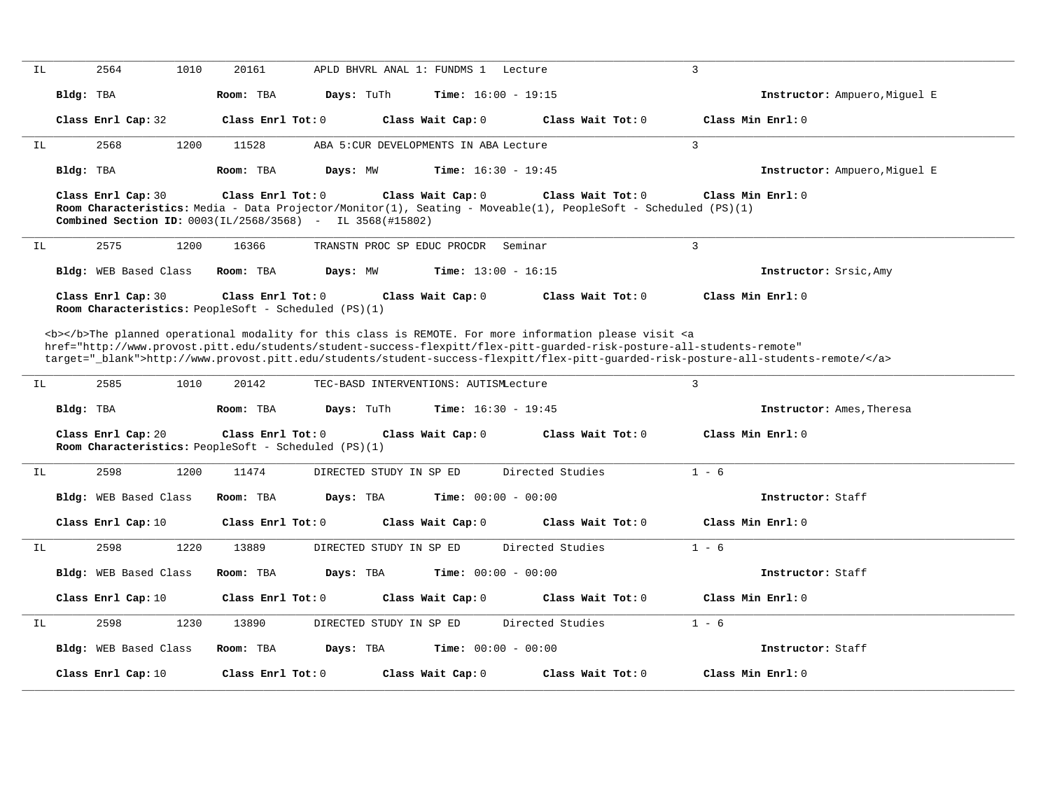| ΙL |                                                                                                                                                                                                                                                                                                                                                                                                                                                                                        | 2564<br>1010                 | 20161                                                                          | APLD BHVRL ANAL 1: FUNDMS 1<br>Lecture                                                                                              |                   | $\overline{3}$                |  |  |  |
|----|----------------------------------------------------------------------------------------------------------------------------------------------------------------------------------------------------------------------------------------------------------------------------------------------------------------------------------------------------------------------------------------------------------------------------------------------------------------------------------------|------------------------------|--------------------------------------------------------------------------------|-------------------------------------------------------------------------------------------------------------------------------------|-------------------|-------------------------------|--|--|--|
|    | Bldg: TBA                                                                                                                                                                                                                                                                                                                                                                                                                                                                              |                              | Room: TBA<br>Days: TuTh                                                        | <b>Time:</b> $16:00 - 19:15$                                                                                                        |                   | Instructor: Ampuero, Miguel E |  |  |  |
|    |                                                                                                                                                                                                                                                                                                                                                                                                                                                                                        | Class Enrl Cap: 32           | Class Enrl Tot: 0                                                              | Class Wait Cap: 0                                                                                                                   | Class Wait Tot: 0 | Class Min Enrl: 0             |  |  |  |
| IL |                                                                                                                                                                                                                                                                                                                                                                                                                                                                                        | 2568<br>1200                 | 11528                                                                          | ABA 5: CUR DEVELOPMENTS IN ABA Lecture                                                                                              |                   | $\overline{3}$                |  |  |  |
|    | Bldg: TBA                                                                                                                                                                                                                                                                                                                                                                                                                                                                              |                              | Room: TBA<br>Days: MW                                                          | <b>Time:</b> $16:30 - 19:45$                                                                                                        |                   | Instructor: Ampuero, Miquel E |  |  |  |
|    |                                                                                                                                                                                                                                                                                                                                                                                                                                                                                        | Class Enrl Cap: 30           | Class Enrl Tot: 0<br>Combined Section ID: 0003(IL/2568/3568) - IL 3568(#15802) | Class Wait Cap: 0<br>Room Characteristics: Media - Data Projector/Monitor(1), Seating - Moveable(1), PeopleSoft - Scheduled (PS)(1) | Class Wait Tot: 0 | Class Min Enrl: 0             |  |  |  |
| IL |                                                                                                                                                                                                                                                                                                                                                                                                                                                                                        | 2575<br>1200                 | 16366                                                                          | TRANSTN PROC SP EDUC PROCDR<br>Seminar                                                                                              |                   | $\overline{3}$                |  |  |  |
|    |                                                                                                                                                                                                                                                                                                                                                                                                                                                                                        | Bldg: WEB Based Class        | Room: TBA<br>Days: MW                                                          | Time: $13:00 - 16:15$                                                                                                               |                   | Instructor: Srsic, Amy        |  |  |  |
|    |                                                                                                                                                                                                                                                                                                                                                                                                                                                                                        | Class Enrl Cap: 30           | Class Enrl Tot: 0<br>Room Characteristics: PeopleSoft - Scheduled (PS)(1)      | Class Wait Cap: 0                                                                                                                   | Class Wait Tot: 0 | Class Min Enrl: 0             |  |  |  |
| IL | <b></b> The planned operational modality for this class is REMOTE. For more information please visit <a<br>href="http://www.provost.pitt.edu/students/student-success-flexpitt/flex-pitt-quarded-risk-posture-all-students-remote"<br/>target="_blank"&gt;http://www.provost.pitt.edu/students/student-success-flexpitt/flex-pitt-quarded-risk-posture-all-students-remote/<br/><math>\overline{3}</math><br/>2585<br/>1010<br/>20142<br/>TEC-BASD INTERVENTIONS: AUTISMLecture</a<br> |                              |                                                                                |                                                                                                                                     |                   |                               |  |  |  |
|    | Bldg: TBA                                                                                                                                                                                                                                                                                                                                                                                                                                                                              |                              | Room: TBA<br>Days: TuTh                                                        | <b>Time:</b> $16:30 - 19:45$                                                                                                        |                   | Instructor: Ames, Theresa     |  |  |  |
|    |                                                                                                                                                                                                                                                                                                                                                                                                                                                                                        | Class Enrl Cap: 20           | Class Enrl Tot: 0<br>Room Characteristics: PeopleSoft - Scheduled (PS)(1)      | Class Wait Cap: 0                                                                                                                   | Class Wait Tot: 0 | Class Min Enrl: 0             |  |  |  |
| IL |                                                                                                                                                                                                                                                                                                                                                                                                                                                                                        | 2598<br>1200                 | 11474                                                                          | DIRECTED STUDY IN SP ED                                                                                                             | Directed Studies  | $1 - 6$                       |  |  |  |
|    |                                                                                                                                                                                                                                                                                                                                                                                                                                                                                        | Bldg: WEB Based Class        | Room: TBA<br>Days: TBA                                                         | <b>Time:</b> $00:00 - 00:00$                                                                                                        |                   | Instructor: Staff             |  |  |  |
|    |                                                                                                                                                                                                                                                                                                                                                                                                                                                                                        | Class Enrl Cap: 10           | Class Enrl Tot: 0                                                              | Class Wait Cap: 0                                                                                                                   | Class Wait Tot: 0 | Class Min Enrl: 0             |  |  |  |
| IL |                                                                                                                                                                                                                                                                                                                                                                                                                                                                                        | 2598<br>1220                 | 13889                                                                          | DIRECTED STUDY IN SP ED                                                                                                             | Directed Studies  | $1 - 6$                       |  |  |  |
|    |                                                                                                                                                                                                                                                                                                                                                                                                                                                                                        | <b>Bldg:</b> WEB Based Class | Room: TBA<br>Days: TBA                                                         | <b>Time:</b> $00:00 - 00:00$                                                                                                        |                   | Instructor: Staff             |  |  |  |
|    |                                                                                                                                                                                                                                                                                                                                                                                                                                                                                        | Class Enrl Cap: 10           | Class Enrl Tot: 0                                                              | Class Wait Cap: 0                                                                                                                   | Class Wait Tot: 0 | Class Min Enrl: 0             |  |  |  |
| IL |                                                                                                                                                                                                                                                                                                                                                                                                                                                                                        | 2598<br>1230                 | 13890                                                                          | DIRECTED STUDY IN SP ED                                                                                                             | Directed Studies  | $1 - 6$                       |  |  |  |
|    |                                                                                                                                                                                                                                                                                                                                                                                                                                                                                        | Bldg: WEB Based Class        | Room: TBA<br>Days: TBA                                                         | <b>Time:</b> $00:00 - 00:00$                                                                                                        |                   | Instructor: Staff             |  |  |  |
|    |                                                                                                                                                                                                                                                                                                                                                                                                                                                                                        | Class Enrl Cap: 10           | Class Enrl Tot: 0                                                              | Class Wait Cap: 0                                                                                                                   | Class Wait Tot: 0 | Class Min Enrl: 0             |  |  |  |
|    |                                                                                                                                                                                                                                                                                                                                                                                                                                                                                        |                              |                                                                                |                                                                                                                                     |                   |                               |  |  |  |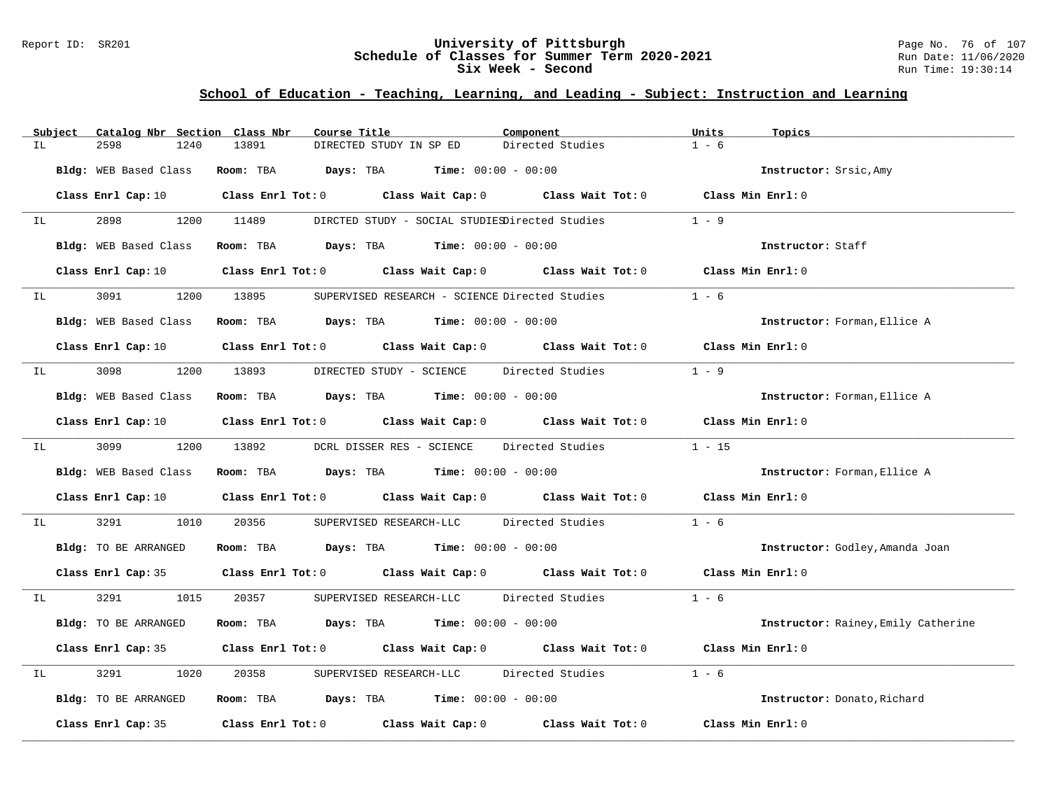### Report ID: SR201 **University of Pittsburgh** Page No. 76 of 107 **Schedule of Classes for Summer Term 2020-2021** Run Date: 11/06/2020 **Six Week - Second Run Time: 19:30:14**

|    | Subject | Catalog Nbr Section Class Nbr | Course Title                                                   | Component                                                                                                                      | Units<br>Topics                     |
|----|---------|-------------------------------|----------------------------------------------------------------|--------------------------------------------------------------------------------------------------------------------------------|-------------------------------------|
| ΙL |         | 2598<br>1240                  | 13891<br>DIRECTED STUDY IN SP ED                               | Directed Studies                                                                                                               | $1 - 6$                             |
|    |         | Bldg: WEB Based Class         | Room: TBA $Days:$ TBA $Time: 00:00 - 00:00$                    |                                                                                                                                | Instructor: Srsic, Amy              |
|    |         |                               |                                                                | Class Enrl Cap: 10 $\qquad$ Class Enrl Tot: 0 $\qquad$ Class Wait Cap: 0 $\qquad$ Class Wait Tot: 0 $\qquad$ Class Min Enrl: 0 |                                     |
| IL |         | 2898                          | 1200 11489                                                     | DIRCTED STUDY - SOCIAL STUDIESDirected Studies                                                                                 | $1 - 9$                             |
|    |         | Bldg: WEB Based Class         | Room: TBA $\rule{1em}{0.15mm}$ Days: TBA Time: $00:00 - 00:00$ |                                                                                                                                | Instructor: Staff                   |
|    |         | Class Enrl Cap: 10            |                                                                | Class Enrl Tot: $0$ Class Wait Cap: $0$ Class Wait Tot: $0$ Class Min Enrl: $0$                                                |                                     |
| IL |         | 3091 700                      | 1200 13895                                                     | SUPERVISED RESEARCH - SCIENCE Directed Studies                                                                                 | $1 - 6$                             |
|    |         | Bldg: WEB Based Class         | <b>Room:</b> TBA $Days: TBA$ <b>Time:</b> $00:00 - 00:00$      |                                                                                                                                | Instructor: Forman, Ellice A        |
|    |         |                               |                                                                | Class Enrl Cap: 10 Class Enrl Tot: 0 Class Wait Cap: 0 Class Wait Tot: 0 Class Min Enrl: 0                                     |                                     |
| IL |         | 3098<br>1200                  | 13893                                                          | DIRECTED STUDY - SCIENCE Directed Studies                                                                                      | $1 - 9$                             |
|    |         | Bldg: WEB Based Class         | Room: TBA $Days:$ TBA $Time: 00:00 - 00:00$                    |                                                                                                                                | Instructor: Forman, Ellice A        |
|    |         | Class Enrl Cap: 10            |                                                                | Class Enrl Tot: 0 Class Wait Cap: 0 Class Wait Tot: 0 Class Min Enrl: 0                                                        |                                     |
| IL |         | 3099 700                      | 1200 13892                                                     | DCRL DISSER RES - SCIENCE Directed Studies                                                                                     | $1 - 15$                            |
|    |         | Bldg: WEB Based Class         | Room: TBA $Days:$ TBA $Time: 00:00 - 00:00$                    |                                                                                                                                | Instructor: Forman, Ellice A        |
|    |         |                               |                                                                | Class Enrl Cap: 10 $\qquad$ Class Enrl Tot: 0 $\qquad$ Class Wait Cap: 0 $\qquad$ Class Wait Tot: 0 $\qquad$ Class Min Enrl: 0 |                                     |
| IL |         | 3291<br>1010                  | 20356                                                          | SUPERVISED RESEARCH-LLC Directed Studies                                                                                       | $1 - 6$                             |
|    |         | Bldg: TO BE ARRANGED          | Room: TBA $Days:$ TBA $Time: 00:00 - 00:00$                    |                                                                                                                                | Instructor: Godley, Amanda Joan     |
|    |         |                               |                                                                | Class Enrl Cap: 35 Class Enrl Tot: 0 Class Wait Cap: 0 Class Wait Tot: 0 Class Min Enrl: 0                                     |                                     |
| IL |         | 3291 320<br>1015              | 20357                                                          | SUPERVISED RESEARCH-LLC Directed Studies                                                                                       | $1 - 6$                             |
|    |         | Bldg: TO BE ARRANGED          | Room: TBA $Days:$ TBA $Time:$ $00:00 - 00:00$                  |                                                                                                                                | Instructor: Rainey, Emily Catherine |
|    |         |                               |                                                                | Class Enrl Cap: 35 Class Enrl Tot: 0 Class Wait Cap: 0 Class Wait Tot: 0 Class Min Enrl: 0                                     |                                     |
| IL |         | 3291<br>1020                  | 20358                                                          | SUPERVISED RESEARCH-LLC Directed Studies                                                                                       | $1 - 6$                             |
|    |         | Bldg: TO BE ARRANGED          | Room: TBA $Days:$ TBA $Time: 00:00 - 00:00$                    |                                                                                                                                | Instructor: Donato, Richard         |
|    |         | Class Enrl Cap: 35            |                                                                | Class Enrl Tot: $0$ Class Wait Cap: $0$ Class Wait Tot: $0$                                                                    | Class Min Enrl: 0                   |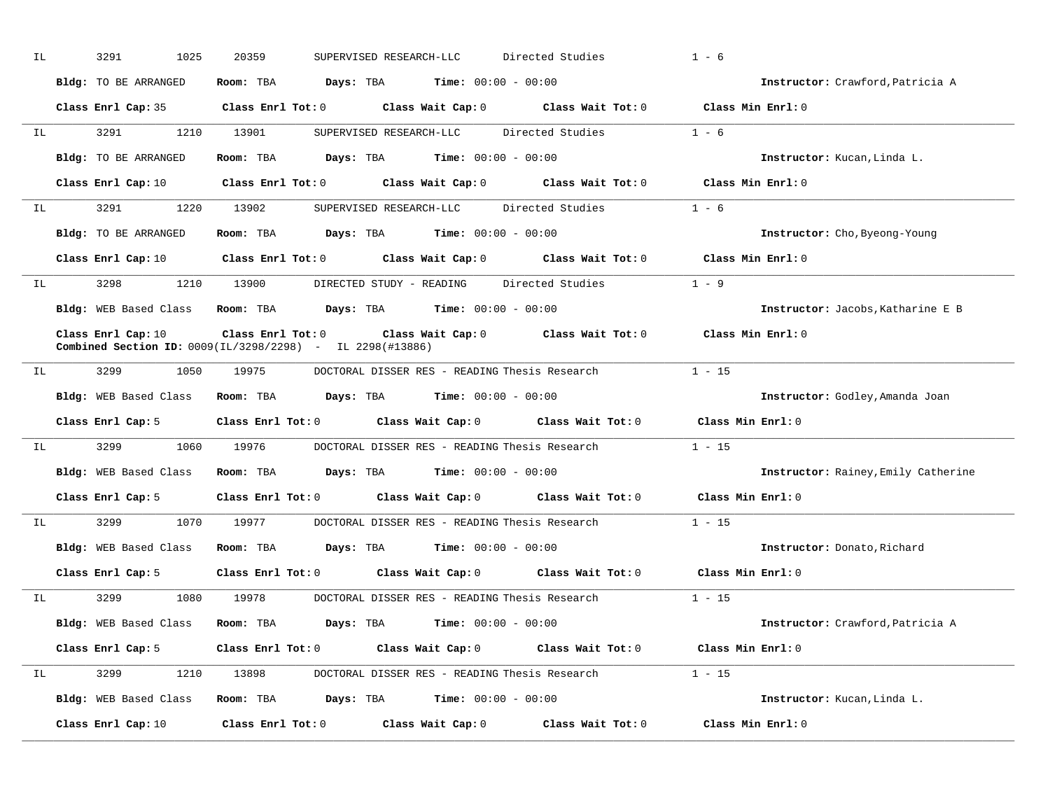| IL | 3291<br>1025         | 20359<br>SUPERVISED RESEARCH-LLC                               | Directed Studies                                                                                                               | $1 - 6$                             |
|----|----------------------|----------------------------------------------------------------|--------------------------------------------------------------------------------------------------------------------------------|-------------------------------------|
|    | Bldg: TO BE ARRANGED | Room: TBA $Days:$ TBA $Time: 00:00 - 00:00$                    |                                                                                                                                | Instructor: Crawford, Patricia A    |
|    |                      |                                                                | Class Enrl Cap: 35 Class Enrl Tot: 0 Class Wait Cap: 0 Class Wait Tot: 0 Class Min Enrl: 0                                     |                                     |
|    | IL 3291              | 1210 13901                                                     | SUPERVISED RESEARCH-LLC Directed Studies                                                                                       | $1 - 6$                             |
|    | Bldg: TO BE ARRANGED | Room: TBA $Days:$ TBA $Time: 00:00 - 00:00$                    |                                                                                                                                | Instructor: Kucan, Linda L.         |
|    |                      |                                                                | Class Enrl Cap: 10 $\qquad$ Class Enrl Tot: 0 $\qquad$ Class Wait Cap: 0 $\qquad$ Class Wait Tot: 0 $\qquad$ Class Min Enrl: 0 |                                     |
|    |                      |                                                                | IL 3291 1220 13902 SUPERVISED RESEARCH-LLC Directed Studies 1 - 6                                                              |                                     |
|    | Bldg: TO BE ARRANGED | Room: TBA $Days:$ TBA Time: $00:00 - 00:00$                    |                                                                                                                                | Instructor: Cho, Byeong-Young       |
|    |                      |                                                                | Class Enrl Cap: 10 $\qquad$ Class Enrl Tot: 0 $\qquad$ Class Wait Cap: 0 $\qquad$ Class Wait Tot: 0 $\qquad$ Class Min Enrl: 0 |                                     |
| IL |                      |                                                                | 3298 1210 13900 DIRECTED STUDY - READING Directed Studies 1 - 9                                                                |                                     |
|    |                      | Bldg: WEB Based Class Room: TBA Days: TBA Time: 00:00 - 00:00  |                                                                                                                                | Instructor: Jacobs, Katharine E B   |
|    | Class Enrl Cap: 10   | Combined Section ID: 0009(IL/3298/2298) - IL 2298(#13886)      | Class Enrl Tot: 0 Class Wait Cap: 0 Class Wait Tot: 0                                                                          | Class Min $Enr1:0$                  |
| IL | 3299<br>1050         | 19975                                                          | DOCTORAL DISSER RES - READING Thesis Research                                                                                  | $1 - 15$                            |
|    |                      | Bldg: WEB Based Class Room: TBA Days: TBA Time: 00:00 - 00:00  |                                                                                                                                | Instructor: Godley, Amanda Joan     |
|    |                      |                                                                | Class Enrl Cap: 5 $\qquad$ Class Enrl Tot: 0 $\qquad$ Class Wait Cap: 0 $\qquad$ Class Wait Tot: 0                             | Class Min Enrl: 0                   |
|    | IL 3299              | 1060   19976     DOCTORAL DISSER RES - READING Thesis Research |                                                                                                                                | $1 - 15$                            |
|    |                      | Bldg: WEB Based Class Room: TBA Days: TBA Time: 00:00 - 00:00  |                                                                                                                                | Instructor: Rainey, Emily Catherine |
|    | Class Enrl Cap: 5    |                                                                | Class Enrl Tot: 0 Class Wait Cap: 0 Class Wait Tot: 0 Class Min Enrl: 0                                                        |                                     |
| IL |                      |                                                                |                                                                                                                                | $1 - 15$                            |
|    |                      | Bldg: WEB Based Class Room: TBA Days: TBA Time: 00:00 - 00:00  |                                                                                                                                | Instructor: Donato, Richard         |
|    | Class Enrl Cap: 5    |                                                                | Class Enrl Tot: 0 Class Wait Cap: 0 Class Wait Tot: 0 Class Min Enrl: 0                                                        |                                     |
| IL |                      |                                                                | 3299 1080 19978 DOCTORAL DISSER RES - READING Thesis Research 1 - 15                                                           |                                     |
|    |                      | Bldg: WEB Based Class Room: TBA Days: TBA Time: 00:00 - 00:00  |                                                                                                                                | Instructor: Crawford, Patricia A    |
|    | Class Enrl Cap: 5    |                                                                | Class Enrl Tot: 0 Class Wait Cap: 0 Class Wait Tot: 0                                                                          | Class Min Enrl: 0                   |
| IL |                      |                                                                | 3299 1210 13898 DOCTORAL DISSER RES - READING Thesis Research 1 - 15                                                           |                                     |
|    |                      | Bldg: WEB Based Class Room: TBA Days: TBA Time: 00:00 - 00:00  |                                                                                                                                | Instructor: Kucan, Linda L.         |
|    | Class Enrl Cap: 10   |                                                                | Class Enrl Tot: $0$ Class Wait Cap: $0$ Class Wait Tot: $0$                                                                    | Class Min Enrl: 0                   |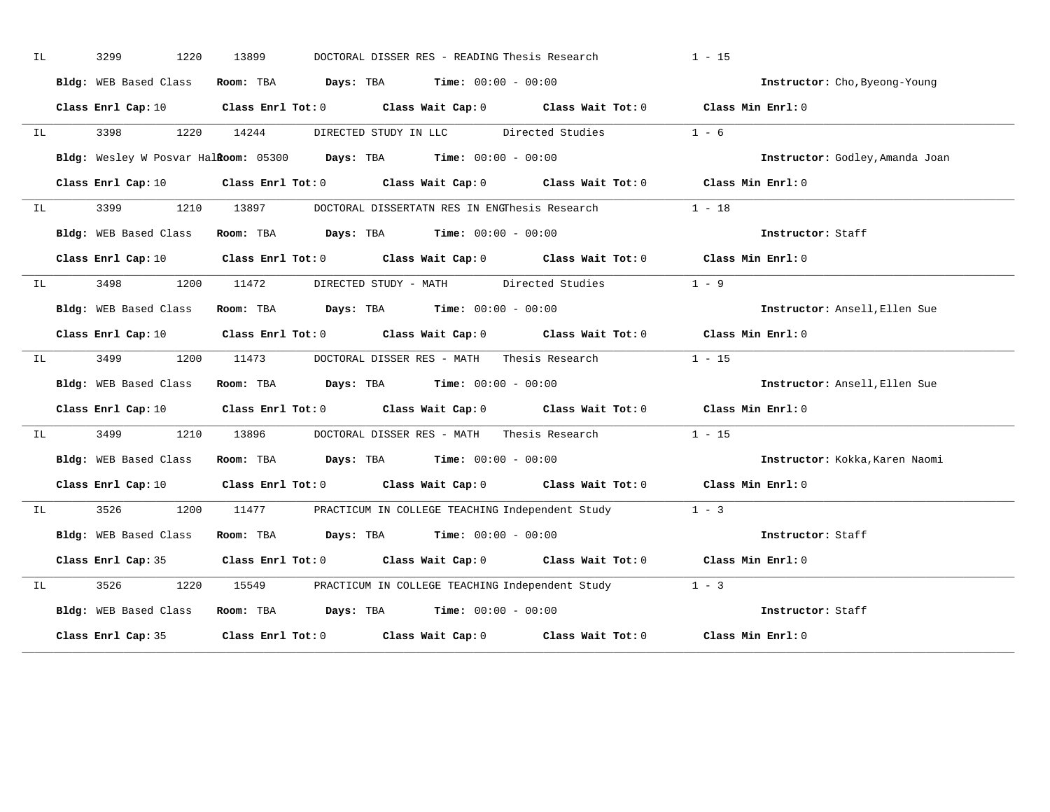| 3299<br>1220               | 13899                                                                                                                                                                                                                                                                                                                                                                                                                                                                                                                                                            |                                                                                                             |  | $1 - 15$                                                                                                                                                                                                                                                                                                                                                                                                                                                                                                                                                                                                                                                                                                                                                                                                                                                                                                                                                                                                                                                                                                                                                                                                                                                                                                                                                                                                                                                                                                                                                                                                                                                                                                                                                                                                                                                                                                                                                                                   |  |
|----------------------------|------------------------------------------------------------------------------------------------------------------------------------------------------------------------------------------------------------------------------------------------------------------------------------------------------------------------------------------------------------------------------------------------------------------------------------------------------------------------------------------------------------------------------------------------------------------|-------------------------------------------------------------------------------------------------------------|--|--------------------------------------------------------------------------------------------------------------------------------------------------------------------------------------------------------------------------------------------------------------------------------------------------------------------------------------------------------------------------------------------------------------------------------------------------------------------------------------------------------------------------------------------------------------------------------------------------------------------------------------------------------------------------------------------------------------------------------------------------------------------------------------------------------------------------------------------------------------------------------------------------------------------------------------------------------------------------------------------------------------------------------------------------------------------------------------------------------------------------------------------------------------------------------------------------------------------------------------------------------------------------------------------------------------------------------------------------------------------------------------------------------------------------------------------------------------------------------------------------------------------------------------------------------------------------------------------------------------------------------------------------------------------------------------------------------------------------------------------------------------------------------------------------------------------------------------------------------------------------------------------------------------------------------------------------------------------------------------------|--|
|                            |                                                                                                                                                                                                                                                                                                                                                                                                                                                                                                                                                                  |                                                                                                             |  | Instructor: Cho, Byeong-Young                                                                                                                                                                                                                                                                                                                                                                                                                                                                                                                                                                                                                                                                                                                                                                                                                                                                                                                                                                                                                                                                                                                                                                                                                                                                                                                                                                                                                                                                                                                                                                                                                                                                                                                                                                                                                                                                                                                                                              |  |
|                            |                                                                                                                                                                                                                                                                                                                                                                                                                                                                                                                                                                  |                                                                                                             |  |                                                                                                                                                                                                                                                                                                                                                                                                                                                                                                                                                                                                                                                                                                                                                                                                                                                                                                                                                                                                                                                                                                                                                                                                                                                                                                                                                                                                                                                                                                                                                                                                                                                                                                                                                                                                                                                                                                                                                                                            |  |
| 3398 3398                  |                                                                                                                                                                                                                                                                                                                                                                                                                                                                                                                                                                  |                                                                                                             |  | $1 - 6$                                                                                                                                                                                                                                                                                                                                                                                                                                                                                                                                                                                                                                                                                                                                                                                                                                                                                                                                                                                                                                                                                                                                                                                                                                                                                                                                                                                                                                                                                                                                                                                                                                                                                                                                                                                                                                                                                                                                                                                    |  |
|                            |                                                                                                                                                                                                                                                                                                                                                                                                                                                                                                                                                                  |                                                                                                             |  | Instructor: Godley, Amanda Joan                                                                                                                                                                                                                                                                                                                                                                                                                                                                                                                                                                                                                                                                                                                                                                                                                                                                                                                                                                                                                                                                                                                                                                                                                                                                                                                                                                                                                                                                                                                                                                                                                                                                                                                                                                                                                                                                                                                                                            |  |
|                            |                                                                                                                                                                                                                                                                                                                                                                                                                                                                                                                                                                  |                                                                                                             |  |                                                                                                                                                                                                                                                                                                                                                                                                                                                                                                                                                                                                                                                                                                                                                                                                                                                                                                                                                                                                                                                                                                                                                                                                                                                                                                                                                                                                                                                                                                                                                                                                                                                                                                                                                                                                                                                                                                                                                                                            |  |
|                            |                                                                                                                                                                                                                                                                                                                                                                                                                                                                                                                                                                  |                                                                                                             |  |                                                                                                                                                                                                                                                                                                                                                                                                                                                                                                                                                                                                                                                                                                                                                                                                                                                                                                                                                                                                                                                                                                                                                                                                                                                                                                                                                                                                                                                                                                                                                                                                                                                                                                                                                                                                                                                                                                                                                                                            |  |
|                            |                                                                                                                                                                                                                                                                                                                                                                                                                                                                                                                                                                  |                                                                                                             |  | Instructor: Staff                                                                                                                                                                                                                                                                                                                                                                                                                                                                                                                                                                                                                                                                                                                                                                                                                                                                                                                                                                                                                                                                                                                                                                                                                                                                                                                                                                                                                                                                                                                                                                                                                                                                                                                                                                                                                                                                                                                                                                          |  |
|                            |                                                                                                                                                                                                                                                                                                                                                                                                                                                                                                                                                                  |                                                                                                             |  |                                                                                                                                                                                                                                                                                                                                                                                                                                                                                                                                                                                                                                                                                                                                                                                                                                                                                                                                                                                                                                                                                                                                                                                                                                                                                                                                                                                                                                                                                                                                                                                                                                                                                                                                                                                                                                                                                                                                                                                            |  |
| 3498 3498                  |                                                                                                                                                                                                                                                                                                                                                                                                                                                                                                                                                                  |                                                                                                             |  | $1 - 9$                                                                                                                                                                                                                                                                                                                                                                                                                                                                                                                                                                                                                                                                                                                                                                                                                                                                                                                                                                                                                                                                                                                                                                                                                                                                                                                                                                                                                                                                                                                                                                                                                                                                                                                                                                                                                                                                                                                                                                                    |  |
|                            |                                                                                                                                                                                                                                                                                                                                                                                                                                                                                                                                                                  |                                                                                                             |  | Instructor: Ansell, Ellen Sue                                                                                                                                                                                                                                                                                                                                                                                                                                                                                                                                                                                                                                                                                                                                                                                                                                                                                                                                                                                                                                                                                                                                                                                                                                                                                                                                                                                                                                                                                                                                                                                                                                                                                                                                                                                                                                                                                                                                                              |  |
|                            |                                                                                                                                                                                                                                                                                                                                                                                                                                                                                                                                                                  |                                                                                                             |  |                                                                                                                                                                                                                                                                                                                                                                                                                                                                                                                                                                                                                                                                                                                                                                                                                                                                                                                                                                                                                                                                                                                                                                                                                                                                                                                                                                                                                                                                                                                                                                                                                                                                                                                                                                                                                                                                                                                                                                                            |  |
| 3499 34                    |                                                                                                                                                                                                                                                                                                                                                                                                                                                                                                                                                                  |                                                                                                             |  |                                                                                                                                                                                                                                                                                                                                                                                                                                                                                                                                                                                                                                                                                                                                                                                                                                                                                                                                                                                                                                                                                                                                                                                                                                                                                                                                                                                                                                                                                                                                                                                                                                                                                                                                                                                                                                                                                                                                                                                            |  |
|                            |                                                                                                                                                                                                                                                                                                                                                                                                                                                                                                                                                                  |                                                                                                             |  | Instructor: Ansell, Ellen Sue                                                                                                                                                                                                                                                                                                                                                                                                                                                                                                                                                                                                                                                                                                                                                                                                                                                                                                                                                                                                                                                                                                                                                                                                                                                                                                                                                                                                                                                                                                                                                                                                                                                                                                                                                                                                                                                                                                                                                              |  |
|                            |                                                                                                                                                                                                                                                                                                                                                                                                                                                                                                                                                                  |                                                                                                             |  |                                                                                                                                                                                                                                                                                                                                                                                                                                                                                                                                                                                                                                                                                                                                                                                                                                                                                                                                                                                                                                                                                                                                                                                                                                                                                                                                                                                                                                                                                                                                                                                                                                                                                                                                                                                                                                                                                                                                                                                            |  |
|                            |                                                                                                                                                                                                                                                                                                                                                                                                                                                                                                                                                                  |                                                                                                             |  |                                                                                                                                                                                                                                                                                                                                                                                                                                                                                                                                                                                                                                                                                                                                                                                                                                                                                                                                                                                                                                                                                                                                                                                                                                                                                                                                                                                                                                                                                                                                                                                                                                                                                                                                                                                                                                                                                                                                                                                            |  |
|                            |                                                                                                                                                                                                                                                                                                                                                                                                                                                                                                                                                                  |                                                                                                             |  | Instructor: Kokka, Karen Naomi                                                                                                                                                                                                                                                                                                                                                                                                                                                                                                                                                                                                                                                                                                                                                                                                                                                                                                                                                                                                                                                                                                                                                                                                                                                                                                                                                                                                                                                                                                                                                                                                                                                                                                                                                                                                                                                                                                                                                             |  |
|                            |                                                                                                                                                                                                                                                                                                                                                                                                                                                                                                                                                                  |                                                                                                             |  |                                                                                                                                                                                                                                                                                                                                                                                                                                                                                                                                                                                                                                                                                                                                                                                                                                                                                                                                                                                                                                                                                                                                                                                                                                                                                                                                                                                                                                                                                                                                                                                                                                                                                                                                                                                                                                                                                                                                                                                            |  |
|                            |                                                                                                                                                                                                                                                                                                                                                                                                                                                                                                                                                                  |                                                                                                             |  |                                                                                                                                                                                                                                                                                                                                                                                                                                                                                                                                                                                                                                                                                                                                                                                                                                                                                                                                                                                                                                                                                                                                                                                                                                                                                                                                                                                                                                                                                                                                                                                                                                                                                                                                                                                                                                                                                                                                                                                            |  |
|                            |                                                                                                                                                                                                                                                                                                                                                                                                                                                                                                                                                                  |                                                                                                             |  | Instructor: Staff                                                                                                                                                                                                                                                                                                                                                                                                                                                                                                                                                                                                                                                                                                                                                                                                                                                                                                                                                                                                                                                                                                                                                                                                                                                                                                                                                                                                                                                                                                                                                                                                                                                                                                                                                                                                                                                                                                                                                                          |  |
|                            |                                                                                                                                                                                                                                                                                                                                                                                                                                                                                                                                                                  |                                                                                                             |  |                                                                                                                                                                                                                                                                                                                                                                                                                                                                                                                                                                                                                                                                                                                                                                                                                                                                                                                                                                                                                                                                                                                                                                                                                                                                                                                                                                                                                                                                                                                                                                                                                                                                                                                                                                                                                                                                                                                                                                                            |  |
| 3526                       |                                                                                                                                                                                                                                                                                                                                                                                                                                                                                                                                                                  |                                                                                                             |  |                                                                                                                                                                                                                                                                                                                                                                                                                                                                                                                                                                                                                                                                                                                                                                                                                                                                                                                                                                                                                                                                                                                                                                                                                                                                                                                                                                                                                                                                                                                                                                                                                                                                                                                                                                                                                                                                                                                                                                                            |  |
|                            |                                                                                                                                                                                                                                                                                                                                                                                                                                                                                                                                                                  |                                                                                                             |  | Instructor: Staff                                                                                                                                                                                                                                                                                                                                                                                                                                                                                                                                                                                                                                                                                                                                                                                                                                                                                                                                                                                                                                                                                                                                                                                                                                                                                                                                                                                                                                                                                                                                                                                                                                                                                                                                                                                                                                                                                                                                                                          |  |
|                            |                                                                                                                                                                                                                                                                                                                                                                                                                                                                                                                                                                  |                                                                                                             |  |                                                                                                                                                                                                                                                                                                                                                                                                                                                                                                                                                                                                                                                                                                                                                                                                                                                                                                                                                                                                                                                                                                                                                                                                                                                                                                                                                                                                                                                                                                                                                                                                                                                                                                                                                                                                                                                                                                                                                                                            |  |
| IL<br>IL<br>IL<br>IL<br>IL | IL Service Service Service Service Service Service Service Service Service Service Service Service Service Service Service Service Service Service Service Service Service Service Service Service Service Service Service Ser<br>IL Service Service Service Service Service<br>Bldg: WEB Based Class<br>IL Service Service Service Service Service Service Service Service Service Service Service Service Service Service Service Service Service Service Service Service Service Service Service Service Service Service Service Ser<br>Bldg: WEB Based Class | 1220 14244<br>Bldg: WEB Based Class<br>Bldg: WEB Based Class<br>Bldg: WEB Based Class<br>Class Enrl Cap: 35 |  | DOCTORAL DISSER RES - READING Thesis Research<br>Bldg: WEB Based Class Room: TBA Days: TBA Time: 00:00 - 00:00<br>Class Enrl Cap: 10 $\qquad$ Class Enrl Tot: 0 $\qquad$ Class Wait Cap: 0 $\qquad$ Class Wait Tot: 0 $\qquad$ Class Min Enrl: 0<br>DIRECTED STUDY IN LLC Directed Studies<br>Bldg: Wesley W Posvar Halkoom: 05300 Days: TBA Time: 00:00 - 00:00<br>Class Enrl Cap: 10 $\qquad$ Class Enrl Tot: 0 $\qquad$ Class Wait Cap: 0 $\qquad$ Class Wait Tot: 0 $\qquad$ Class Min Enrl: 0<br>3399 1210 13897 DOCTORAL DISSERTATN RES IN ENGThesis Research 1 - 18<br>Room: TBA $Days:$ TBA $Time: 00:00 - 00:00$<br>Class Enrl Cap: 10 $\qquad$ Class Enrl Tot: 0 $\qquad$ Class Wait Cap: 0 $\qquad$ Class Wait Tot: 0 $\qquad$ Class Min Enrl: 0<br>1200 11472 DIRECTED STUDY - MATH Directed Studies<br>Room: TBA $Days: TBA$ Time: $00:00 - 00:00$<br>Class Enrl Cap: 10 $\qquad$ Class Enrl Tot: 0 $\qquad$ Class Wait Cap: 0 $\qquad$ Class Wait Tot: 0 $\qquad$ Class Min Enrl: 0<br>1200 11473 DOCTORAL DISSER RES - MATH Thesis Research 1 - 15<br>Room: TBA $\rule{1em}{0.15mm}$ Days: TBA Time: $00:00 - 00:00$<br>Class Enrl Cap: 10 $\qquad$ Class Enrl Tot: 0 $\qquad$ Class Wait Cap: 0 $\qquad$ Class Wait Tot: 0 $\qquad$ Class Min Enrl: 0<br>3499 1210 13896 DOCTORAL DISSER RES - MATH Thesis Research 1 - 15<br>Room: TBA $Days:$ TBA $Time: 00:00 - 00:00$<br>Class Enrl Cap: 10 $\qquad$ Class Enrl Tot: 0 $\qquad$ Class Wait Cap: 0 $\qquad$ Class Wait Tot: 0 $\qquad$ Class Min Enrl: 0<br>3526 1200 11477 PRACTICUM IN COLLEGE TEACHING Independent Study 1 - 3<br>Room: TBA Days: TBA Time: $00:00 - 00:00$<br>Class Enrl Cap: 35 Class Enrl Tot: 0 Class Wait Cap: 0 Class Wait Tot: 0 Class Min Enrl: 0<br>1220 15549 PRACTICUM IN COLLEGE TEACHING Independent Study 1 - 3<br>Bldg: WEB Based Class Room: TBA Days: TBA Time: 00:00 - 00:00<br>Class Enrl Tot: 0 $\qquad$ Class Wait Cap: 0 $\qquad$ Class Wait Tot: 0 $\qquad$ Class Min Enrl: 0 |  |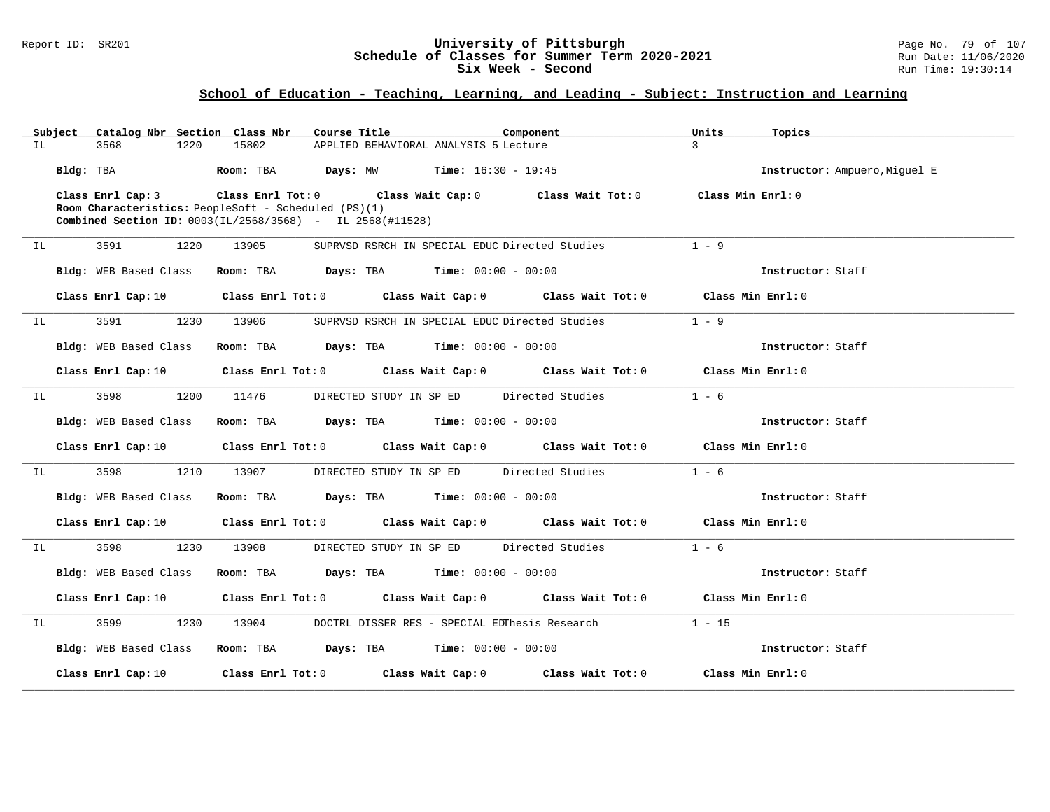#### Report ID: SR201 **University of Pittsburgh** Page No. 79 of 107 **Schedule of Classes for Summer Term 2020-2021** Run Date: 11/06/2020 **Six Week - Second Run Time: 19:30:14**

|    | Subject   | Catalog Nbr Section Class Nbr                        |           | Course Title                                                                          | Component                                                                       | Units<br>Topics               |  |
|----|-----------|------------------------------------------------------|-----------|---------------------------------------------------------------------------------------|---------------------------------------------------------------------------------|-------------------------------|--|
| IL |           | 3568<br>1220                                         | 15802     | APPLIED BEHAVIORAL ANALYSIS 5 Lecture                                                 |                                                                                 | $\mathcal{L}$                 |  |
|    | Bldg: TBA |                                                      | Room: TBA | <b>Days:</b> MW <b>Time:</b> $16:30 - 19:45$                                          |                                                                                 | Instructor: Ampuero, Miguel E |  |
|    |           | Class Enrl Cap: 3                                    |           | Class Enrl Tot: 0 Class Wait Cap: 0 Class Wait Tot: 0                                 |                                                                                 | Class Min Enrl: 0             |  |
|    |           | Room Characteristics: PeopleSoft - Scheduled (PS)(1) |           |                                                                                       |                                                                                 |                               |  |
|    |           |                                                      |           | <b>Combined Section ID:</b> $0003(IL/2568/3568)$ - IL $2568(H11528)$                  |                                                                                 |                               |  |
| IL |           | 3591<br>1220                                         | 13905     | SUPRVSD RSRCH IN SPECIAL EDUC Directed Studies                                        |                                                                                 | $1 - 9$                       |  |
|    |           | Bldg: WEB Based Class                                |           | Room: TBA $Days:$ TBA $Time: 00:00 - 00:00$                                           |                                                                                 | Instructor: Staff             |  |
|    |           | Class Enrl Cap: 10                                   |           |                                                                                       | Class Enrl Tot: $0$ Class Wait Cap: $0$ Class Wait Tot: $0$ Class Min Enrl: $0$ |                               |  |
| IL |           | 1230<br>3591                                         | 13906     | SUPRVSD RSRCH IN SPECIAL EDUC Directed Studies                                        |                                                                                 | $1 - 9$                       |  |
|    |           | Bldg: WEB Based Class                                |           | Room: TBA $Days:$ TBA $Time: 00:00 - 00:00$                                           |                                                                                 | Instructor: Staff             |  |
|    |           | Class Enrl Cap: 10                                   |           |                                                                                       | Class Enrl Tot: $0$ Class Wait Cap: $0$ Class Wait Tot: $0$ Class Min Enrl: $0$ |                               |  |
| IL |           | 3598<br>1200                                         | 11476     | DIRECTED STUDY IN SP ED Directed Studies                                              |                                                                                 | $1 - 6$                       |  |
|    |           | <b>Bldg:</b> WEB Based Class                         |           | <b>Room:</b> TBA <b>Days:</b> TBA <b>Time:</b> 00:00 - 00:00                          |                                                                                 | Instructor: Staff             |  |
|    |           | Class Enrl Cap: 10                                   |           |                                                                                       | Class Enrl Tot: 0 Class Wait Cap: 0 Class Wait Tot: 0 Class Min Enrl: 0         |                               |  |
| IL |           | 3598<br>1210                                         | 13907     | DIRECTED STUDY IN SP ED Directed Studies                                              |                                                                                 | $1 - 6$                       |  |
|    |           | Bldg: WEB Based Class                                |           | Room: TBA $\rule{1em}{0.15mm}$ Days: TBA $\rule{1.5mm}{0.15mm}$ Time: $00:00 - 00:00$ |                                                                                 | Instructor: Staff             |  |
|    |           | Class Enrl Cap: 10                                   |           |                                                                                       | Class Enrl Tot: 0 Class Wait Cap: 0 Class Wait Tot: 0 Class Min Enrl: 0         |                               |  |
| IL |           | 3598<br>1230                                         | 13908     | DIRECTED STUDY IN SP ED Directed Studies                                              |                                                                                 | $1 - 6$                       |  |
|    |           | Bldg: WEB Based Class                                |           | Room: TBA $\rule{1em}{0.15mm}$ Days: TBA $\rule{1.5mm}{0.15mm}$ Time: $00:00 - 00:00$ |                                                                                 | Instructor: Staff             |  |
|    |           | Class Enrl Cap: 10                                   |           |                                                                                       | Class Enrl Tot: 0 Class Wait Cap: 0 Class Wait Tot: 0 Class Min Enrl: 0         |                               |  |
| IL |           | 3599<br>1230                                         | 13904     | DOCTRL DISSER RES - SPECIAL EDThesis Research                                         |                                                                                 | $1 - 15$                      |  |
|    |           | Bldg: WEB Based Class                                |           | Room: TBA $Days:$ TBA $Time: 00:00 - 00:00$                                           |                                                                                 | Instructor: Staff             |  |
|    |           | Class Enrl Cap: 10                                   |           |                                                                                       | Class Enrl Tot: $0$ Class Wait Cap: $0$ Class Wait Tot: $0$                     | Class Min Enrl: 0             |  |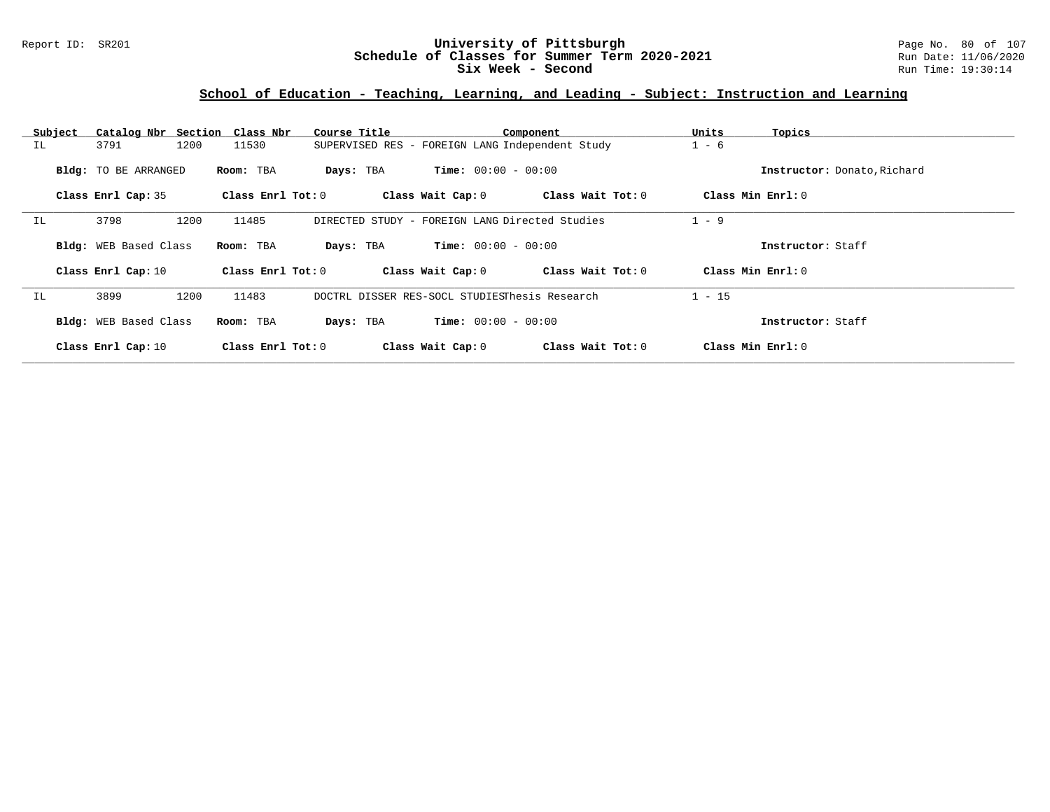### Report ID: SR201 **University of Pittsburgh** Page No. 80 of 107 **Schedule of Classes for Summer Term 2020-2021** Run Date: 11/06/2020 **Six Week - Second Run Time: 19:30:14**

| Subject | Catalog Nbr Section   | Class Nbr         | Course Title                                    | Component         | Units<br>Topics             |  |
|---------|-----------------------|-------------------|-------------------------------------------------|-------------------|-----------------------------|--|
| IL      | 1200<br>3791          | 11530             | SUPERVISED RES - FOREIGN LANG Independent Study |                   | $1 - 6$                     |  |
|         | Bldg: TO BE ARRANGED  | Room: TBA         | <b>Time:</b> $00:00 - 00:00$<br>Days: TBA       |                   | Instructor: Donato, Richard |  |
|         | Class Enrl Cap: 35    | Class Enrl Tot: 0 | Class Wait Cap: 0                               | Class Wait Tot: 0 | Class Min Enrl: 0           |  |
| IL      | 3798<br>1200          | 11485             | DIRECTED STUDY - FOREIGN LANG Directed Studies  |                   | $1 - 9$                     |  |
|         | Bldg: WEB Based Class | Room: TBA         | <b>Time:</b> $00:00 - 00:00$<br>Days: TBA       |                   | Instructor: Staff           |  |
|         | Class Enrl Cap: 10    | Class Enrl Tot: 0 | Class Wait Cap: 0                               | Class Wait Tot: 0 | Class Min Enrl: 0           |  |
| ΙL      | 1200<br>3899          | 11483             | DOCTRL DISSER RES-SOCL STUDIESThesis Research   |                   | $1 - 15$                    |  |
|         | Bldg: WEB Based Class | Room: TBA         | <b>Time:</b> $00:00 - 00:00$<br>Days: TBA       |                   | Instructor: Staff           |  |
|         | Class Enrl Cap: 10    | Class Enrl Tot: 0 | Class Wait Cap: 0                               | Class Wait Tot: 0 | Class Min Enrl: 0           |  |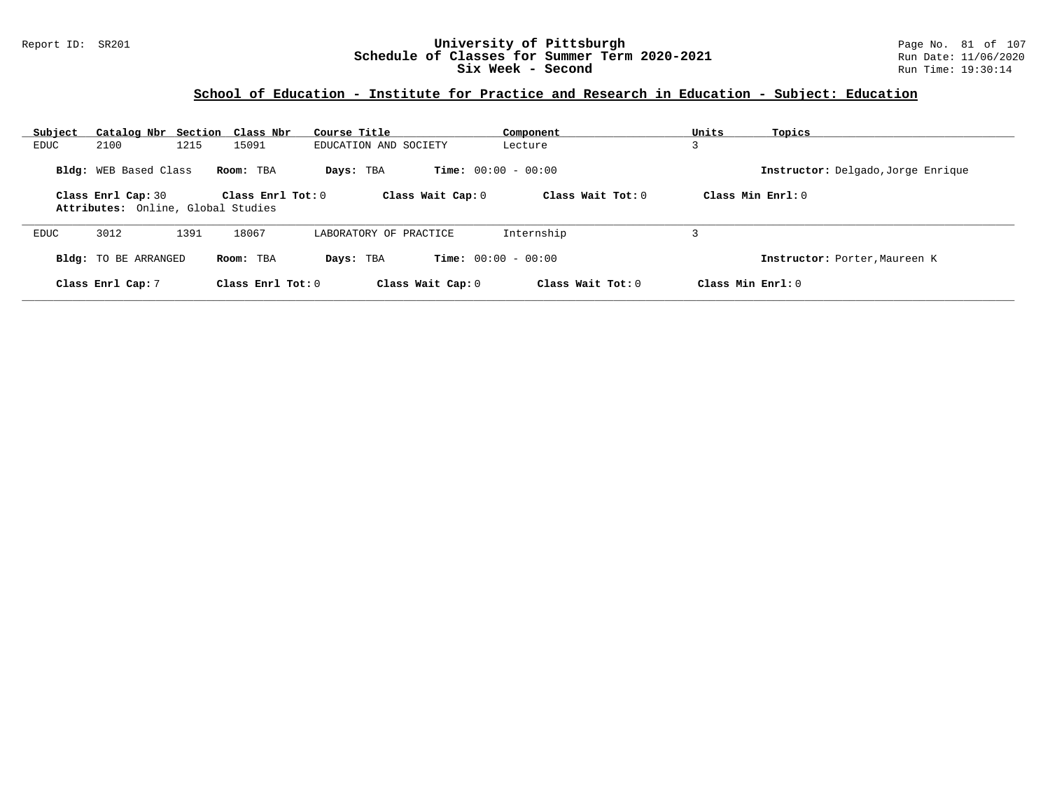### Report ID: SR201 **University of Pittsburgh** Page No. 81 of 107 **Schedule of Classes for Summer Term 2020-2021** Run Date: 11/06/2020 **Six Week - Second Run Time: 19:30:14**

# **School of Education - Institute for Practice and Research in Education - Subject: Education**

| Subject | Catalog Nbr Section Class Nbr                            |                     | Course Title           | Component                    | Units<br>Topics                    |
|---------|----------------------------------------------------------|---------------------|------------------------|------------------------------|------------------------------------|
| EDUC    | 2100<br>1215                                             | 15091               | EDUCATION AND SOCIETY  | Lecture                      |                                    |
|         | <b>Bldg:</b> WEB Based Class                             | Room: TBA           | Days: TBA              | <b>Time:</b> $00:00 - 00:00$ | Instructor: Delgado, Jorge Enrique |
|         | Class Enrl Cap: 30<br>Attributes: Online, Global Studies | Class $Enr1 Tot: 0$ | Class Wait Cap: 0      | Class Wait Tot: $0$          | Class Min Enrl: 0                  |
| EDUC    | 3012<br>1391                                             | 18067               | LABORATORY OF PRACTICE | Internship                   |                                    |
|         | <b>Bldg:</b> TO BE ARRANGED                              | Room: TBA           | Days: TBA              | <b>Time:</b> $00:00 - 00:00$ | Instructor: Porter, Maureen K      |
|         | Class Enrl Cap: 7                                        | Class Enrl Tot: $0$ | Class Wait Cap: 0      | Class Wait Tot: $0$          | Class Min Enrl: 0                  |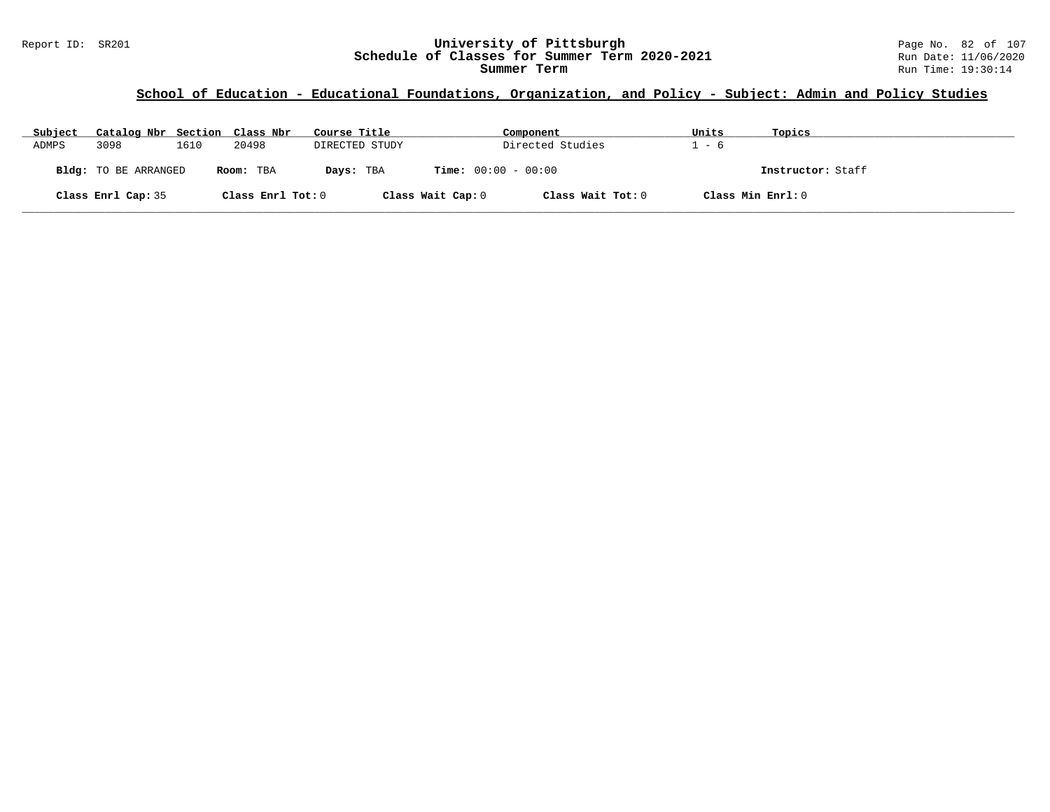### **School of Education - Educational Foundations, Organization, and Policy - Subject: Admin and Policy Studies**

| Subject | Catalog Nbr Section Class Nbr |      |                   | Course Title      | Component                    | Units | Topics            |
|---------|-------------------------------|------|-------------------|-------------------|------------------------------|-------|-------------------|
| ADMPS   | 3098                          | 1610 | 20498             | DIRECTED STUDY    | Directed Studies             | - 6   |                   |
|         | <b>Bldg:</b> TO BE ARRANGED   |      | Room: TBA         | Days: TBA         | <b>Time:</b> $00:00 - 00:00$ |       | Instructor: Staff |
|         | Class Enrl Cap: 35            |      | Class Enrl Tot: 0 | Class Wait Cap: 0 | Class Wait Tot: 0            |       | Class Min Enrl: 0 |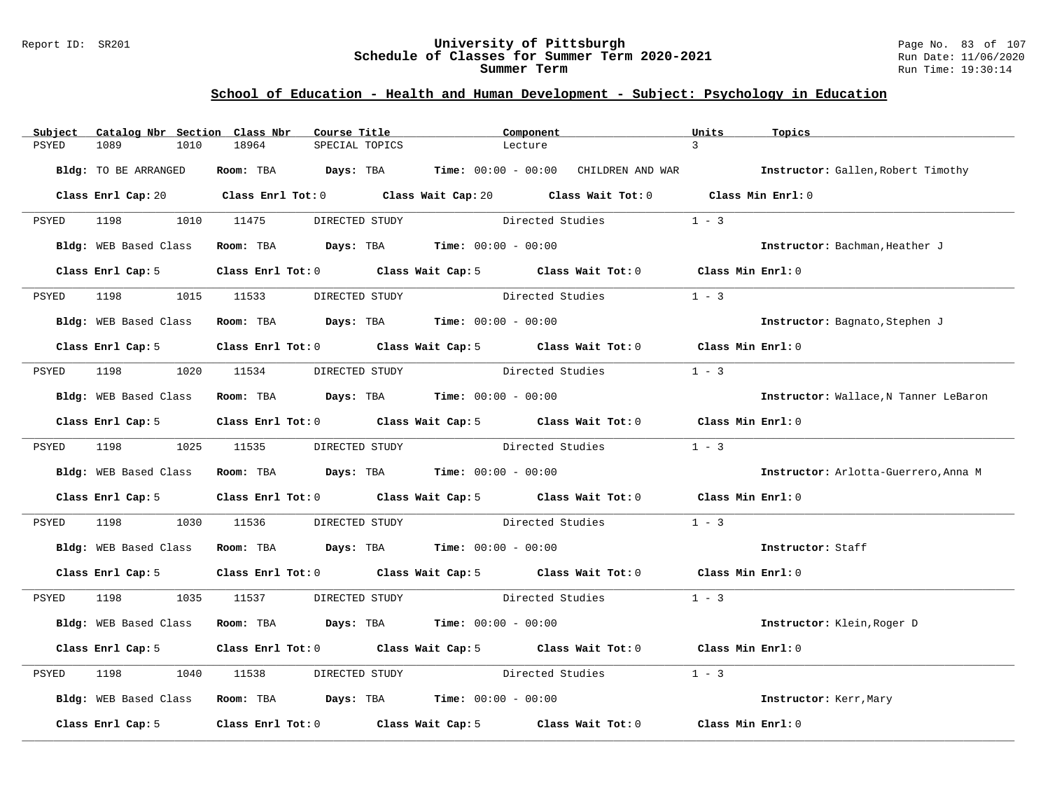#### Report ID: SR201 **University of Pittsburgh** Page No. 83 of 107 **Schedule of Classes for Summer Term 2020-2021** Run Date: 11/06/2020 **Summer Term** Run Time: 19:30:14

# **School of Education - Health and Human Development - Subject: Psychology in Education**

| Subject | Catalog Nbr Section Class Nbr | Course Title                                                                                   |                | Component                                                                                   | Units             | Topics                                                                                      |
|---------|-------------------------------|------------------------------------------------------------------------------------------------|----------------|---------------------------------------------------------------------------------------------|-------------------|---------------------------------------------------------------------------------------------|
| PSYED   | 1089<br>1010                  | 18964<br>SPECIAL TOPICS                                                                        |                | Lecture                                                                                     | $\mathcal{L}$     |                                                                                             |
|         | Bldg: TO BE ARRANGED          |                                                                                                |                |                                                                                             |                   | Room: TBA Days: TBA Time: 00:00 - 00:00 CHILDREN AND WAR Instructor: Gallen, Robert Timothy |
|         |                               |                                                                                                |                | Class Enrl Cap: 20 Class Enrl Tot: 0 Class Wait Cap: 20 Class Wait Tot: 0 Class Min Enrl: 0 |                   |                                                                                             |
| PSYED   | 1198    1010    11475         |                                                                                                | DIRECTED STUDY | Directed Studies                                                                            | $1 - 3$           |                                                                                             |
|         | <b>Bldg:</b> WEB Based Class  | Room: TBA $Days:$ TBA $Time: 00:00 - 00:00$                                                    |                |                                                                                             |                   | Instructor: Bachman, Heather J                                                              |
|         | Class Enrl Cap: 5             |                                                                                                |                | Class Enrl Tot: 0 Class Wait Cap: 5 Class Wait Tot: 0                                       | Class Min Enrl: 0 |                                                                                             |
| PSYED   | 1198                          | 1015 11533                                                                                     | DIRECTED STUDY | Directed Studies                                                                            | $1 - 3$           |                                                                                             |
|         | <b>Bldg:</b> WEB Based Class  | Room: TBA Days: TBA Time: $00:00 - 00:00$                                                      |                |                                                                                             |                   | Instructor: Bagnato, Stephen J                                                              |
|         | Class Enrl Cap: 5             |                                                                                                |                | Class Enrl Tot: 0 Class Wait Cap: 5 Class Wait Tot: 0 Class Min Enrl: 0                     |                   |                                                                                             |
| PSYED   | 1198 1020 11534               |                                                                                                | DIRECTED STUDY | Directed Studies                                                                            | $1 - 3$           |                                                                                             |
|         | Bldg: WEB Based Class         | Room: TBA $\rule{1em}{0.15mm}$ Days: TBA Time: $00:00 - 00:00$                                 |                |                                                                                             |                   | Instructor: Wallace, N Tanner LeBaron                                                       |
|         | Class Enrl Cap: 5             |                                                                                                |                | Class Enrl Tot: $0$ Class Wait Cap: $5$ Class Wait Tot: $0$ Class Min Enrl: $0$             |                   |                                                                                             |
| PSYED   | 1198 1025 11535               |                                                                                                |                | DIRECTED STUDY Directed Studies                                                             | $1 - 3$           |                                                                                             |
|         |                               | Bldg: WEB Based Class Room: TBA Days: TBA Time: 00:00 - 00:00                                  |                |                                                                                             |                   | Instructor: Arlotta-Guerrero, Anna M                                                        |
|         | Class Enrl Cap: 5             |                                                                                                |                | Class Enrl Tot: 0 Class Wait Cap: 5 Class Wait Tot: 0                                       | Class Min Enrl: 0 |                                                                                             |
| PSYED   | 1198<br>1030                  | 11536                                                                                          |                | DIRECTED STUDY Directed Studies                                                             | $1 - 3$           |                                                                                             |
|         | Bldg: WEB Based Class         | <b>Room:</b> TBA $\qquad \qquad$ <b>Days:</b> TBA $\qquad \qquad$ <b>Time:</b> $00:00 - 00:00$ |                |                                                                                             |                   | Instructor: Staff                                                                           |
|         | Class Enrl Cap: 5             |                                                                                                |                | Class Enrl Tot: 0 Class Wait Cap: 5 Class Wait Tot: 0 Class Min Enrl: 0                     |                   |                                                                                             |
| PSYED   | 1198 7                        | 1035 11537                                                                                     |                | DIRECTED STUDY Directed Studies                                                             | $1 - 3$           |                                                                                             |
|         | Bldg: WEB Based Class         | Room: TBA $Days:$ TBA $Time: 00:00 - 00:00$                                                    |                |                                                                                             |                   | Instructor: Klein, Roger D                                                                  |
|         | Class Enrl Cap: 5             |                                                                                                |                | Class Enrl Tot: 0 Class Wait Cap: 5 Class Wait Tot: 0                                       | Class Min Enrl: 0 |                                                                                             |
| PSYED   | 1198<br>1040                  | 11538                                                                                          | DIRECTED STUDY | Directed Studies                                                                            | $1 - 3$           |                                                                                             |
|         |                               | Bldg: WEB Based Class Room: TBA Days: TBA Time: 00:00 - 00:00                                  |                |                                                                                             |                   | Instructor: Kerr, Mary                                                                      |
|         | Class Enrl Cap: 5             |                                                                                                |                | Class Enrl Tot: 0 Class Wait Cap: 5 Class Wait Tot: 0                                       | Class Min Enrl: 0 |                                                                                             |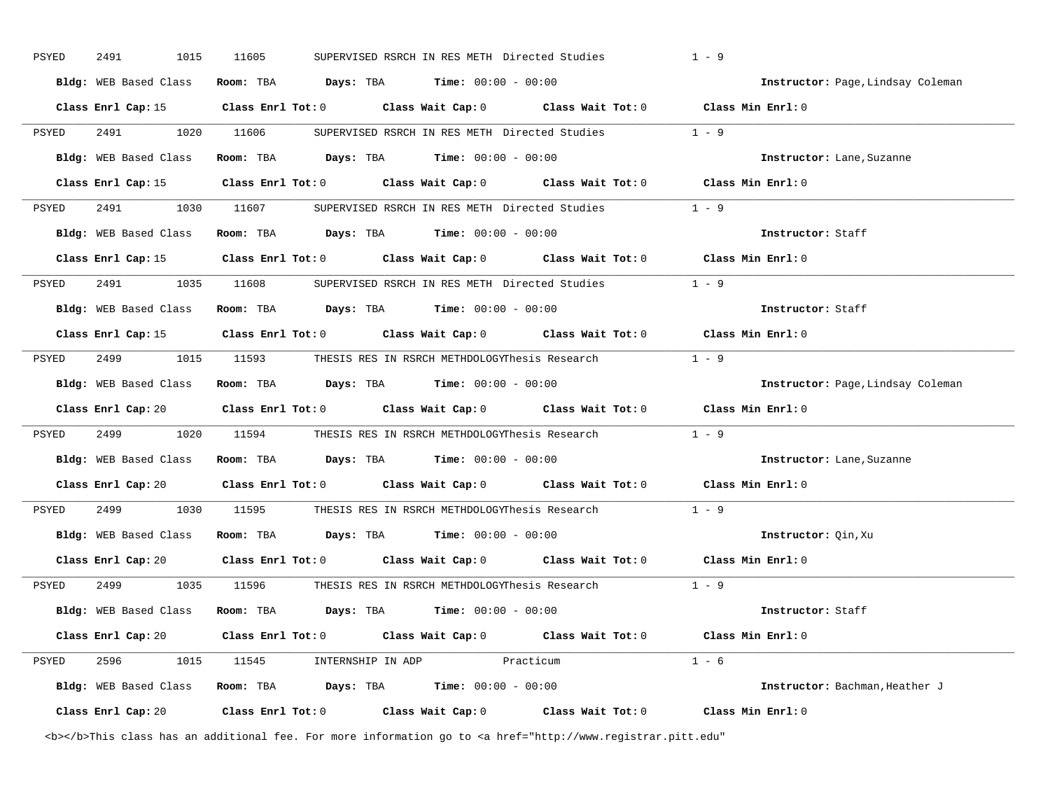| PSYED | 2491                  | 1015 | 11605      | SUPERVISED RSRCH IN RES METH Directed Studies |                                                               | $1 - 9$                                                                                                |         |                                   |
|-------|-----------------------|------|------------|-----------------------------------------------|---------------------------------------------------------------|--------------------------------------------------------------------------------------------------------|---------|-----------------------------------|
|       | Bldg: WEB Based Class |      |            |                                               | Room: TBA $Days:$ TBA $Time: 00:00 - 00:00$                   |                                                                                                        |         | Instructor: Page, Lindsay Coleman |
|       |                       |      |            |                                               |                                                               | Class Enrl Cap: 15 (Class Enrl Tot: 0 (Class Wait Cap: 0 (Class Wait Tot: 0 (Class Min Enrl: 0)        |         |                                   |
| PSYED | 2491 1020 11606       |      |            |                                               |                                                               | SUPERVISED RSRCH IN RES METH Directed Studies 1 - 9                                                    |         |                                   |
|       |                       |      |            |                                               | Bldg: WEB Based Class Room: TBA Days: TBA Time: 00:00 - 00:00 |                                                                                                        |         | Instructor: Lane, Suzanne         |
|       |                       |      |            |                                               |                                                               | Class Enrl Cap: 15 (Class Enrl Tot: 0 (Class Wait Cap: 0 (Class Wait Tot: 0 (Class Min Enrl: 0)        |         |                                   |
| PSYED |                       |      |            |                                               |                                                               | 2491 1030 11607 SUPERVISED RSRCH IN RES METH Directed Studies 1 - 9                                    |         |                                   |
|       |                       |      |            |                                               | Bldg: WEB Based Class Room: TBA Days: TBA Time: 00:00 - 00:00 |                                                                                                        |         | Instructor: Staff                 |
|       |                       |      |            |                                               |                                                               | Class Enrl Cap: 15 Class Enrl Tot: 0 Class Wait Cap: 0 Class Wait Tot: 0 Class Min Enrl: 0             |         |                                   |
| PSYED |                       |      |            |                                               |                                                               | 2491 1035 11608 SUPERVISED RSRCH IN RES METH Directed Studies 1 - 9                                    |         |                                   |
|       | Bldg: WEB Based Class |      |            |                                               | <b>Room:</b> TBA $Days: TBA$ <b>Time:</b> $00:00 - 00:00$     |                                                                                                        |         | Instructor: Staff                 |
|       |                       |      |            |                                               |                                                               | Class Enrl Cap: 15 Class Enrl Tot: 0 Class Wait Cap: 0 Class Wait Tot: 0 Class Min Enrl: 0             |         |                                   |
| PSYED |                       |      |            |                                               |                                                               | 2499 1015 11593 THESIS RES IN RSRCH METHDOLOGYThesis Research 1 - 9                                    |         |                                   |
|       |                       |      |            |                                               | Bldg: WEB Based Class Room: TBA Days: TBA Time: 00:00 - 00:00 |                                                                                                        |         | Instructor: Page, Lindsay Coleman |
|       |                       |      |            |                                               |                                                               | Class Enrl Cap: 20 Class Enrl Tot: 0 Class Wait Cap: 0 Class Wait Tot: 0                               |         | Class Min Enrl: 0                 |
| PSYED | 2499 24               |      | 1020 11594 |                                               |                                                               | THESIS RES IN RSRCH METHDOLOGYThesis Research                                                          | $1 - 9$ |                                   |
|       |                       |      |            |                                               | Bldg: WEB Based Class Room: TBA Days: TBA Time: 00:00 - 00:00 |                                                                                                        |         | Instructor: Lane, Suzanne         |
|       |                       |      |            |                                               |                                                               | Class Enrl Cap: 20 Class Enrl Tot: 0 Class Wait Cap: 0 Class Wait Tot: 0 Class Min Enrl: 0             |         |                                   |
| PSYED |                       |      |            |                                               |                                                               | 2499 1030 11595 THESIS RES IN RSRCH METHDOLOGYThesis Research 1 - 9                                    |         |                                   |
|       |                       |      |            |                                               | Bldg: WEB Based Class Room: TBA Days: TBA Time: 00:00 - 00:00 |                                                                                                        |         | Instructor: Qin, Xu               |
|       |                       |      |            |                                               |                                                               | Class Enrl Cap: 20 Class Enrl Tot: 0 Class Wait Cap: 0 Class Wait Tot: 0 Class Min Enrl: 0             |         |                                   |
|       |                       |      |            |                                               |                                                               | PSYED 2499 1035 11596 THESIS RES IN RSRCH METHDOLOGYThesis Research 1 - 9                              |         |                                   |
|       |                       |      |            |                                               | Bldg: WEB Based Class Room: TBA Days: TBA Time: 00:00 - 00:00 |                                                                                                        |         | Instructor: Staff                 |
|       |                       |      |            |                                               |                                                               | Class Enrl Cap: 20 Class Enrl Tot: 0 Class Wait Cap: 0 Class Wait Tot: 0 Class Min Enrl: 0             |         |                                   |
| PSYED |                       |      |            |                                               | 2596 1015 11545 INTERNSHIP IN ADP Practicum                   |                                                                                                        | $1 - 6$ |                                   |
|       |                       |      |            |                                               | Bldg: WEB Based Class Room: TBA Days: TBA Time: 00:00 - 00:00 |                                                                                                        |         | Instructor: Bachman, Heather J    |
|       |                       |      |            |                                               |                                                               | Class Enrl Cap: 20 		 Class Enrl Tot: 0 		 Class Wait Cap: 0 		 Class Wait Tot: 0 		 Class Min Enrl: 0 |         |                                   |

<b></b>This class has an additional fee. For more information go to <a href="http://www.registrar.pitt.edu"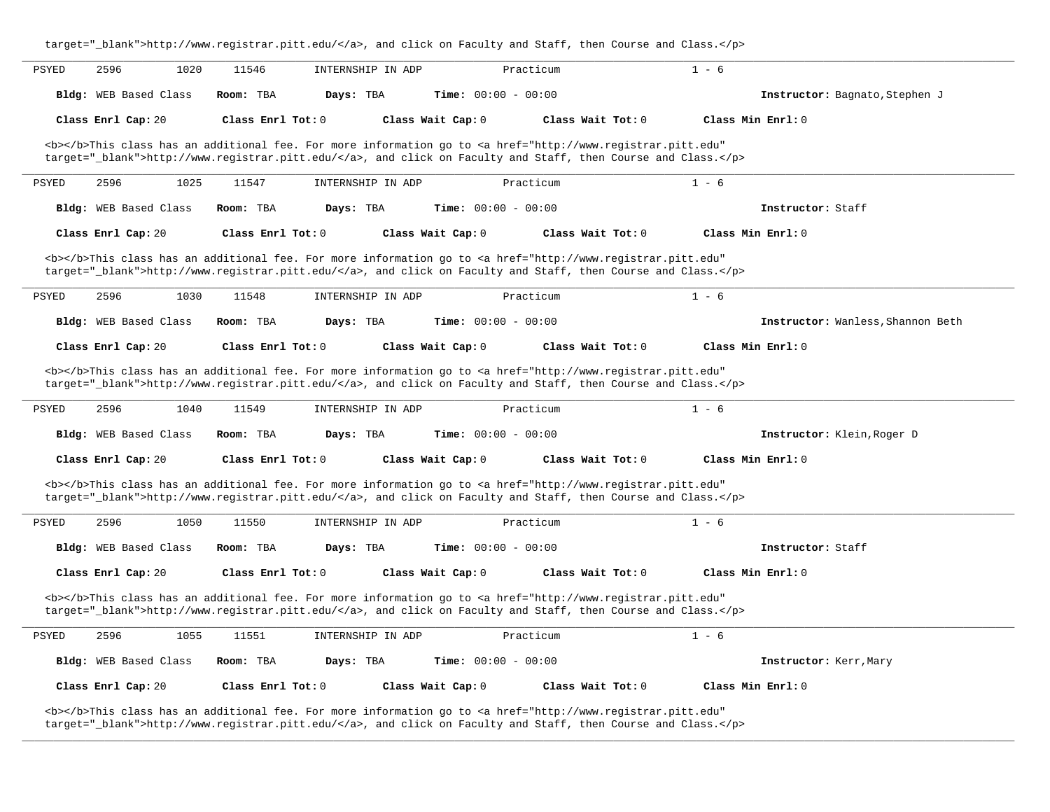|                              | target="_blank">http://www.registrar.pitt.edu/, and click on Faculty and Staff, then Course and Class. |                              |                                                                                                                                                |                                   |  |  |  |  |  |
|------------------------------|--------------------------------------------------------------------------------------------------------|------------------------------|------------------------------------------------------------------------------------------------------------------------------------------------|-----------------------------------|--|--|--|--|--|
| 2596<br>PSYED                | 1020<br>11546                                                                                          | INTERNSHIP IN ADP            | Practicum                                                                                                                                      | $1 - 6$                           |  |  |  |  |  |
| Bldg: WEB Based Class        | Room: TBA<br>Days: TBA                                                                                 | <b>Time:</b> $00:00 - 00:00$ |                                                                                                                                                | Instructor: Bagnato, Stephen J    |  |  |  |  |  |
| Class Enrl Cap: 20           | Class Enrl Tot: $0$                                                                                    | Class Wait Cap: 0            | Class Wait $Tot: 0$                                                                                                                            | Class Min Enrl: 0                 |  |  |  |  |  |
|                              |                                                                                                        |                              | <b></b> This class has an additional fee. For more information go to <a <="" href="http://www.registrar.pitt.edu" td=""><td></td><td></td></a> |                                   |  |  |  |  |  |
|                              |                                                                                                        |                              | target="_blank">http://www.registrar.pitt.edu/, and click on Faculty and Staff, then Course and Class.                                         |                                   |  |  |  |  |  |
| 2596<br>PSYED                | 1025<br>11547                                                                                          | INTERNSHIP IN ADP            | Practicum                                                                                                                                      | $1 - 6$                           |  |  |  |  |  |
| Bldg: WEB Based Class        | Days: TBA<br>Room: TBA                                                                                 | Time: $00:00 - 00:00$        |                                                                                                                                                | Instructor: Staff                 |  |  |  |  |  |
| Class Enrl Cap: 20           | Class Enrl Tot: 0                                                                                      | Class Wait Cap: 0            | Class Wait Tot: 0                                                                                                                              | Class Min Enrl: 0                 |  |  |  |  |  |
|                              |                                                                                                        |                              | <b></b> This class has an additional fee. For more information go to <a <="" href="http://www.registrar.pitt.edu" td=""><td></td><td></td></a> |                                   |  |  |  |  |  |
|                              |                                                                                                        |                              | target="_blank">http://www.registrar.pitt.edu/, and click on Faculty and Staff, then Course and Class.                                         |                                   |  |  |  |  |  |
| <b>PSYED</b><br>2596         | 1030<br>11548                                                                                          | INTERNSHIP IN ADP            | Practicum                                                                                                                                      | $1 - 6$                           |  |  |  |  |  |
| <b>Bldg:</b> WEB Based Class | Room: TBA<br>Days: TBA                                                                                 | <b>Time:</b> $00:00 - 00:00$ |                                                                                                                                                | Instructor: Wanless, Shannon Beth |  |  |  |  |  |
| Class Enrl Cap: 20           | Class Enrl Tot: 0                                                                                      | Class Wait Cap: 0            | Class Wait Tot: 0                                                                                                                              | Class Min Enrl: 0                 |  |  |  |  |  |
|                              |                                                                                                        |                              | <b></b> This class has an additional fee. For more information go to <a <="" href="http://www.registrar.pitt.edu" td=""><td></td><td></td></a> |                                   |  |  |  |  |  |
|                              |                                                                                                        |                              | target="_blank">http://www.registrar.pitt.edu/, and click on Faculty and Staff, then Course and Class.                                         |                                   |  |  |  |  |  |
| 2596<br>PSYED                | 1040<br>11549                                                                                          | INTERNSHIP IN ADP            | Practicum                                                                                                                                      | $1 - 6$                           |  |  |  |  |  |
| Bldg: WEB Based Class        | Room: TBA<br>Days: TBA                                                                                 | Time: $00:00 - 00:00$        |                                                                                                                                                | Instructor: Klein, Roger D        |  |  |  |  |  |
| Class Enrl Cap: 20           | Class Enrl Tot: 0                                                                                      | Class Wait Cap: 0            | Class Wait Tot: 0                                                                                                                              | Class Min Enrl: 0                 |  |  |  |  |  |
|                              |                                                                                                        |                              | <b></b> This class has an additional fee. For more information go to <a <="" href="http://www.registrar.pitt.edu" td=""><td></td><td></td></a> |                                   |  |  |  |  |  |
|                              |                                                                                                        |                              | target="_blank">http://www.registrar.pitt.edu/, and click on Faculty and Staff, then Course and Class.                                         |                                   |  |  |  |  |  |
| 2596<br>PSYED                | 1050<br>11550                                                                                          | INTERNSHIP IN ADP            | Practicum                                                                                                                                      | $1 - 6$                           |  |  |  |  |  |
| Bldg: WEB Based Class        | Days: TBA<br>Room: TBA                                                                                 | <b>Time:</b> $00:00 - 00:00$ |                                                                                                                                                | Instructor: Staff                 |  |  |  |  |  |
| Class Enrl Cap: 20           | Class Enrl Tot: $0$                                                                                    | Class Wait Cap: 0            | Class Wait Tot: 0                                                                                                                              | Class Min Enrl: 0                 |  |  |  |  |  |
|                              |                                                                                                        |                              | <b></b> This class has an additional fee. For more information go to <a <="" href="http://www.registrar.pitt.edu" td=""><td></td><td></td></a> |                                   |  |  |  |  |  |
|                              |                                                                                                        |                              | target="_blank">http://www.registrar.pitt.edu/, and click on Faculty and Staff, then Course and Class.                                         |                                   |  |  |  |  |  |
| 2596<br>PSYED                | 1055<br>11551                                                                                          | INTERNSHIP IN ADP            | Practicum                                                                                                                                      | $1 - 6$                           |  |  |  |  |  |
| Bldg: WEB Based Class        | Room: TBA<br>Days: TBA                                                                                 | <b>Time:</b> $00:00 - 00:00$ |                                                                                                                                                | Instructor: Kerr, Mary            |  |  |  |  |  |
| Class Enrl Cap: 20           | Class Enrl Tot: 0                                                                                      | Class Wait Cap: 0            | Class Wait Tot: 0                                                                                                                              | Class Min Enrl: 0                 |  |  |  |  |  |
|                              |                                                                                                        |                              | ster of the Motor and an analyzed and the Contractional contraction and analyzed and modern of four constanting and a set of the solicity      |                                   |  |  |  |  |  |

**\_\_\_\_\_\_\_\_\_\_\_\_\_\_\_\_\_\_\_\_\_\_\_\_\_\_\_\_\_\_\_\_\_\_\_\_\_\_\_\_\_\_\_\_\_\_\_\_\_\_\_\_\_\_\_\_\_\_\_\_\_\_\_\_\_\_\_\_\_\_\_\_\_\_\_\_\_\_\_\_\_\_\_\_\_\_\_\_\_\_\_\_\_\_\_\_\_\_\_\_\_\_\_\_\_\_\_\_\_\_\_\_\_\_\_\_\_\_\_\_\_\_\_\_\_\_\_\_\_\_\_\_\_\_\_\_\_\_\_\_\_\_\_\_\_\_\_\_\_\_\_\_\_\_\_\_**

<b></b>This class has an additional fee. For more information go to <a href="http://www.registrar.pitt.edu" target="\_blank">http://www.registrar.pitt.edu/</a>, and click on Faculty and Staff, then Course and Class.</p>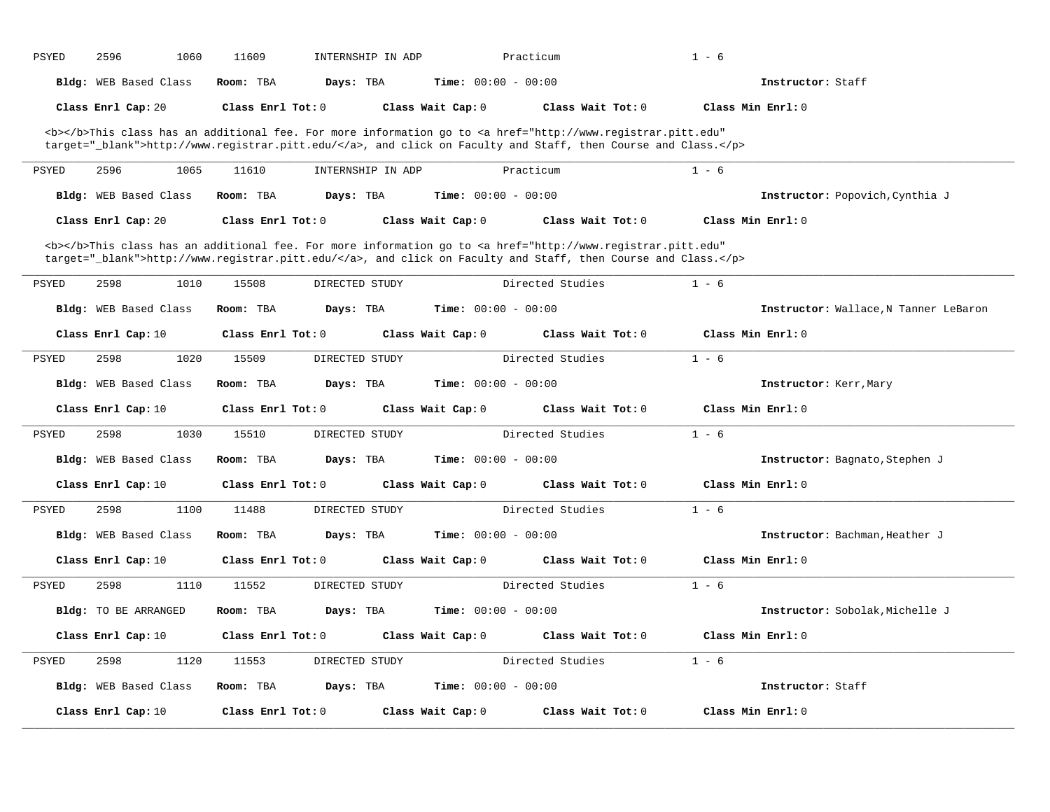| Time: $00:00 - 00:00$<br><b>Bldg:</b> WEB Based Class<br>Room: TBA<br>Days: TBA<br>Instructor: Staff<br>Class Enrl Cap: 20<br>Class Enrl Tot: 0<br>Class Wait Cap: 0<br>Class Wait Tot: 0<br>Class Min Enrl: 0<br><b></b> This class has an additional fee. For more information go to <a <br="" href="http://www.registrar.pitt.edu">target="_blank"&gt;http://www.registrar.pitt.edu/</a> , and click on Faculty and Staff, then Course and Class.<br>$1 - 6$<br><b>PSYED</b><br>2596<br>1065<br>11610<br>Practicum<br>INTERNSHIP IN ADP |  |
|--------------------------------------------------------------------------------------------------------------------------------------------------------------------------------------------------------------------------------------------------------------------------------------------------------------------------------------------------------------------------------------------------------------------------------------------------------------------------------------------------------------------------------------------|--|
|                                                                                                                                                                                                                                                                                                                                                                                                                                                                                                                                            |  |
|                                                                                                                                                                                                                                                                                                                                                                                                                                                                                                                                            |  |
|                                                                                                                                                                                                                                                                                                                                                                                                                                                                                                                                            |  |
|                                                                                                                                                                                                                                                                                                                                                                                                                                                                                                                                            |  |
| <b>Time:</b> $00:00 - 00:00$<br>Bldg: WEB Based Class<br>Room: TBA<br>Days: TBA<br>Instructor: Popovich, Cynthia J                                                                                                                                                                                                                                                                                                                                                                                                                         |  |
|                                                                                                                                                                                                                                                                                                                                                                                                                                                                                                                                            |  |
| Class Enrl Cap: 20<br>Class Enrl Tot: 0<br>Class Wait Cap: 0<br>Class Wait Tot: 0<br>Class Min Enrl: 0                                                                                                                                                                                                                                                                                                                                                                                                                                     |  |
| <b></b> This class has an additional fee. For more information go to <a <br="" href="http://www.registrar.pitt.edu">target="_blank"&gt;http://www.registrar.pitt.edu/</a> , and click on Faculty and Staff, then Course and Class.                                                                                                                                                                                                                                                                                                         |  |
| 2598<br>15508<br>Directed Studies<br>$1 - 6$<br>PSYED<br>1010<br>DIRECTED STUDY                                                                                                                                                                                                                                                                                                                                                                                                                                                            |  |
|                                                                                                                                                                                                                                                                                                                                                                                                                                                                                                                                            |  |
| Bldg: WEB Based Class<br>Room: TBA<br>Days: TBA<br><b>Time:</b> $00:00 - 00:00$<br>Instructor: Wallace, N Tanner LeBaron                                                                                                                                                                                                                                                                                                                                                                                                                   |  |
| Class Enrl Tot: 0<br>Class Wait Cap: 0<br>Class Wait Tot: 0<br>Class Min Enrl: 0<br>Class Enrl Cap: 10                                                                                                                                                                                                                                                                                                                                                                                                                                     |  |
| Directed Studies<br>$1 - 6$<br>PSYED<br>2598<br>1020<br>15509<br>DIRECTED STUDY                                                                                                                                                                                                                                                                                                                                                                                                                                                            |  |
| Bldg: WEB Based Class<br>Days: TBA<br><b>Time:</b> $00:00 - 00:00$<br>Room: TBA<br>Instructor: Kerr, Mary                                                                                                                                                                                                                                                                                                                                                                                                                                  |  |
| Class Wait Cap: 0<br>Class Wait Tot: 0<br>Class Min Enrl: 0<br>Class Enrl Cap: 10<br>Class Enrl Tot: 0                                                                                                                                                                                                                                                                                                                                                                                                                                     |  |
| Directed Studies<br>$1 - 6$<br>PSYED<br>2598<br>1030<br>15510<br>DIRECTED STUDY                                                                                                                                                                                                                                                                                                                                                                                                                                                            |  |
| Bldg: WEB Based Class<br><b>Time:</b> $00:00 - 00:00$<br>Room: TBA<br>Days: TBA<br>Instructor: Bagnato, Stephen J                                                                                                                                                                                                                                                                                                                                                                                                                          |  |
| Class Enrl Tot: 0<br>Class Wait Cap: 0<br>Class Wait Tot: 0<br>Class Min Enrl: 0<br>Class Enrl Cap: 10                                                                                                                                                                                                                                                                                                                                                                                                                                     |  |
| $1 - 6$<br><b>PSYED</b><br>2598<br>1100<br>11488<br>DIRECTED STUDY<br>Directed Studies                                                                                                                                                                                                                                                                                                                                                                                                                                                     |  |
| Bldg: WEB Based Class<br>Time: $00:00 - 00:00$<br>Room: TBA<br>Days: TBA<br>Instructor: Bachman, Heather J                                                                                                                                                                                                                                                                                                                                                                                                                                 |  |
| Class Enrl Tot: 0<br>Class Min Enrl: 0<br>Class Enrl Cap: 10<br>Class Wait Cap: 0<br>Class Wait Tot: 0                                                                                                                                                                                                                                                                                                                                                                                                                                     |  |
| $1 - 6$<br><b>PSYED</b><br>2598<br>1110<br>11552<br>DIRECTED STUDY<br>Directed Studies                                                                                                                                                                                                                                                                                                                                                                                                                                                     |  |
| <b>Time:</b> $00:00 - 00:00$<br>Bldg: TO BE ARRANGED<br>Room: TBA<br>Days: TBA<br>Instructor: Sobolak, Michelle J                                                                                                                                                                                                                                                                                                                                                                                                                          |  |
| Class Min Enrl: 0<br>Class Enrl Cap: 10<br>Class Enrl Tot: 0<br>Class Wait Cap: 0<br>Class Wait Tot: 0                                                                                                                                                                                                                                                                                                                                                                                                                                     |  |
| $1 - 6$<br><b>PSYED</b><br>2598<br>1120<br>11553<br>DIRECTED STUDY<br>Directed Studies                                                                                                                                                                                                                                                                                                                                                                                                                                                     |  |
| <b>Time:</b> $00:00 - 00:00$<br>Bldg: WEB Based Class<br>Room: TBA<br>Days: TBA<br>Instructor: Staff                                                                                                                                                                                                                                                                                                                                                                                                                                       |  |
| Class Enrl Cap: 10<br>Class Enrl Tot: 0<br>Class Wait Cap: 0<br>Class Wait Tot: 0<br>Class Min Enrl: 0                                                                                                                                                                                                                                                                                                                                                                                                                                     |  |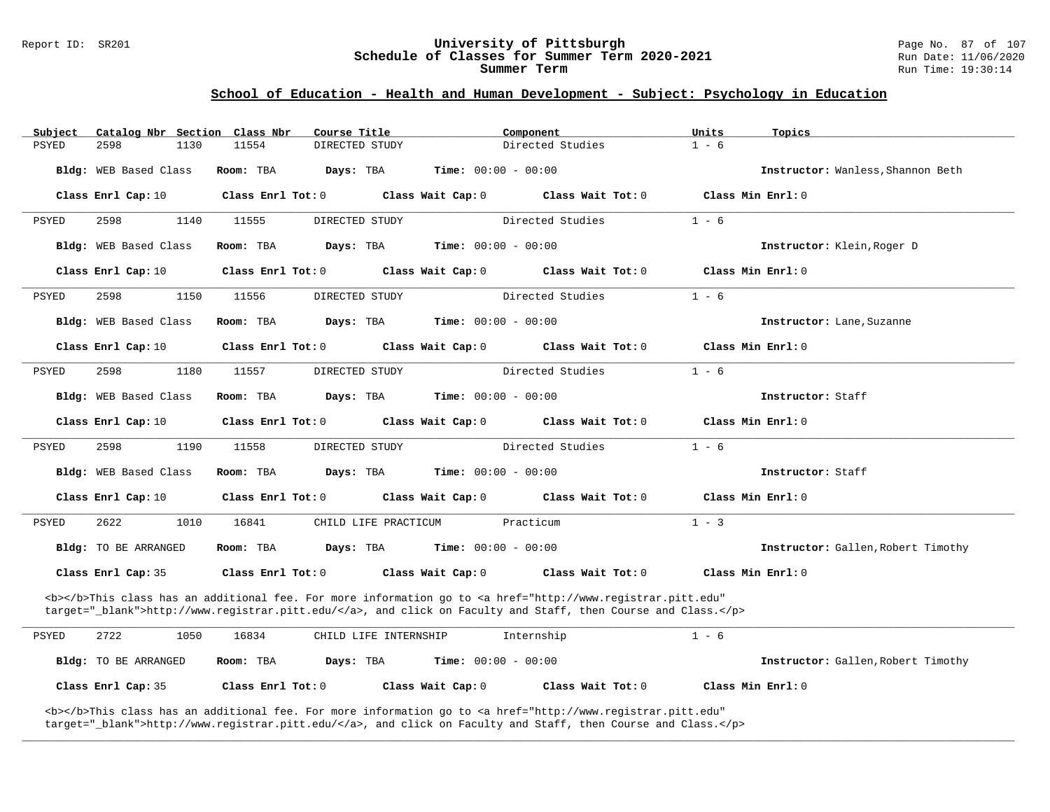#### Report ID: SR201 **University of Pittsburgh** Page No. 87 of 107 **Schedule of Classes for Summer Term 2020-2021** Run Date: 11/06/2020 **Summer Term** Run Time: 19:30:14

### **School of Education - Health and Human Development - Subject: Psychology in Education**

| Subject |                             | Catalog Nbr Section Class Nbr | Course Title          |                              | Component                                                                                                                                                                                                                          | Units   | Topics                             |
|---------|-----------------------------|-------------------------------|-----------------------|------------------------------|------------------------------------------------------------------------------------------------------------------------------------------------------------------------------------------------------------------------------------|---------|------------------------------------|
| PSYED   | 2598                        | 1130<br>11554                 | DIRECTED STUDY        |                              | Directed Studies                                                                                                                                                                                                                   | $1 - 6$ |                                    |
|         | Bldg: WEB Based Class       | Room: TBA                     | Days: TBA             | <b>Time:</b> $00:00 - 00:00$ |                                                                                                                                                                                                                                    |         | Instructor: Wanless, Shannon Beth  |
|         | Class Enrl Cap: 10          | Class Enrl Tot: 0             |                       | Class Wait Cap: 0            | Class Wait Tot: 0                                                                                                                                                                                                                  |         | Class Min Enrl: 0                  |
| PSYED   | 2598                        | 1140<br>11555                 | DIRECTED STUDY        |                              | Directed Studies                                                                                                                                                                                                                   | $1 - 6$ |                                    |
|         | Bldg: WEB Based Class       | Room: TBA                     | Days: TBA             | Time: $00:00 - 00:00$        |                                                                                                                                                                                                                                    |         | Instructor: Klein, Roger D         |
|         | Class Enrl Cap: 10          | Class Enrl Tot: 0             |                       | Class Wait Cap: 0            | Class Wait Tot: 0                                                                                                                                                                                                                  |         | Class Min Enrl: 0                  |
| PSYED   | 2598                        | 1150<br>11556                 | DIRECTED STUDY        |                              | Directed Studies                                                                                                                                                                                                                   | $1 - 6$ |                                    |
|         | Bldg: WEB Based Class       | Room: TBA                     | Days: TBA             | <b>Time:</b> $00:00 - 00:00$ |                                                                                                                                                                                                                                    |         | Instructor: Lane, Suzanne          |
|         | Class Enrl Cap: 10          | Class Enrl Tot: 0             |                       | Class Wait Cap: 0            | Class Wait Tot: 0                                                                                                                                                                                                                  |         | Class Min Enrl: 0                  |
| PSYED   | 2598                        | 1180<br>11557                 | DIRECTED STUDY        |                              | Directed Studies                                                                                                                                                                                                                   | $1 - 6$ |                                    |
|         | Bldg: WEB Based Class       | Room: TBA                     | Days: TBA             | <b>Time:</b> $00:00 - 00:00$ |                                                                                                                                                                                                                                    |         | Instructor: Staff                  |
|         | Class Enrl Cap: 10          | $Class$ $Enrl$ $Tot: 0$       |                       | Class Wait Cap: 0            | Class Wait Tot: 0                                                                                                                                                                                                                  |         | Class Min Enrl: 0                  |
| PSYED   | 2598                        | 1190<br>11558                 | DIRECTED STUDY        |                              | Directed Studies                                                                                                                                                                                                                   | $1 - 6$ |                                    |
|         | Bldg: WEB Based Class       |                               |                       |                              |                                                                                                                                                                                                                                    |         | Instructor: Staff                  |
|         |                             | Room: TBA                     | Days: TBA             | <b>Time:</b> $00:00 - 00:00$ |                                                                                                                                                                                                                                    |         |                                    |
|         | Class Enrl Cap: 10          | Class Enrl Tot: 0             |                       | Class Wait Cap: 0            | Class Wait Tot: 0                                                                                                                                                                                                                  |         | Class Min Enrl: 0                  |
| PSYED   | 2622                        | 1010<br>16841                 | CHILD LIFE PRACTICUM  |                              | Practicum                                                                                                                                                                                                                          | $1 - 3$ |                                    |
|         | Bldg: TO BE ARRANGED        | Room: TBA                     | Days: TBA             | <b>Time:</b> $00:00 - 00:00$ |                                                                                                                                                                                                                                    |         | Instructor: Gallen, Robert Timothy |
|         | Class Enrl Cap: 35          | Class Enrl Tot: 0             |                       | Class Wait Cap: 0            | Class Wait Tot: 0                                                                                                                                                                                                                  |         | Class Min $Enr1: 0$                |
|         |                             |                               |                       |                              | <b></b> This class has an additional fee. For more information go to <a <br="" href="http://www.registrar.pitt.edu">target="_blank"&gt;http://www.registrar.pitt.edu/</a> , and click on Faculty and Staff, then Course and Class. |         |                                    |
| PSYED   | 2722                        | 1050<br>16834                 | CHILD LIFE INTERNSHIP |                              | Internship                                                                                                                                                                                                                         | $1 - 6$ |                                    |
|         | <b>Bldg:</b> TO BE ARRANGED | Room: TBA                     | Days: TBA             | <b>Time:</b> $00:00 - 00:00$ |                                                                                                                                                                                                                                    |         | Instructor: Gallen, Robert Timothy |

**\_\_\_\_\_\_\_\_\_\_\_\_\_\_\_\_\_\_\_\_\_\_\_\_\_\_\_\_\_\_\_\_\_\_\_\_\_\_\_\_\_\_\_\_\_\_\_\_\_\_\_\_\_\_\_\_\_\_\_\_\_\_\_\_\_\_\_\_\_\_\_\_\_\_\_\_\_\_\_\_\_\_\_\_\_\_\_\_\_\_\_\_\_\_\_\_\_\_\_\_\_\_\_\_\_\_\_\_\_\_\_\_\_\_\_\_\_\_\_\_\_\_\_\_\_\_\_\_\_\_\_\_\_\_\_\_\_\_\_\_\_\_\_\_\_\_\_\_\_\_\_\_\_\_\_\_**

<b></b>This class has an additional fee. For more information go to <a href="http://www.registrar.pitt.edu" target="\_blank">http://www.registrar.pitt.edu/</a>, and click on Faculty and Staff, then Course and Class.</p>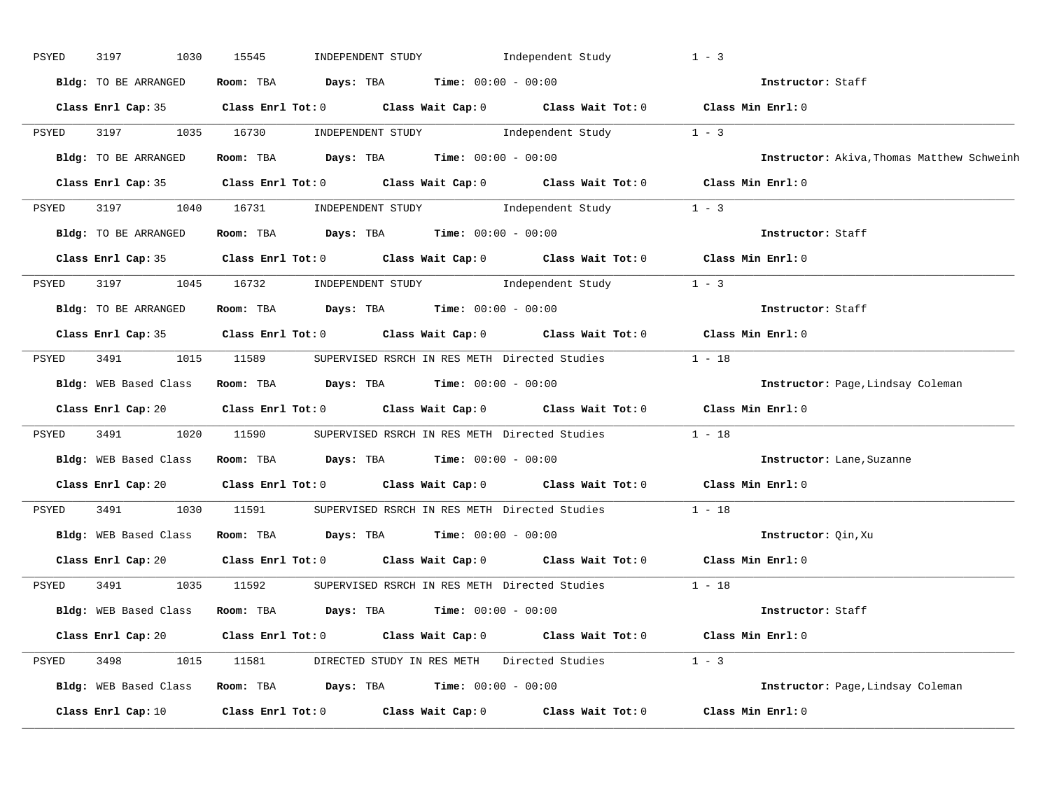| PSYED | 3197<br>1030          | 15545<br>INDEPENDENT STUDY                                                                             | Independent Study                                                                                                            | $1 - 3$                                    |
|-------|-----------------------|--------------------------------------------------------------------------------------------------------|------------------------------------------------------------------------------------------------------------------------------|--------------------------------------------|
|       | Bldg: TO BE ARRANGED  | Room: TBA $Days: TBA$ Time: $00:00 - 00:00$                                                            |                                                                                                                              | Instructor: Staff                          |
|       |                       | Class Enrl Cap: 35 Class Enrl Tot: 0 Class Wait Cap: 0 Class Wait Tot: 0 Class Min Enrl: 0             |                                                                                                                              |                                            |
| PSYED | 3197                  | 1035 16730                                                                                             | $\begin{minipage}[c]{0.9\linewidth} \textbf{INDEX} & \textbf{STUDY} \\ \textbf{Independent Study} & 1 - 3 \\ \end{minipage}$ |                                            |
|       | Bldg: TO BE ARRANGED  | Room: TBA $Days:$ TBA $Time: 00:00 - 00:00$                                                            |                                                                                                                              | Instructor: Akiva, Thomas Matthew Schweinh |
|       |                       | Class Enrl Cap: 35 Class Enrl Tot: 0 Class Wait Cap: 0 Class Wait Tot: 0 Class Min Enrl: 0             |                                                                                                                              |                                            |
| PSYED |                       | 3197 1040 16731 INDEPENDENT STUDY Independent Study 1 - 3                                              |                                                                                                                              |                                            |
|       | Bldg: TO BE ARRANGED  | Room: TBA $Days:$ TBA $Time:$ $00:00 - 00:00$                                                          |                                                                                                                              | Instructor: Staff                          |
|       |                       | Class Enrl Cap: 35 Class Enrl Tot: 0 Class Wait Cap: 0 Class Wait Tot: 0 Class Min Enrl: 0             |                                                                                                                              |                                            |
| PSYED |                       | 3197 1045 16732 INDEPENDENT STUDY                                                                      | Independent Study                                                                                                            | $1 - 3$                                    |
|       | Bldg: TO BE ARRANGED  | Room: TBA Days: TBA Time: 00:00 - 00:00                                                                |                                                                                                                              | Instructor: Staff                          |
|       |                       | Class Enrl Cap: 35 Class Enrl Tot: 0 Class Wait Cap: 0 Class Wait Tot: 0 Class Min Enrl: 0             |                                                                                                                              |                                            |
| PSYED |                       | 3491 1015 11589 SUPERVISED RSRCH IN RES METH Directed Studies 1 - 18                                   |                                                                                                                              |                                            |
|       | Bldg: WEB Based Class | Room: TBA $\rule{1em}{0.15mm}$ Days: TBA Time: $00:00 - 00:00$                                         |                                                                                                                              | Instructor: Page, Lindsay Coleman          |
|       |                       | Class Enrl Cap: 20 Class Enrl Tot: 0 Class Wait Cap: 0 Class Wait Tot: 0 Class Min Enrl: 0             |                                                                                                                              |                                            |
| PSYED | 3491<br>1020          | 11590 SUPERVISED RSRCH IN RES METH Directed Studies 1 - 18                                             |                                                                                                                              |                                            |
|       |                       | Bldg: WEB Based Class Room: TBA Days: TBA Time: 00:00 - 00:00                                          |                                                                                                                              | Instructor: Lane, Suzanne                  |
|       |                       | Class Enrl Cap: 20 Class Enrl Tot: 0 Class Wait Cap: 0 Class Wait Tot: 0 Class Min Enrl: 0             |                                                                                                                              |                                            |
| PSYED | 3491 34               | 1030 11591                                                                                             | SUPERVISED RSRCH IN RES METH Directed Studies 1 - 18                                                                         |                                            |
|       | Bldg: WEB Based Class | Room: TBA $\rule{1em}{0.15mm}$ Days: TBA $\rule{1.5mm}{0.15mm}$ Time: $00:00 - 00:00$                  |                                                                                                                              | Instructor: Qin, Xu                        |
|       |                       | Class Enrl Cap: 20 Class Enrl Tot: 0 Class Wait Cap: 0 Class Wait Tot: 0 Class Min Enrl: 0             |                                                                                                                              |                                            |
| PSYED | 3491                  | 1035 11592                                                                                             | SUPERVISED RSRCH IN RES METH Directed Studies 1 - 18                                                                         |                                            |
|       |                       | Bldg: WEB Based Class Room: TBA Days: TBA Time: 00:00 - 00:00                                          |                                                                                                                              | Instructor: Staff                          |
|       |                       | Class Enrl Cap: 20 		 Class Enrl Tot: 0 		 Class Wait Cap: 0 		 Class Wait Tot: 0 		 Class Min Enrl: 0 |                                                                                                                              |                                            |
| PSYED |                       | 3498 1015 11581 DIRECTED STUDY IN RES METH Directed Studies 1 - 3                                      |                                                                                                                              |                                            |
|       |                       | Bldg: WEB Based Class Room: TBA Days: TBA Time: 00:00 - 00:00                                          |                                                                                                                              | Instructor: Page, Lindsay Coleman          |
|       | Class Enrl Cap: 10    | Class Enrl Tot: $0$ Class Wait Cap: $0$ Class Wait Tot: $0$                                            |                                                                                                                              | Class Min Enrl: 0                          |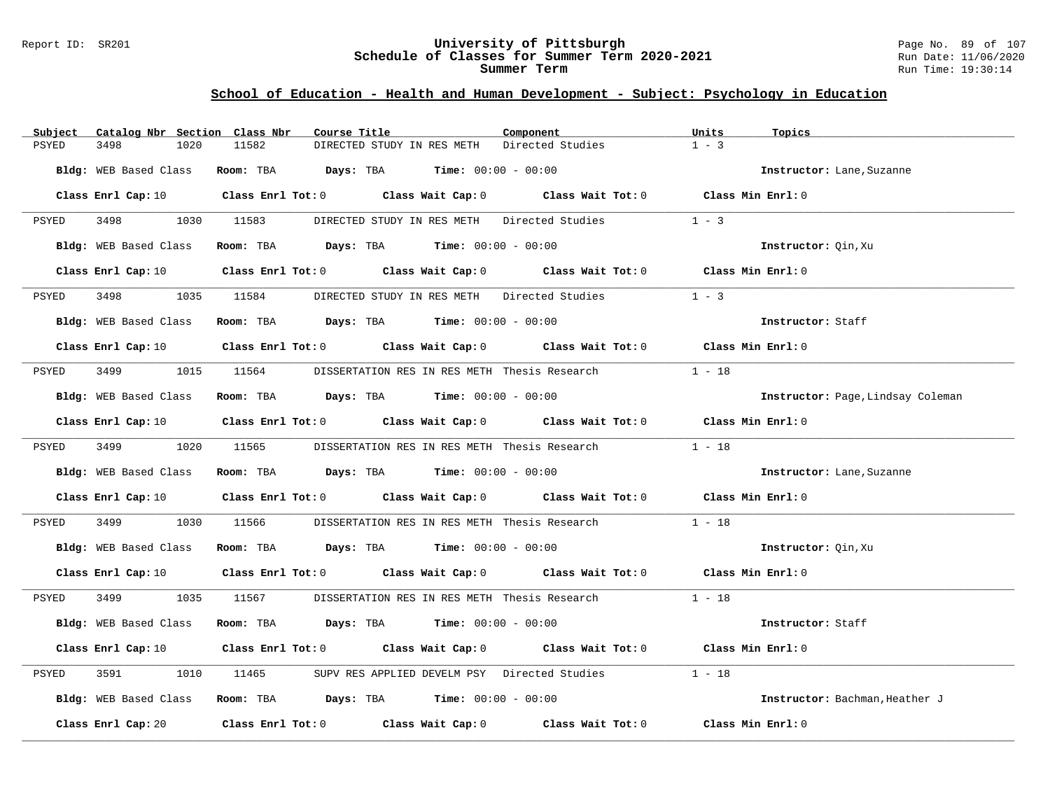#### Report ID: SR201 **University of Pittsburgh** Page No. 89 of 107 **Schedule of Classes for Summer Term 2020-2021** Run Date: 11/06/2020 **Summer Term** Run Time: 19:30:14

# **School of Education - Health and Human Development - Subject: Psychology in Education**

| Catalog Nbr Section Class Nbr<br>Subject | Course Title                                                                                                                   | Units<br>Component          | Topics                            |
|------------------------------------------|--------------------------------------------------------------------------------------------------------------------------------|-----------------------------|-----------------------------------|
| <b>PSYED</b><br>3498<br>1020             | 11582<br>DIRECTED STUDY IN RES METH                                                                                            | $1 - 3$<br>Directed Studies |                                   |
| Bldg: WEB Based Class                    | <b>Room:</b> TBA $Days:$ TBA $Time: 00:00 - 00:00$                                                                             |                             | Instructor: Lane, Suzanne         |
|                                          | Class Enrl Cap: 10 $\qquad$ Class Enrl Tot: 0 $\qquad$ Class Wait Cap: 0 $\qquad$ Class Wait Tot: 0 $\qquad$ Class Min Enrl: 0 |                             |                                   |
| PSYED<br>3498 1030 11583                 | DIRECTED STUDY IN RES METH Directed Studies                                                                                    | $1 - 3$                     |                                   |
| Bldg: WEB Based Class                    | Room: TBA $Days: TBA$ Time: $00:00 - 00:00$                                                                                    |                             | Instructor: Qin, Xu               |
|                                          | Class Enrl Cap: 10 Class Enrl Tot: 0 Class Wait Cap: 0 Class Wait Tot: 0 Class Min Enrl: 0                                     |                             |                                   |
| 3498 3498<br>PSYED                       | 1035 11584 DIRECTED STUDY IN RES METH Directed Studies                                                                         | $1 - 3$                     |                                   |
|                                          | Bldg: WEB Based Class Room: TBA Days: TBA Time: 00:00 - 00:00                                                                  |                             | Instructor: Staff                 |
|                                          | Class Enrl Cap: 10 $\qquad$ Class Enrl Tot: 0 $\qquad$ Class Wait Cap: 0 $\qquad$ Class Wait Tot: 0 $\qquad$ Class Min Enrl: 0 |                             |                                   |
| PSYED                                    | 3499 1015 11564 DISSERTATION RES IN RES METH Thesis Research                                                                   | $1 - 18$                    |                                   |
|                                          | Bldg: WEB Based Class Room: TBA Days: TBA Time: 00:00 - 00:00                                                                  |                             | Instructor: Page, Lindsay Coleman |
|                                          | Class Enrl Cap: 10 $\qquad$ Class Enrl Tot: 0 $\qquad$ Class Wait Cap: 0 $\qquad$ Class Wait Tot: 0 $\qquad$ Class Min Enrl: 0 |                             |                                   |
| 3499 1020 11565<br>PSYED                 | DISSERTATION RES IN RES METH Thesis Research                                                                                   | $1 - 18$                    |                                   |
|                                          | Bldg: WEB Based Class Room: TBA Days: TBA Time: 00:00 - 00:00                                                                  |                             | Instructor: Lane, Suzanne         |
|                                          | Class Enrl Cap: 10 $\qquad$ Class Enrl Tot: 0 $\qquad$ Class Wait Cap: 0 $\qquad$ Class Wait Tot: 0 $\qquad$ Class Min Enrl: 0 |                             |                                   |
| 3499<br>PSYED<br>1030                    | 11566<br>DISSERTATION RES IN RES METH Thesis Research                                                                          | $1 - 18$                    |                                   |
|                                          | Bldg: WEB Based Class Room: TBA Days: TBA Time: 00:00 - 00:00                                                                  |                             | Instructor: Qin, Xu               |
|                                          | Class Enrl Cap: 10 $\qquad$ Class Enrl Tot: 0 $\qquad$ Class Wait Cap: 0 $\qquad$ Class Wait Tot: 0 $\qquad$ Class Min Enrl: 0 |                             |                                   |
| PSYED                                    | 3499 1035 11567 DISSERTATION RES IN RES METH Thesis Research 1 - 18                                                            |                             |                                   |
| Bldg: WEB Based Class                    | Room: TBA $Days:$ TBA $Time: 00:00 - 00:00$                                                                                    |                             | Instructor: Staff                 |
|                                          | Class Enrl Cap: 10 $\qquad$ Class Enrl Tot: 0 $\qquad$ Class Wait Cap: 0 $\qquad$ Class Wait Tot: 0 $\qquad$ Class Min Enrl: 0 |                             |                                   |
| PSYED<br>3591<br>1010                    | 11465 SUPV RES APPLIED DEVELM PSY Directed Studies                                                                             | $1 - 18$                    |                                   |
|                                          | Bldg: WEB Based Class Room: TBA Days: TBA Time: 00:00 - 00:00                                                                  |                             | Instructor: Bachman, Heather J    |
|                                          | Class Enrl Cap: 20 $\qquad$ Class Enrl Tot: 0 $\qquad$ Class Wait Cap: 0 $\qquad$ Class Wait Tot: 0                            |                             | Class Min Enrl: 0                 |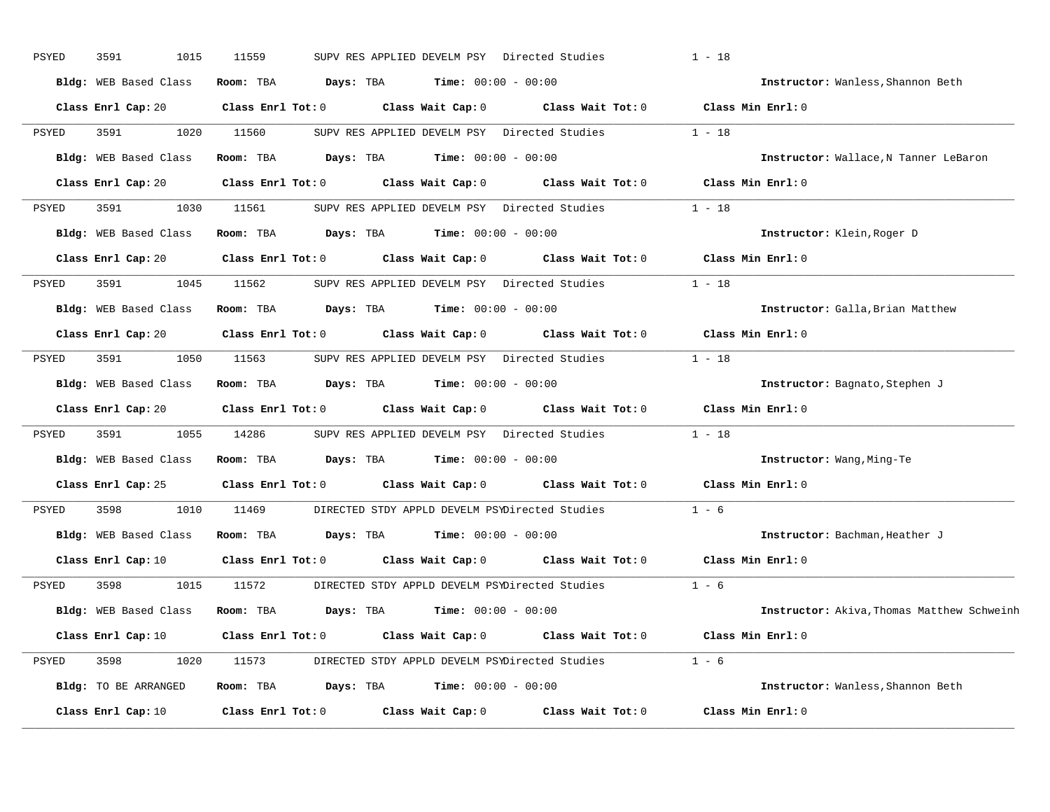| PSYED | 3591<br>1015          | 11559                   |                                               |                              | SUPV RES APPLIED DEVELM PSY Directed Studies          | $1 - 18$                                   |
|-------|-----------------------|-------------------------|-----------------------------------------------|------------------------------|-------------------------------------------------------|--------------------------------------------|
|       | Bldg: WEB Based Class | Room: TBA               | Days: TBA                                     | <b>Time:</b> $00:00 - 00:00$ |                                                       | Instructor: Wanless, Shannon Beth          |
|       | Class Enrl Cap: 20    | $Class$ $Enr1$ $Tot: 0$ |                                               | Class Wait Cap: 0            |                                                       | Class Wait Tot: 0 Class Min Enrl: 0        |
| PSYED | 3591<br>1020          | 11560                   |                                               |                              | SUPV RES APPLIED DEVELM PSY Directed Studies          | $1 - 18$                                   |
|       | Bldg: WEB Based Class | Room: TBA               | Days: TBA                                     | <b>Time:</b> $00:00 - 00:00$ |                                                       | Instructor: Wallace, N Tanner LeBaron      |
|       | Class Enrl Cap: 20    | Class Enrl Tot: 0       |                                               | Class Wait Cap: 0            | Class Wait Tot: 0                                     | Class Min Enrl: 0                          |
| PSYED | 3591<br>1030          | 11561                   |                                               |                              | SUPV RES APPLIED DEVELM PSY Directed Studies          | $1 - 18$                                   |
|       | Bldg: WEB Based Class | Room: TBA               | Days: TBA                                     | $Time: 00:00 - 00:00$        |                                                       | Instructor: Klein, Roger D                 |
|       | Class Enrl Cap: 20    | Class Enrl Tot: 0       |                                               |                              | Class Wait Cap: 0 Class Wait Tot: 0                   | Class Min Enrl: 0                          |
| PSYED | 3591<br>1045          | 11562                   |                                               |                              | SUPV RES APPLIED DEVELM PSY Directed Studies          | $1 - 18$                                   |
|       | Bldg: WEB Based Class | Room: TBA               | <b>Days:</b> TBA <b>Time:</b> $00:00 - 00:00$ |                              |                                                       | Instructor: Galla, Brian Matthew           |
|       | Class Enrl Cap: 20    | Class Enrl Tot: 0       |                                               |                              | Class Wait Cap: 0 Class Wait Tot: 0                   | Class Min Enrl: 0                          |
| PSYED | 3591<br>1050          | 11563                   |                                               |                              | SUPV RES APPLIED DEVELM PSY Directed Studies          | $1 - 18$                                   |
|       | Bldg: WEB Based Class | Room: TBA               | Days: TBA                                     | <b>Time:</b> $00:00 - 00:00$ |                                                       | Instructor: Bagnato, Stephen J             |
|       | Class Enrl Cap: 20    | $Class$ $Enr1$ $Tot: 0$ |                                               | Class Wait Cap: 0            | Class Wait Tot: 0                                     | Class Min Enrl: 0                          |
| PSYED | 3591<br>1055          | 14286                   |                                               |                              | SUPV RES APPLIED DEVELM PSY Directed Studies          | $1 - 18$                                   |
|       | Bldg: WEB Based Class | Room: TBA               | <b>Days:</b> TBA <b>Time:</b> $00:00 - 00:00$ |                              |                                                       | Instructor: Wang, Ming-Te                  |
|       | Class Enrl Cap: 25    |                         |                                               |                              | Class Enrl Tot: 0 Class Wait Cap: 0 Class Wait Tot: 0 | Class Min Enrl: 0                          |
| PSYED | 3598<br>1010          | 11469                   |                                               |                              | DIRECTED STDY APPLD DEVELM PSYDirected Studies        | $1 - 6$                                    |
|       | Bldg: WEB Based Class | Room: TBA               | <b>Days:</b> TBA <b>Time:</b> $00:00 - 00:00$ |                              |                                                       | Instructor: Bachman, Heather J             |
|       | Class Enrl Cap: 10    | $Class$ $Enr1$ $Tot: 0$ |                                               |                              | Class Wait Cap: 0 Class Wait Tot: 0                   | Class Min Enrl: 0                          |
| PSYED | 1015<br>3598          | 11572                   |                                               |                              | DIRECTED STDY APPLD DEVELM PSYDirected Studies        | $1 - 6$                                    |
|       | Bldg: WEB Based Class | Room: TBA               | Days: TBA                                     | $Time: 00:00 - 00:00$        |                                                       | Instructor: Akiva, Thomas Matthew Schweinh |
|       | Class Enrl Cap: 10    | $Class$ $Enr1$ $Tot: 0$ |                                               | Class Wait Cap: 0            | Class Wait Tot: 0                                     | Class Min Enrl: 0                          |
| PSYED | 3598<br>1020          | 11573                   |                                               |                              | DIRECTED STDY APPLD DEVELM PSYDirected Studies 1 - 6  |                                            |
|       | Bldg: TO BE ARRANGED  | Room: TBA               | <b>Days:</b> TBA <b>Time:</b> $00:00 - 00:00$ |                              |                                                       | Instructor: Wanless, Shannon Beth          |
|       | Class Enrl Cap: 10    | Class Enrl Tot: 0       |                                               | Class Wait Cap: 0            | Class Wait Tot: 0                                     | Class Min Enrl: 0                          |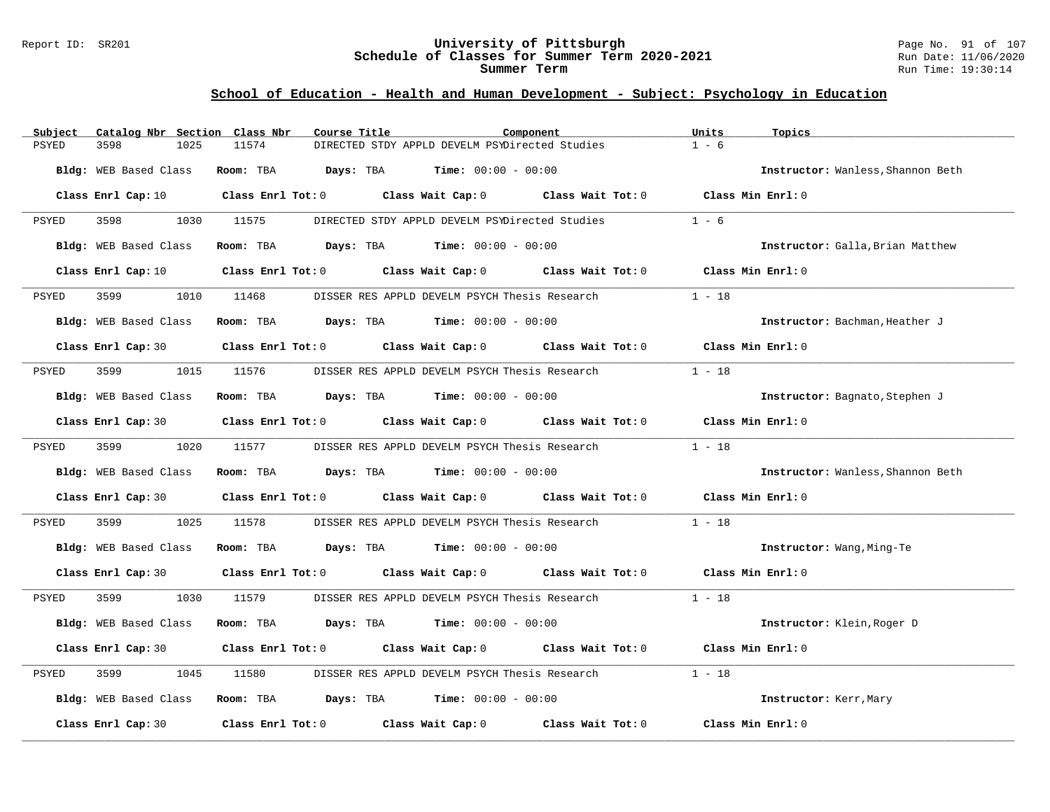#### Report ID: SR201 **University of Pittsburgh** Page No. 91 of 107 **Schedule of Classes for Summer Term 2020-2021** Run Date: 11/06/2020 **Summer Term** Run Time: 19:30:14

# **School of Education - Health and Human Development - Subject: Psychology in Education**

| Subject            |                              | Catalog Nbr Section Class Nbr | Course Title                                                 | Component                                      |                                                                                                     | Units             | Topics                            |
|--------------------|------------------------------|-------------------------------|--------------------------------------------------------------|------------------------------------------------|-----------------------------------------------------------------------------------------------------|-------------------|-----------------------------------|
| 3598<br>PSYED      | 1025                         | 11574                         |                                                              | DIRECTED STDY APPLD DEVELM PSYDirected Studies |                                                                                                     | $1 - 6$           |                                   |
|                    | Bldg: WEB Based Class        | Room: TBA                     | <b>Days:</b> TBA <b>Time:</b> $00:00 - 00:00$                |                                                |                                                                                                     |                   | Instructor: Wanless, Shannon Beth |
|                    |                              |                               |                                                              |                                                | Class Enrl Cap: 10 $\qquad$ Class Enrl Tot: 0 $\qquad$ Class Wait Cap: 0 $\qquad$ Class Wait Tot: 0 | Class Min Enrl: 0 |                                   |
| 3598<br>PSYED      | 1030                         | 11575                         |                                                              | DIRECTED STDY APPLD DEVELM PSYDirected Studies |                                                                                                     | $1 - 6$           |                                   |
|                    | Bldg: WEB Based Class        |                               | <b>Room:</b> TBA <b>Days:</b> TBA <b>Time:</b> 00:00 - 00:00 |                                                |                                                                                                     |                   | Instructor: Galla, Brian Matthew  |
|                    | Class Enrl Cap: 10           |                               | Class Enrl Tot: $0$ Class Wait Cap: $0$ Class Wait Tot: $0$  |                                                |                                                                                                     | Class Min Enrl: 0 |                                   |
| 3599<br>PSYED      |                              | 1010 11468                    |                                                              | DISSER RES APPLD DEVELM PSYCH Thesis Research  |                                                                                                     | $1 - 18$          |                                   |
|                    | <b>Bldg:</b> WEB Based Class |                               | Room: TBA $Days:$ TBA $Time: 00:00 - 00:00$                  |                                                |                                                                                                     |                   | Instructor: Bachman, Heather J    |
|                    |                              |                               |                                                              |                                                | Class Enrl Cap: 30 Class Enrl Tot: 0 Class Wait Cap: 0 Class Wait Tot: 0 Class Min Enrl: 0          |                   |                                   |
| 3599<br>PSYED      | 1015                         | 11576                         |                                                              | DISSER RES APPLD DEVELM PSYCH Thesis Research  |                                                                                                     | $1 - 18$          |                                   |
|                    | Bldg: WEB Based Class        |                               | Room: TBA $Days:$ TBA $Time: 00:00 - 00:00$                  |                                                |                                                                                                     |                   | Instructor: Bagnato, Stephen J    |
|                    | Class Enrl Cap: 30           |                               | Class Enrl Tot: 0 Class Wait Cap: 0 Class Wait Tot: 0        |                                                |                                                                                                     | Class Min Enrl: 0 |                                   |
| PSYED              | 3599 75                      | 1020 11577                    |                                                              |                                                | DISSER RES APPLD DEVELM PSYCH Thesis Research                                                       | $1 - 18$          |                                   |
|                    | Bldg: WEB Based Class        |                               | Room: TBA $Days:$ TBA $Time: 00:00 - 00:00$                  |                                                |                                                                                                     |                   | Instructor: Wanless, Shannon Beth |
|                    | Class Enrl Cap: 30           |                               | Class Enrl Tot: 0 Class Wait Cap: 0 Class Wait Tot: 0        |                                                |                                                                                                     | Class Min Enrl: 0 |                                   |
| 3599<br>PSYED      | 1025                         | 11578                         |                                                              | DISSER RES APPLD DEVELM PSYCH Thesis Research  |                                                                                                     | $1 - 18$          |                                   |
|                    | Bldg: WEB Based Class        |                               | Room: TBA $Days:$ TBA $Time: 00:00 - 00:00$                  |                                                |                                                                                                     |                   | Instructor: Wang, Ming-Te         |
|                    | Class Enrl Cap: 30           |                               |                                                              |                                                | Class Enrl Tot: 0 Class Wait Cap: 0 Class Wait Tot: 0 Class Min Enrl: 0                             |                   |                                   |
| 3599<br>PSYED      | 1030                         | 11579                         |                                                              |                                                | DISSER RES APPLD DEVELM PSYCH Thesis Research                                                       | $1 - 18$          |                                   |
|                    | Bldg: WEB Based Class        |                               | Room: TBA $Days: TBA$ Time: $00:00 - 00:00$                  |                                                |                                                                                                     |                   | Instructor: Klein, Roger D        |
|                    | Class Enrl Cap: 30           |                               | Class Enrl Tot: 0 Class Wait Cap: 0 Class Wait Tot: 0        |                                                |                                                                                                     | Class Min Enrl: 0 |                                   |
| PSYED<br>3599      | 1045                         | 11580                         |                                                              | DISSER RES APPLD DEVELM PSYCH Thesis Research  |                                                                                                     | $1 - 18$          |                                   |
|                    | Bldg: WEB Based Class        |                               | Room: TBA $Days:$ TBA $Time: 00:00 - 00:00$                  |                                                |                                                                                                     |                   | Instructor: Kerr, Mary            |
| Class Enrl Cap: 30 |                              |                               | Class Enrl Tot: 0 Class Wait Cap: 0                          |                                                | Class Wait Tot: 0                                                                                   | Class Min Enrl: 0 |                                   |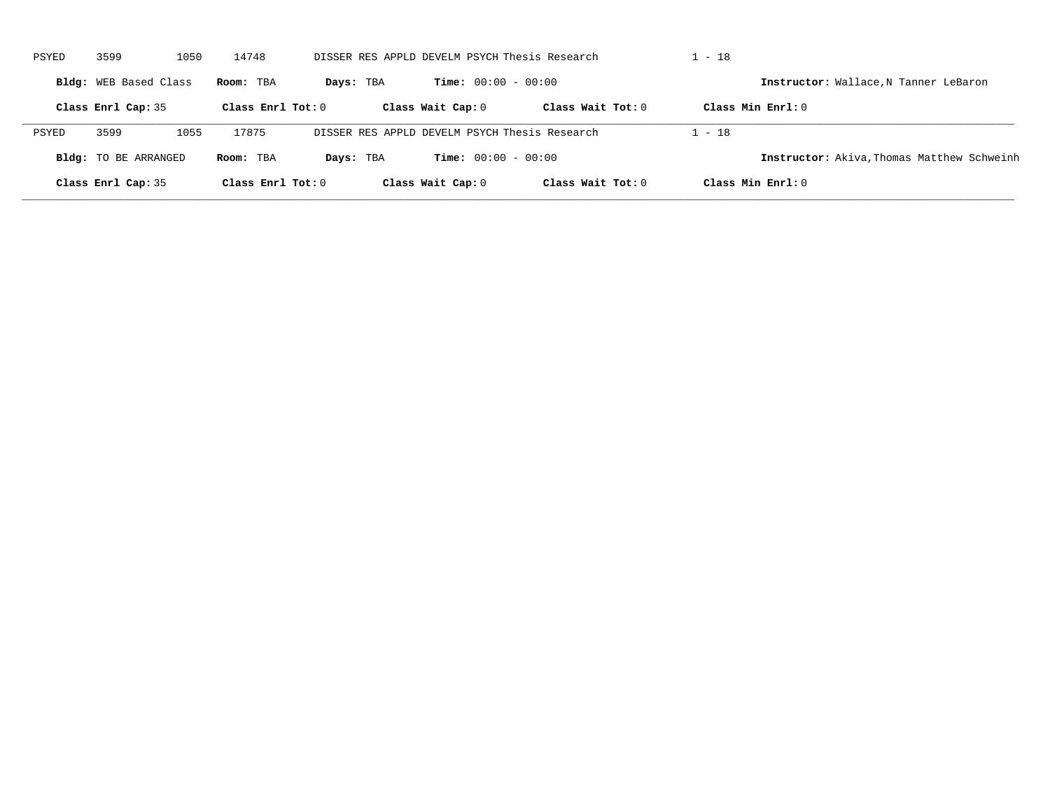| PSYED | 3599                         | 1050 | 14748               |           | DISSER RES APPLD DEVELM PSYCH Thesis Research |                     | $1 - 18$                                          |  |
|-------|------------------------------|------|---------------------|-----------|-----------------------------------------------|---------------------|---------------------------------------------------|--|
|       | <b>Bldg:</b> WEB Based Class |      | Room: TBA           | Days: TBA | <b>Time:</b> $00:00 - 00:00$                  |                     | Instructor: Wallace, N Tanner LeBaron             |  |
|       | Class Enrl Cap: 35           |      | Class Enrl Tot: $0$ |           | Class Wait Cap: 0                             | Class Wait $Tot: 0$ | Class Min $Enrl: 0$                               |  |
| PSYED | 3599                         | 1055 | 17875               |           | DISSER RES APPLD DEVELM PSYCH Thesis Research |                     | $1 - 18$                                          |  |
|       | <b>Bldg:</b> TO BE ARRANGED  |      | Room: TBA           | Days: TBA | <b>Time:</b> $00:00 - 00:00$                  |                     | <b>Instructor:</b> Akiva, Thomas Matthew Schweinh |  |
|       | Class Enrl Cap: 35           |      | Class Enrl Tot: $0$ |           | Class Wait Cap: 0                             | Class Wait $Tot: 0$ | Class Min $Enrl: 0$                               |  |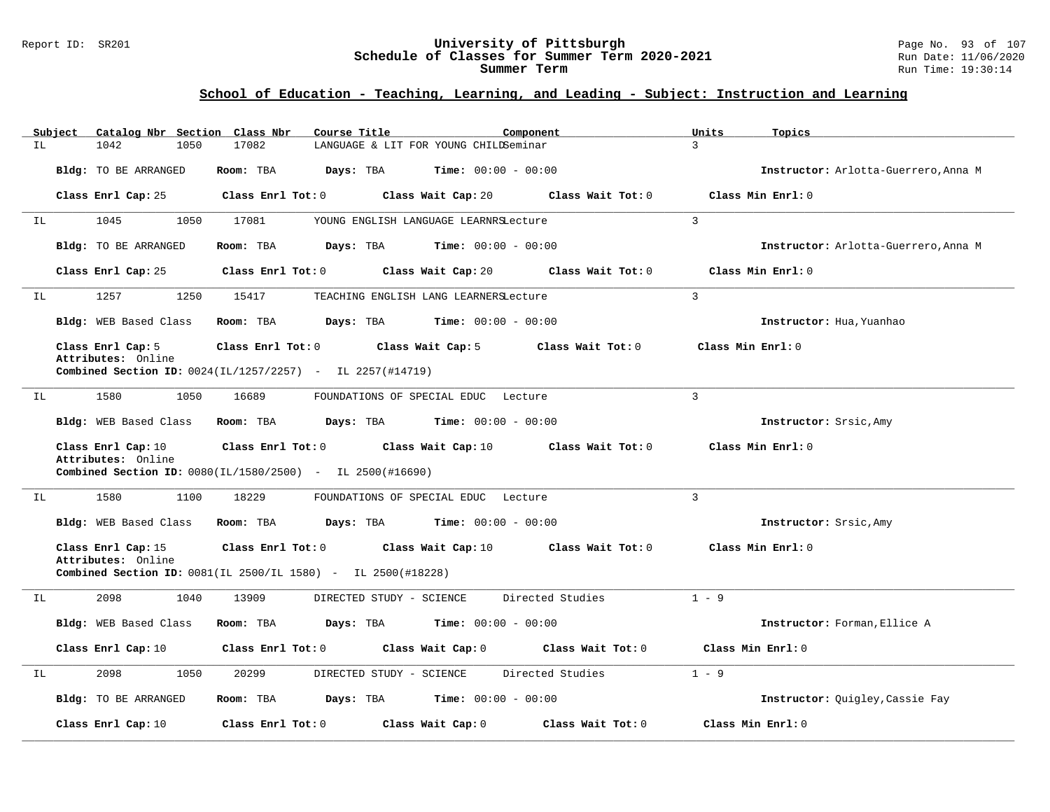#### Report ID: SR201 **University of Pittsburgh** Page No. 93 of 107 **Schedule of Classes for Summer Term 2020-2021** Run Date: 11/06/2020 **Summer Term** Run Time: 19:30:14

| Subject | Catalog Nbr Section Class Nbr                                                |                         | Course Title                                                        | Component                    | Units<br>Topics          |                                      |
|---------|------------------------------------------------------------------------------|-------------------------|---------------------------------------------------------------------|------------------------------|--------------------------|--------------------------------------|
| IL      | 1042<br>1050                                                                 | 17082                   | LANGUAGE & LIT FOR YOUNG CHILDSeminar                               |                              | 3                        |                                      |
|         | Bldg: TO BE ARRANGED                                                         | Room: TBA               | Days: TBA                                                           | <b>Time:</b> $00:00 - 00:00$ |                          | Instructor: Arlotta-Guerrero, Anna M |
|         | Class Enrl Cap: 25                                                           | Class Enrl Tot: 0       | Class Wait Cap: 20                                                  | Class Wait Tot: 0            | Class Min Enrl: 0        |                                      |
| IL      | 1045<br>1050                                                                 | 17081                   | YOUNG ENGLISH LANGUAGE LEARNRSLecture                               |                              | $\mathbf{3}$             |                                      |
|         | Bldg: TO BE ARRANGED                                                         | Room: TBA               | <b>Days:</b> TBA <b>Time:</b> $00:00 - 00:00$                       |                              |                          | Instructor: Arlotta-Guerrero, Anna M |
|         | Class Enrl Cap: 25                                                           | Class Enrl Tot: 0       | Class Wait Cap: 20                                                  | Class Wait Tot: 0            | Class Min Enrl: 0        |                                      |
| IL      | 1257<br>1250                                                                 | 15417                   | TEACHING ENGLISH LANG LEARNERSLecture                               |                              | $\overline{3}$           |                                      |
|         | Bldg: WEB Based Class                                                        | Room: TBA               | Days: TBA                                                           | $Time: 00:00 - 00:00$        | Instructor: Hua, Yuanhao |                                      |
|         | Class Enrl Cap: 5<br>Attributes: Online                                      | Class Enrl Tot: 0       | Class Wait Cap: 5                                                   | Class Wait Tot: 0            | Class Min Enrl: 0        |                                      |
|         | Combined Section ID: 0024(IL/1257/2257) - IL 2257(#14719)                    |                         |                                                                     |                              |                          |                                      |
| IL      | 1580<br>1050                                                                 | 16689                   | FOUNDATIONS OF SPECIAL EDUC Lecture                                 |                              | 3                        |                                      |
|         | Bldg: WEB Based Class                                                        | Room: TBA               | Days: TBA                                                           | <b>Time:</b> $00:00 - 00:00$ | Instructor: Srsic, Amy   |                                      |
|         | Class Enrl Cap: 10<br>Attributes: Online                                     | Class Enrl Tot: 0       | Class Wait Cap: 10                                                  | Class Wait Tot: 0            | Class Min Enrl: 0        |                                      |
|         | <b>Combined Section ID:</b> $0080(IL/1580/2500)$ - IL $2500(\text{\#}16690)$ |                         |                                                                     |                              |                          |                                      |
| IL      | 1580<br>1100                                                                 | 18229                   | FOUNDATIONS OF SPECIAL EDUC Lecture                                 |                              | $\mathbf{3}$             |                                      |
|         | Bldg: WEB Based Class                                                        | Room: TBA               | Days: TBA                                                           | <b>Time:</b> $00:00 - 00:00$ | Instructor: Srsic, Amy   |                                      |
|         | Class Enrl Cap: 15                                                           | $Class$ $Enrl$ $Tot: 0$ | Class Wait Cap: 10                                                  | Class Wait Tot: 0            | Class Min Enrl: 0        |                                      |
|         | Attributes: Online                                                           |                         | <b>Combined Section ID:</b> 0081(IL 2500/IL 1580) - IL 2500(#18228) |                              |                          |                                      |
| IL      | 2098<br>1040                                                                 | 13909                   | DIRECTED STUDY - SCIENCE                                            | Directed Studies             | $1 - 9$                  |                                      |
|         | Bldg: WEB Based Class                                                        | Room: TBA               | Days: TBA                                                           | <b>Time:</b> $00:00 - 00:00$ |                          | Instructor: Forman, Ellice A         |
|         | Class Enrl Cap: 10                                                           | Class Enrl Tot: 0       | Class Wait Cap: 0                                                   | Class Wait Tot: 0            | Class Min Enrl: 0        |                                      |
| IL      | 2098<br>1050                                                                 | 20299                   | DIRECTED STUDY - SCIENCE                                            | Directed Studies             | $1 - 9$                  |                                      |
|         | Bldg: TO BE ARRANGED                                                         | Room: TBA               | Days: TBA                                                           | <b>Time:</b> $00:00 - 00:00$ |                          | Instructor: Quigley, Cassie Fay      |
|         | Class Enrl Cap: 10                                                           | Class Enrl Tot: 0       | Class Wait Cap: 0                                                   | Class Wait Tot: 0            | Class Min Enrl: 0        |                                      |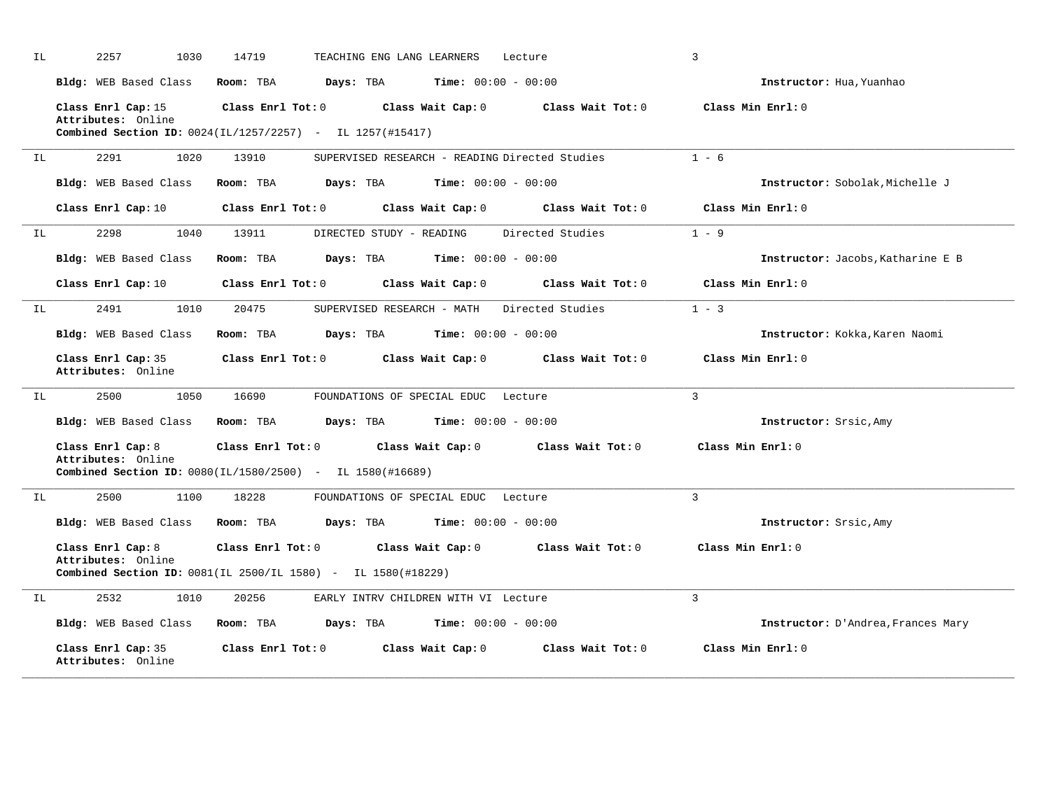| ΙL  | 2257<br>1030                                                                                                       | 14719             | TEACHING ENG LANG LEARNERS           |                              | Lecture                                        | 3                                  |
|-----|--------------------------------------------------------------------------------------------------------------------|-------------------|--------------------------------------|------------------------------|------------------------------------------------|------------------------------------|
|     | Bldg: WEB Based Class                                                                                              | Room: TBA         | Days: TBA                            | <b>Time:</b> $00:00 - 00:00$ |                                                | Instructor: Hua, Yuanhao           |
|     | Class Enrl Cap: 15<br>Attributes: Online<br><b>Combined Section ID:</b> $0024 (IL/1257/2257)$ - IL $1257 (#15417)$ | Class Enrl Tot: 0 |                                      | Class Wait Cap: 0            | Class Wait Tot: 0                              | Class Min Enrl: 0                  |
| IL. | 2291<br>1020                                                                                                       | 13910             |                                      |                              | SUPERVISED RESEARCH - READING Directed Studies | $1 - 6$                            |
|     | Bldg: WEB Based Class                                                                                              | Room: TBA         | Days: TBA                            | <b>Time:</b> $00:00 - 00:00$ |                                                | Instructor: Sobolak, Michelle J    |
|     | Class Enrl Cap: 10                                                                                                 | Class Enrl Tot: 0 |                                      | Class Wait Cap: 0            | Class Wait Tot: 0                              | Class Min Enrl: 0                  |
| IL  | 2298<br>1040                                                                                                       | 13911             | DIRECTED STUDY - READING             |                              | Directed Studies                               | $1 - 9$                            |
|     | Bldg: WEB Based Class                                                                                              | Room: TBA         | Days: TBA                            | <b>Time:</b> $00:00 - 00:00$ |                                                | Instructor: Jacobs, Katharine E B  |
|     | Class Enrl Cap: 10                                                                                                 | Class Enrl Tot: 0 |                                      | Class Wait Cap: 0            | Class Wait Tot: 0                              | Class Min Enrl: 0                  |
| IL  | 2491<br>1010                                                                                                       | 20475             | SUPERVISED RESEARCH - MATH           |                              | Directed Studies                               | $1 - 3$                            |
|     | <b>Bldg:</b> WEB Based Class                                                                                       | Room: TBA         | Days: TBA                            | <b>Time:</b> $00:00 - 00:00$ |                                                | Instructor: Kokka, Karen Naomi     |
|     | Class Enrl Cap: 35<br>Attributes: Online                                                                           | Class Enrl Tot: 0 |                                      | Class Wait Cap: 0            | Class Wait Tot: 0                              | Class Min Enrl: 0                  |
| IL  | 2500<br>1050                                                                                                       | 16690             | FOUNDATIONS OF SPECIAL EDUC Lecture  |                              |                                                | $\mathbf{3}$                       |
|     | Bldg: WEB Based Class                                                                                              | Room: TBA         | Days: TBA                            | <b>Time:</b> $00:00 - 00:00$ |                                                | Instructor: Srsic, Amy             |
|     | Class Enrl Cap: 8<br>Attributes: Online<br><b>Combined Section ID:</b> $0080(IL/1580/2500)$ - IL $1580(H16689)$    | Class Enrl Tot: 0 |                                      | Class Wait Cap: 0            | Class Wait Tot: 0                              | Class Min Enrl: 0                  |
| IL  | 2500<br>1100                                                                                                       | 18228             | FOUNDATIONS OF SPECIAL EDUC Lecture  |                              |                                                | $\mathbf{3}$                       |
|     | Bldg: WEB Based Class                                                                                              | Room: TBA         | Days: TBA                            | <b>Time:</b> $00:00 - 00:00$ |                                                | Instructor: Srsic, Amy             |
|     | Class Enrl Cap: 8<br>Attributes: Online<br>Combined Section ID: 0081(IL 2500/IL 1580) - IL 1580(#18229)            | Class Enrl Tot: 0 |                                      | Class Wait Cap: 0            | Class Wait Tot: 0                              | Class Min Enrl: 0                  |
| IL  | 2532<br>1010                                                                                                       | 20256             | EARLY INTRV CHILDREN WITH VI Lecture |                              |                                                | $\overline{3}$                     |
|     | Bldg: WEB Based Class                                                                                              | Room: TBA         | Days: TBA                            | <b>Time:</b> $00:00 - 00:00$ |                                                | Instructor: D'Andrea, Frances Mary |
|     | Class Enrl Cap: 35<br>Attributes: Online                                                                           | Class Enrl Tot: 0 |                                      | Class Wait Cap: 0            | Class Wait Tot: 0                              | Class Min Enrl: 0                  |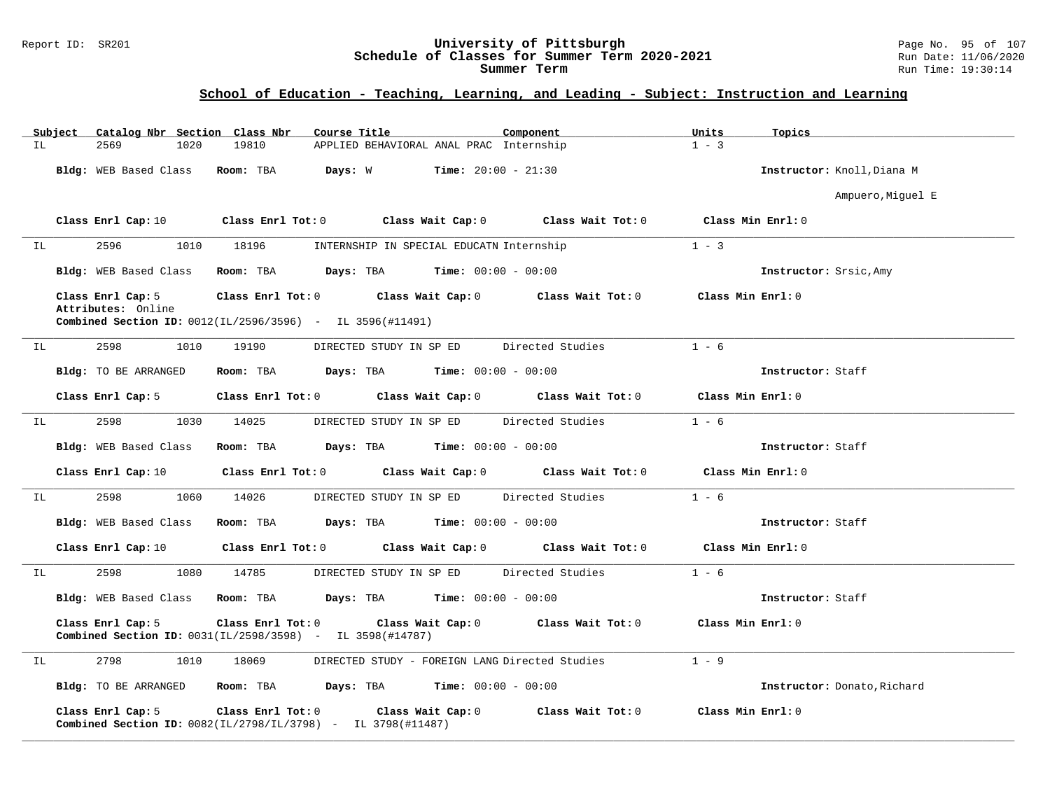### Report ID: SR201 **University of Pittsburgh** Page No. 95 of 107 **Schedule of Classes for Summer Term 2020-2021** Run Date: 11/06/2020 **Summer Term** Run Time: 19:30:14

| Subject    | Catalog Nbr Section Class Nbr           |                                                                                                                | Course Title                                                                                        | Component         | Units<br>Topics             |
|------------|-----------------------------------------|----------------------------------------------------------------------------------------------------------------|-----------------------------------------------------------------------------------------------------|-------------------|-----------------------------|
| ΙL         | 2569<br>1020                            | 19810                                                                                                          | APPLIED BEHAVIORAL ANAL PRAC Internship                                                             |                   | $1 - 3$                     |
|            | Bldg: WEB Based Class Room: TBA         |                                                                                                                | <b>Days:</b> W <b>Time:</b> $20:00 - 21:30$                                                         |                   | Instructor: Knoll, Diana M  |
|            |                                         |                                                                                                                |                                                                                                     |                   | Ampuero, Miguel E           |
|            | Class Enrl Cap: 10                      |                                                                                                                | Class Enrl Tot: 0 Class Wait Cap: 0                                                                 | Class Wait Tot: 0 | Class Min Enrl: 0           |
| IL         | 2596                                    | 1010 18196                                                                                                     | INTERNSHIP IN SPECIAL EDUCATN Internship                                                            |                   | $1 - 3$                     |
|            | Bldg: WEB Based Class                   |                                                                                                                | $\texttt{Room:}$ TBA $\texttt{DayS:}$ TBA $\texttt{Time:}$ 00:00 - 00:00                            |                   | Instructor: Srsic, Amy      |
|            | Class Enrl Cap: 5<br>Attributes: Online |                                                                                                                | Class Enrl Tot: 0 Class Wait Cap: 0 Class Wait Tot: 0                                               |                   | Class Min Enrl: 0           |
|            |                                         | <b>Combined Section ID:</b> $0012(IL/2596/3596)$ - IL 3596(#11491)                                             |                                                                                                     |                   |                             |
| 2598<br>IL | 1010                                    | 19190                                                                                                          | DIRECTED STUDY IN SP ED Directed Studies                                                            |                   | $1 - 6$                     |
|            | Bldg: TO BE ARRANGED                    |                                                                                                                | Room: TBA $Days:$ TBA $Time: 00:00 - 00:00$                                                         |                   | Instructor: Staff           |
|            | Class Enrl Cap: 5                       |                                                                                                                | Class Enrl Tot: 0 Class Wait Cap: 0 Class Wait Tot: 0                                               |                   | Class Min Enrl: 0           |
| ΙL         | 2598<br>1030                            | 14025                                                                                                          | DIRECTED STUDY IN SP ED Directed Studies                                                            |                   | $1 - 6$                     |
|            | Bldg: WEB Based Class                   |                                                                                                                | Room: TBA $Days: TBA$ Time: $00:00 - 00:00$                                                         |                   | Instructor: Staff           |
|            | Class Enrl Cap: 10                      |                                                                                                                | Class Enrl Tot: 0 Class Wait Cap: 0 Class Wait Tot: 0                                               |                   | Class Min $Enr1:0$          |
| IL         | 2598 and $\sim$<br>1060                 | 14026                                                                                                          | DIRECTED STUDY IN SP ED                                                                             | Directed Studies  | $1 - 6$                     |
|            | Bldg: WEB Based Class                   | Room: TBA                                                                                                      | $Days: TBA$ $Time: 00:00 - 00:00$                                                                   |                   | Instructor: Staff           |
|            |                                         |                                                                                                                | Class Enrl Cap: 10 $\qquad$ Class Enrl Tot: 0 $\qquad$ Class Wait Cap: 0 $\qquad$ Class Wait Tot: 0 |                   | Class Min Enrl: 0           |
| ΙL         | 2598<br>1080                            | 14785                                                                                                          | DIRECTED STUDY IN SP ED                                                                             | Directed Studies  | $1 - 6$                     |
|            | Bldg: WEB Based Class Room: TBA         |                                                                                                                | $\texttt{DayS:}$ TBA $\texttt{Time:}$ 00:00 - 00:00                                                 |                   | Instructor: Staff           |
|            | Class Enrl Cap: 5                       | <b>Combined Section ID:</b> 0031(IL/2598/3598) - IL 3598(#14787)                                               | Class Enrl Tot: 0 Class Wait Cap: 0 Class Wait Tot: 0                                               |                   | Class Min Enrl: 0           |
| IL         | 2798<br>1010                            | 18069                                                                                                          | DIRECTED STUDY - FOREIGN LANG Directed Studies                                                      |                   | $1 - 9$                     |
|            |                                         |                                                                                                                | Bldg: TO BE ARRANGED Room: TBA Days: TBA Time: 00:00 - 00:00                                        |                   | Instructor: Donato, Richard |
|            | Class Enrl Cap: 5                       | $Class$ $Enr1$ $Tot: 0$<br><b>Combined Section ID:</b> $0082(\text{IL}/2798/\text{IL}/3798)$ - IL 3798(#11487) | Class Wait Cap: 0                                                                                   | Class Wait Tot: 0 | Class Min Enrl: 0           |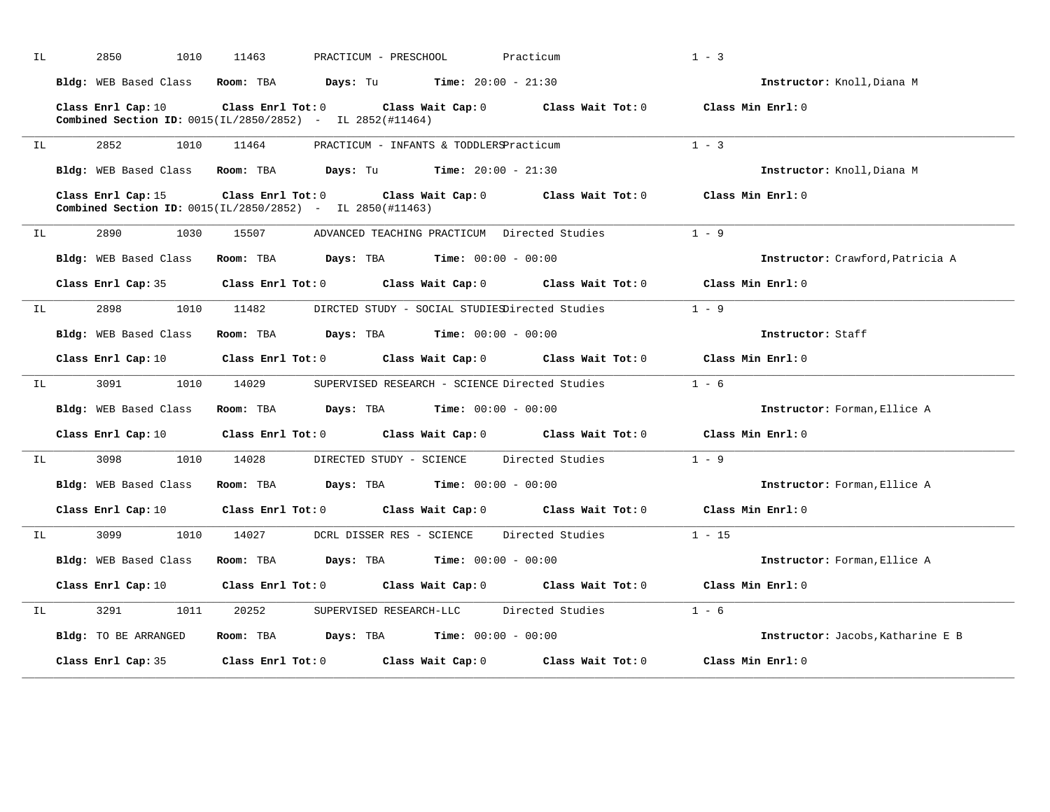| ΙL | 2850<br>1010                    | 11463<br>PRACTICUM - PRESCHOOL                                                                  |                                               | Practicum                                      | $1 - 3$                           |
|----|---------------------------------|-------------------------------------------------------------------------------------------------|-----------------------------------------------|------------------------------------------------|-----------------------------------|
|    | Bldg: WEB Based Class Room: TBA | <b>Days:</b> Tu <b>Time:</b> $20:00 - 21:30$                                                    |                                               |                                                | Instructor: Knoll, Diana M        |
|    | Class Enrl Cap: 10              | $Class$ $Enr1$ $Tot: 0$<br><b>Combined Section ID:</b> $0015(IL/2850/2852)$ - IL $2852(#11464)$ |                                               | Class Wait Cap: 0 Class Wait Tot: 0            | Class Min Enrl: 0                 |
| IL | 2852<br>1010                    | 11464                                                                                           | PRACTICUM - INFANTS & TODDLERSPracticum       |                                                | $1 - 3$                           |
|    | Bldg: WEB Based Class           | Room: TBA<br><b>Days:</b> Tu <b>Time:</b> $20:00 - 21:30$                                       |                                               |                                                | Instructor: Knoll, Diana M        |
|    | Class Enrl Cap: 15              | $Class$ $Enrl$ $Tot: 0$<br>Combined Section ID: 0015(IL/2850/2852) - IL 2850(#11463)            |                                               | Class Wait Cap: 0 Class Wait Tot: 0            | Class Min Enrl: 0                 |
| IL | 2890<br>1030                    | 15507                                                                                           | ADVANCED TEACHING PRACTICUM Directed Studies  |                                                | $1 - 9$                           |
|    | Bldg: WEB Based Class           | $Days: TBA$ $Time: 00:00 - 00:00$<br>Room: TBA                                                  |                                               |                                                | Instructor: Crawford, Patricia A  |
|    | Class Enrl Cap: 35              | Class Enrl Tot: 0 Class Wait Cap: 0 Class Wait Tot: 0                                           |                                               |                                                | Class Min Enrl: 0                 |
| IL | 2898<br>1010                    | 11482                                                                                           |                                               | DIRCTED STUDY - SOCIAL STUDIESDirected Studies | $1 - 9$                           |
|    | Bldg: WEB Based Class           | $\texttt{Davis:}$ TBA $\texttt{Time:}$ 00:00 - 00:00<br>Room: TBA                               |                                               |                                                | Instructor: Staff                 |
|    | Class Enrl Cap: 10              | $Class$ $Enrl$ $Tot: 0$                                                                         |                                               | Class Wait Cap: 0 Class Wait Tot: 0            | Class Min $Enr1:0$                |
| IL | 3091<br>1010                    | 14029                                                                                           |                                               | SUPERVISED RESEARCH - SCIENCE Directed Studies | $1 - 6$                           |
|    | Bldg: WEB Based Class           | <b>Days:</b> TBA <b>Time:</b> $00:00 - 00:00$<br>Room: TBA                                      |                                               |                                                | Instructor: Forman, Ellice A      |
|    | Class Enrl Cap: 10              | Class Enrl Tot: 0 Class Wait Cap: 0 Class Wait Tot: 0                                           |                                               |                                                | Class Min Enrl: 0                 |
| IL | 3098<br>1010                    | 14028<br>DIRECTED STUDY - SCIENCE                                                               |                                               | Directed Studies                               | $1 - 9$                           |
|    | Bldg: WEB Based Class           | Room: TBA<br><b>Days:</b> TBA <b>Time:</b> $00:00 - 00:00$                                      |                                               |                                                | Instructor: Forman, Ellice A      |
|    | Class Enrl Cap: 10              | Class Enrl Tot: 0                                                                               |                                               | Class Wait Cap: 0 Class Wait Tot: 0            | Class Min Enrl: 0                 |
| IL | 3099<br>1010                    | 14027<br>DCRL DISSER RES - SCIENCE                                                              |                                               | Directed Studies                               | $1 - 15$                          |
|    | <b>Bldg:</b> WEB Based Class    | Room: TBA<br><b>Days:</b> TBA <b>Time:</b> $00:00 - 00:00$                                      |                                               |                                                | Instructor: Forman, Ellice A      |
|    | Class Enrl Cap: 10              | Class Enrl Tot: 0 Class Wait Cap: 0 Class Wait Tot: 0                                           |                                               |                                                | Class Min Enrl: 0                 |
| IL | 3291<br>1011                    | 20252<br>SUPERVISED RESEARCH-LLC                                                                |                                               | Directed Studies                               | $1 - 6$                           |
|    | Bldg: TO BE ARRANGED            | Room: TBA                                                                                       | <b>Days:</b> TBA <b>Time:</b> $00:00 - 00:00$ |                                                | Instructor: Jacobs, Katharine E B |
|    | Class Enrl Cap: 35              | $Class$ $Enr1$ $Tot: 0$                                                                         | Class Wait Cap: 0                             | Class Wait Tot: 0                              | Class Min Enrl: 0                 |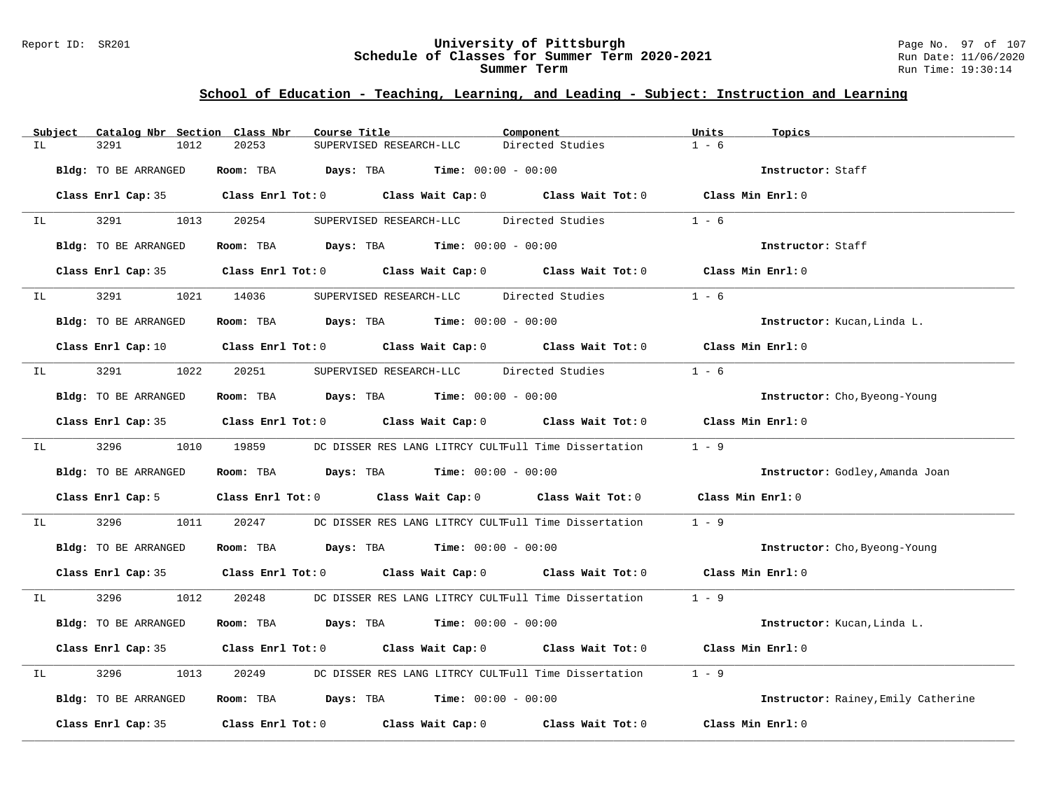#### Report ID: SR201 **University of Pittsburgh** Page No. 97 of 107 **Schedule of Classes for Summer Term 2020-2021** Run Date: 11/06/2020 **Summer Term** Run Time: 19:30:14

| Subject | Catalog Nbr Section Class Nbr | Course Title                                                                                        | Component                                                  | Units<br>Topics                     |
|---------|-------------------------------|-----------------------------------------------------------------------------------------------------|------------------------------------------------------------|-------------------------------------|
| IL      | 3291<br>1012                  | 20253<br>SUPERVISED RESEARCH-LLC                                                                    | Directed Studies                                           | $1 - 6$                             |
|         | Bldg: TO BE ARRANGED          | Room: TBA<br><b>Days:</b> TBA <b>Time:</b> $00:00 - 00:00$                                          |                                                            | Instructor: Staff                   |
|         |                               | Class Enrl Cap: 35 Class Enrl Tot: 0 Class Wait Cap: 0 Class Wait Tot: 0 Class Min Enrl: 0          |                                                            |                                     |
| IL      | 3291 320<br>1013              | 20254<br>SUPERVISED RESEARCH-LLC                                                                    | Directed Studies                                           | $1 - 6$                             |
|         | Bldg: TO BE ARRANGED          | Room: TBA $Days:$ TBA $Time: 00:00 - 00:00$                                                         |                                                            | Instructor: Staff                   |
|         |                               | Class Enrl Cap: 35 Class Enrl Tot: 0 Class Wait Cap: 0 Class Wait Tot: 0                            |                                                            | Class Min Enrl: 0                   |
| IL      | 3291                          | 1021 14036<br>SUPERVISED RESEARCH-LLC Directed Studies                                              |                                                            | $1 - 6$                             |
|         | Bldg: TO BE ARRANGED          | <b>Room:</b> TBA $Days: TBA$ <b>Time:</b> $00:00 - 00:00$                                           |                                                            | Instructor: Kucan, Linda L.         |
|         |                               | Class Enrl Cap: 10 $\qquad$ Class Enrl Tot: 0 $\qquad$ Class Wait Cap: 0 $\qquad$ Class Wait Tot: 0 |                                                            | Class Min Enrl: 0                   |
| IL      | 3291                          | 1022 20251<br>SUPERVISED RESEARCH-LLC Directed Studies                                              |                                                            | $1 - 6$                             |
|         | Bldg: TO BE ARRANGED          | Room: TBA $Days:$ TBA $Time: 00:00 - 00:00$                                                         |                                                            | Instructor: Cho, Byeong-Young       |
|         |                               | Class Enrl Cap: 35 Class Enrl Tot: 0 Class Wait Cap: 0 Class Wait Tot: 0                            |                                                            | Class Min Enrl: 0                   |
| IL      | 3296 32                       | 1010 19859                                                                                          | DC DISSER RES LANG LITRCY CULTFull Time Dissertation       | $1 - 9$                             |
|         | Bldg: TO BE ARRANGED          | Room: TBA<br><b>Days:</b> TBA <b>Time:</b> $00:00 - 00:00$                                          |                                                            | Instructor: Godley, Amanda Joan     |
|         | Class Enrl Cap: 5             | Class Enrl Tot: 0 Class Wait Cap: 0 Class Wait Tot: 0                                               |                                                            | Class Min Enrl: 0                   |
| IL      | 3296<br>1011                  | 20247<br>DC DISSER RES LANG LITRCY CULTFull Time Dissertation                                       |                                                            | $1 - 9$                             |
|         | Bldg: TO BE ARRANGED          | Room: TBA $Days:$ TBA $Time: 00:00 - 00:00$                                                         |                                                            | Instructor: Cho, Byeong-Young       |
|         |                               | Class Enrl Cap: 35 Class Enrl Tot: 0 Class Wait Cap: 0 Class Wait Tot: 0                            |                                                            | Class Min Enrl: 0                   |
| IL      | 3296 32<br>1012               | 20248                                                                                               | DC DISSER RES LANG LITRCY CULTFull Time Dissertation 1 - 9 |                                     |
|         | Bldg: TO BE ARRANGED          | Room: TBA $Days:$ TBA $Time: 00:00 - 00:00$                                                         |                                                            | Instructor: Kucan, Linda L.         |
|         |                               | Class Enrl Cap: 35 Class Enrl Tot: 0 Class Wait Cap: 0 Class Wait Tot: 0                            |                                                            | Class Min Enrl: 0                   |
| IL      | 3296<br>1013                  | 20249<br>DC DISSER RES LANG LITRCY CULTFull Time Dissertation                                       |                                                            | $1 - 9$                             |
|         | Bldg: TO BE ARRANGED          | Room: TBA $Days:$ TBA $Time: 00:00 - 00:00$                                                         |                                                            | Instructor: Rainey, Emily Catherine |
|         | Class Enrl Cap: 35            | Class Enrl Tot: 0 Class Wait Cap: 0                                                                 | Class Wait Tot: 0                                          | Class Min Enrl: 0                   |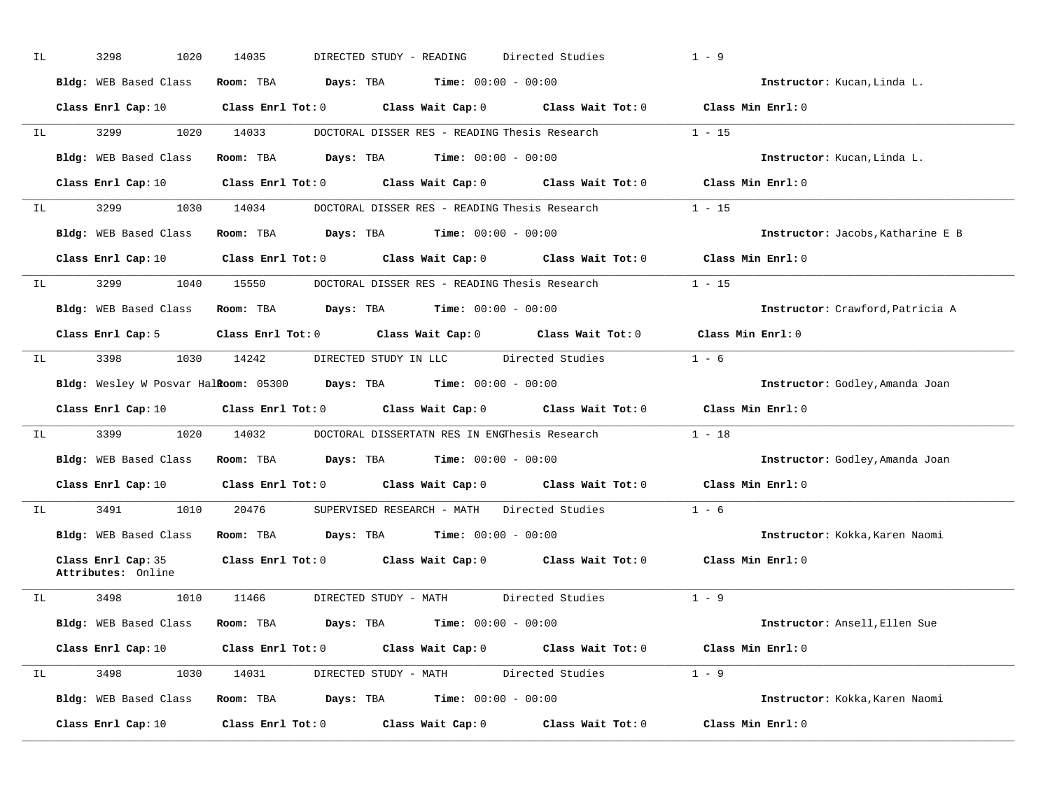| IL | 3298                                     | 1020 | 14035                                                                                               | DIRECTED STUDY - READING                                                         |                       | Directed Studies                                                                                                               | $1 - 9$           |                                   |
|----|------------------------------------------|------|-----------------------------------------------------------------------------------------------------|----------------------------------------------------------------------------------|-----------------------|--------------------------------------------------------------------------------------------------------------------------------|-------------------|-----------------------------------|
|    | Bldg: WEB Based Class                    |      |                                                                                                     | Room: TBA $Days:$ TBA $Time: 00:00 - 00:00$                                      |                       |                                                                                                                                |                   | Instructor: Kucan, Linda L.       |
|    | Class Enrl Cap: 10                       |      |                                                                                                     |                                                                                  |                       | Class Enrl Tot: 0 $\qquad$ Class Wait Cap: 0 $\qquad$ Class Wait Tot: 0 $\qquad$ Class Min Enrl: 0                             |                   |                                   |
|    | IL 3299                                  |      | 1020 14033                                                                                          |                                                                                  |                       | DOCTORAL DISSER RES - READING Thesis Research 1 - 15                                                                           |                   |                                   |
|    | Bldg: WEB Based Class                    |      |                                                                                                     | Room: TBA Days: TBA                                                              | $Time: 00:00 - 00:00$ |                                                                                                                                |                   | Instructor: Kucan, Linda L.       |
|    | Class Enrl Cap: 10                       |      |                                                                                                     |                                                                                  |                       | Class Enrl Tot: 0 $\qquad$ Class Wait Cap: 0 $\qquad$ Class Wait Tot: 0 $\qquad$ Class Min Enrl: 0                             |                   |                                   |
| IL |                                          |      | 3299 1030 14034                                                                                     |                                                                                  |                       | DOCTORAL DISSER RES - READING Thesis Research 1 - 15                                                                           |                   |                                   |
|    | Bldg: WEB Based Class                    |      |                                                                                                     | Room: TBA $Days:$ TBA $Time: 00:00 - 00:00$                                      |                       |                                                                                                                                |                   | Instructor: Jacobs, Katharine E B |
|    |                                          |      |                                                                                                     |                                                                                  |                       | Class Enrl Cap: 10 $\qquad$ Class Enrl Tot: 0 $\qquad$ Class Wait Cap: 0 $\qquad$ Class Wait Tot: 0 $\qquad$ Class Min Enrl: 0 |                   |                                   |
| IL |                                          |      |                                                                                                     |                                                                                  |                       | 3299 1040 15550 DOCTORAL DISSER RES - READING Thesis Research 1 - 15                                                           |                   |                                   |
|    |                                          |      | Bldg: WEB Based Class Room: TBA Days: TBA Time: 00:00 - 00:00                                       |                                                                                  |                       |                                                                                                                                |                   | Instructor: Crawford, Patricia A  |
|    |                                          |      |                                                                                                     |                                                                                  |                       | Class Enrl Cap: 5 $\qquad$ Class Enrl Tot: 0 $\qquad$ Class Wait Cap: 0 $\qquad$ Class Wait Tot: 0                             | Class Min Enrl: 0 |                                   |
| IL |                                          |      | 3398 1030 14242                                                                                     |                                                                                  |                       | DIRECTED STUDY IN LLC Directed Studies 1 - 6                                                                                   |                   |                                   |
|    |                                          |      | <b>Bldg:</b> Wesley W Posvar Hal <b>Room:</b> $05300$ <b>Days:</b> TBA <b>Time:</b> $00:00 - 00:00$ |                                                                                  |                       |                                                                                                                                |                   | Instructor: Godley, Amanda Joan   |
|    |                                          |      |                                                                                                     |                                                                                  |                       |                                                                                                                                |                   |                                   |
|    |                                          |      |                                                                                                     |                                                                                  |                       | Class Enrl Cap: 10 $\qquad$ Class Enrl Tot: 0 $\qquad$ Class Wait Cap: 0 $\qquad$ Class Wait Tot: 0                            | Class Min Enrl: 0 |                                   |
| IL |                                          |      |                                                                                                     |                                                                                  |                       | 3399 1020 14032 DOCTORAL DISSERTATN RES IN ENGThesis Research 1 - 18                                                           |                   |                                   |
|    |                                          |      | Bldg: WEB Based Class Room: TBA Days: TBA Time: 00:00 - 00:00                                       |                                                                                  |                       |                                                                                                                                |                   | Instructor: Godley, Amanda Joan   |
|    |                                          |      |                                                                                                     |                                                                                  |                       | Class Enrl Cap: 10 Class Enrl Tot: 0 Class Wait Cap: 0 Class Wait Tot: 0 Class Min Enrl: 0                                     |                   |                                   |
| IL |                                          |      |                                                                                                     |                                                                                  |                       | 3491 1010 20476 SUPERVISED RESEARCH - MATH Directed Studies 1 - 6                                                              |                   |                                   |
|    | Bldg: WEB Based Class                    |      |                                                                                                     | Room: TBA $Days: TBA$ Time: $00:00 - 00:00$                                      |                       |                                                                                                                                |                   | Instructor: Kokka, Karen Naomi    |
|    | Class Enrl Cap: 35<br>Attributes: Online |      |                                                                                                     |                                                                                  |                       | Class Enrl Tot: 0 Class Wait Cap: 0 Class Wait Tot: 0 Class Min Enrl: 0                                                        |                   |                                   |
| IL | 3498 1010                                |      | 11466                                                                                               |                                                                                  |                       | DIRECTED STUDY - MATH Directed Studies 1 - 9                                                                                   |                   |                                   |
|    | Bldg: WEB Based Class                    |      |                                                                                                     | <b>Room:</b> TBA $\qquad \qquad$ Days: TBA $\qquad \qquad$ Time: $00:00 - 00:00$ |                       |                                                                                                                                |                   | Instructor: Ansell, Ellen Sue     |
|    | Class Enrl Cap: 10                       |      |                                                                                                     |                                                                                  |                       | Class Enrl Tot: 0 Class Wait Cap: 0 Class Wait Tot: 0 Class Min Enrl: 0                                                        |                   |                                   |
| IL |                                          |      |                                                                                                     |                                                                                  |                       | 3498 1030 14031 DIRECTED STUDY - MATH Directed Studies 1 - 9                                                                   |                   |                                   |
|    |                                          |      | Bldg: WEB Based Class Room: TBA Days: TBA Time: 00:00 - 00:00                                       |                                                                                  |                       |                                                                                                                                |                   | Instructor: Kokka, Karen Naomi    |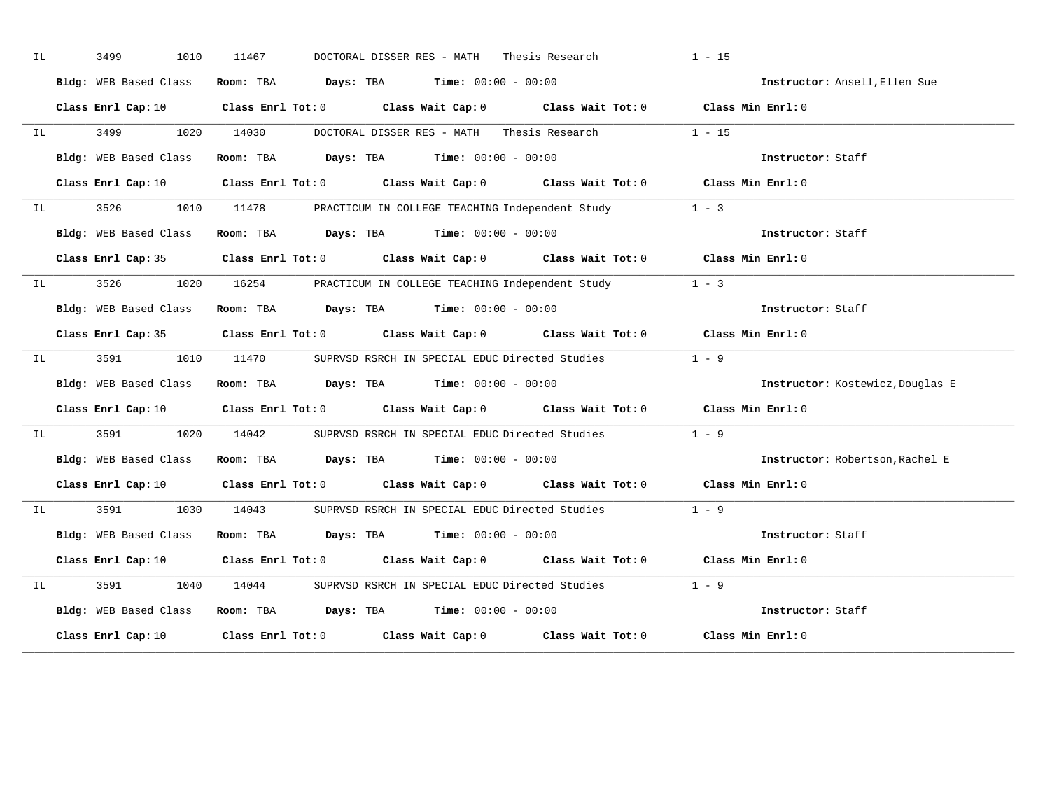| IL |                                                                                                                                                                                                                                       | 3499 | 1010                                                          | 11467 |  | DOCTORAL DISSER RES - MATH Thesis Research                                            |                                                                          | $1 - 15$                                                                                                                       |                                  |
|----|---------------------------------------------------------------------------------------------------------------------------------------------------------------------------------------------------------------------------------------|------|---------------------------------------------------------------|-------|--|---------------------------------------------------------------------------------------|--------------------------------------------------------------------------|--------------------------------------------------------------------------------------------------------------------------------|----------------------------------|
|    |                                                                                                                                                                                                                                       |      | Bldg: WEB Based Class                                         |       |  | Room: TBA $Days:$ TBA Time: $00:00 - 00:00$                                           |                                                                          | Instructor: Ansell, Ellen Sue                                                                                                  |                                  |
|    |                                                                                                                                                                                                                                       |      |                                                               |       |  |                                                                                       |                                                                          | Class Enrl Cap: 10 $\qquad$ Class Enrl Tot: 0 $\qquad$ Class Wait Cap: 0 $\qquad$ Class Wait Tot: 0 $\qquad$ Class Min Enrl: 0 |                                  |
|    | IL DESCRIPTION OF REAL PROPERTY.                                                                                                                                                                                                      |      |                                                               |       |  |                                                                                       | 3499 1020 14030 DOCTORAL DISSER RES - MATH Thesis Research 1 - 15        |                                                                                                                                |                                  |
|    |                                                                                                                                                                                                                                       |      | Bldg: WEB Based Class                                         |       |  | Room: TBA $\rule{1em}{0.15mm}$ Days: TBA $\rule{1.5mm}{0.15mm}$ Time: $00:00 - 00:00$ |                                                                          | Instructor: Staff                                                                                                              |                                  |
|    |                                                                                                                                                                                                                                       |      |                                                               |       |  |                                                                                       |                                                                          | Class Enrl Cap: 10 $\qquad$ Class Enrl Tot: 0 $\qquad$ Class Wait Cap: 0 $\qquad$ Class Wait Tot: 0 $\qquad$ Class Min Enrl: 0 |                                  |
|    |                                                                                                                                                                                                                                       |      |                                                               |       |  |                                                                                       | IL 3526 1010 11478 PRACTICUM IN COLLEGE TEACHING Independent Study 1 - 3 |                                                                                                                                |                                  |
|    |                                                                                                                                                                                                                                       |      | Bldg: WEB Based Class                                         |       |  | Room: TBA $Days:$ TBA $Time: 00:00 - 00:00$                                           |                                                                          | Instructor: Staff                                                                                                              |                                  |
|    |                                                                                                                                                                                                                                       |      |                                                               |       |  |                                                                                       |                                                                          | Class Enrl Cap: 35 Class Enrl Tot: 0 Class Wait Cap: 0 Class Wait Tot: 0 Class Min Enrl: 0                                     |                                  |
|    | $\mathbb{I}$ Lemma $\mathbb{I}$ . In the set of the set of the set of the set of the set of the set of the set of the set of the set of the set of the set of the set of the set of the set of the set of the set of the set of the s |      |                                                               |       |  |                                                                                       | 3526 1020 16254 PRACTICUM IN COLLEGE TEACHING Independent Study 1 - 3    |                                                                                                                                |                                  |
|    |                                                                                                                                                                                                                                       |      | Bldg: WEB Based Class Room: TBA Days: TBA Time: 00:00 - 00:00 |       |  |                                                                                       |                                                                          | Instructor: Staff                                                                                                              |                                  |
|    |                                                                                                                                                                                                                                       |      |                                                               |       |  |                                                                                       |                                                                          | Class Enrl Cap: 35 Class Enrl Tot: 0 Class Wait Cap: 0 Class Wait Tot: 0 Class Min Enrl: 0                                     |                                  |
|    | IL DESCRIPTION OF REAL PROPERTY.                                                                                                                                                                                                      |      | 3591 359                                                      |       |  |                                                                                       | 1010 11470 SUPRVSD RSRCH IN SPECIAL EDUC Directed Studies 1 - 9          |                                                                                                                                |                                  |
|    |                                                                                                                                                                                                                                       |      | Bldg: WEB Based Class Room: TBA Days: TBA Time: 00:00 - 00:00 |       |  |                                                                                       |                                                                          |                                                                                                                                | Instructor: Kostewicz, Douglas E |
|    |                                                                                                                                                                                                                                       |      |                                                               |       |  |                                                                                       |                                                                          | Class Enrl Cap: 10 $\qquad$ Class Enrl Tot: 0 $\qquad$ Class Wait Cap: 0 $\qquad$ Class Wait Tot: 0 $\qquad$ Class Min Enrl: 0 |                                  |
|    |                                                                                                                                                                                                                                       |      |                                                               |       |  |                                                                                       | IL 3591 1020 14042 SUPRVSD RSRCH IN SPECIAL EDUC Directed Studies 1 - 9  |                                                                                                                                |                                  |
|    |                                                                                                                                                                                                                                       |      | Bldg: WEB Based Class Room: TBA Days: TBA Time: 00:00 - 00:00 |       |  |                                                                                       |                                                                          |                                                                                                                                | Instructor: Robertson, Rachel E  |
|    |                                                                                                                                                                                                                                       |      |                                                               |       |  |                                                                                       |                                                                          | Class Enrl Cap: 10 Class Enrl Tot: 0 Class Wait Cap: 0 Class Wait Tot: 0 Class Min Enrl: 0                                     |                                  |
|    |                                                                                                                                                                                                                                       |      |                                                               |       |  |                                                                                       | IL 3591 1030 14043 SUPRVSD RSRCH IN SPECIAL EDUC Directed Studies        | $1 - 9$                                                                                                                        |                                  |
|    |                                                                                                                                                                                                                                       |      | Bldg: WEB Based Class Room: TBA Days: TBA Time: 00:00 - 00:00 |       |  |                                                                                       |                                                                          | Instructor: Staff                                                                                                              |                                  |
|    |                                                                                                                                                                                                                                       |      |                                                               |       |  |                                                                                       |                                                                          | Class Enrl Cap: 10 $\qquad$ Class Enrl Tot: 0 $\qquad$ Class Wait Cap: 0 $\qquad$ Class Wait Tot: 0 $\qquad$ Class Min Enrl: 0 |                                  |
| IL |                                                                                                                                                                                                                                       |      | 3591 359                                                      |       |  |                                                                                       | 1040 14044 SUPRVSD RSRCH IN SPECIAL EDUC Directed Studies 1 - 9          |                                                                                                                                |                                  |
|    |                                                                                                                                                                                                                                       |      | Bldg: WEB Based Class Room: TBA Days: TBA Time: 00:00 - 00:00 |       |  |                                                                                       |                                                                          | Instructor: Staff                                                                                                              |                                  |
|    |                                                                                                                                                                                                                                       |      |                                                               |       |  |                                                                                       |                                                                          | Class Enrl Cap: 10 $\qquad$ Class Enrl Tot: 0 $\qquad$ Class Wait Cap: 0 $\qquad$ Class Wait Tot: 0 $\qquad$ Class Min Enrl: 0 |                                  |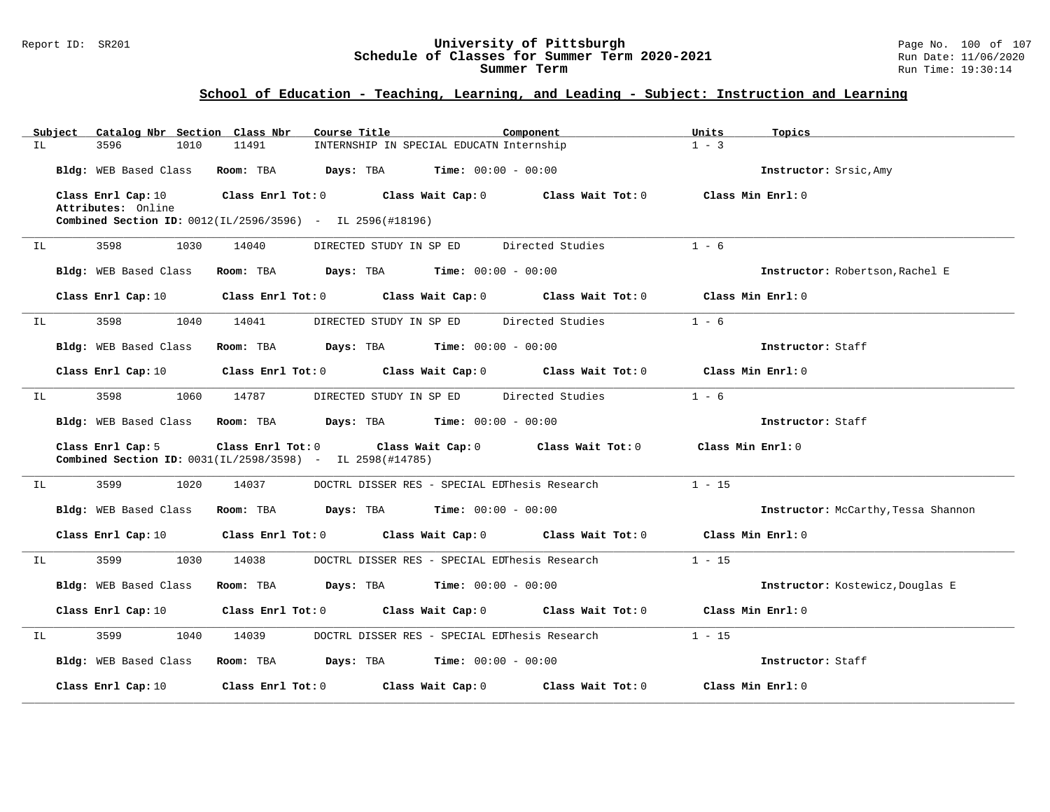#### Report ID: SR201 **University of Pittsburgh** Page No. 100 of 107 **Schedule of Classes for Summer Term 2020-2021** Run Date: 11/06/2020 **Summer Term** Run Time: 19:30:14

|     | Subject | Catalog Nbr Section Class Nbr            |           | Course Title                                                                                     | Component |                                                                                 | Units             | Topics                              |
|-----|---------|------------------------------------------|-----------|--------------------------------------------------------------------------------------------------|-----------|---------------------------------------------------------------------------------|-------------------|-------------------------------------|
| IL  |         | 3596<br>1010                             | 11491     | INTERNSHIP IN SPECIAL EDUCATN Internship                                                         |           |                                                                                 | $1 - 3$           |                                     |
|     |         | Bldg: WEB Based Class                    | Room: TBA | <b>Days:</b> TBA <b>Time:</b> $00:00 - 00:00$                                                    |           |                                                                                 |                   | Instructor: Srsic, Amy              |
|     |         | Class Enrl Cap: 10<br>Attributes: Online |           | Class Enrl Tot: $0$ $\qquad$ Class Wait Cap: $0$ $\qquad$ Class Wait Tot: $0$                    |           |                                                                                 | Class Min Enrl: 0 |                                     |
|     |         |                                          |           | <b>Combined Section ID:</b> $0012(\text{IL}/2596/3596)$ - IL $2596(\text{\#}18196)$              |           |                                                                                 |                   |                                     |
| IL. |         | 3598<br>1030                             | 14040     | DIRECTED STUDY IN SP ED                                                                          |           | Directed Studies                                                                | $1 - 6$           |                                     |
|     |         | Bldg: WEB Based Class                    | Room: TBA | <b>Days:</b> TBA <b>Time:</b> $00:00 - 00:00$                                                    |           |                                                                                 |                   | Instructor: Robertson, Rachel E     |
|     |         | Class Enrl Cap: 10                       |           | Class Enrl Tot: 0 Class Wait Cap: 0                                                              |           | Class Wait Tot: 0                                                               | Class Min Enrl: 0 |                                     |
| IL  |         | 3598<br>1040                             | 14041     | DIRECTED STUDY IN SP ED Directed Studies                                                         |           |                                                                                 | $1 - 6$           |                                     |
|     |         | Bldg: WEB Based Class                    | Room: TBA | $\texttt{Days:}$ TBA $\texttt{Time:}$ 00:00 - 00:00                                              |           |                                                                                 |                   | Instructor: Staff                   |
|     |         | Class Enrl Cap: 10                       |           | Class Enrl Tot: 0 Class Wait Cap: 0 Class Wait Tot: 0                                            |           |                                                                                 | Class Min Enrl: 0 |                                     |
| IL  |         | 3598<br>1060                             | 14787     | DIRECTED STUDY IN SP ED Directed Studies                                                         |           |                                                                                 | $1 - 6$           |                                     |
|     |         | Bldg: WEB Based Class                    | Room: TBA | $\texttt{Davis:}$ TBA $\texttt{Time:}$ 00:00 - 00:00                                             |           |                                                                                 |                   | Instructor: Staff                   |
|     |         | Class Enrl Cap: 5                        |           | Class Enrl Tot: 0 Class Wait Cap: 0<br>Combined Section ID: 0031(IL/2598/3598) - IL 2598(#14785) |           | Class Wait Tot: 0                                                               | Class Min Enrl: 0 |                                     |
| IL  |         | 3599<br>1020                             | 14037     | DOCTRL DISSER RES - SPECIAL EDThesis Research                                                    |           |                                                                                 | $1 - 15$          |                                     |
|     |         | Bldg: WEB Based Class                    | Room: TBA | $\texttt{DayS:}$ TBA $\texttt{Time:}$ 00:00 - 00:00                                              |           |                                                                                 |                   | Instructor: McCarthy, Tessa Shannon |
|     |         | Class Enrl Cap: 10                       |           | Class Enrl Tot: 0 Class Wait Cap: 0 Class Wait Tot: 0                                            |           |                                                                                 | Class Min Enrl: 0 |                                     |
| IL  |         | 3599<br>1030                             | 14038     |                                                                                                  |           | DOCTRL DISSER RES - SPECIAL EDThesis Research                                   | $1 - 15$          |                                     |
|     |         | Bldg: WEB Based Class                    |           | Room: TBA $Days:$ TBA $Time: 00:00 - 00:00$                                                      |           |                                                                                 |                   | Instructor: Kostewicz, Douglas E    |
|     |         | Class Enrl Cap: 10                       |           |                                                                                                  |           | Class Enrl Tot: $0$ Class Wait Cap: $0$ Class Wait Tot: $0$ Class Min Enrl: $0$ |                   |                                     |
| IL  |         | 3599<br>1040                             | 14039     | DOCTRL DISSER RES - SPECIAL EDThesis Research                                                    |           |                                                                                 | $1 - 15$          |                                     |
|     |         | Bldg: WEB Based Class                    |           | Room: TBA $Days:$ TBA $Time: 00:00 - 00:00$                                                      |           |                                                                                 |                   | Instructor: Staff                   |
|     |         | Class Enrl Cap: 10                       |           | Class Enrl Tot: 0 Class Wait Cap: 0                                                              |           | Class Wait Tot: 0                                                               | Class Min Enrl: 0 |                                     |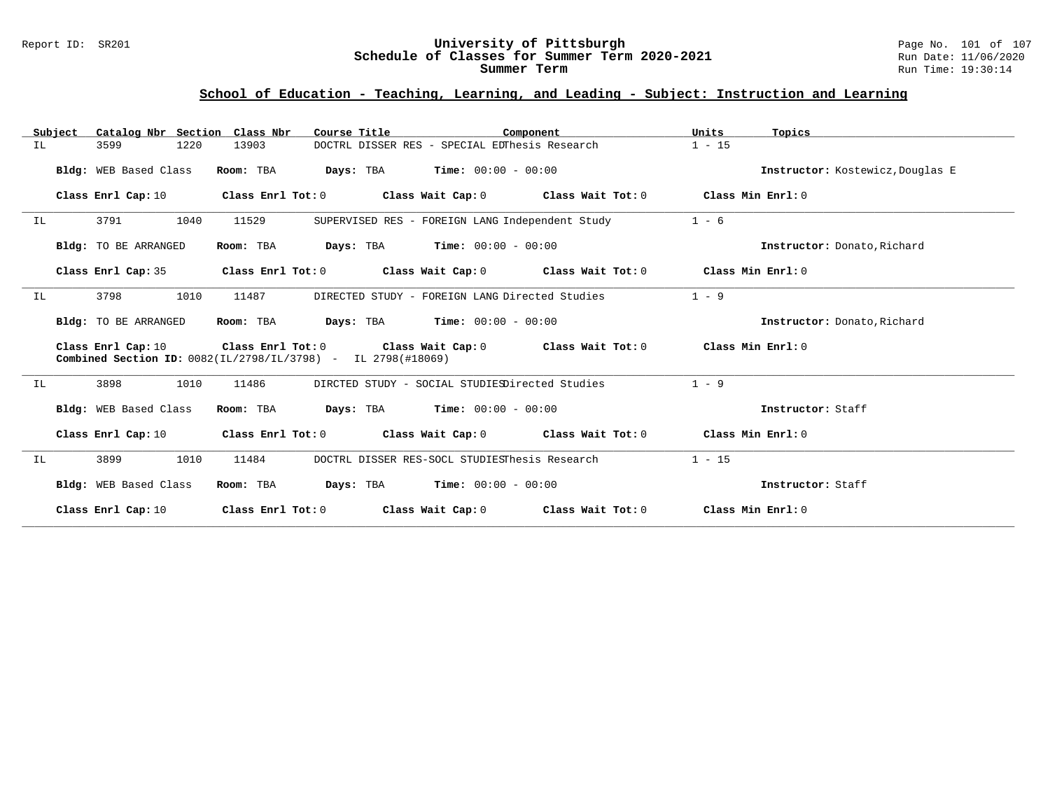#### Report ID: SR201 **University of Pittsburgh** Page No. 101 of 107 **Schedule of Classes for Summer Term 2020-2021** Run Date: 11/06/2020 **Summer Term** Run Time: 19:30:14

|                       | Subject Catalog Nbr Section Class Nbr | Course Title                                                                                        | Component         | Units<br>Topics                  |
|-----------------------|---------------------------------------|-----------------------------------------------------------------------------------------------------|-------------------|----------------------------------|
| IL.<br>3599           | 13903<br>1220                         | DOCTRL DISSER RES - SPECIAL EDThesis Research                                                       |                   | $1 - 15$                         |
| Bldg: WEB Based Class | Room: TBA                             | <b>Days:</b> TBA <b>Time:</b> $00:00 - 00:00$                                                       |                   | Instructor: Kostewicz, Douglas E |
| Class Enrl Cap: 10    | Class Enrl Tot: 0                     | Class Wait Cap: 0 Class Wait Tot: 0                                                                 |                   | Class Min Enri: 0                |
| 3791<br>IL.           | 1040<br>11529                         | SUPERVISED RES - FOREIGN LANG Independent Study                                                     |                   | $1 - 6$                          |
| Bldg: TO BE ARRANGED  | Room: TBA                             | <b>Days:</b> TBA <b>Time:</b> $00:00 - 00:00$                                                       |                   | Instructor: Donato, Richard      |
| Class Enrl Cap: 35    | Class Enrl Tot: 0                     | Class Wait Cap: $0$ Class Wait Tot: $0$                                                             |                   | Class Min Enri: 0                |
| 3798<br>ΙL            | 1010<br>11487                         | DIRECTED STUDY - FOREIGN LANG Directed Studies                                                      |                   | $1 - 9$                          |
| Bldg: TO BE ARRANGED  | Room: TBA                             | <b>Days:</b> TBA <b>Time:</b> $00:00 - 00:00$                                                       |                   | Instructor: Donato, Richard      |
| Class Enrl Cap: 10    | Class Enrl Tot: 0                     | Class Wait Cap: 0 Class Wait Tot: 0<br>Combined Section ID: 0082(IL/2798/IL/3798) - IL 2798(#18069) |                   | Class Min Enrl: 0                |
| 3898<br>ΙL            | 1010<br>11486                         | DIRCTED STUDY - SOCIAL STUDIESDirected Studies                                                      |                   | $1 - 9$                          |
| Bldg: WEB Based Class | Room: TBA                             | <b>Days:</b> TBA <b>Time:</b> $00:00 - 00:00$                                                       |                   | Instructor: Staff                |
| Class Enrl Cap: 10    | Class Enrl Tot: 0                     | Class Wait Cap: 0 Class Wait Tot: 0                                                                 |                   | Class Min Enrl: 0                |
| 3899<br>IL            | 1010<br>11484                         | DOCTRL DISSER RES-SOCL STUDIESThesis Research                                                       |                   | $1 - 15$                         |
| Bldg: WEB Based Class | Room: TBA                             | <b>Days:</b> TBA <b>Time:</b> $00:00 - 00:00$                                                       |                   | Instructor: Staff                |
| Class Enrl Cap: 10    | Class Enrl Tot: 0                     | Class Wait Cap: 0                                                                                   | Class Wait Tot: 0 | Class Min Enrl: 0                |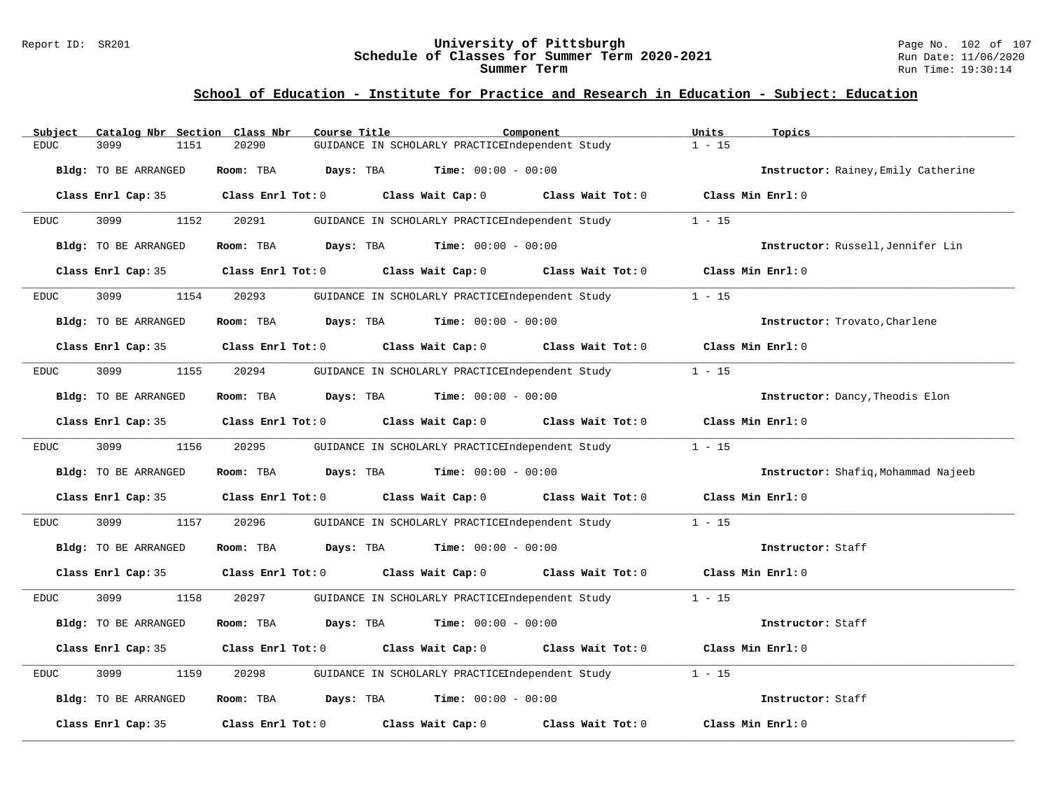#### Report ID: SR201 **University of Pittsburgh** Page No. 102 of 107 **Schedule of Classes for Summer Term 2020-2021** Run Date: 11/06/2020 **Summer Term** Run Time: 19:30:14

# **School of Education - Institute for Practice and Research in Education - Subject: Education**

| Catalog Nbr Section Class Nbr<br>Subject     | Course Title                                                                               | Component         | Units<br>Topics                     |
|----------------------------------------------|--------------------------------------------------------------------------------------------|-------------------|-------------------------------------|
| $\mathop{\rm EDUC}\nolimits$<br>3099<br>1151 | GUIDANCE IN SCHOLARLY PRACTICEIndependent Study<br>20290                                   |                   | $1 - 15$                            |
| Bldg: TO BE ARRANGED                         | Room: TBA<br>Days: TBA<br><b>Time:</b> $00:00 - 00:00$                                     |                   | Instructor: Rainey, Emily Catherine |
|                                              | Class Enrl Cap: 35 Class Enrl Tot: 0 Class Wait Cap: 0 Class Wait Tot: 0 Class Min Enrl: 0 |                   |                                     |
| 3099<br>1152<br>EDUC                         | 20291<br>GUIDANCE IN SCHOLARLY PRACTICEIndependent Study                                   |                   | $1 - 15$                            |
| Bldg: TO BE ARRANGED                         | <b>Days:</b> TBA <b>Time:</b> $00:00 - 00:00$<br>Room: TBA                                 |                   | Instructor: Russell, Jennifer Lin   |
| Class Enrl Cap: 35                           | Class Enrl Tot: 0<br>Class Wait Cap: 0                                                     | Class Wait Tot: 0 | Class Min Enrl: 0                   |
| 3099<br>1154<br><b>EDUC</b>                  | 20293<br>GUIDANCE IN SCHOLARLY PRACTICEIndependent Study                                   |                   | $1 - 15$                            |
| Bldg: TO BE ARRANGED                         | Room: TBA $Days:$ TBA $Time: 00:00 - 00:00$                                                |                   | Instructor: Trovato, Charlene       |
| Class Enrl Cap: 35                           | Class Enrl Tot: $0$ Class Wait Cap: $0$ Class Wait Tot: $0$                                |                   | Class Min Enrl: 0                   |
| 3099<br>1155<br>EDUC                         | 20294<br>GUIDANCE IN SCHOLARLY PRACTICEIndependent Study                                   |                   | $1 - 15$                            |
| Bldg: TO BE ARRANGED                         | $\texttt{Davis:}$ TBA $\texttt{Time:}$ 00:00 - 00:00<br>Room: TBA                          |                   | Instructor: Dancy, Theodis Elon     |
| Class Enrl Cap: 35                           | Class Wait Cap: 0<br>Class Enrl Tot: 0                                                     | Class Wait Tot: 0 | Class Min Enrl: 0                   |
| 3099<br>1156<br>EDUC                         | 20295<br>GUIDANCE IN SCHOLARLY PRACTICEIndependent Study                                   |                   | $1 - 15$                            |
| Bldg: TO BE ARRANGED                         | Room: TBA<br>Days: TBA<br>$Time: 00:00 - 00:00$                                            |                   | Instructor: Shafiq, Mohammad Najeeb |
| Class Enrl Cap: 35                           | Class Enrl Tot: $0$ Class Wait Cap: $0$ Class Wait Tot: $0$                                |                   | Class Min Enrl: 0                   |
| 3099<br><b>EDUC</b><br>1157                  | 20296<br>GUIDANCE IN SCHOLARLY PRACTICEIndependent Study                                   |                   | $1 - 15$                            |
| Bldg: TO BE ARRANGED                         | Room: TBA<br><b>Days:</b> TBA <b>Time:</b> $00:00 - 00:00$                                 |                   | Instructor: Staff                   |
| Class Enrl Cap: 35                           | Class Enrl Tot: 0<br>Class Wait Cap: 0 Class Wait Tot: 0                                   |                   | Class Min Enrl: 0                   |
| 3099<br>1158<br><b>EDUC</b>                  | 20297<br>GUIDANCE IN SCHOLARLY PRACTICEIndependent Study                                   |                   | $1 - 15$                            |
| Bldg: TO BE ARRANGED                         | Room: TBA<br>Days: TBA<br><b>Time:</b> $00:00 - 00:00$                                     |                   | Instructor: Staff                   |
| Class Enrl Cap: 35                           | Class Enrl Tot: 0 Class Wait Cap: 0 Class Wait Tot: 0                                      |                   | Class Min Enrl: 0                   |
| 3099<br><b>EDUC</b><br>1159                  | 20298<br>GUIDANCE IN SCHOLARLY PRACTICEIndependent Study                                   |                   | $1 - 15$                            |
| Bldg: TO BE ARRANGED                         | $\texttt{Days:}$ TBA Time: $00:00 - 00:00$<br>Room: TBA                                    |                   | Instructor: Staff                   |
| Class Enrl Cap: 35                           | Class Enrl Tot: 0<br>Class Wait Cap: 0                                                     | Class Wait Tot: 0 | Class Min Enrl: 0                   |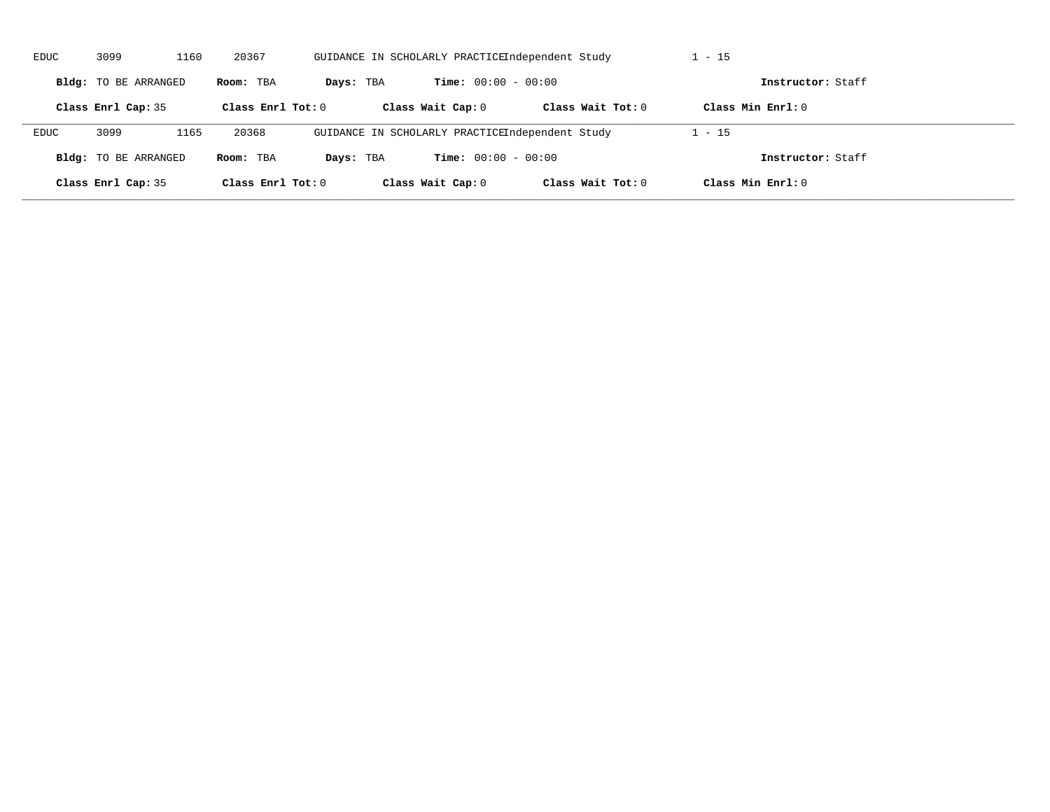| <b>EDUC</b> | 3099<br>1160<br>20367<br>GUIDANCE IN SCHOLARLY PRACTICEIndependent Study |      |                     |           | $1 - 15$                                        |                     |                     |  |
|-------------|--------------------------------------------------------------------------|------|---------------------|-----------|-------------------------------------------------|---------------------|---------------------|--|
|             | Bldg: TO BE ARRANGED                                                     |      | Room: TBA           | Days: TBA | <b>Time:</b> $00:00 - 00:00$                    |                     | Instructor: Staff   |  |
|             | Class Enrl Cap: 35                                                       |      | Class Enrl Tot: $0$ |           | Class Wait Cap: 0                               | Class Wait $Tot: 0$ | Class Min $Enrl: 0$ |  |
| EDUC        | 3099                                                                     | 1165 | 20368               |           | GUIDANCE IN SCHOLARLY PRACTICEIndependent Study |                     | $1 - 15$            |  |
|             | <b>Bldg:</b> TO BE ARRANGED                                              |      | Room: TBA           | Days: TBA | <b>Time:</b> $00:00 - 00:00$                    |                     | Instructor: Staff   |  |
|             | Class Enrl Cap: 35                                                       |      | Class Enrl Tot: $0$ |           | Class Wait Cap: 0                               | Class Wait $Tot: 0$ | Class Min $Enrl: 0$ |  |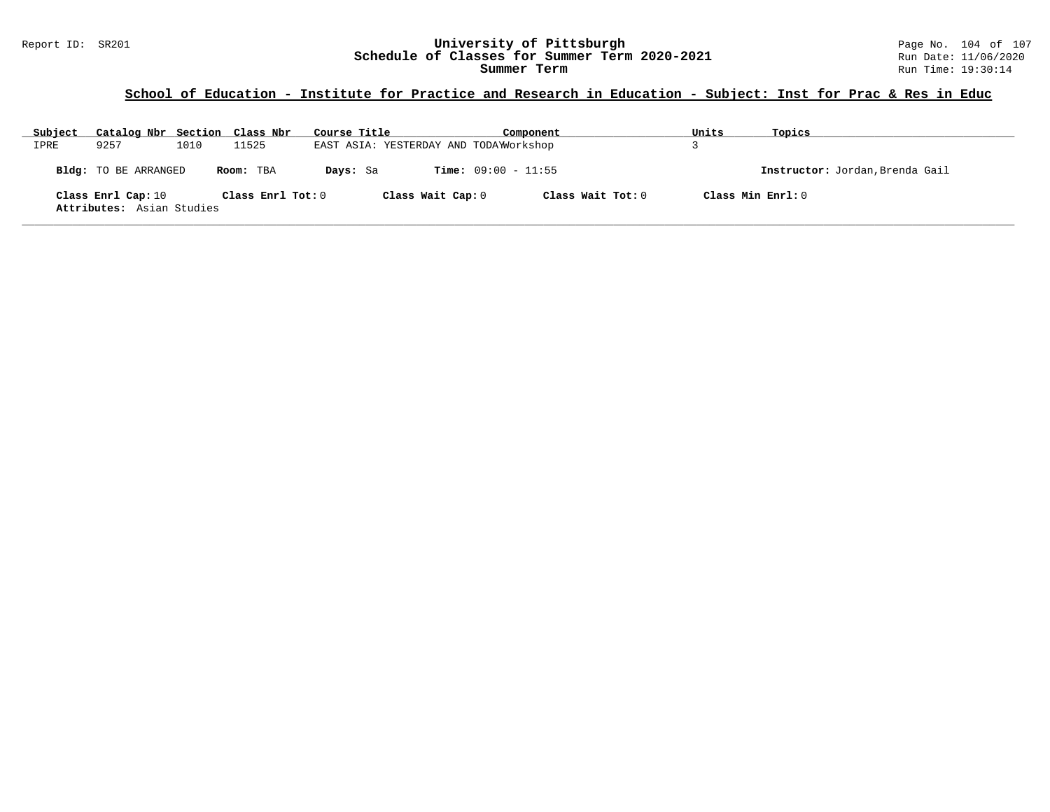# Report ID: SR201 **1988 Manusia Content Content Content Content Content Content Content Content Content Content**<br>
Schedule of Classes for Summer Term 2020-2021 1999 Run Date: 11/06/2020 Schedule of Classes for Summer Term 2020-2021

# **School of Education - Institute for Practice and Research in Education - Subject: Inst for Prac & Res in Educ**

| Subject | Catalog Nbr Section Class Nbr                   |      |                     | Course Title |                   | Component                             |                   | Units              | Topics                          |
|---------|-------------------------------------------------|------|---------------------|--------------|-------------------|---------------------------------------|-------------------|--------------------|---------------------------------|
| IPRE    | 9257                                            | 1010 | 11525               |              |                   | EAST ASIA: YESTERDAY AND TODAWOrkshop |                   |                    |                                 |
|         | Bldg: TO BE ARRANGED                            |      | Room: TBA           | Days: Sa     |                   | <b>Time:</b> $09:00 - 11:55$          |                   |                    | Instructor: Jordan, Brenda Gail |
|         | Class Enrl Cap: 10<br>Attributes: Asian Studies |      | Class Enrl Tot: $0$ |              | Class Wait Cap: 0 |                                       | Class Wait Tot: 0 | Class Min Ernst: 0 |                                 |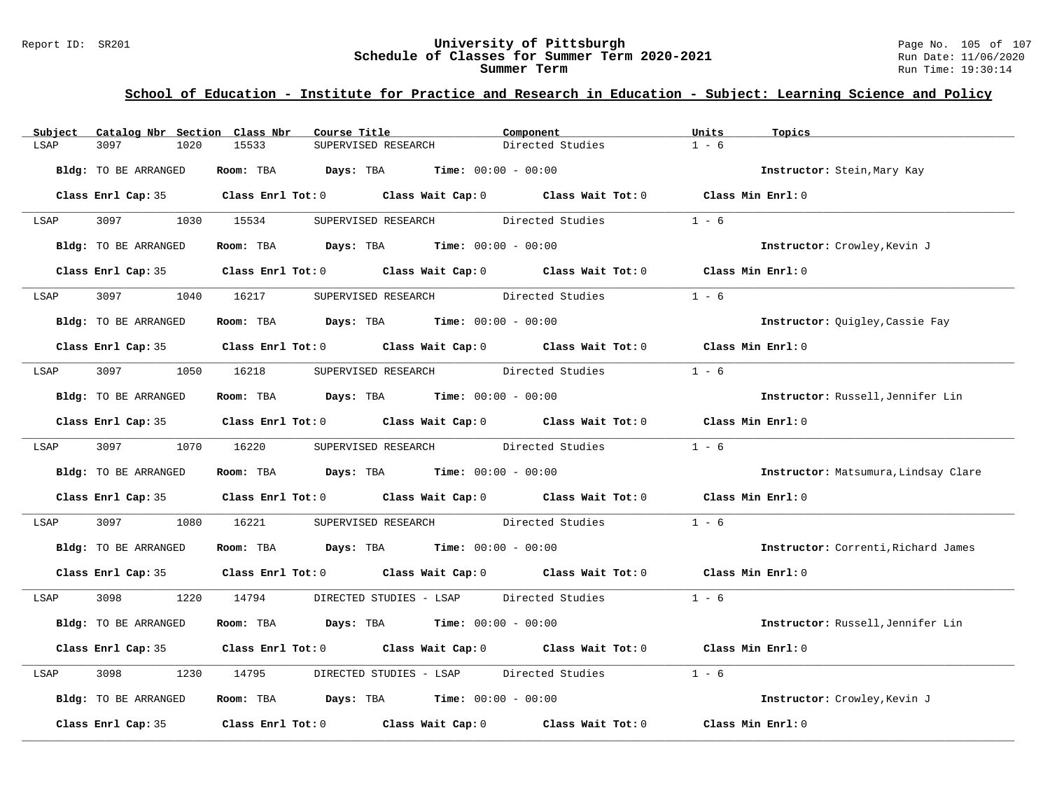# Report ID: SR201 **1998 Mixersity of Pittsburgh University of Pittsburgh** Page No. 105 of 107<br>**Schedule of Classes for Summer Term 2020-2021** Run Date: 11/06/2020 Schedule of Classes for Summer Term 2020-2021

# **School of Education - Institute for Practice and Research in Education - Subject: Learning Science and Policy**

| Catalog Nbr Section Class Nbr<br>Subject | Course Title                                                                               | Component                                | Units<br>Topics                      |
|------------------------------------------|--------------------------------------------------------------------------------------------|------------------------------------------|--------------------------------------|
| LSAP<br>3097<br>1020                     | 15533<br>SUPERVISED RESEARCH                                                               | Directed Studies                         | $1 - 6$                              |
| Bldg: TO BE ARRANGED                     | <b>Days:</b> TBA <b>Time:</b> $00:00 - 00:00$<br>Room: TBA                                 |                                          | Instructor: Stein, Mary Kay          |
|                                          | Class Enrl Cap: 35 Class Enrl Tot: 0 Class Wait Cap: 0 Class Wait Tot: 0 Class Min Enrl: 0 |                                          |                                      |
| 3097<br>LSAP                             | 1030 15534<br>SUPERVISED RESEARCH                                                          | Directed Studies                         | $1 - 6$                              |
| Bldg: TO BE ARRANGED                     | Room: TBA $Days: TBA$ Time: $00:00 - 00:00$                                                |                                          | Instructor: Crowley, Kevin J         |
|                                          | Class Enrl Cap: 35 Class Enrl Tot: 0 Class Wait Cap: 0 Class Wait Tot: 0 Class Min Enrl: 0 |                                          |                                      |
| 3097 300<br>LSAP                         | 1040 16217<br>SUPERVISED RESEARCH Directed Studies                                         |                                          | $1 - 6$                              |
| Bldg: TO BE ARRANGED                     | Room: TBA $Days:$ TBA $Time: 00:00 - 00:00$                                                |                                          | Instructor: Quigley, Cassie Fay      |
|                                          | Class Enrl Cap: 35 Class Enrl Tot: 0 Class Wait Cap: 0 Class Wait Tot: 0 Class Min Enrl: 0 |                                          |                                      |
| 3097<br>LSAP                             | 1050 16218                                                                                 | SUPERVISED RESEARCH Directed Studies     | $1 - 6$                              |
| Bldg: TO BE ARRANGED                     | Room: TBA $Days:$ TBA $Time: 00:00 - 00:00$                                                |                                          | Instructor: Russell, Jennifer Lin    |
|                                          | Class Enrl Cap: 35 Class Enrl Tot: 0 Class Wait Cap: 0 Class Wait Tot: 0 Class Min Enrl: 0 |                                          |                                      |
| LSAP 3097                                | 1070 16220                                                                                 | SUPERVISED RESEARCH Directed Studies     | $1 - 6$                              |
| Bldg: TO BE ARRANGED                     | Room: TBA $Days: TBA$ Time: $00:00 - 00:00$                                                |                                          | Instructor: Matsumura, Lindsay Clare |
|                                          | Class Enrl Cap: 35 Class Enrl Tot: 0 Class Wait Cap: 0 Class Wait Tot: 0                   |                                          | Class Min Enrl: 0                    |
| 3097<br>1080<br>LSAP                     | 16221                                                                                      | SUPERVISED RESEARCH Directed Studies     | $1 - 6$                              |
| Bldg: TO BE ARRANGED                     | Room: TBA $Days:$ TBA $Time: 00:00 - 00:00$                                                |                                          | Instructor: Correnti, Richard James  |
|                                          | Class Enrl Cap: 35 Class Enrl Tot: 0 Class Wait Cap: 0 Class Wait Tot: 0 Class Min Enrl: 0 |                                          |                                      |
| 3098 300<br>LSAP                         | 1220 14794 DIRECTED STUDIES - LSAP Directed Studies 1 - 6                                  |                                          |                                      |
| Bldg: TO BE ARRANGED                     | Room: TBA $Days:$ TBA $Time: 00:00 - 00:00$                                                |                                          | Instructor: Russell, Jennifer Lin    |
|                                          | Class Enrl Cap: 35 Class Enrl Tot: 0 Class Wait Cap: 0 Class Wait Tot: 0                   |                                          | Class Min Enrl: 0                    |
| 3098<br>LSAP<br>1230                     | 14795                                                                                      | DIRECTED STUDIES - LSAP Directed Studies | $1 - 6$                              |
| Bldg: TO BE ARRANGED                     | Room: TBA $Days: TBA$ Time: $00:00 - 00:00$                                                |                                          | Instructor: Crowley, Kevin J         |
| Class Enrl Cap: 35                       | Class Enrl Tot: $0$ Class Wait Cap: $0$ Class Wait Tot: $0$                                |                                          | Class Min Enrl: 0                    |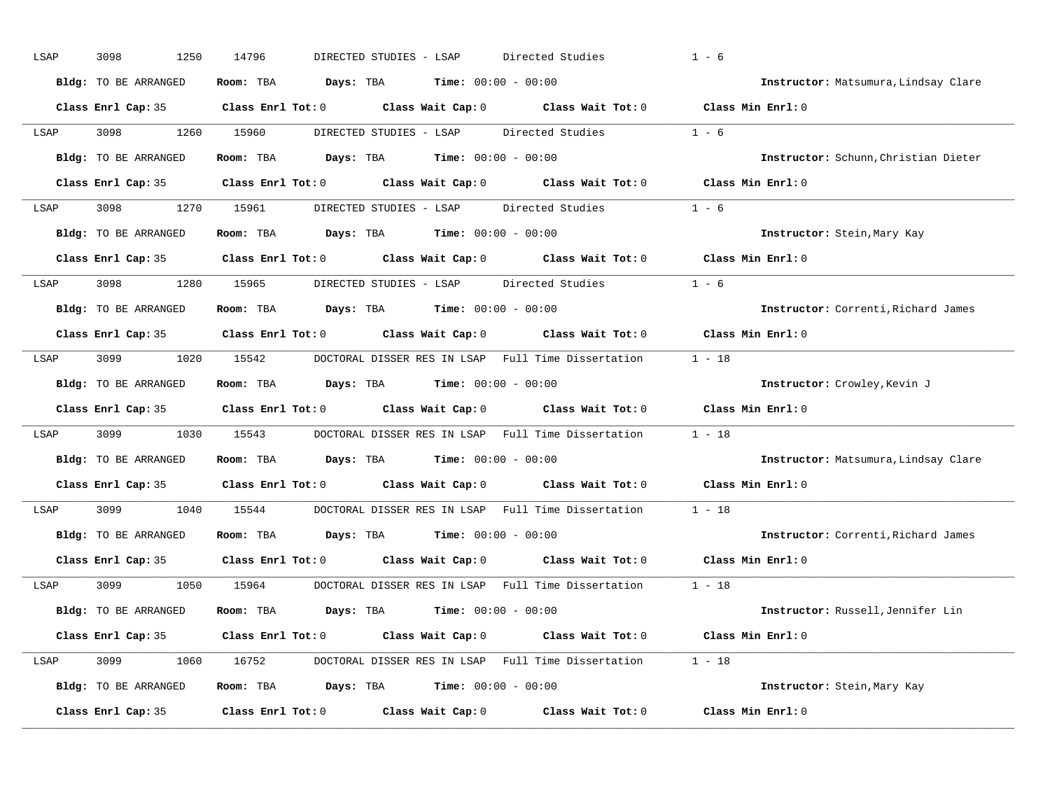| LSAP | 3098<br>1250                | 14796<br>DIRECTED STUDIES - LSAP                           | Directed Studies                                          | $1 - 6$                              |
|------|-----------------------------|------------------------------------------------------------|-----------------------------------------------------------|--------------------------------------|
|      | Bldg: TO BE ARRANGED        | Room: TBA<br>Days: TBA                                     | <b>Time:</b> $00:00 - 00:00$                              | Instructor: Matsumura, Lindsay Clare |
|      | Class Enrl Cap: 35          | $Class$ $Enrl$ $Tot: 0$<br>Class Wait Cap: 0               |                                                           | Class Wait Tot: 0 Class Min Enrl: 0  |
| LSAP | 3098<br>1260                | 15960<br>DIRECTED STUDIES - LSAP                           | Directed Studies                                          | $1 - 6$                              |
|      | <b>Bldg:</b> TO BE ARRANGED | Room: TBA<br>Days: TBA                                     | <b>Time:</b> $00:00 - 00:00$                              | Instructor: Schunn, Christian Dieter |
|      | Class Enrl Cap: 35          | Class Enrl Tot: 0                                          | Class Wait Cap: 0 Class Wait Tot: 0 Class Min Enrl: 0     |                                      |
| LSAP | 3098<br>1270                | 15961<br>DIRECTED STUDIES - LSAP Directed Studies          |                                                           | $1 - 6$                              |
|      | <b>Bldg:</b> TO BE ARRANGED | Room: TBA<br><b>Days:</b> TBA <b>Time:</b> $00:00 - 00:00$ |                                                           | Instructor: Stein, Mary Kay          |
|      | Class Enrl Cap: 35          | $Class$ $Enrl$ $Tot: 0$                                    | Class Wait Cap: 0 Class Wait Tot: 0                       | Class Min Enrl: 0                    |
| LSAP | 3098<br>1280                | 15965<br>DIRECTED STUDIES - LSAP                           | Directed Studies                                          | $1 - 6$                              |
|      | <b>Bldg:</b> TO BE ARRANGED | <b>Days:</b> TBA <b>Time:</b> $00:00 - 00:00$<br>Room: TBA |                                                           | Instructor: Correnti, Richard James  |
|      | Class Enrl Cap: 35          | $Class$ $Enr1$ $Tot: 0$<br>Class Wait Cap: 0               | Class Wait Tot: 0                                         | Class Min Enrl: 0                    |
| LSAP | 3099<br>1020                | 15542                                                      | DOCTORAL DISSER RES IN LSAP Full Time Dissertation        | $1 - 18$                             |
|      | Bldg: TO BE ARRANGED        | <b>Days:</b> TBA <b>Time:</b> $00:00 - 00:00$<br>Room: TBA |                                                           | Instructor: Crowley, Kevin J         |
|      | Class Enrl Cap: 35          | $Class$ $Enr1$ $Tot: 0$<br>Class Wait Cap: 0               | Class Wait Tot: 0                                         | Class Min Enrl: 0                    |
| LSAP | 3099<br>1030                | 15543                                                      | DOCTORAL DISSER RES IN LSAP Full Time Dissertation        | $1 - 18$                             |
|      | <b>Bldg:</b> TO BE ARRANGED | <b>Days:</b> TBA <b>Time:</b> $00:00 - 00:00$<br>Room: TBA |                                                           | Instructor: Matsumura, Lindsay Clare |
|      | Class Enrl Cap: 35          | $Class$ $Enr1$ $Tot: 0$<br>Class Wait Cap: 0               | Class Wait Tot: 0                                         | Class Min Enrl: 0                    |
| LSAP | 3099<br>1040                | 15544                                                      | DOCTORAL DISSER RES IN LSAP Full Time Dissertation        | $1 - 18$                             |
|      | Bldg: TO BE ARRANGED        | Room: TBA<br><b>Days:</b> TBA <b>Time:</b> $00:00 - 00:00$ |                                                           | Instructor: Correnti, Richard James  |
|      | Class Enrl Cap: 35          | Class Enrl Tot: 0<br>Class Wait Cap: 0                     | Class Wait Tot: 0                                         | Class Min Enrl: 0                    |
| LSAP | 3099<br>1050                | 15964                                                      | DOCTORAL DISSER RES IN LSAP Full Time Dissertation        | $1 - 18$                             |
|      | <b>Bldg:</b> TO BE ARRANGED | Room: TBA<br><b>Days:</b> TBA <b>Time:</b> $00:00 - 00:00$ |                                                           | Instructor: Russell, Jennifer Lin    |
|      | Class Enrl Cap: 35          | $Class$ $Enr1$ $Tot: 0$<br>Class Wait Cap: 0               | Class Wait Tot: 0                                         | Class Min Enrl: 0                    |
| LSAP | 3099<br>1060                | 16752                                                      | DOCTORAL DISSER RES IN LSAP Full Time Dissertation 1 - 18 |                                      |
|      | Bldg: TO BE ARRANGED        | <b>Days:</b> TBA <b>Time:</b> $00:00 - 00:00$<br>Room: TBA |                                                           | Instructor: Stein, Mary Kay          |
|      |                             | Class Enrl Tot: 0<br>Class Wait Cap: 0                     | Class Wait Tot: 0                                         | Class Min Enrl: 0                    |